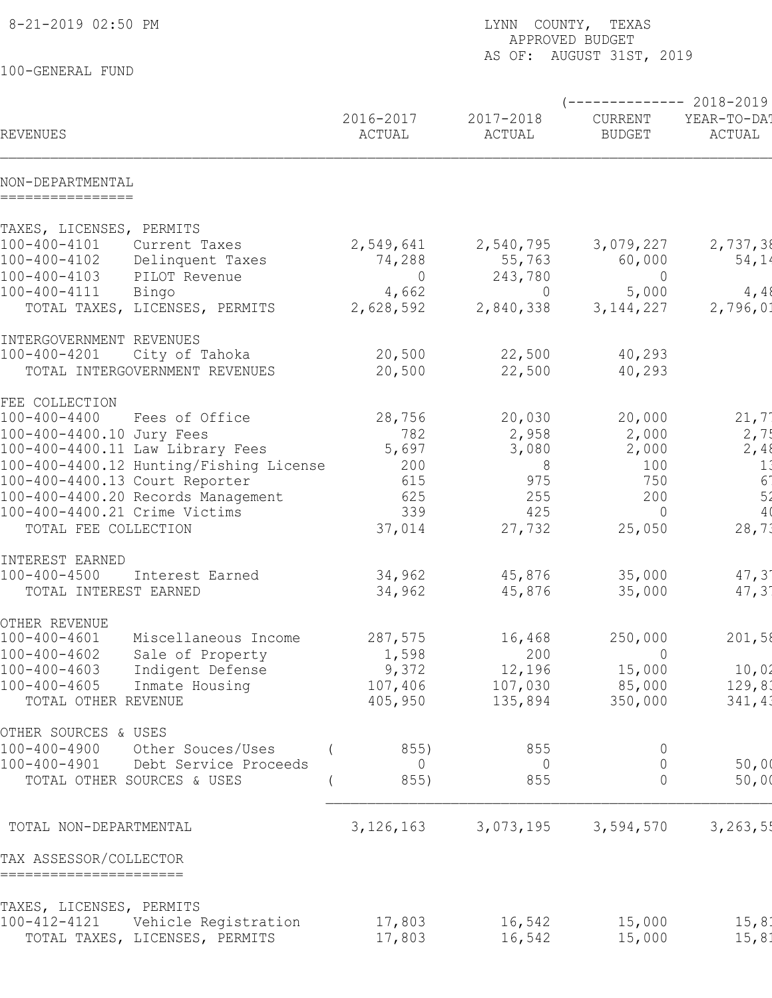| 8-21-2019 02:50 PM                                                               | LYNN COUNTY, TEXAS<br>APPROVED BUDGET<br>AS OF: AUGUST 31ST, 2019 |                     |                          |                                                |  |
|----------------------------------------------------------------------------------|-------------------------------------------------------------------|---------------------|--------------------------|------------------------------------------------|--|
| 100-GENERAL FUND                                                                 |                                                                   |                     |                          |                                                |  |
| REVENUES                                                                         | 2016-2017<br>ACTUAL                                               | 2017-2018<br>ACTUAL | CURRENT<br><b>BUDGET</b> | ----------- 2018-2019<br>YEAR-TO-DA!<br>ACTUAL |  |
| NON-DEPARTMENTAL<br>================                                             |                                                                   |                     |                          |                                                |  |
| TAXES, LICENSES, PERMITS                                                         |                                                                   |                     |                          |                                                |  |
| $100 - 400 - 4101$<br>Current Taxes                                              | 2,549,641                                                         | 2,540,795           | 3,079,227                | 2,737,38                                       |  |
| 100-400-4102<br>Delinquent Taxes                                                 | 74,288                                                            | 55,763              | 60,000                   | 54,14                                          |  |
| 100-400-4103<br>PILOT Revenue<br>100-400-4111<br>Bingo                           | $\overline{0}$<br>4,662                                           | 243,780<br>$\Omega$ | $\overline{0}$<br>5,000  | 4,48                                           |  |
| TOTAL TAXES, LICENSES, PERMITS                                                   | 2,628,592                                                         | 2,840,338           | 3, 144, 227              | 2,796,01                                       |  |
| INTERGOVERNMENT REVENUES                                                         |                                                                   |                     |                          |                                                |  |
| $100 - 400 - 4201$<br>City of Tahoka                                             | 20,500                                                            | 22,500              | 40,293                   |                                                |  |
| TOTAL INTERGOVERNMENT REVENUES                                                   | 20,500                                                            | 22,500              | 40,293                   |                                                |  |
| FEE COLLECTION                                                                   |                                                                   |                     |                          |                                                |  |
| $100 - 400 - 4400$<br>Fees of Office                                             | 28,756                                                            | 20,030              | 20,000                   | 21,7'                                          |  |
| 100-400-4400.10 Jury Fees<br>100-400-4400.11 Law Library Fees                    | 782<br>5,697                                                      | 2,958<br>3,080      | 2,000<br>2,000           | 2,75<br>2,48                                   |  |
| 100-400-4400.12 Hunting/Fishing License                                          | 200                                                               | 8                   | 100                      | 1:                                             |  |
| 100-400-4400.13 Court Reporter                                                   | 615                                                               | 975                 | 750                      | 6 <sup>1</sup>                                 |  |
| 100-400-4400.20 Records Management                                               | 625                                                               | 255                 | 200                      | 5 <sub>2</sub>                                 |  |
| 100-400-4400.21 Crime Victims                                                    | 339                                                               | 425                 | $\overline{0}$           | 4(                                             |  |
| TOTAL FEE COLLECTION                                                             | 37,014                                                            | 27,732              | 25,050                   | 28,73                                          |  |
| INTEREST EARNED                                                                  |                                                                   |                     |                          |                                                |  |
| 100-400-4500<br>Interest Earned                                                  | 34,962                                                            | 45,876              | 35,000                   | $47, 3^{\circ}$                                |  |
| TOTAL INTEREST EARNED                                                            | 34,962                                                            | 45,876              | 35,000                   | 47, 31                                         |  |
| OTHER REVENUE                                                                    |                                                                   |                     |                          |                                                |  |
| $100 - 400 - 4601$<br>Miscellaneous Income                                       | 287,575                                                           | 16,468              | 250,000                  | 201,58                                         |  |
| Sale of Property<br>$100 - 400 - 4602$<br>Indigent Defense<br>$100 - 400 - 4603$ | 1,598<br>9,372                                                    | 200<br>12,196       | $\overline{0}$<br>15,000 | 10,02                                          |  |
| $100 - 400 - 4605$<br>Inmate Housing                                             | 107,406                                                           | 107,030             | 85,000                   | 129,83                                         |  |
| TOTAL OTHER REVENUE                                                              | 405,950                                                           | 135,894             | 350,000                  | 341,43                                         |  |
| OTHER SOURCES & USES                                                             |                                                                   |                     |                          |                                                |  |
| Other Souces/Uses<br>100-400-4900                                                | 855)                                                              | 855                 | $\cup$                   |                                                |  |
| 100-400-4901<br>Debt Service Proceeds                                            | 0                                                                 | 0                   | $\Omega$                 | 50,00                                          |  |
| TOTAL OTHER SOURCES & USES                                                       | 855)                                                              | 855                 | $\Omega$                 | 50,00                                          |  |
| TOTAL NON-DEPARTMENTAL                                                           | 3,126,163                                                         | 3,073,195           | 3,594,570                | 3, 263, 55                                     |  |
| TAX ASSESSOR/COLLECTOR<br>======================                                 |                                                                   |                     |                          |                                                |  |
| TAXES, LICENSES, PERMITS                                                         |                                                                   |                     |                          |                                                |  |
| 100-412-4121<br>Vehicle Registration                                             | 17,803                                                            | 16,542              | 15,000                   | 15, 81                                         |  |
| TOTAL TAXES, LICENSES, PERMITS                                                   | 17,803                                                            | 16,542              | 15,000                   | 15, 81                                         |  |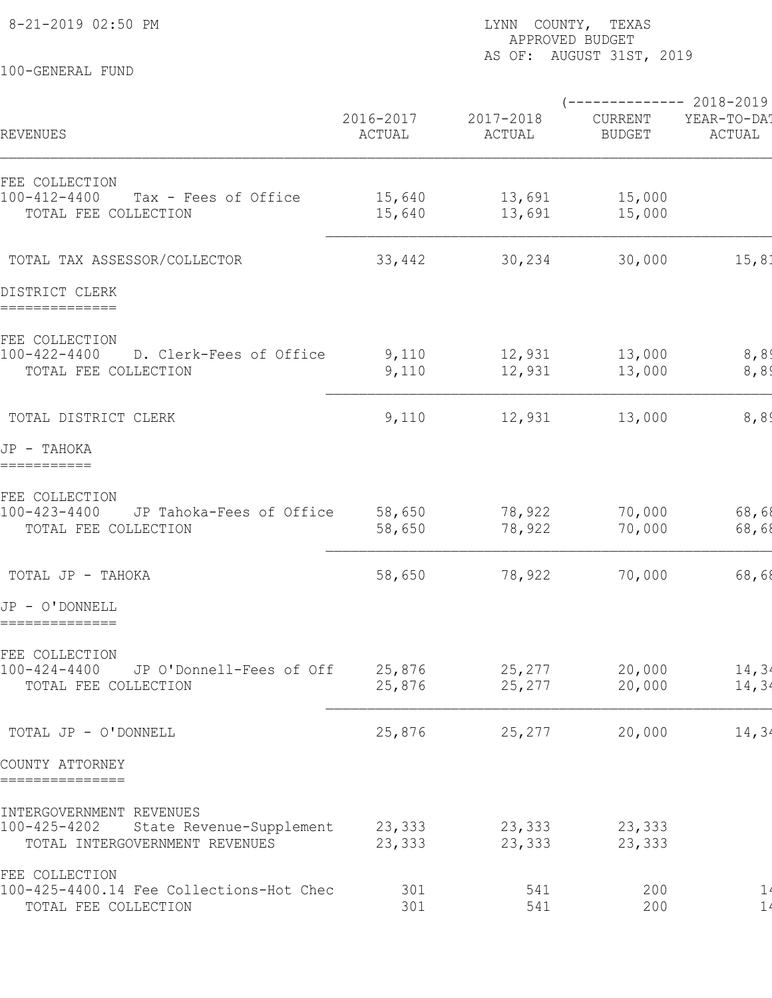100-GENERAL FUND

## 8-21-2019 02:50 PM  $\blacksquare$  2000 PM  $\blacksquare$  2000 PM  $\blacksquare$  2000 PM  $\blacksquare$  2000 PM  $\blacksquare$  2000 PM  $\blacksquare$  2000 PM  $\blacksquare$  2000 PM  $\blacksquare$  2000 PM  $\blacksquare$  2000 PM  $\blacksquare$  2000 PM  $\blacksquare$  2000 PM  $\blacksquare$  2000 PM  $\blacksquare$  2000 PM  $\blacksquare$  2 APPROVED BUDGET AS OF: AUGUST 31ST, 2019

 $(-------2018-2019$ 2016-2017 2017-2018 CURRENT YEAR-TO-DA! REVENUES ACTUAL ACTUAL BUDGET ACTUAL ACTUAL BUDGET BUDGET FEE COLLECTION 100-412-4400 Tax - Fees of Office 15,640 13,691 15,000 0 0 0 15,000 TOTAL FEE COLLECTION 15,640 13,691 15,000 TOTAL TAX ASSESSOR/COLLECTOR 33,442 30,234 30,000 15,81 DISTRICT CLERK ============== FEE COLLECTION 100-422-4400 D. Clerk-Fees of Office  $12,931$  13,000 8,89 TOTAL FEE COLLECTION 6,89  $\mathcal{L}_\mathcal{L} = \mathcal{L}_\mathcal{L} = \mathcal{L}_\mathcal{L} = \mathcal{L}_\mathcal{L} = \mathcal{L}_\mathcal{L} = \mathcal{L}_\mathcal{L} = \mathcal{L}_\mathcal{L} = \mathcal{L}_\mathcal{L} = \mathcal{L}_\mathcal{L} = \mathcal{L}_\mathcal{L} = \mathcal{L}_\mathcal{L} = \mathcal{L}_\mathcal{L} = \mathcal{L}_\mathcal{L} = \mathcal{L}_\mathcal{L} = \mathcal{L}_\mathcal{L} = \mathcal{L}_\mathcal{L} = \mathcal{L}_\mathcal{L}$ TOTAL DISTRICT CLERK 68.89 (110 12,931 13,000 8,894 0 0 13,000 13,000 13,000 13,000 13,000 13,000 13,000 13,000 JP - TAHOKA =========== FEE COLLECTION 100-423-4400 JP Tahoka-Fees of Office 58,650 78,922 70,000 68,68 TOTAL FEE COLLECTION 68,689 58,650 78,922 70,000 68,68 TOTAL JP - TAHOKA 58,650 78,922 70,000 68,689 0 0 70,000 JP - O'DONNELL ============== FEE COLLECTION ree connection<br>100-424-4400 JP O'Donnell-Fees of Off 25,876 25,277 20,000 14,34 TOTAL FEE COLLECTION  $25,876$  25,277 20,000 14,34 TOTAL JP - O'DONNELL 25,876 25,277 20,000 14,349 0 0 15,000 COUNTY ATTORNEY =============== INTERGOVERNMENT REVENUES 100-425-4202 State Revenue-Supplement 23,333 23,333 23,333<br>TOTAL INTERGOVERNMENT REVENUES 23,333 23,333 23,333 TOTAL INTERGOVERNMENT REVENUES 23,333 23,333 23,333 FEE COLLECTION 100-425-4400.14 Fee Collections-Hot Chec 301 541 200 1. TOTAL FEE COLLECTION 1.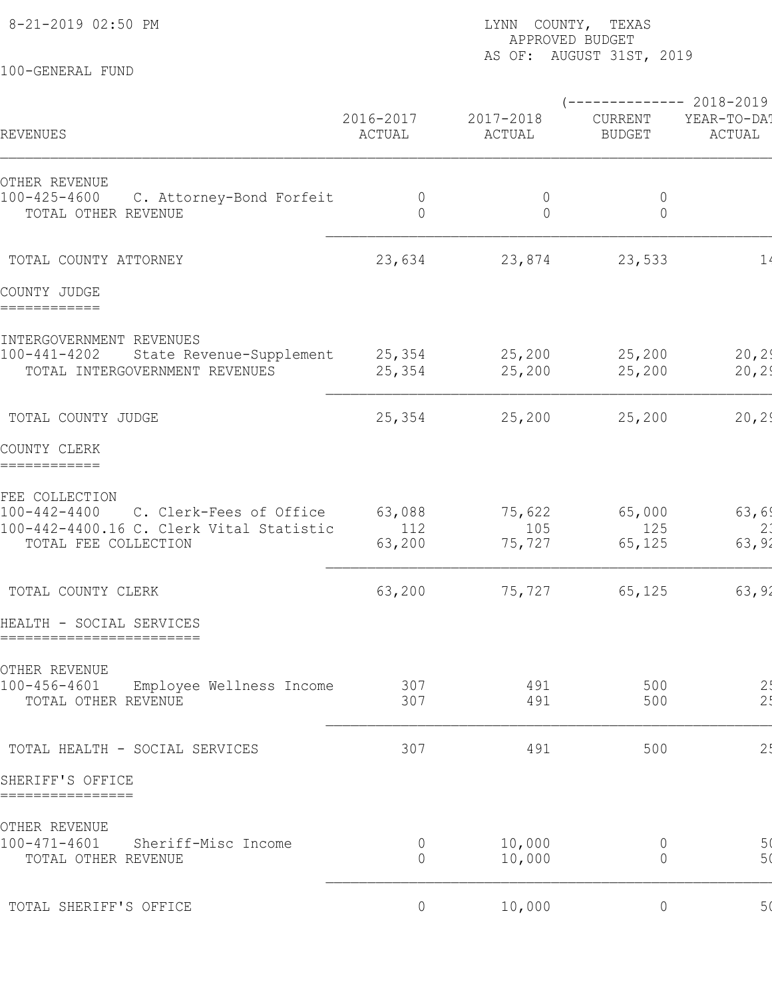100-GENERAL FUND

## 8-21-2019 02:50 PM **LYNN** COUNTY, TEXAS APPROVED BUDGET AS OF: AUGUST 31ST, 2019

|                                                                                                                                     |                               |                           | $--------- 2018-2019$     |                       |
|-------------------------------------------------------------------------------------------------------------------------------------|-------------------------------|---------------------------|---------------------------|-----------------------|
| REVENUES                                                                                                                            | 2016-2017<br>ACTUAL           | 2017-2018<br>ACTUAL       | CURRENT<br><b>BUDGET</b>  | YEAR-TO-DA!<br>ACTUAL |
| OTHER REVENUE<br>$100 - 425 - 4600$<br>C. Attorney-Bond Forfeit<br>TOTAL OTHER REVENUE                                              | $\overline{0}$<br>$\circ$     | $\overline{0}$<br>$\circ$ | $\overline{0}$<br>$\circ$ |                       |
| TOTAL COUNTY ATTORNEY                                                                                                               | 23,634                        | 23,874                    | 23,533                    | $1\prime$             |
| COUNTY JUDGE<br>============                                                                                                        |                               |                           |                           |                       |
| INTERGOVERNMENT REVENUES<br>State Revenue-Supplement<br>100-441-4202<br>TOTAL INTERGOVERNMENT REVENUES                              | 25,354<br>25,354              | 25, 200<br>25,200         | 25,200<br>25,200          | 20, 29<br>20, 29      |
| TOTAL COUNTY JUDGE                                                                                                                  | 25,354                        | 25,200                    | 25, 200                   | 20, 29                |
| COUNTY CLERK<br>============                                                                                                        |                               |                           |                           |                       |
| FEE COLLECTION<br>$100 - 442 - 4400$<br>C. Clerk-Fees of Office<br>100-442-4400.16 C. Clerk Vital Statistic<br>TOTAL FEE COLLECTION | 63,088<br>112<br>63,200       | 75,622<br>105<br>75,727   | 65,000<br>125<br>65,125   | 63,69<br>2:<br>63,92  |
| TOTAL COUNTY CLERK                                                                                                                  | 63,200                        | 75,727                    | 65,125                    | 63,92                 |
| HEALTH - SOCIAL SERVICES<br>========================                                                                                |                               |                           |                           |                       |
| OTHER REVENUE<br>100-456-4601<br>Employee Wellness Income<br>TOTAL OTHER REVENUE                                                    | 307<br>307                    | 491<br>491                | 500<br>500                | $\frac{21}{21}$       |
| TOTAL HEALTH - SOCIAL SERVICES                                                                                                      | 307                           | 491                       | 500                       | 2 <sub>5</sub>        |
| SHERIFF'S OFFICE<br>================                                                                                                |                               |                           |                           |                       |
| OTHER REVENUE<br>100-471-4601<br>Sheriff-Misc Income<br>TOTAL OTHER REVENUE                                                         | $\overline{0}$<br>$\mathbf 0$ | 10,000<br>10,000          | 0<br>$\overline{0}$       | 5(<br>5 <sub>0</sub>  |
| TOTAL SHERIFF'S OFFICE                                                                                                              | $\circ$                       | 10,000                    | $\circ$                   | 5(                    |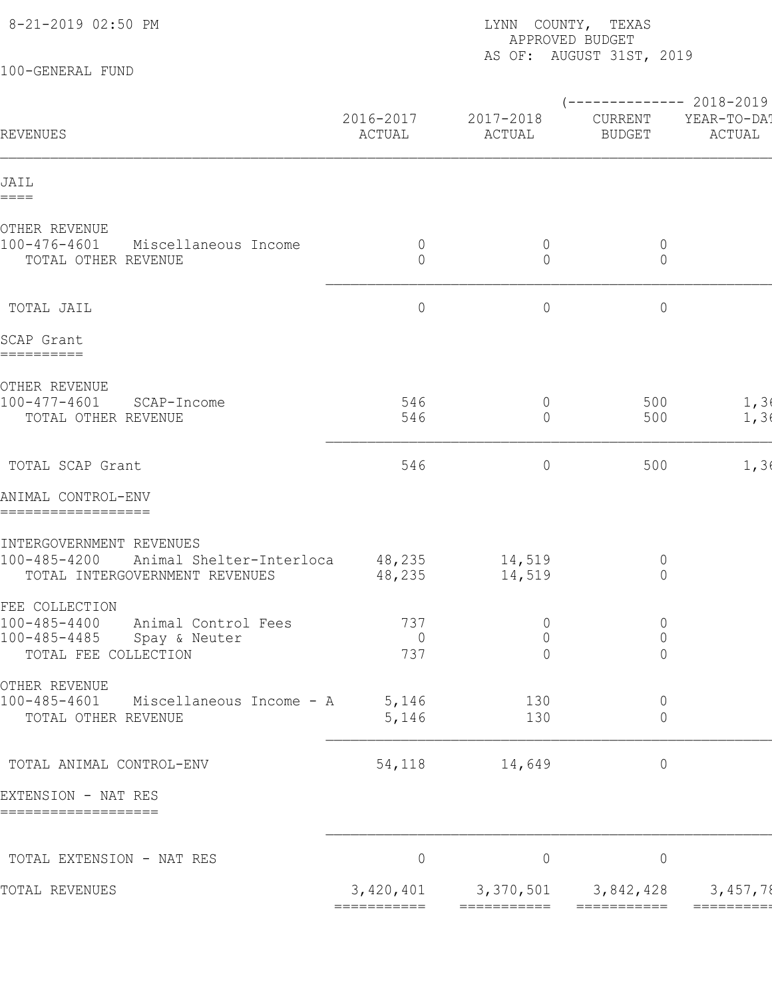| 8-21-2019 02:50 PM                                                                                                   | LYNN COUNTY, TEXAS<br>APPROVED BUDGET<br>AS OF: AUGUST 31ST, 2019 |                                                    |                                                  |                       |  |  |
|----------------------------------------------------------------------------------------------------------------------|-------------------------------------------------------------------|----------------------------------------------------|--------------------------------------------------|-----------------------|--|--|
| 100-GENERAL FUND                                                                                                     |                                                                   |                                                    |                                                  |                       |  |  |
| REVENUES                                                                                                             | 2016-2017<br>ACTUAL                                               | 2017-2018<br>ACTUAL                                | $---------2018-2019$<br>CURRENT<br><b>BUDGET</b> | YEAR-TO-DA!<br>ACTUAL |  |  |
| JAIL<br>$====$                                                                                                       |                                                                   |                                                    |                                                  |                       |  |  |
| OTHER REVENUE<br>100-476-4601<br>Miscellaneous Income<br>TOTAL OTHER REVENUE                                         | $\overline{0}$<br>$\circ$                                         | $\overline{0}$<br>$\overline{0}$                   | $\overline{0}$<br>$\circ$                        |                       |  |  |
| TOTAL JAIL                                                                                                           | $\circ$                                                           | $\overline{0}$                                     | $\circ$                                          |                       |  |  |
| SCAP Grant<br>==========                                                                                             |                                                                   |                                                    |                                                  |                       |  |  |
| OTHER REVENUE<br>$100 - 477 - 4601$<br>SCAP-Income<br>TOTAL OTHER REVENUE                                            | 546<br>546                                                        | $\overline{0}$<br>$\Omega$                         | 500<br>500                                       | 1, 36<br>1, 36        |  |  |
| TOTAL SCAP Grant                                                                                                     | 546                                                               | $\overline{0}$                                     | 500                                              | 1, 36                 |  |  |
| ANIMAL CONTROL-ENV<br>==================                                                                             |                                                                   |                                                    |                                                  |                       |  |  |
| INTERGOVERNMENT REVENUES<br>100-485-4200<br>Animal Shelter-Interloca<br>TOTAL INTERGOVERNMENT REVENUES               | 48,235<br>48,235                                                  | 14,519<br>14,519                                   | $\overline{0}$<br>$\overline{0}$                 |                       |  |  |
| FEE COLLECTION<br>$100 - 485 - 4400$<br>Animal Control Fees<br>100-485-4485<br>Spay & Neuter<br>TOTAL FEE COLLECTION | 737<br>$\overline{0}$<br>737                                      | $\overline{0}$<br>$\overline{0}$<br>$\overline{0}$ | $\circ$<br>$\mathbb O$<br>$\circ$                |                       |  |  |
| OTHER REVENUE<br>100-485-4601<br>Miscellaneous Income - A<br>TOTAL OTHER REVENUE                                     | 5,146<br>5,146                                                    | 130<br>130                                         | $\overline{0}$<br>$\overline{0}$                 |                       |  |  |
| TOTAL ANIMAL CONTROL-ENV                                                                                             | 54,118                                                            | 14,649                                             | $\circ$                                          |                       |  |  |
| EXTENSION - NAT RES<br>===================                                                                           |                                                                   |                                                    |                                                  |                       |  |  |
| TOTAL EXTENSION - NAT RES                                                                                            | $\circ$                                                           | $\circ$                                            | $\circ$                                          |                       |  |  |
| TOTAL REVENUES                                                                                                       | 3,420,401 3,370,501                                               |                                                    | 3,842,428                                        | 3,457,78              |  |  |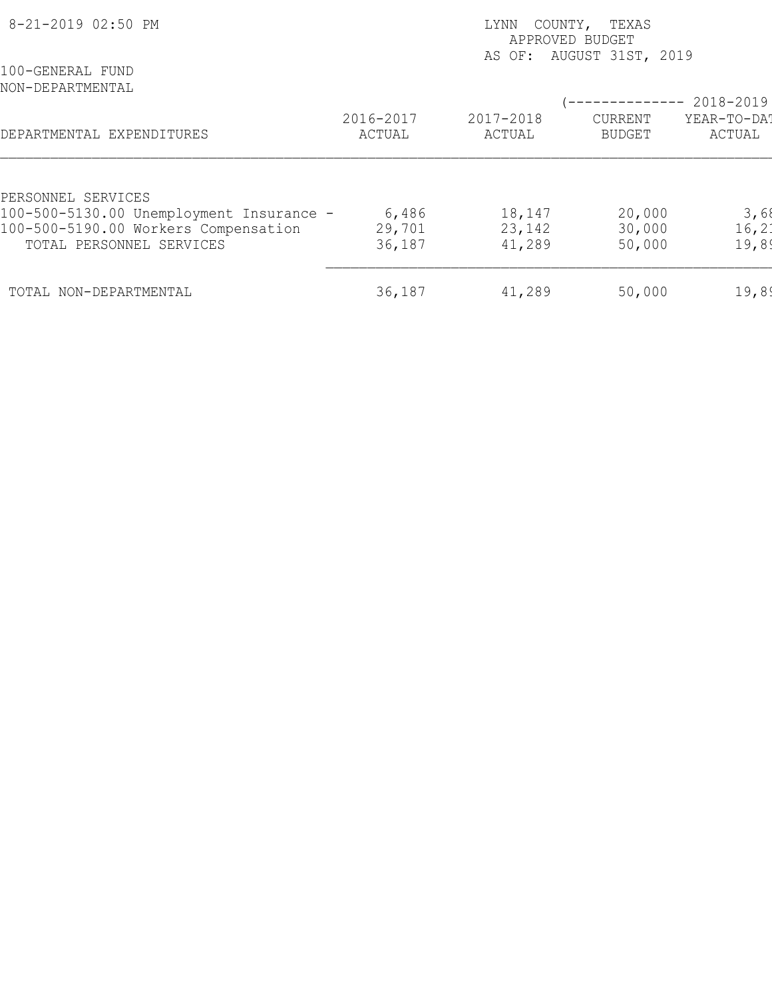| 8-21-2019 02:50 PM                                                                                           |                           | COUNTY, TEXAS<br>LYNN<br>APPROVED BUDGET<br>AS OF: AUGUST 31ST, 2019 |                            |                         |  |  |
|--------------------------------------------------------------------------------------------------------------|---------------------------|----------------------------------------------------------------------|----------------------------|-------------------------|--|--|
| 100-GENERAL FUND<br>NON-DEPARTMENTAL                                                                         |                           |                                                                      |                            | 2018-2019               |  |  |
| DEPARTMENTAL EXPENDITURES                                                                                    | 2016-2017<br>ACTUAL       | 2017-2018<br>ACTUAL                                                  | CURRENT<br><b>BUDGET</b>   | YEAR-TO-DAT<br>ACTUAL   |  |  |
| PERSONNEL SERVICES                                                                                           |                           |                                                                      |                            |                         |  |  |
| 100-500-5130.00 Unemployment Insurance -<br>100-500-5190.00 Workers Compensation<br>TOTAL PERSONNEL SERVICES | 6,486<br>29,701<br>36,187 | 18,147<br>23,142<br>41,289                                           | 20,000<br>30,000<br>50,000 | 3,68<br>16, 21<br>19,89 |  |  |
| TOTAL NON-DEPARTMENTAL                                                                                       | 36,187                    | 41,289                                                               | 50,000                     | 19,89                   |  |  |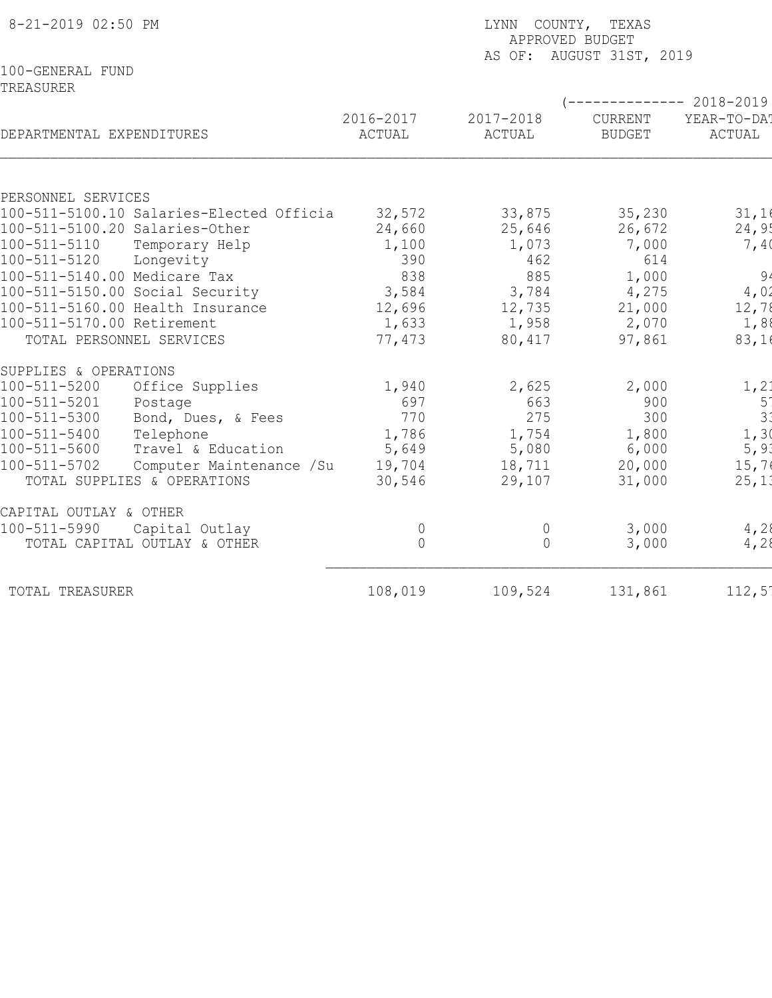| 8-21-2019 02:50 PM                                                            | LYNN COUNTY, TEXAS<br>APPROVED BUDGET<br>AS OF: AUGUST 31ST, 2019 |                     |                          |                                              |  |  |
|-------------------------------------------------------------------------------|-------------------------------------------------------------------|---------------------|--------------------------|----------------------------------------------|--|--|
| 100-GENERAL FUND<br>TREASURER                                                 |                                                                   |                     |                          |                                              |  |  |
| DEPARTMENTAL EXPENDITURES                                                     | 2016-2017<br>ACTUAL                                               | 2017-2018<br>ACTUAL | CURRENT<br><b>BUDGET</b> | $--------2018-2019$<br>YEAR-TO-DA!<br>ACTUAL |  |  |
|                                                                               |                                                                   |                     |                          |                                              |  |  |
| PERSONNEL SERVICES<br>100-511-5100.10 Salaries-Elected Officia                | 32,572                                                            |                     | 35,230                   |                                              |  |  |
| 100-511-5100.20 Salaries-Other                                                | 24,660                                                            | 33,875<br>25,646    | 26,672                   | 31,16<br>24,95                               |  |  |
| 100-511-5110<br>Temporary Help                                                | 1,100                                                             | 1,073               | 7,000                    | 7,40                                         |  |  |
| 100-511-5120<br>Longevity                                                     | 390                                                               | 462                 | 614                      |                                              |  |  |
| 100-511-5140.00 Medicare Tax                                                  | 838                                                               | 885                 | 1,000                    | 94                                           |  |  |
| 100-511-5150.00 Social Security                                               | 3,584                                                             | 3,784               | 4,275                    | 4,02                                         |  |  |
| 100-511-5160.00 Health Insurance                                              | 12,696                                                            | 12,735              | 21,000                   | 12,78                                        |  |  |
| 100-511-5170.00 Retirement                                                    | 1,633                                                             | 1,958               | 2,070                    | 1,88                                         |  |  |
| TOTAL PERSONNEL SERVICES                                                      | 77,473                                                            | 80,417              | 97,861                   | 83,16                                        |  |  |
| SUPPLIES & OPERATIONS                                                         |                                                                   |                     |                          |                                              |  |  |
| 100-511-5200<br>Office Supplies                                               | 1,940                                                             | 2,625               | 2,000                    | 1, 2:                                        |  |  |
| 100-511-5201<br>Postage                                                       | 697                                                               | 663                 | 900                      | 5 <sup>1</sup>                               |  |  |
| 100-511-5300<br>Bond, Dues, & Fees                                            | 770                                                               | 275                 | 300                      | 3 <sup>′</sup>                               |  |  |
| Telephone<br>$100 - 511 - 5400$                                               | 1,786                                                             | 1,754               | 1,800                    | 1,3                                          |  |  |
| 100-511-5600<br>Travel & Education                                            | 5,649                                                             | 5,080               | 6,000                    | 5, 9.3                                       |  |  |
| $100 - 511 - 5702$<br>Computer Maintenance /Su<br>TOTAL SUPPLIES & OPERATIONS | 19,704<br>30,546                                                  | 18,711<br>29,107    | 20,000<br>31,000         | 15,7<br>25,11                                |  |  |
|                                                                               |                                                                   |                     |                          |                                              |  |  |
| CAPITAL OUTLAY & OTHER                                                        |                                                                   |                     |                          |                                              |  |  |
| 100-511-5990<br>Capital Outlay                                                | $\overline{0}$                                                    | $\overline{0}$      | 3,000                    | 4,28                                         |  |  |
| TOTAL CAPITAL OUTLAY & OTHER                                                  | $\Omega$                                                          | $\Omega$            | 3,000                    | 4,28                                         |  |  |
| TOTAL TREASURER                                                               | 108,019                                                           | 109,524             | 131,861                  | $112,5^{\circ}$                              |  |  |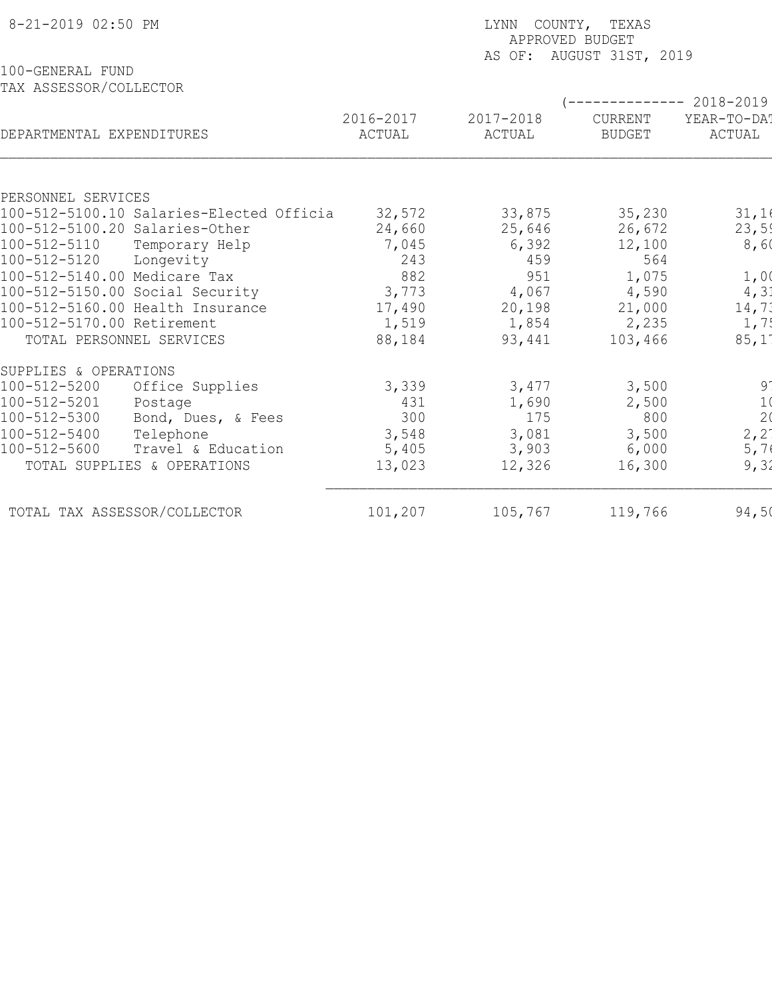| 8-21-2019 02:50 PM                       |           | LYNN COUNTY, TEXAS<br>APPROVED BUDGET<br>AS OF: AUGUST 31ST, 2019 |                           |                 |  |  |  |
|------------------------------------------|-----------|-------------------------------------------------------------------|---------------------------|-----------------|--|--|--|
| 100-GENERAL FUND                         |           |                                                                   |                           |                 |  |  |  |
| TAX ASSESSOR/COLLECTOR                   |           |                                                                   |                           |                 |  |  |  |
|                                          |           |                                                                   | (-------------- 2018-2019 |                 |  |  |  |
|                                          | 2016-2017 | 2017-2018                                                         | CURRENT                   | YEAR-TO-DA!     |  |  |  |
| DEPARTMENTAL EXPENDITURES                | ACTUAL    | ACTUAL                                                            | <b>BUDGET</b>             | ACTUAL          |  |  |  |
|                                          |           |                                                                   |                           |                 |  |  |  |
| PERSONNEL SERVICES                       |           |                                                                   |                           |                 |  |  |  |
| 100-512-5100.10 Salaries-Elected Officia | 32,572    | 33,875                                                            | 35,230                    | 31,16           |  |  |  |
| 100-512-5100.20 Salaries-Other           | 24,660    | 25,646                                                            | 26,672                    | 23,59           |  |  |  |
| 100-512-5110<br>Temporary Help           | 7,045     | 6,392                                                             | 12,100                    | 8,60            |  |  |  |
| 100-512-5120<br>Longevity                | 243       | 459                                                               | 564                       |                 |  |  |  |
| 100-512-5140.00 Medicare Tax             | 882       | 951                                                               | 1,075                     | 1,00            |  |  |  |
| 100-512-5150.00 Social Security          | 3,773     | 4,067                                                             | 4,590                     | 4, 31           |  |  |  |
| 100-512-5160.00 Health Insurance         | 17,490    | 20,198                                                            | 21,000                    | 14,71           |  |  |  |
| 100-512-5170.00 Retirement               | 1,519     | 1,854                                                             | 2,235                     | 1, 7!           |  |  |  |
| TOTAL PERSONNEL SERVICES                 | 88,184    | 93,441                                                            | 103,466                   | 85,11           |  |  |  |
| SUPPLIES & OPERATIONS                    |           |                                                                   |                           |                 |  |  |  |
| 100-512-5200<br>Office Supplies          | 3,339     | 3,477                                                             | 3,500                     | $9^{\circ}$     |  |  |  |
| 100-512-5201<br>Postage                  | 431       | 1,690                                                             | 2,500                     | $\frac{1}{2}$   |  |  |  |
| 100-512-5300<br>Bond, Dues, & Fees       | 300       | 175                                                               | 800                       |                 |  |  |  |
| 100-512-5400<br>Telephone                | 3,548     | 3,081                                                             | 3,500                     | $2, 2^{\prime}$ |  |  |  |
| 100-512-5600<br>Travel & Education       | 5,405     | 3,903                                                             | 6,000                     | 5,76            |  |  |  |
| TOTAL SUPPLIES & OPERATIONS              | 13,023    | 12,326                                                            | 16,300                    | 9, 31           |  |  |  |
| TOTAL TAX ASSESSOR/COLLECTOR             | 101,207   | 105,767                                                           | 119,766                   | 94,50           |  |  |  |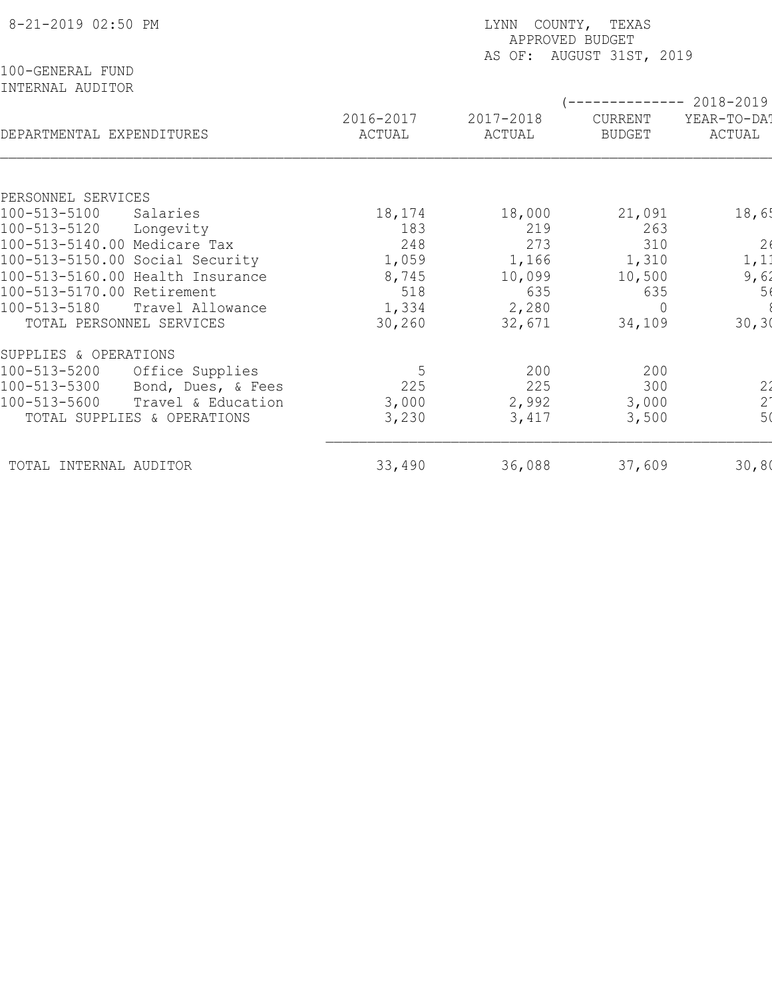| 8-21-2019 02:50 PM                        |                     | LYNN COUNTY, TEXAS<br>APPROVED BUDGET<br>AS OF: AUGUST 31ST, 2019 |                          |                                             |  |  |  |
|-------------------------------------------|---------------------|-------------------------------------------------------------------|--------------------------|---------------------------------------------|--|--|--|
| 100-GENERAL FUND<br>INTERNAL AUDITOR      |                     |                                                                   |                          | $-------- 2018-2019$                        |  |  |  |
| DEPARTMENTAL EXPENDITURES                 | 2016-2017<br>ACTUAL | 2017-2018<br>ACTUAL                                               | CURRENT<br><b>BUDGET</b> | YEAR-TO-DAT<br>ACTUAL                       |  |  |  |
|                                           |                     |                                                                   |                          |                                             |  |  |  |
| PERSONNEL SERVICES                        |                     |                                                                   |                          |                                             |  |  |  |
| 100-513-5100<br>Salaries<br>100-513-5120  | 18,174              | 18,000<br>219                                                     | 21,091<br>263            | 18,65                                       |  |  |  |
| Longevity<br>100-513-5140.00 Medicare Tax | 183<br>248          | 273                                                               | 310                      |                                             |  |  |  |
| 100-513-5150.00 Social Security           | 1,059               | 1,166                                                             | 1,310                    | 2 <sub>6</sub><br>1, 11                     |  |  |  |
| 100-513-5160.00 Health Insurance          | 8,745               | 10,099                                                            | 10,500                   | 9,62                                        |  |  |  |
| 100-513-5170.00 Retirement                | 518                 | 635                                                               | 635                      | 56                                          |  |  |  |
| 100-513-5180<br>Travel Allowance          | 1,334               | 2,280                                                             | $\Omega$                 |                                             |  |  |  |
| TOTAL PERSONNEL SERVICES                  | 30,260              | 32,671                                                            | 34,109                   | 30, 30                                      |  |  |  |
| SUPPLIES & OPERATIONS                     |                     |                                                                   |                          |                                             |  |  |  |
| 100-513-5200<br>Office Supplies           | 5                   | 200                                                               | 200                      |                                             |  |  |  |
| 100-513-5300<br>Bond, Dues, & Fees        | 225                 | 225                                                               | 300                      |                                             |  |  |  |
| 100-513-5600<br>Travel & Education        | 3,000               | 2,992                                                             | 3,000                    | $\begin{array}{c} 22 \\ 2 \\ 5 \end{array}$ |  |  |  |
| TOTAL SUPPLIES & OPERATIONS               | 3,230               | 3,417                                                             | 3,500                    |                                             |  |  |  |
| TOTAL INTERNAL AUDITOR                    | 33,490              | 36,088                                                            | 37,609                   | 30,80                                       |  |  |  |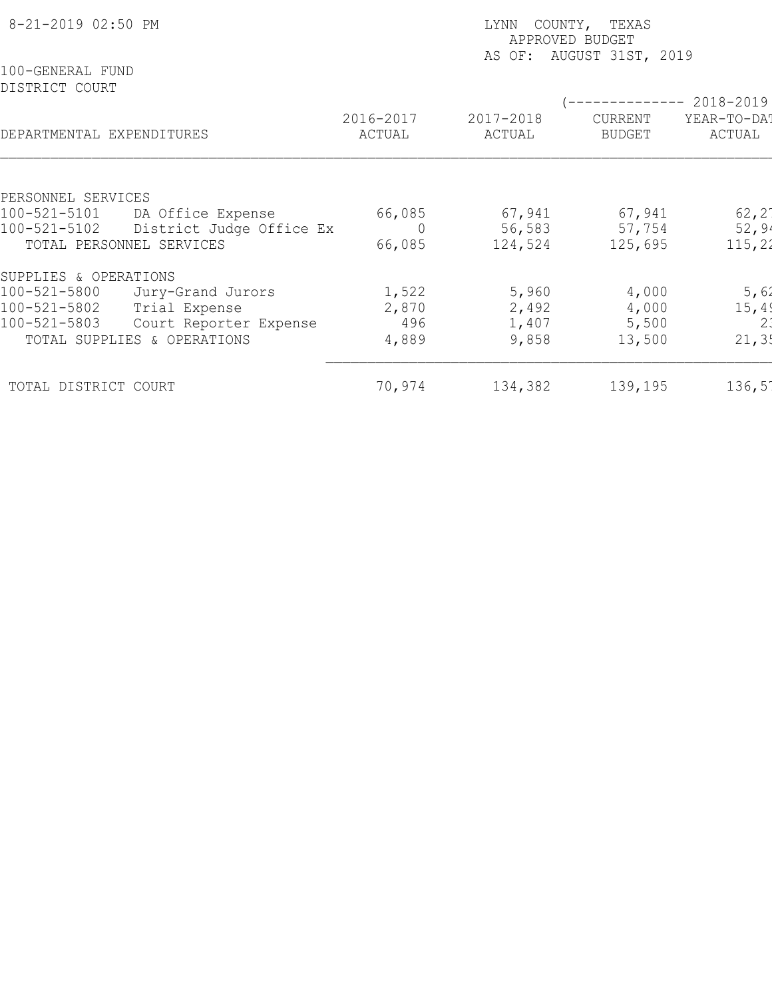| 8-21-2019 02:50 PM                 |                             | COUNTY, TEXAS<br>LYNN<br>APPROVED BUDGET<br>AUGUST 31ST, 2019<br>AS OF: |                     |                                 |                       |  |
|------------------------------------|-----------------------------|-------------------------------------------------------------------------|---------------------|---------------------------------|-----------------------|--|
| 100-GENERAL FUND<br>DISTRICT COURT |                             |                                                                         |                     |                                 | 2018-2019             |  |
| DEPARTMENTAL EXPENDITURES          |                             | 2016-2017<br>ACTUAL                                                     | 2017-2018<br>ACTUAL | <b>CURRENT</b><br><b>BUDGET</b> | YEAR-TO-DAT<br>ACTUAL |  |
| PERSONNEL SERVICES                 |                             |                                                                         |                     |                                 |                       |  |
| 100-521-5101                       | DA Office Expense           | 66,085                                                                  | 67,941              | 67,941                          | $62, 2^{\circ}$       |  |
| 100-521-5102                       | District Judge Office Ex    | $\overline{0}$                                                          | 56,583              | 57,754                          | 52,94                 |  |
| TOTAL PERSONNEL SERVICES           |                             | 66,085                                                                  | 124,524             | 125,695                         | 115, 22               |  |
| SUPPLIES & OPERATIONS              |                             |                                                                         |                     |                                 |                       |  |
| 100-521-5800                       | Jury-Grand Jurors           | 1,522                                                                   | 5,960               | 4,000                           | 5,62                  |  |
| 100-521-5802                       | Trial Expense               | 2,870                                                                   | 2,492               | 4,000                           | 15, 49                |  |
| 100-521-5803                       | Court Reporter Expense      | 496                                                                     | 1,407               | 5,500                           | 2:                    |  |
|                                    | TOTAL SUPPLIES & OPERATIONS | 4,889                                                                   | 9,858               | 13,500                          | 21, 35                |  |
| TOTAL DISTRICT COURT               |                             | 70,974                                                                  | 134,382             | 139,195                         | $136,5^{\circ}$       |  |
|                                    |                             |                                                                         |                     |                                 |                       |  |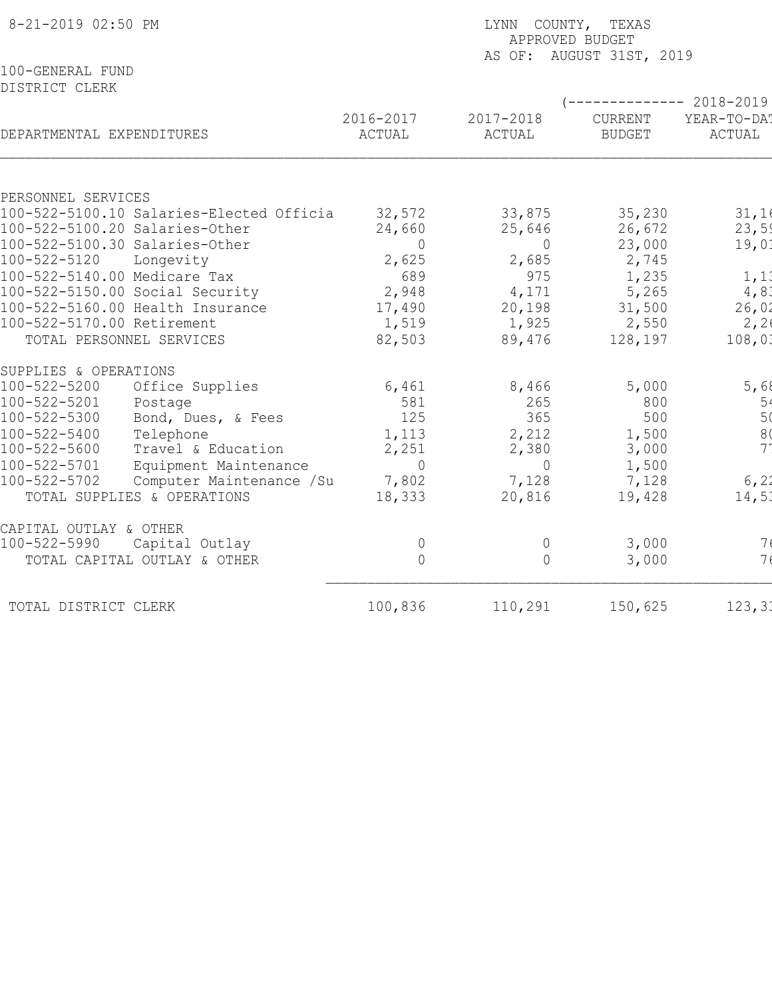| 8-21-2019 02:50 PM                                                         |                  | LYNN COUNTY, TEXAS<br>APPROVED BUDGET<br>AS OF: AUGUST 31ST, 2019 |                                  |                |  |  |  |
|----------------------------------------------------------------------------|------------------|-------------------------------------------------------------------|----------------------------------|----------------|--|--|--|
| 100-GENERAL FUND<br>DISTRICT CLERK                                         |                  |                                                                   |                                  |                |  |  |  |
|                                                                            | 2016-2017        | 2017-2018                                                         | $--------- 2018-2019$<br>CURRENT | YEAR-TO-DAT    |  |  |  |
| DEPARTMENTAL EXPENDITURES                                                  | ACTUAL           | ACTUAL                                                            | <b>BUDGET</b>                    | ACTUAL         |  |  |  |
|                                                                            |                  |                                                                   |                                  |                |  |  |  |
| PERSONNEL SERVICES                                                         |                  |                                                                   |                                  |                |  |  |  |
| 100-522-5100.10 Salaries-Elected Officia<br>100-522-5100.20 Salaries-Other | 32,572<br>24,660 | 33,875<br>25,646                                                  | 35,230                           | 31,16<br>23,59 |  |  |  |
| 100-522-5100.30 Salaries-Other                                             | $\overline{0}$   | $\overline{0}$                                                    | 26,672<br>23,000                 | 19,01          |  |  |  |
| 100-522-5120<br>Longevity                                                  | 2,625            | 2,685                                                             | 2,745                            |                |  |  |  |
| 100-522-5140.00 Medicare Tax                                               | 689              | 975                                                               | 1,235                            | 1, 11          |  |  |  |
| 100-522-5150.00 Social Security                                            | 2,948            | 4,171                                                             | 5,265                            | 4,81           |  |  |  |
| 100-522-5160.00 Health Insurance                                           | 17,490           | 20,198                                                            | 31,500                           | 26,02          |  |  |  |
| 100-522-5170.00 Retirement                                                 | 1,519            | 1,925                                                             | 2,550                            | 2, 26          |  |  |  |
| TOTAL PERSONNEL SERVICES                                                   | 82,503           | 89,476                                                            | 128,197                          | 108,01         |  |  |  |
| SUPPLIES & OPERATIONS                                                      |                  |                                                                   |                                  |                |  |  |  |
| 100-522-5200<br>Office Supplies                                            | 6,461            | 8,466                                                             | 5,000                            | 5,68           |  |  |  |
| 100-522-5201<br>Postage                                                    | 581              | 265                                                               | 800                              | $\frac{5}{5}$  |  |  |  |
| 100-522-5300<br>Bond, Dues, & Fees                                         | 125              | 365                                                               | 500                              |                |  |  |  |
| $100 - 522 - 5400$<br>Telephone                                            | 1,113            | 2,212                                                             | 1,500                            | 8 <sub>0</sub> |  |  |  |
| 100-522-5600<br>Travel & Education                                         | 2,251            | 2,380                                                             | 3,000                            | 7 <sup>1</sup> |  |  |  |
| $100 - 522 - 5701$<br>Equipment Maintenance                                | $\Omega$         | $\overline{0}$                                                    | 1,500                            |                |  |  |  |
| 100-522-5702<br>Computer Maintenance /Su                                   | 7,802            | 7,128                                                             | 7,128                            | 6, 21          |  |  |  |
| TOTAL SUPPLIES & OPERATIONS                                                | 18,333           | 20,816                                                            | 19,428                           | 14,51          |  |  |  |
| CAPITAL OUTLAY & OTHER                                                     |                  |                                                                   |                                  |                |  |  |  |
| 100-522-5990<br>Capital Outlay                                             | $\overline{0}$   | $\overline{0}$                                                    | 3,000                            | 7(             |  |  |  |
| TOTAL CAPITAL OUTLAY & OTHER                                               | $\circ$          | $\overline{0}$                                                    | 3,000                            | 7 <sub>6</sub> |  |  |  |
| TOTAL DISTRICT CLERK                                                       | 100,836          | 110,291                                                           | 150,625                          | 123, 31        |  |  |  |
|                                                                            |                  |                                                                   |                                  |                |  |  |  |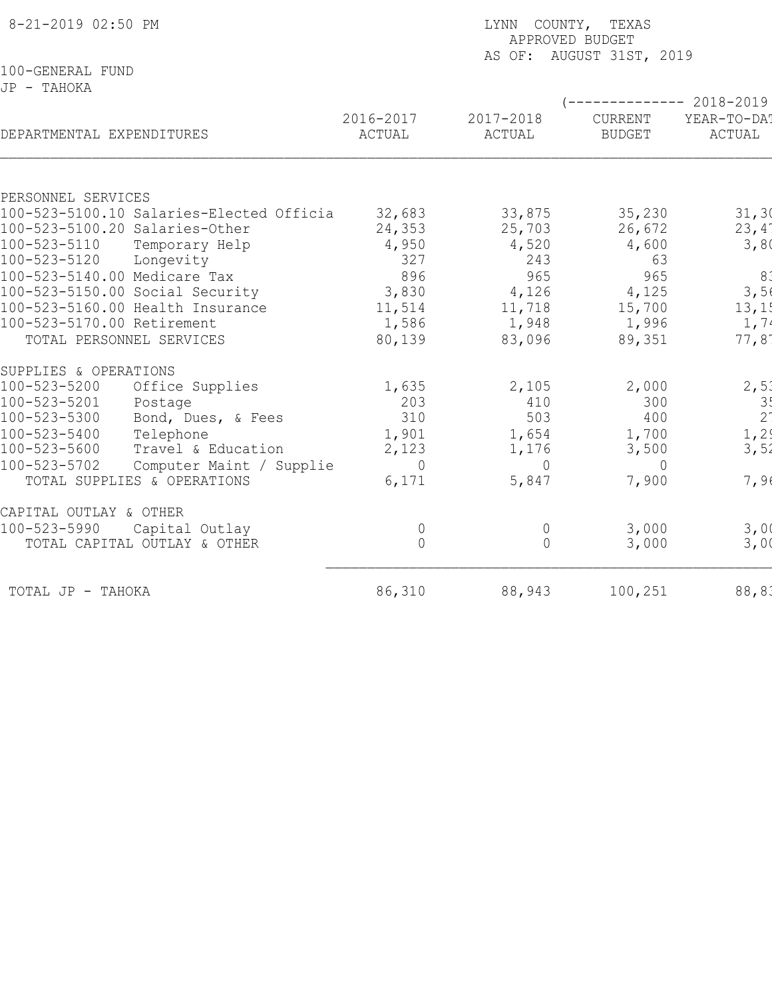| 8-21-2019 02:50 PM              |                                          |                     | LYNN COUNTY, TEXAS<br>APPROVED BUDGET<br>AS OF: AUGUST 31ST, 2019 |                          |                       |  |  |
|---------------------------------|------------------------------------------|---------------------|-------------------------------------------------------------------|--------------------------|-----------------------|--|--|
| 100-GENERAL FUND                |                                          |                     |                                                                   |                          |                       |  |  |
| JP - TAHOKA                     |                                          |                     |                                                                   |                          |                       |  |  |
|                                 |                                          |                     |                                                                   |                          | ----------- 2018-2019 |  |  |
| DEPARTMENTAL EXPENDITURES       |                                          | 2016-2017<br>ACTUAL | 2017-2018<br>ACTUAL                                               | CURRENT<br><b>BUDGET</b> | YEAR-TO-DA!<br>ACTUAL |  |  |
|                                 |                                          |                     |                                                                   |                          |                       |  |  |
| PERSONNEL SERVICES              |                                          |                     |                                                                   |                          |                       |  |  |
|                                 | 100-523-5100.10 Salaries-Elected Officia | 32,683              | 33,875                                                            | 35,230                   | 31, 30                |  |  |
| 100-523-5100.20 Salaries-Other  |                                          | 24,353              | 25,703                                                            | 26,672                   | 23,4'                 |  |  |
| 100-523-5110                    | Temporary Help                           | 4,950               | 4,520                                                             | 4,600                    | 3,80                  |  |  |
| 100-523-5120                    | Longevity                                | 327                 | 243                                                               | 63                       |                       |  |  |
| 100-523-5140.00 Medicare Tax    |                                          | 896                 | 965                                                               | 965                      | 81                    |  |  |
| 100-523-5150.00 Social Security |                                          | 3,830               | 4,126                                                             | 4,125                    | 3,56                  |  |  |
|                                 | 100-523-5160.00 Health Insurance         | 11,514              | 11,718                                                            | 15,700                   | 13,1!                 |  |  |
| 100-523-5170.00 Retirement      |                                          | 1,586               | 1,948                                                             | 1,996                    | 1, 74                 |  |  |
| TOTAL PERSONNEL SERVICES        |                                          | 80,139              | 83,096                                                            | 89,351                   | 77,81                 |  |  |
| SUPPLIES & OPERATIONS           |                                          |                     |                                                                   |                          |                       |  |  |
| 100-523-5200                    | Office Supplies                          | 1,635               | 2,105                                                             | 2,000                    | 2,51                  |  |  |
| 100-523-5201                    | Postage                                  | 203                 | 410                                                               | 300                      | 3!                    |  |  |
| 100-523-5300                    | Bond, Dues, & Fees                       | 310                 | 503                                                               | 400                      | 2 <sup>1</sup>        |  |  |
| 100-523-5400                    | Telephone                                | 1,901               | 1,654                                                             | 1,700                    | 1, 2                  |  |  |
| 100-523-5600                    | Travel & Education                       | 2,123               | 1,176                                                             | 3,500                    | 3,52                  |  |  |
| 100-523-5702                    | Computer Maint / Supplie                 | $\Omega$            | $\Omega$                                                          | $\Omega$                 |                       |  |  |
|                                 | TOTAL SUPPLIES & OPERATIONS              | 6,171               | 5,847                                                             | 7,900                    | 7,96                  |  |  |
| CAPITAL OUTLAY & OTHER          |                                          |                     |                                                                   |                          |                       |  |  |
| 100-523-5990                    | Capital Outlay                           | $\circ$             | $\mathbb O$                                                       | 3,000                    | 3,00                  |  |  |
|                                 | TOTAL CAPITAL OUTLAY & OTHER             | $\overline{0}$      | $\Omega$                                                          | 3,000                    | 3,00                  |  |  |
| TOTAL JP - TAHOKA               |                                          | 86,310              | 88,943                                                            | 100,251                  | 88, 83                |  |  |
|                                 |                                          |                     |                                                                   |                          |                       |  |  |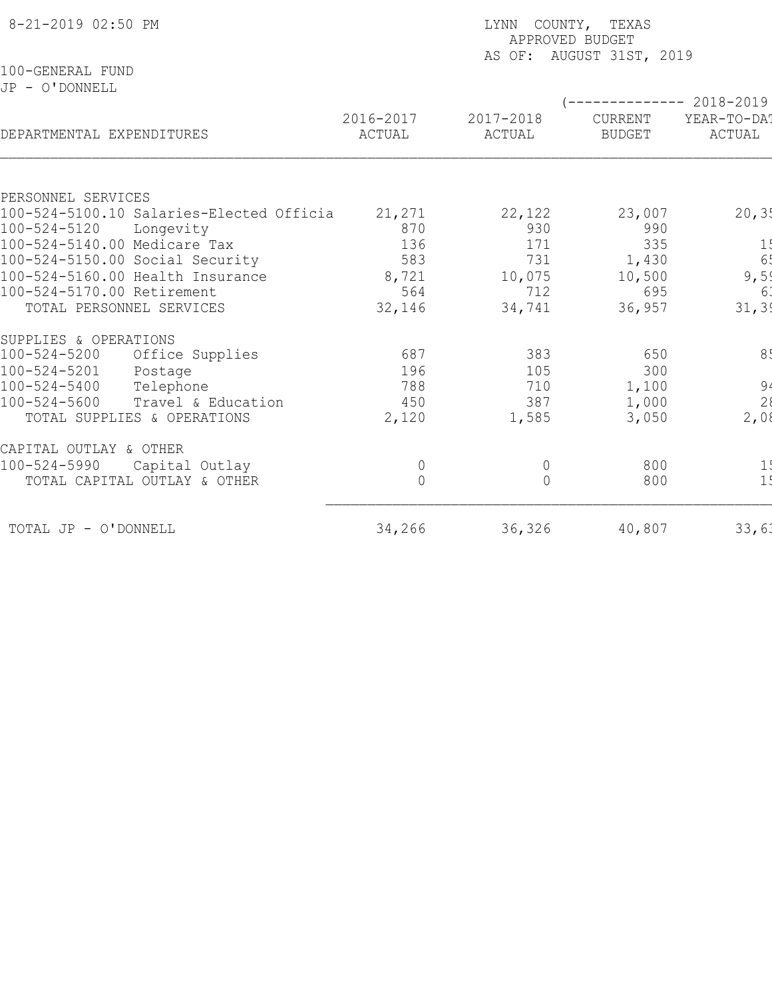| 8-21-2019 02:50 PM                                                    |                     | LYNN COUNTY, TEXAS<br>APPROVED BUDGET<br>AS OF: AUGUST 31ST, 2019 |                          |                                                 |  |  |  |
|-----------------------------------------------------------------------|---------------------|-------------------------------------------------------------------|--------------------------|-------------------------------------------------|--|--|--|
| 100-GENERAL FUND<br>JP - O'DONNELL                                    |                     |                                                                   |                          |                                                 |  |  |  |
| DEPARTMENTAL EXPENDITURES                                             | 2016-2017<br>ACTUAL | 2017-2018<br>ACTUAL                                               | CURRENT<br><b>BUDGET</b> | ------------ 2018-2019<br>YEAR-TO-DA!<br>ACTUAL |  |  |  |
|                                                                       |                     |                                                                   |                          |                                                 |  |  |  |
| PERSONNEL SERVICES                                                    |                     |                                                                   |                          |                                                 |  |  |  |
| 100-524-5100.10 Salaries-Elected Officia<br>100-524-5120<br>Longevity | 21,271<br>870       | 22,122<br>930                                                     | 23,007<br>990            | 20, 35                                          |  |  |  |
| 100-524-5140.00 Medicare Tax                                          | 136                 | 171                                                               | 335                      | 1!                                              |  |  |  |
| 100-524-5150.00 Social Security                                       | 583                 | 731                                                               | 1,430                    | 6!                                              |  |  |  |
| 100-524-5160.00 Health Insurance                                      | 8,721               | 10,075                                                            | 10,500                   | 9,5!                                            |  |  |  |
| 100-524-5170.00 Retirement                                            | 564                 | 712                                                               | 695                      | 6.                                              |  |  |  |
| TOTAL PERSONNEL SERVICES                                              | 32,146              | 34,741                                                            | 36,957                   | 31, 39                                          |  |  |  |
| SUPPLIES & OPERATIONS                                                 |                     |                                                                   |                          |                                                 |  |  |  |
| $100 - 524 - 5200$<br>Office Supplies                                 | 687                 | 383                                                               | 650                      | 8 <sub>1</sub>                                  |  |  |  |
| $100 - 524 - 5201$<br>Postage                                         | 196                 | 105                                                               | 300                      |                                                 |  |  |  |
| $100 - 524 - 5400$<br>Telephone                                       | 788                 | 710                                                               | 1,100                    | $94$<br>2<br>2,08                               |  |  |  |
| $100 - 524 - 5600$<br>Travel & Education                              | 450                 | 387                                                               | 1,000                    |                                                 |  |  |  |
| TOTAL SUPPLIES & OPERATIONS                                           | 2,120               | 1,585                                                             | 3,050                    |                                                 |  |  |  |
| CAPITAL OUTLAY & OTHER                                                |                     |                                                                   |                          |                                                 |  |  |  |
| $100 - 524 - 5990$<br>Capital Outlay                                  | $\overline{0}$      | 0                                                                 | 800                      | 1!                                              |  |  |  |
| TOTAL CAPITAL OUTLAY & OTHER                                          | $\overline{0}$      | $\Omega$                                                          | 800                      | 1!                                              |  |  |  |
| TOTAL JP - O'DONNELL                                                  | 34,266              | 36,326                                                            | 40,807                   | 33,61                                           |  |  |  |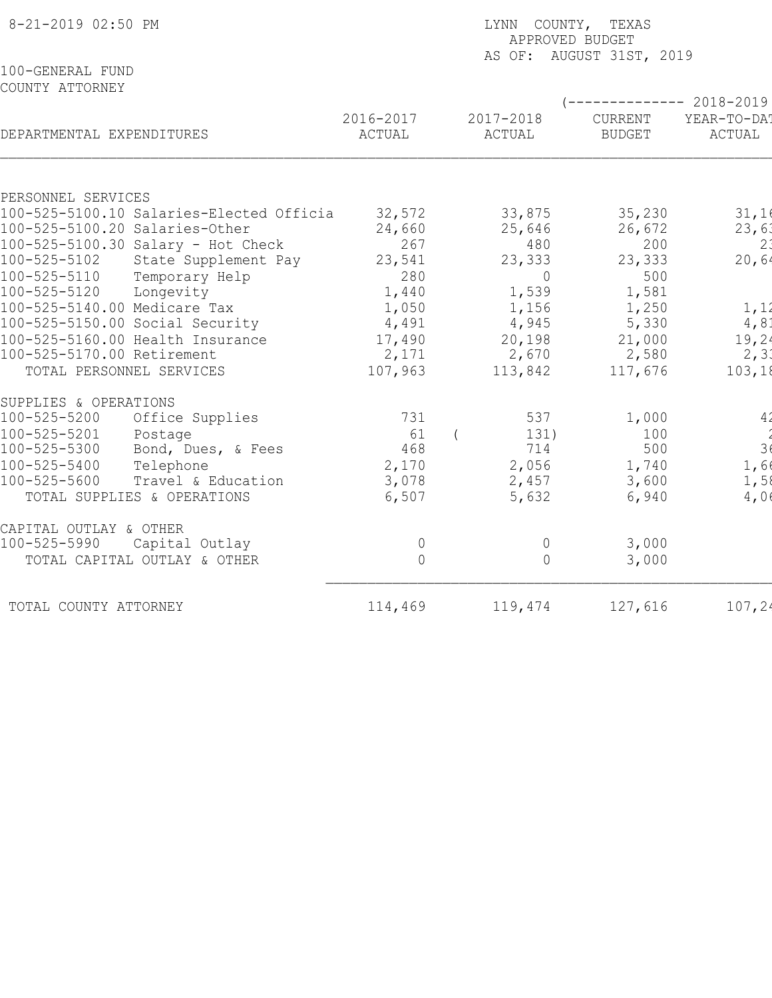| 8-21-2019 02:50 PM                                             | LYNN COUNTY, TEXAS<br>APPROVED BUDGET<br>AS OF: AUGUST 31ST, 2019 |                     |                          |                       |  |  |
|----------------------------------------------------------------|-------------------------------------------------------------------|---------------------|--------------------------|-----------------------|--|--|
| 100-GENERAL FUND<br>COUNTY ATTORNEY                            |                                                                   |                     | $---------2018-2019$     |                       |  |  |
| DEPARTMENTAL EXPENDITURES                                      | 2016-2017<br>ACTUAL                                               | 2017-2018<br>ACTUAL | CURRENT<br><b>BUDGET</b> | YEAR-TO-DAT<br>ACTUAL |  |  |
|                                                                |                                                                   |                     |                          |                       |  |  |
| PERSONNEL SERVICES<br>100-525-5100.10 Salaries-Elected Officia | 32,572                                                            | 33,875              | 35,230                   | 31,16                 |  |  |
| 100-525-5100.20 Salaries-Other                                 | 24,660                                                            | 25,646              | 26,672                   | 23,61                 |  |  |
| 100-525-5100.30 Salary - Hot Check                             | 267                                                               | 480                 | 200                      | 2 <sup>1</sup>        |  |  |
| 100-525-5102 State Supplement Pay                              | 23,541                                                            | 23,333              | 23,333                   | 20, 64                |  |  |
| 100-525-5110<br>Temporary Help                                 | 280                                                               | $\circ$             | 500                      |                       |  |  |
| 100-525-5120<br>Longevity                                      | 1,440                                                             | 1,539               | 1,581                    |                       |  |  |
| 100-525-5140.00 Medicare Tax                                   | 1,050                                                             | 1,156               | 1,250                    | 1, 12                 |  |  |
| 100-525-5150.00 Social Security                                | 4,491                                                             | 4,945               | 5,330                    | 4,81                  |  |  |
| 100-525-5160.00 Health Insurance                               | 17,490                                                            | 20,198              | 21,000                   | 19,24                 |  |  |
| 100-525-5170.00 Retirement                                     | 2,171                                                             | 2,670               | 2,580                    | 2, 31                 |  |  |
| TOTAL PERSONNEL SERVICES                                       | 107,963                                                           | 113,842             | 117,676                  | 103, 18               |  |  |
| SUPPLIES & OPERATIONS                                          |                                                                   |                     |                          |                       |  |  |
| 100-525-5200<br>Office Supplies                                | 731                                                               | 537                 | 1,000                    | 4 <sub>2</sub>        |  |  |
| 100-525-5201<br>Postage                                        | 61                                                                | 131)<br>$\sqrt{2}$  | 100                      |                       |  |  |
| 100-525-5300<br>Bond, Dues, & Fees                             | 468                                                               | 714                 | 500                      | 3 <sup>1</sup>        |  |  |
| 100-525-5400<br>Telephone                                      | 2,170                                                             | 2,056               | 1,740                    | 1,66                  |  |  |
| 100-525-5600<br>Travel & Education                             | 3,078                                                             | 2,457               | 3,600                    | 1,58                  |  |  |
| TOTAL SUPPLIES & OPERATIONS                                    | 6,507                                                             | 5,632               | 6,940                    | 4,06                  |  |  |
| CAPITAL OUTLAY & OTHER                                         |                                                                   |                     |                          |                       |  |  |
| 100-525-5990<br>Capital Outlay                                 | $\Omega$                                                          | $\Omega$            | 3,000                    |                       |  |  |
| TOTAL CAPITAL OUTLAY & OTHER                                   | $\Omega$                                                          | $\bigcap$           | 3,000                    |                       |  |  |
| TOTAL COUNTY ATTORNEY                                          | 114,469                                                           | 119,474             | 127,616                  | 107, 24               |  |  |
|                                                                |                                                                   |                     |                          |                       |  |  |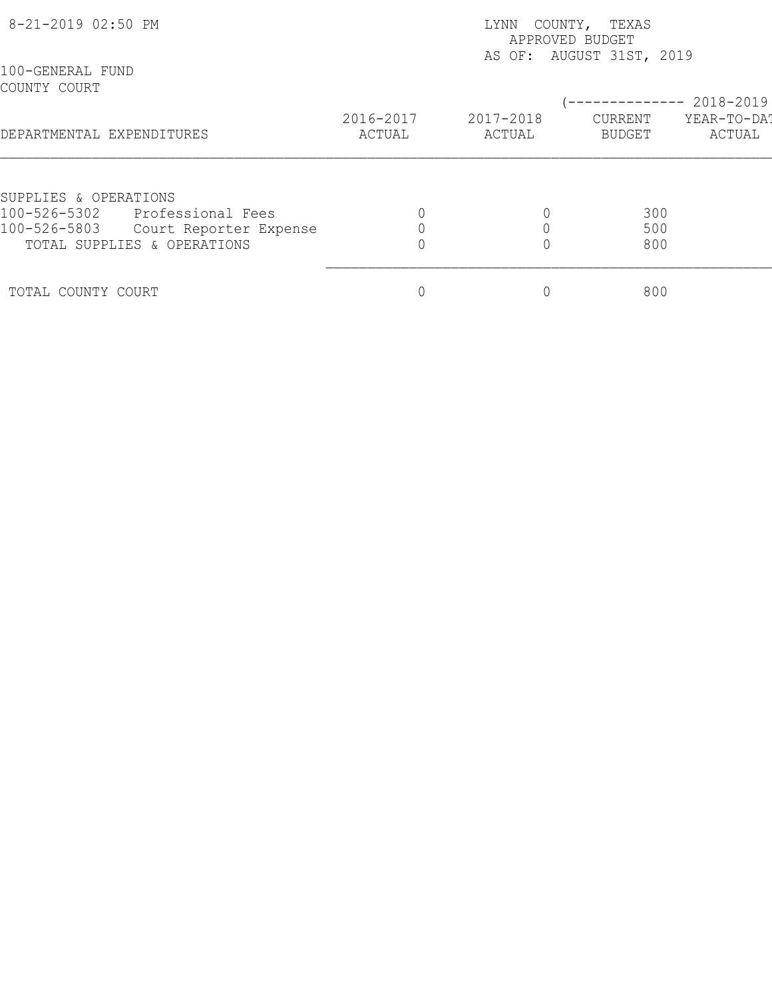| 8-21-2019 02:50 PM               |                             | COUNTY, TEXAS<br>LYNN<br>APPROVED BUDGET |                     |                                                      |                       |  |
|----------------------------------|-----------------------------|------------------------------------------|---------------------|------------------------------------------------------|-----------------------|--|
| 100-GENERAL FUND<br>COUNTY COURT |                             |                                          |                     | AS OF: AUGUST 31ST, 2019<br>-------------- 2018-2019 |                       |  |
| DEPARTMENTAL EXPENDITURES        |                             | 2016-2017<br>ACTUAL                      | 2017-2018<br>ACTUAL | CURRENT<br>BUDGET                                    | YEAR-TO-DAT<br>ACTUAL |  |
| SUPPLIES & OPERATIONS            |                             |                                          |                     |                                                      |                       |  |
| 100-526-5302                     | Professional Fees           |                                          |                     | 300                                                  |                       |  |
| 100-526-5803                     | Court Reporter Expense      |                                          |                     | 500                                                  |                       |  |
|                                  | TOTAL SUPPLIES & OPERATIONS |                                          |                     | 800                                                  |                       |  |
| TOTAL COUNTY COURT               |                             |                                          |                     | 800                                                  |                       |  |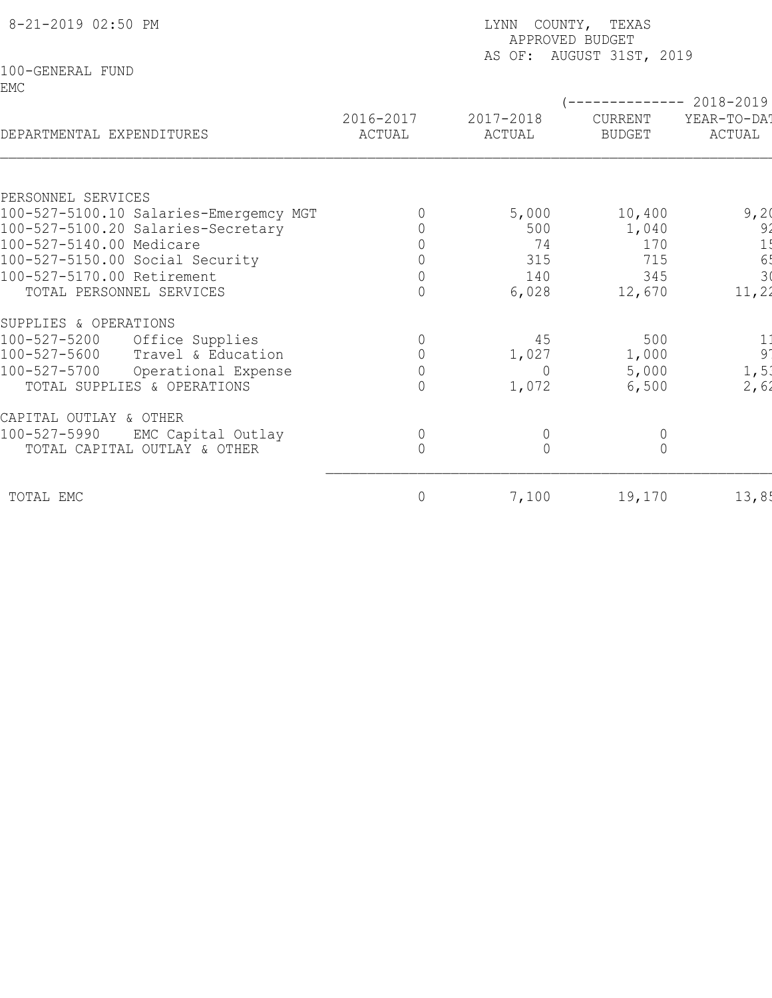| 8-21-2019 02:50 PM                     | LYNN COUNTY, TEXAS<br>APPROVED BUDGET<br>AS OF: AUGUST 31ST, 2019 |                     |                          |                                         |  |  |
|----------------------------------------|-------------------------------------------------------------------|---------------------|--------------------------|-----------------------------------------|--|--|
| 100-GENERAL FUND<br>EMC                |                                                                   |                     |                          | $------ 2018-2019$                      |  |  |
| DEPARTMENTAL EXPENDITURES              | 2016-2017<br>ACTUAL                                               | 2017-2018<br>ACTUAL | CURRENT<br><b>BUDGET</b> | YEAR-TO-DA!<br>ACTUAL                   |  |  |
| PERSONNEL SERVICES                     |                                                                   |                     |                          |                                         |  |  |
| 100-527-5100.10 Salaries-Emergemcy MGT |                                                                   | 5,000               | 10,400                   | 9,20                                    |  |  |
| 100-527-5100.20 Salaries-Secretary     |                                                                   | 500                 | 1,040                    | 9'                                      |  |  |
| 100-527-5140.00 Medicare               |                                                                   | 74                  | 170                      | 1!                                      |  |  |
| 100-527-5150.00 Social Security        | $\bigcap$                                                         | 315                 | 715                      | $\begin{array}{c} 65 \\ 30 \end{array}$ |  |  |
| 100-527-5170.00 Retirement             | $\overline{0}$                                                    | 140                 | 345                      |                                         |  |  |
| TOTAL PERSONNEL SERVICES               | $\Omega$                                                          | 6,028               | 12,670                   | 11, 22                                  |  |  |
| SUPPLIES & OPERATIONS                  |                                                                   |                     |                          |                                         |  |  |
| 100-527-5200<br>Office Supplies        | $\Omega$                                                          | 45                  | 500                      |                                         |  |  |
| 100-527-5600<br>Travel & Education     |                                                                   | 1,027               | 1,000                    | $\begin{array}{c} 1 \\ 9 \end{array}$   |  |  |
| 100-527-5700<br>Operational Expense    | $\overline{0}$                                                    | $\Omega$            | 5,000                    | 1, 5                                    |  |  |
| TOTAL SUPPLIES & OPERATIONS            | $\cap$                                                            | 1,072               | 6,500                    | 2,62                                    |  |  |
| CAPITAL OUTLAY & OTHER                 |                                                                   |                     |                          |                                         |  |  |
| 100-527-5990<br>EMC Capital Outlay     | 0                                                                 | $\overline{0}$      | $\overline{0}$           |                                         |  |  |
| TOTAL CAPITAL OUTLAY & OTHER           | $\overline{0}$                                                    | $\overline{0}$      | $\overline{0}$           |                                         |  |  |
| TOTAL EMC                              | 0                                                                 | 7,100               | 19,170                   | 13,85                                   |  |  |
|                                        |                                                                   |                     |                          |                                         |  |  |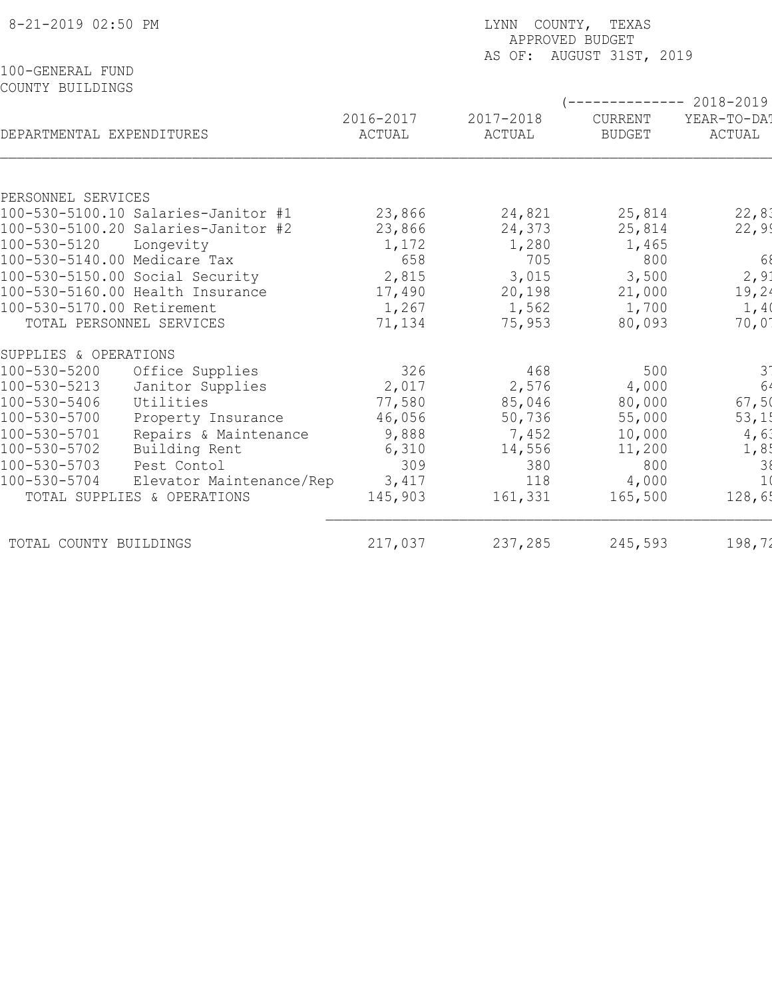| AS OF: AUGUST 31ST, 2019<br>100-GENERAL FUND<br>COUNTY BUILDINGS<br>----------- 2018-2019<br>2016-2017<br>2017-2018<br>CURRENT<br>YEAR-TO-DA!<br>DEPARTMENTAL EXPENDITURES<br>ACTUAL<br>ACTUAL<br><b>BUDGET</b><br>ACTUAL<br>PERSONNEL SERVICES |
|-------------------------------------------------------------------------------------------------------------------------------------------------------------------------------------------------------------------------------------------------|
|                                                                                                                                                                                                                                                 |
|                                                                                                                                                                                                                                                 |
|                                                                                                                                                                                                                                                 |
| 22,81<br>100-530-5100.10 Salaries-Janitor #1<br>23,866<br>24,821<br>25,814                                                                                                                                                                      |
| 22,99<br>100-530-5100.20 Salaries-Janitor #2<br>23,866<br>24,373<br>25,814                                                                                                                                                                      |
| 100-530-5120<br>1,280<br>Longevity<br>1,172<br>1,465<br>68<br>705                                                                                                                                                                               |
| 100-530-5140.00 Medicare Tax<br>658<br>800<br>2, 91<br>100-530-5150.00 Social Security<br>2,815<br>3,015                                                                                                                                        |
| 3,500<br>19,24<br>100-530-5160.00 Health Insurance<br>17,490<br>20,198<br>21,000                                                                                                                                                                |
| 100-530-5170.00 Retirement<br>1,267<br>1,562<br>1,40<br>1,700                                                                                                                                                                                   |
| TOTAL PERSONNEL SERVICES<br>75,953<br>80,093<br>70,01<br>71,134                                                                                                                                                                                 |
| SUPPLIES & OPERATIONS                                                                                                                                                                                                                           |
| $3\overline{6}$<br>326<br>468<br>100-530-5200<br>Office Supplies<br>500                                                                                                                                                                         |
| 100-530-5213<br>2,576<br>4,000<br>Janitor Supplies<br>2,017                                                                                                                                                                                     |
| 67,50<br>Utilities<br>85,046<br>100-530-5406<br>77,580<br>80,000                                                                                                                                                                                |
| 53,15<br>100-530-5700<br>46,056<br>Property Insurance<br>50,736<br>55,000                                                                                                                                                                       |
| 4,61<br>100-530-5701<br>Repairs & Maintenance<br>9,888<br>7,452<br>10,000                                                                                                                                                                       |
| 100-530-5702<br>1,8!<br>Building Rent<br>6,310<br>14,556<br>11,200                                                                                                                                                                              |
| 100-530-5703<br>309<br>$\begin{array}{c} 3 \\ 1 \end{array}$<br>Pest Contol<br>380<br>800<br>100-530-5704<br>3,417<br>118<br>4,000                                                                                                              |
| Elevator Maintenance/Rep<br>128,65<br>TOTAL SUPPLIES & OPERATIONS<br>145,903<br>161,331<br>165,500                                                                                                                                              |
| 217,037<br>237,285<br>245,593<br>198,72<br>TOTAL COUNTY BUILDINGS                                                                                                                                                                               |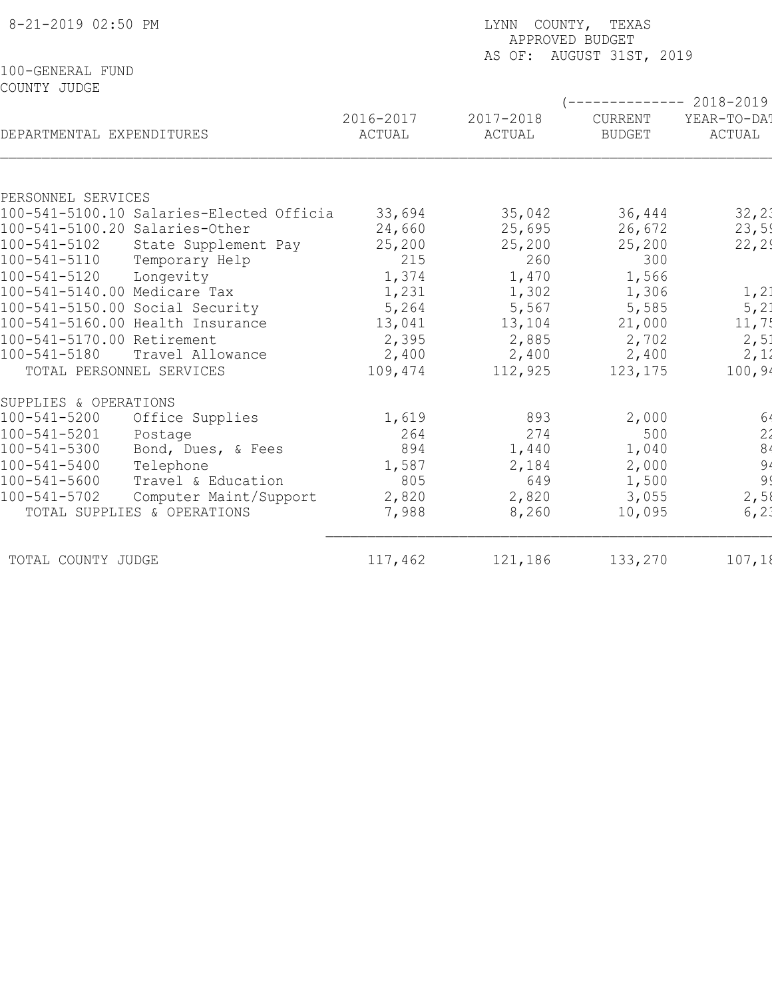| 8-21-2019 02:50 PM               |                                          | LYNN COUNTY, TEXAS<br>APPROVED BUDGET<br>AS OF: AUGUST 31ST, 2019 |                     |                          |                                                |  |  |
|----------------------------------|------------------------------------------|-------------------------------------------------------------------|---------------------|--------------------------|------------------------------------------------|--|--|
| 100-GENERAL FUND<br>COUNTY JUDGE |                                          |                                                                   |                     |                          |                                                |  |  |
| DEPARTMENTAL EXPENDITURES        |                                          | 2016-2017<br>ACTUAL                                               | 2017-2018<br>ACTUAL | CURRENT<br><b>BUDGET</b> | ----------- 2018-2019<br>YEAR-TO-DA!<br>ACTUAL |  |  |
|                                  |                                          |                                                                   |                     |                          |                                                |  |  |
| PERSONNEL SERVICES               | 100-541-5100.10 Salaries-Elected Officia | 33,694                                                            | 35,042              | 36,444                   | 32, 21                                         |  |  |
| 100-541-5100.20 Salaries-Other   |                                          | 24,660                                                            | 25,695              | 26,672                   | 23,59                                          |  |  |
| 100-541-5102                     | State Supplement Pay                     | 25,200                                                            | 25,200              | 25,200                   | 22, 29                                         |  |  |
| 100-541-5110                     | Temporary Help                           | 215                                                               | 260                 | 300                      |                                                |  |  |
| $100 - 541 - 5120$               | Longevity                                | 1,374                                                             | 1,470               | 1,566                    |                                                |  |  |
| 100-541-5140.00 Medicare Tax     |                                          | 1,231                                                             | 1,302               | 1,306                    | 1, 21                                          |  |  |
| 100-541-5150.00 Social Security  |                                          | 5,264                                                             | 5,567               | 5,585                    | 5, 2:                                          |  |  |
|                                  | 100-541-5160.00 Health Insurance         | 13,041                                                            | 13,104              | 21,000                   | 11,7!                                          |  |  |
| 100-541-5170.00 Retirement       |                                          | 2,395                                                             | 2,885               | 2,702                    | 2,51                                           |  |  |
| 100-541-5180                     | Travel Allowance                         | 2,400                                                             | 2,400               | 2,400                    | 2,12                                           |  |  |
| TOTAL PERSONNEL SERVICES         |                                          | 109,474                                                           | 112,925             | 123,175                  | 100, 94                                        |  |  |
| SUPPLIES & OPERATIONS            |                                          |                                                                   |                     |                          |                                                |  |  |
| $100 - 541 - 5200$               | Office Supplies                          | 1,619                                                             | 893                 | 2,000                    | 64                                             |  |  |
| 100-541-5201                     | Postage                                  | 264                                                               | 274                 | 500                      | $\begin{array}{c} 2'\\ 8 \end{array}$          |  |  |
| 100-541-5300                     | Bond, Dues, & Fees                       | 894                                                               | 1,440               | 1,040                    |                                                |  |  |
| $100 - 541 - 5400$               | Telephone                                | 1,587                                                             | 2,184               | 2,000                    | $94$<br>$999$<br>$2,58$                        |  |  |
| $100 - 541 - 5600$               | Travel & Education                       | 805                                                               | 649                 | 1,500                    |                                                |  |  |
| $100 - 541 - 5702$               | Computer Maint/Support                   | 2,820                                                             | 2,820               | 3,055                    |                                                |  |  |
|                                  | TOTAL SUPPLIES & OPERATIONS              | 7,988                                                             | 8,260               | 10,095                   | 6, 2.                                          |  |  |
| TOTAL COUNTY JUDGE               |                                          | 117,462                                                           | 121,186             | 133,270                  | 107,18                                         |  |  |
|                                  |                                          |                                                                   |                     |                          |                                                |  |  |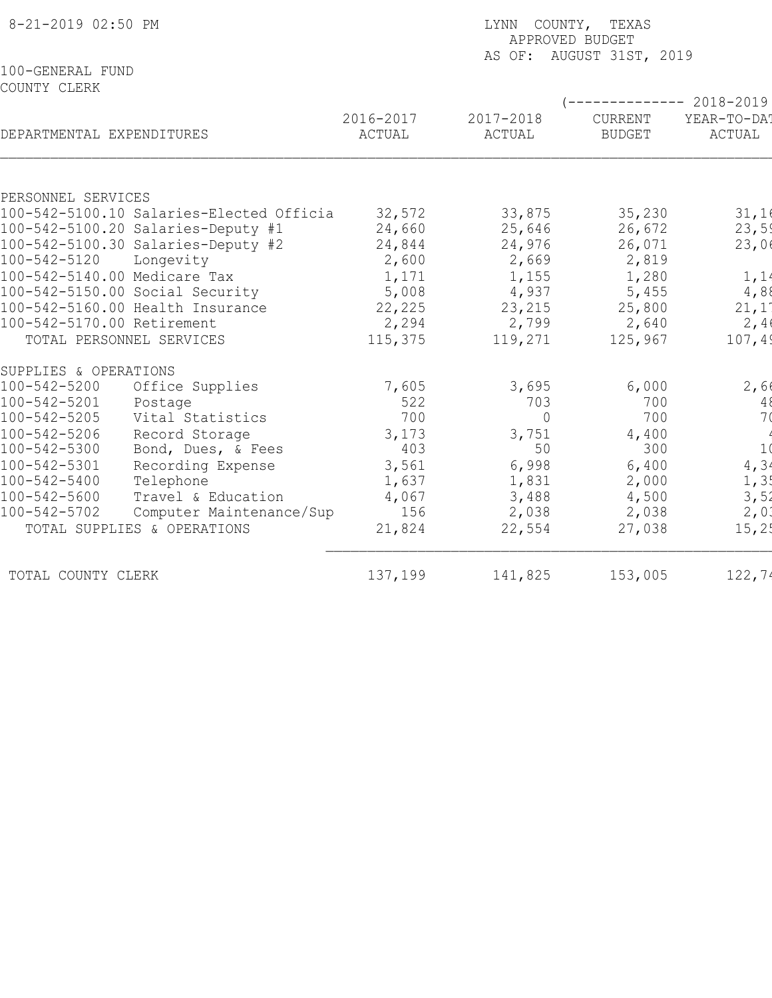| 8-21-2019 02:50 PM                                             | LYNN COUNTY, TEXAS<br>APPROVED BUDGET<br>AS OF: AUGUST 31ST, 2019 |                     |                          |                                                |  |  |
|----------------------------------------------------------------|-------------------------------------------------------------------|---------------------|--------------------------|------------------------------------------------|--|--|
| 100-GENERAL FUND<br>COUNTY CLERK                               |                                                                   |                     |                          |                                                |  |  |
| DEPARTMENTAL EXPENDITURES                                      | 2016-2017<br>ACTUAL                                               | 2017-2018<br>ACTUAL | CURRENT<br><b>BUDGET</b> | ----------- 2018-2019<br>YEAR-TO-DA!<br>ACTUAL |  |  |
|                                                                |                                                                   |                     |                          |                                                |  |  |
| PERSONNEL SERVICES<br>100-542-5100.10 Salaries-Elected Officia | 32,572                                                            | 33,875              | 35,230                   | 31,16                                          |  |  |
| 100-542-5100.20 Salaries-Deputy #1                             | 24,660                                                            | 25,646              | 26,672                   | 23,59                                          |  |  |
| 100-542-5100.30 Salaries-Deputy #2                             | 24,844                                                            | 24,976              | 26,071                   | 23,06                                          |  |  |
| 100-542-5120<br>Longevity                                      | 2,600                                                             | 2,669               | 2,819                    |                                                |  |  |
| 100-542-5140.00 Medicare Tax                                   | 1,171                                                             | 1,155               | 1,280                    | 1, 1                                           |  |  |
| 100-542-5150.00 Social Security                                | 5,008                                                             | 4,937               | 5,455                    | 4,88                                           |  |  |
| 100-542-5160.00 Health Insurance                               | 22,225                                                            | 23,215              | 25,800                   | 21,1'                                          |  |  |
| 100-542-5170.00 Retirement                                     | 2,294                                                             | 2,799               | 2,640                    | 2,4                                            |  |  |
| TOTAL PERSONNEL SERVICES                                       | 115,375                                                           | 119,271             | 125,967                  | 107,49                                         |  |  |
| SUPPLIES & OPERATIONS                                          |                                                                   |                     |                          |                                                |  |  |
| 100-542-5200<br>Office Supplies                                | 7,605                                                             | 3,695               | 6,000                    | 2,60                                           |  |  |
| 100-542-5201<br>Postage                                        | 522                                                               | 703                 | 700                      | $4\,$                                          |  |  |
| Vital Statistics<br>100-542-5205                               | 700                                                               | $\Omega$            | 700                      | 7 <sub>0</sub>                                 |  |  |
| 100-542-5206<br>Record Storage                                 | 3,173                                                             | 3,751               | 4,400                    |                                                |  |  |
| 100-542-5300<br>Bond, Dues, & Fees                             | 403                                                               | 50                  | 300                      | 1 <sub>0</sub>                                 |  |  |
| 100-542-5301<br>Recording Expense                              | 3,561                                                             | 6,998               | 6,400                    | 4,34                                           |  |  |
| 100-542-5400<br>Telephone                                      | 1,637                                                             | 1,831               | 2,000                    | 1, 3!                                          |  |  |
| $100 - 542 - 5600$<br>Travel & Education                       | 4,067                                                             | 3,488               | 4,500                    | 3,52                                           |  |  |
| 100-542-5702<br>Computer Maintenance/Sup                       | 156                                                               | 2,038               | 2,038                    | 2,01                                           |  |  |
| TOTAL SUPPLIES & OPERATIONS                                    | 21,824                                                            | 22,554              | 27,038                   | 15, 25                                         |  |  |
| TOTAL COUNTY CLERK                                             | 137,199                                                           | 141,825             | 153,005                  | 122,74                                         |  |  |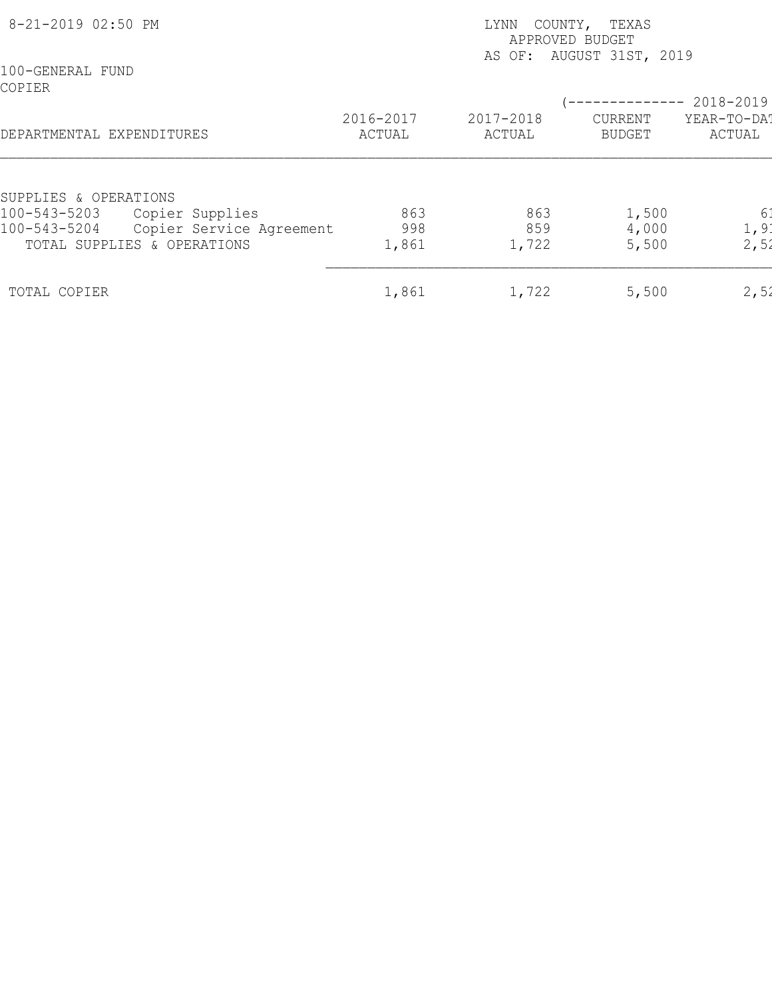| 8-21-2019 02:50 PM         |                             |                     | COUNTY, TEXAS<br>LYNN<br>APPROVED BUDGET<br>AS OF: AUGUST 31ST, 2019 |                          |                       |  |  |
|----------------------------|-----------------------------|---------------------|----------------------------------------------------------------------|--------------------------|-----------------------|--|--|
| 100-GENERAL FUND<br>COPIER |                             |                     |                                                                      |                          | 2018-2019             |  |  |
| DEPARTMENTAL EXPENDITURES  |                             | 2016-2017<br>ACTUAL | 2017-2018<br>ACTUAL                                                  | CURRENT<br><b>BUDGET</b> | YEAR-TO-DAT<br>ACTUAL |  |  |
| SUPPLIES & OPERATIONS      |                             |                     |                                                                      |                          |                       |  |  |
| 100-543-5203               | Copier Supplies             | 863                 | 863                                                                  | 1,500                    | 6 <sup>1</sup>        |  |  |
| 100-543-5204               | Copier Service Agreement    | 998                 | 859                                                                  | 4,000                    | 1, 9:                 |  |  |
|                            | TOTAL SUPPLIES & OPERATIONS | 1,861               | 1,722                                                                | 5,500                    | 2,52                  |  |  |
| TOTAL COPIER               |                             | 1,861               | 1,722                                                                | 5,500                    | 2,52                  |  |  |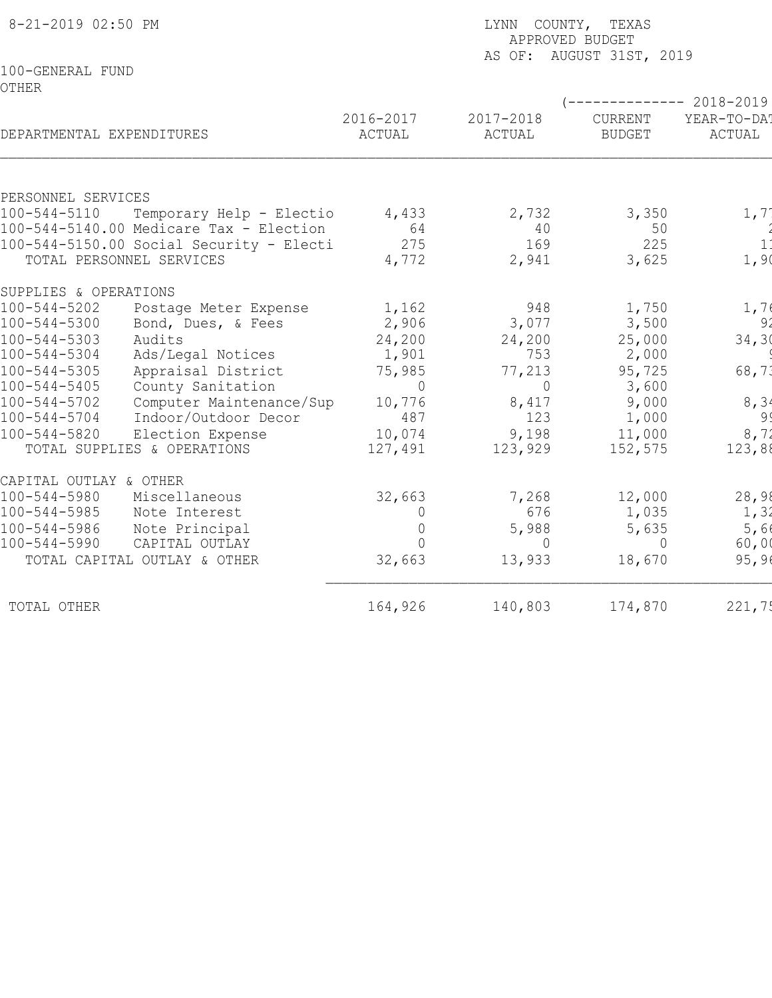| 8-21-2019 02:50 PM                                                                        |                                            |                | LYNN COUNTY, TEXAS<br>APPROVED BUDGET<br>AS OF: AUGUST 31ST, 2019 |               |                      |  |  |
|-------------------------------------------------------------------------------------------|--------------------------------------------|----------------|-------------------------------------------------------------------|---------------|----------------------|--|--|
| 100-GENERAL FUND<br><b>OTHER</b>                                                          |                                            |                |                                                                   |               | $-------- 2018-2019$ |  |  |
| DEPARTMENTAL EXPENDITURES                                                                 |                                            | 2016-2017      | 2017-2018                                                         | CURRENT       | YEAR-TO-DAT          |  |  |
|                                                                                           |                                            | ACTUAL         | ACTUAL                                                            | <b>BUDGET</b> | ACTUAL               |  |  |
| PERSONNEL SERVICES                                                                        |                                            |                |                                                                   |               |                      |  |  |
| $100 - 544 - 5110$<br>Temporary Help - Electio<br>100-544-5140.00 Medicare Tax - Election |                                            | 4,433<br>64    | 2,732<br>40                                                       | 3,350<br>50   | 1, 71                |  |  |
|                                                                                           | $100-544-5150.00$ Social Security - Electi | 275            | 169                                                               | 225           | 1 <sup>1</sup>       |  |  |
|                                                                                           | TOTAL PERSONNEL SERVICES                   | 4,772          | 2,941                                                             | 3,625         | 1,90                 |  |  |
| SUPPLIES & OPERATIONS                                                                     |                                            |                |                                                                   |               |                      |  |  |
| $100 - 544 - 5202$                                                                        | Postage Meter Expense                      | 1,162          | 948                                                               | 1,750         | 1,70                 |  |  |
| $100 - 544 - 5300$                                                                        | Bond, Dues, & Fees                         | 2,906          | 3,077                                                             | 3,500         | 92                   |  |  |
| $100 - 544 - 5303$                                                                        | Audits                                     | 24,200         | 24,200                                                            | 25,000        | 34, 30               |  |  |
| $100 - 544 - 5304$                                                                        | Ads/Legal Notices                          | 1,901          | 753                                                               | 2,000         |                      |  |  |
| $100 - 544 - 5305$                                                                        | Appraisal District                         | 75,985         | 77,213                                                            | 95,725        | 68,73                |  |  |
| $100 - 544 - 5405$                                                                        | County Sanitation                          | $\Omega$       | $\Omega$                                                          | 3,600         |                      |  |  |
| $100 - 544 - 5702$                                                                        | Computer Maintenance/Sup                   | 10,776         | 8,417                                                             | 9,000         | 8, 34                |  |  |
| $100 - 544 - 5704$                                                                        | Indoor/Outdoor Decor                       | 487            | 123                                                               | 1,000         | 99                   |  |  |
| $100 - 544 - 5820$                                                                        | Election Expense                           | 10,074         | 9,198                                                             | 11,000        | 8, 72                |  |  |
|                                                                                           | TOTAL SUPPLIES & OPERATIONS                | 127,491        | 123,929                                                           | 152,575       | 123,88               |  |  |
| CAPITAL OUTLAY & OTHER                                                                    |                                            |                |                                                                   |               |                      |  |  |
| $100 - 544 - 5980$                                                                        | Miscellaneous                              | 32,663         | 7,268                                                             | 12,000        | 28,98                |  |  |
| $100 - 544 - 5985$                                                                        | Note Interest                              | $\overline{0}$ | 676                                                               | 1,035         | 1, 31                |  |  |
| $100 - 544 - 5986$                                                                        | Note Principal                             | 0              | 5,988                                                             | 5,635         | 5,66                 |  |  |
| $100 - 544 - 5990$                                                                        | CAPITAL OUTLAY                             | $\Omega$       | $\Omega$                                                          | $\Omega$      | 60,00                |  |  |
|                                                                                           | TOTAL CAPITAL OUTLAY & OTHER               | 32,663         | 13,933                                                            | 18,670        | 95, 96               |  |  |
| TOTAL OTHER                                                                               |                                            | 164,926        | 140,803                                                           | 174,870       | 221,75               |  |  |
|                                                                                           |                                            |                |                                                                   |               |                      |  |  |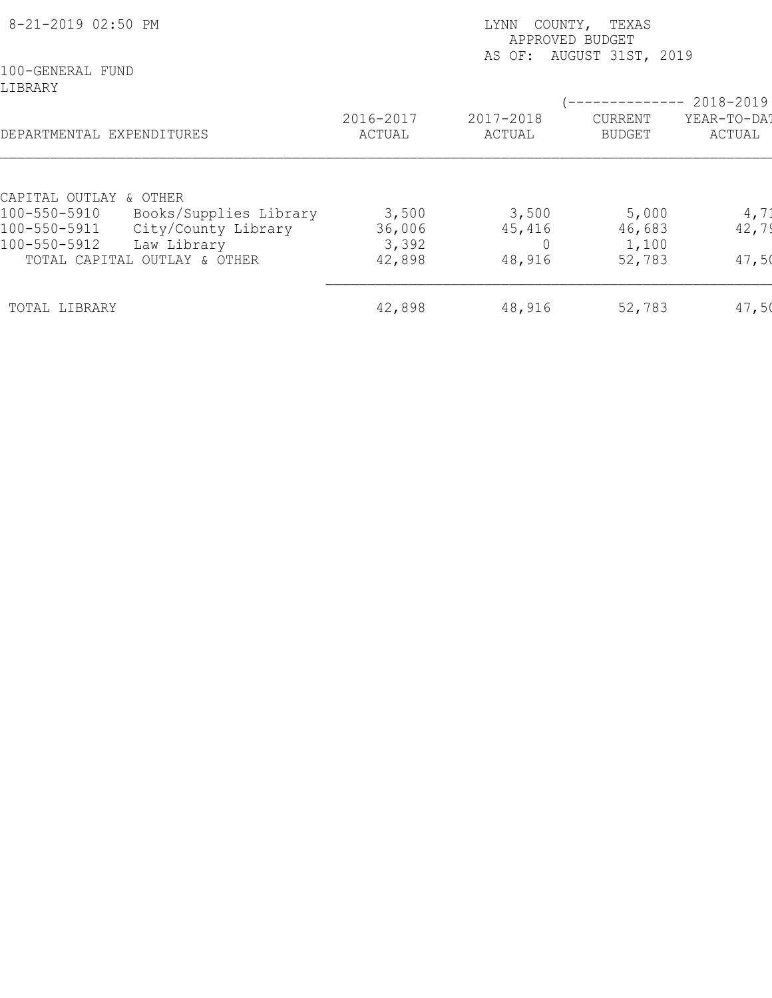| 8-21-2019 02:50 PM                                                                                                                                                     | LYNN<br>COUNTY,<br>TEXAS<br>APPROVED BUDGET<br>AS OF: AUGUST 31ST, 2019 |                           |                                    |                                    |  |
|------------------------------------------------------------------------------------------------------------------------------------------------------------------------|-------------------------------------------------------------------------|---------------------------|------------------------------------|------------------------------------|--|
| 100-GENERAL FUND<br>LIBRARY<br>DEPARTMENTAL EXPENDITURES                                                                                                               | 2016-2017<br>ACTUAL                                                     | 2017-2018<br>ACTUAL       | CURRENT<br><b>BUDGET</b>           | 2018-2019<br>YEAR-TO-DAT<br>ACTUAL |  |
| CAPITAL OUTLAY & OTHER<br>Books/Supplies Library<br>100-550-5910<br>City/County Library<br>100-550-5911<br>100-550-5912<br>Law Library<br>TOTAL CAPITAL OUTLAY & OTHER | 3,500<br>36,006<br>3,392<br>42,898                                      | 3,500<br>45,416<br>48,916 | 5,000<br>46,683<br>1,100<br>52,783 | 4, 71<br>42,79<br>47,50            |  |
| TOTAL LIBRARY                                                                                                                                                          | 42,898                                                                  | 48,916                    | 52,783                             | 47,50                              |  |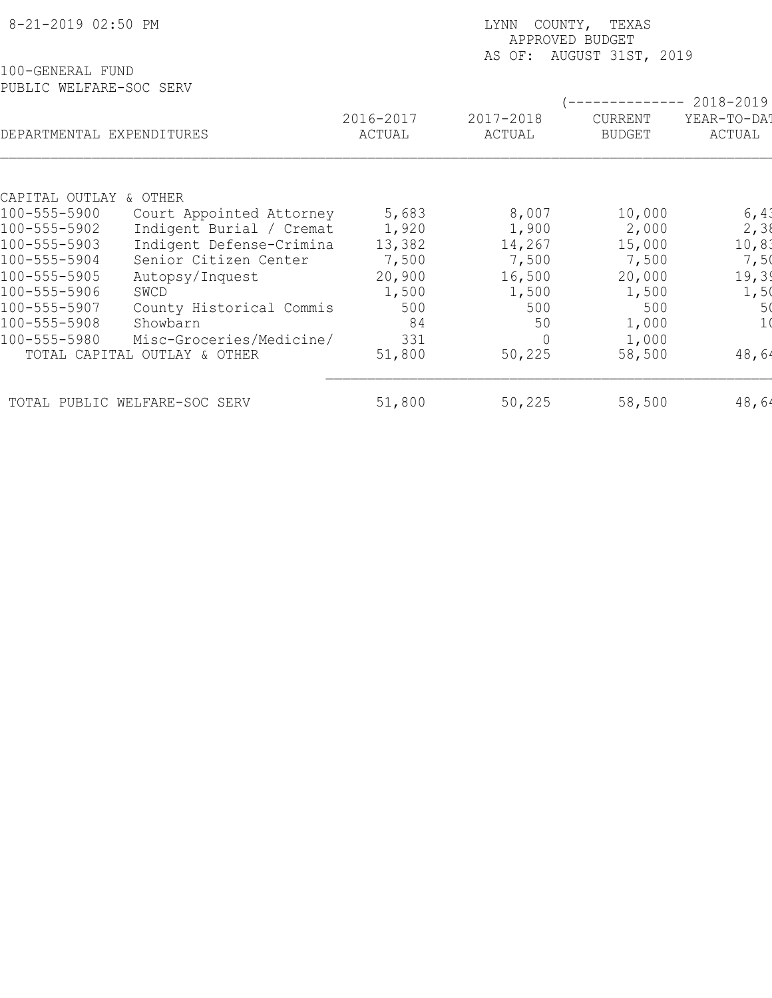| 8-21-2019 02:50 PM                          |                                                      |                | COUNTY, TEXAS<br>LYNN<br>APPROVED BUDGET<br>AUGUST 31ST, 2019<br>AS OF: |                 |                          |  |  |
|---------------------------------------------|------------------------------------------------------|----------------|-------------------------------------------------------------------------|-----------------|--------------------------|--|--|
| 100-GENERAL FUND<br>PUBLIC WELFARE-SOC SERV |                                                      | 2016-2017      | 2017-2018                                                               | CURRENT         | 2018-2019<br>YEAR-TO-DAT |  |  |
| DEPARTMENTAL EXPENDITURES                   |                                                      | ACTUAL         | ACTUAL                                                                  | <b>BUDGET</b>   | ACTUAL                   |  |  |
|                                             |                                                      |                |                                                                         |                 |                          |  |  |
| CAPITAL OUTLAY & OTHER<br>100-555-5900      |                                                      |                |                                                                         |                 |                          |  |  |
| 100-555-5902                                | Court Appointed Attorney<br>Indigent Burial / Cremat | 5,683<br>1,920 | 8,007<br>1,900                                                          | 10,000<br>2,000 | 6,41<br>2, 38            |  |  |
| 100-555-5903                                | Indigent Defense-Crimina                             | 13,382         | 14,267                                                                  | 15,000          | 10, 81                   |  |  |
| 100-555-5904                                | Senior Citizen Center                                | 7,500          | 7,500                                                                   | 7,500           | 7,50                     |  |  |
| 100-555-5905                                | Autopsy/Inquest                                      | 20,900         | 16,500                                                                  | 20,000          | 19, 39                   |  |  |
| 100-555-5906                                | SWCD                                                 | 1,500          | 1,500                                                                   | 1,500           | 1,50                     |  |  |
| 100-555-5907                                | County Historical Commis                             | 500            | 500                                                                     | 500             | 5(                       |  |  |
| 100-555-5908                                | Showbarn                                             | 84             | 50                                                                      | 1,000           |                          |  |  |
| 100-555-5980                                | Misc-Groceries/Medicine/                             | 331            |                                                                         | 1,000           |                          |  |  |
|                                             | TOTAL CAPITAL OUTLAY & OTHER                         | 51,800         | 50,225                                                                  | 58,500          | 48,64                    |  |  |
|                                             | TOTAL PUBLIC WELFARE-SOC SERV                        | 51,800         | 50,225                                                                  | 58,500          | 48,64                    |  |  |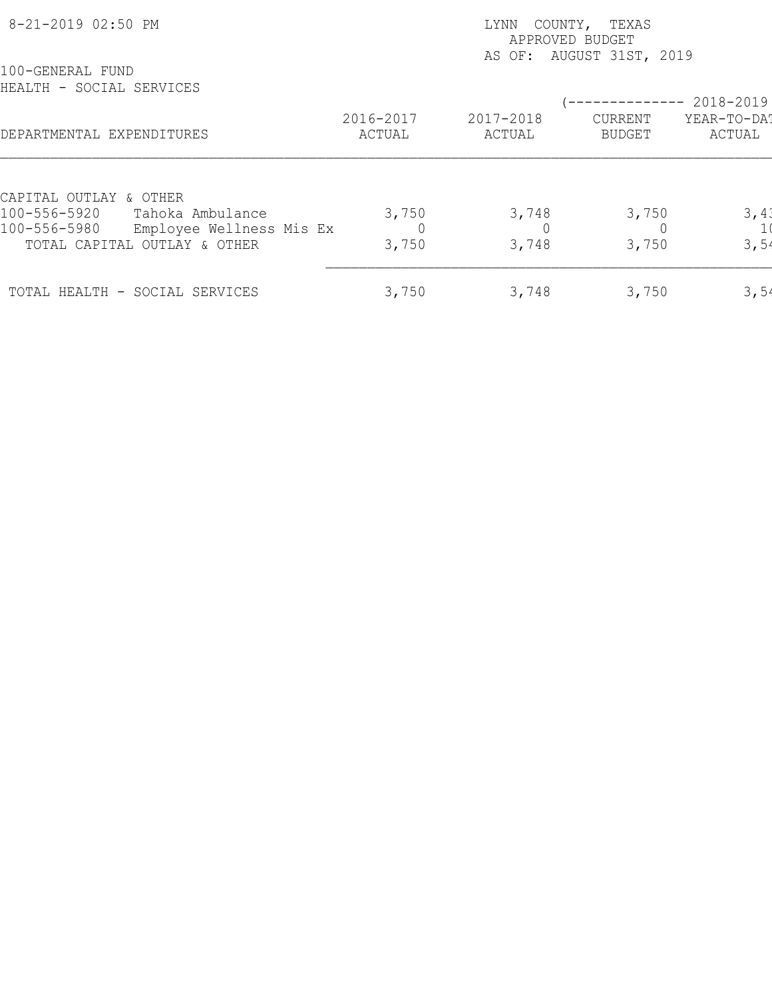| 8-21-2019 02:50 PM                                                           |                     | COUNTY, TEXAS<br>LYNN<br>APPROVED BUDGET<br>AS OF: AUGUST 31ST, 2019 |                          |                       |  |  |
|------------------------------------------------------------------------------|---------------------|----------------------------------------------------------------------|--------------------------|-----------------------|--|--|
| 100-GENERAL FUND<br>HEALTH - SOCIAL SERVICES                                 |                     |                                                                      |                          | $---------2018-2019$  |  |  |
| DEPARTMENTAL EXPENDITURES                                                    | 2016-2017<br>ACTUAL | 2017-2018<br>ACTUAL                                                  | CURRENT<br><b>BUDGET</b> | YEAR-TO-DAT<br>ACTUAL |  |  |
| CAPITAL OUTLAY & OTHER                                                       |                     |                                                                      |                          |                       |  |  |
| 100-556-5920<br>Tahoka Ambulance<br>100-556-5980<br>Employee Wellness Mis Ex | 3,750               | 3,748                                                                | 3,750                    | 3,41                  |  |  |
| TOTAL CAPITAL OUTLAY & OTHER                                                 | 3,750               | 3,748                                                                | 3,750                    | 3,54                  |  |  |
| TOTAL HEALTH - SOCIAL SERVICES                                               | 3,750               | 3,748                                                                | 3,750                    | 3,54                  |  |  |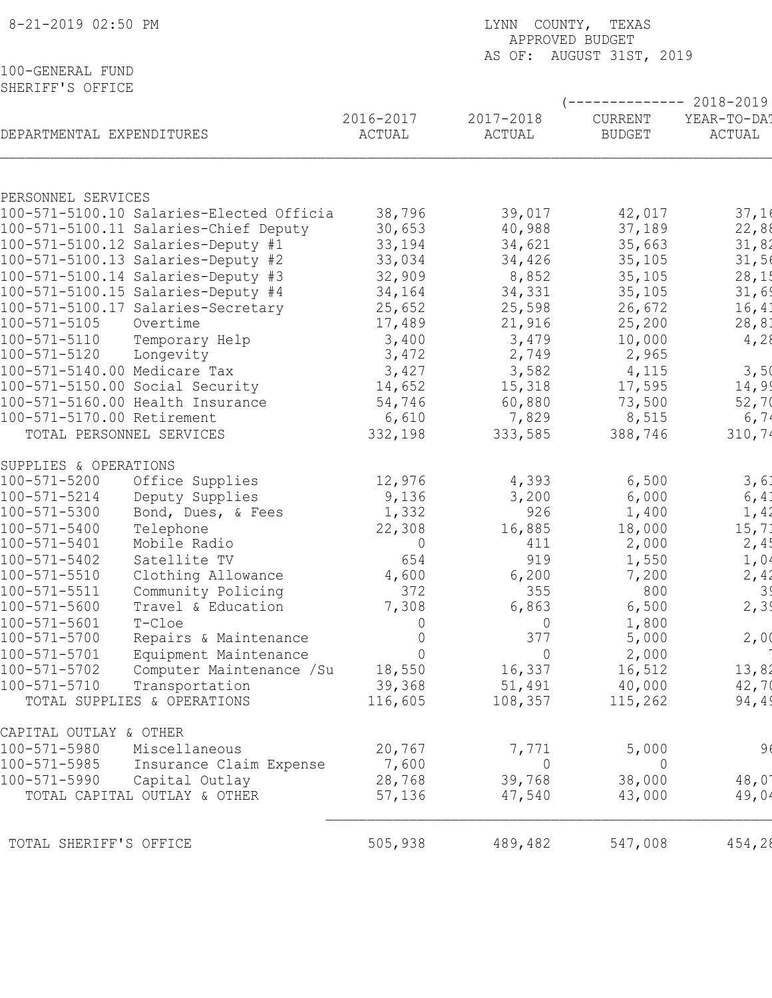| 8-21-2019 02:50 PM                   |                                          | LYNN COUNTY, TEXAS<br>APPROVED BUDGET |                |                          |                |  |  |
|--------------------------------------|------------------------------------------|---------------------------------------|----------------|--------------------------|----------------|--|--|
|                                      |                                          |                                       |                | AS OF: AUGUST 31ST, 2019 |                |  |  |
| 100-GENERAL FUND<br>SHERIFF'S OFFICE |                                          |                                       |                |                          |                |  |  |
|                                      |                                          |                                       |                | ------------ 2018-2019   |                |  |  |
|                                      |                                          | 2016-2017                             | 2017-2018      | CURRENT                  | YEAR-TO-DA!    |  |  |
| DEPARTMENTAL EXPENDITURES            |                                          | ACTUAL                                | ACTUAL         | <b>BUDGET</b>            | ACTUAL         |  |  |
|                                      |                                          |                                       |                |                          |                |  |  |
|                                      |                                          |                                       |                |                          |                |  |  |
| PERSONNEL SERVICES                   |                                          |                                       |                |                          |                |  |  |
|                                      | 100-571-5100.10 Salaries-Elected Officia | 38,796                                | 39,017         | 42,017                   | 37,16          |  |  |
|                                      | 100-571-5100.11 Salaries-Chief Deputy    | 30,653                                | 40,988         | 37,189                   | 22,88          |  |  |
|                                      | 100-571-5100.12 Salaries-Deputy #1       | 33,194                                | 34,621         | 35,663                   | 31,82          |  |  |
|                                      | 100-571-5100.13 Salaries-Deputy #2       | 33,034                                | 34,426         | 35,105                   | 31,56          |  |  |
|                                      | 100-571-5100.14 Salaries-Deputy #3       | 32,909                                | 8,852          | 35,105                   | 28,15          |  |  |
|                                      | 100-571-5100.15 Salaries-Deputy #4       | 34,164                                | 34,331         | 35,105                   | 31,69          |  |  |
|                                      | 100-571-5100.17 Salaries-Secretary       | 25,652                                | 25,598         | 26,672                   | 16, 41         |  |  |
| 100-571-5105                         | Overtime                                 | 17,489                                | 21,916         | 25,200                   | 28,81          |  |  |
| 100-571-5110                         | Temporary Help                           | 3,400                                 | 3,479          | 10,000                   | 4,28           |  |  |
| 100-571-5120                         | Longevity                                | 3,472                                 | 2,749          | 2,965                    |                |  |  |
| 100-571-5140.00 Medicare Tax         |                                          | 3,427                                 | 3,582          | 4,115                    | 3,50           |  |  |
|                                      | 100-571-5150.00 Social Security          | 14,652                                | 15,318         | 17,595                   | 14,99          |  |  |
|                                      | 100-571-5160.00 Health Insurance         | 54,746                                | 60,880         | 73,500                   | 52,70          |  |  |
| 100-571-5170.00 Retirement           |                                          | 6,610                                 | 7,829          | 8,515                    | 6,74           |  |  |
|                                      | TOTAL PERSONNEL SERVICES                 | 332,198                               | 333,585        | 388,746                  | 310,74         |  |  |
| SUPPLIES & OPERATIONS                |                                          |                                       |                |                          |                |  |  |
| 100-571-5200                         | Office Supplies                          | 12,976                                | 4,393          | 6,500                    | 3,61           |  |  |
| $100 - 571 - 5214$                   | Deputy Supplies                          | 9,136                                 | 3,200          | 6,000                    | 6, 41          |  |  |
| $100 - 571 - 5300$                   | Bond, Dues, & Fees                       | 1,332                                 | 926            | 1,400                    | 1,42           |  |  |
| 100-571-5400                         | Telephone                                | 22,308                                | 16,885         | 18,000                   | 15, 71         |  |  |
| 100-571-5401                         | Mobile Radio                             | 0                                     | 411            | 2,000                    | 2,4!           |  |  |
| $100 - 571 - 5402$                   | Satellite TV                             | 654                                   | 919            | 1,550                    | 1,04           |  |  |
| $100 - 571 - 5510$                   | Clothing Allowance                       | 4,600                                 | 6,200          | 7,200                    | 2,42           |  |  |
| $100 - 571 - 5511$                   | Community Policing                       | 372                                   | 355            | 800                      | 39             |  |  |
| $100 - 571 - 5600$                   | Travel & Education                       | 7,308                                 | 6,863          | 6,500                    | 2, 39          |  |  |
| $100 - 571 - 5601$                   | T-Cloe                                   | 0                                     | $\overline{0}$ | 1,800                    |                |  |  |
| $100 - 571 - 5700$                   | Repairs & Maintenance                    | 0                                     | 377            | 5,000                    | 2,00           |  |  |
| $100 - 571 - 5701$                   | Equipment Maintenance                    | $\overline{0}$                        | $\overline{0}$ | 2,000                    |                |  |  |
| $100 - 571 - 5702$                   | Computer Maintenance / Su                | 18,550                                | 16,337         | 16,512                   | 13,82          |  |  |
| $100 - 571 - 5710$                   | Transportation                           | 39,368                                | 51,491         | 40,000                   | 42,70          |  |  |
|                                      | TOTAL SUPPLIES & OPERATIONS              | 116,605                               | 108,357        | 115,262                  | 94,49          |  |  |
| CAPITAL OUTLAY & OTHER               |                                          |                                       |                |                          |                |  |  |
| 100-571-5980                         | Miscellaneous                            | 20,767                                | 7,771          | 5,000                    | 96             |  |  |
| 100-571-5985                         | Insurance Claim Expense                  | 7,600                                 | $\Omega$       | $\overline{0}$           |                |  |  |
| 100-571-5990                         | Capital Outlay                           | 28,768                                | 39,768         | 38,000                   | $48,0^{\circ}$ |  |  |
|                                      | TOTAL CAPITAL OUTLAY & OTHER             | 57,136                                | 47,540         | 43,000                   | 49,04          |  |  |
|                                      |                                          |                                       |                |                          |                |  |  |
| TOTAL SHERIFF'S OFFICE               |                                          | 505,938                               | 489,482        | 547,008                  | 454,28         |  |  |
|                                      |                                          |                                       |                |                          |                |  |  |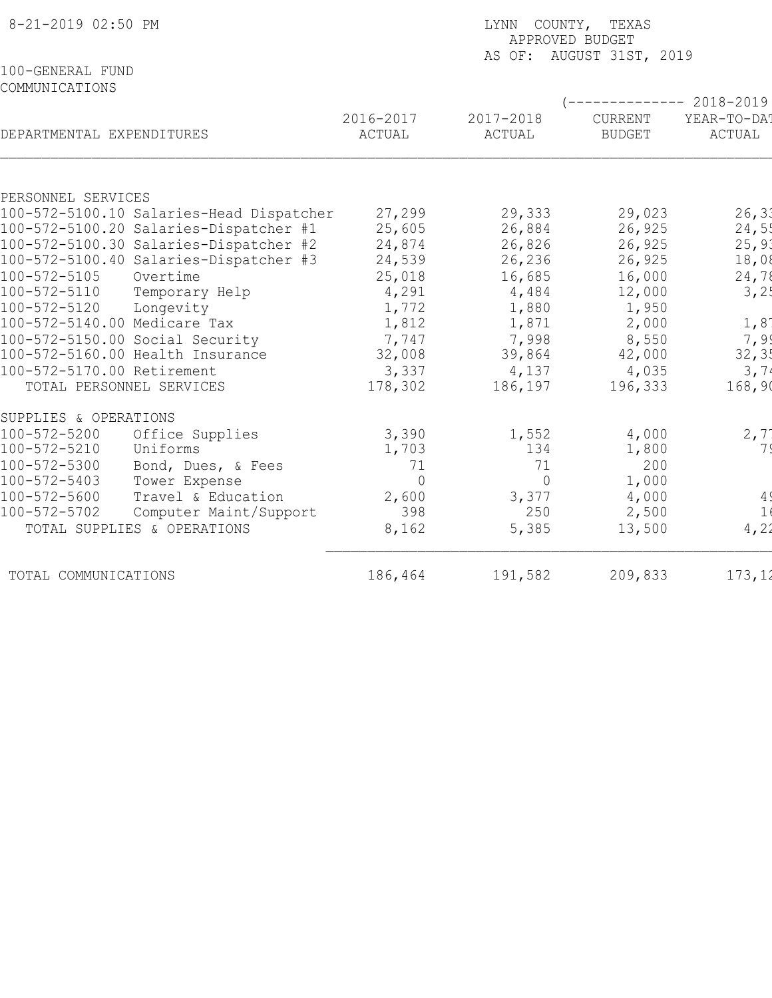| 8-21-2019 02:50 PM                                                               | LYNN COUNTY, TEXAS<br>APPROVED BUDGET<br>AS OF: AUGUST 31ST, 2019 |                     |                          |                                                |  |
|----------------------------------------------------------------------------------|-------------------------------------------------------------------|---------------------|--------------------------|------------------------------------------------|--|
| 100-GENERAL FUND<br>COMMUNICATIONS                                               |                                                                   |                     |                          |                                                |  |
| DEPARTMENTAL EXPENDITURES                                                        | 2016-2017<br>ACTUAL                                               | 2017-2018<br>ACTUAL | CURRENT<br><b>BUDGET</b> | ----------- 2018-2019<br>YEAR-TO-DA!<br>ACTUAL |  |
|                                                                                  |                                                                   |                     |                          |                                                |  |
| PERSONNEL SERVICES                                                               |                                                                   |                     |                          |                                                |  |
| 100-572-5100.10 Salaries-Head Dispatcher                                         | 27,299                                                            | 29,333              | 29,023                   | 26, 33                                         |  |
| 100-572-5100.20 Salaries-Dispatcher #1                                           | 25,605                                                            | 26,884              | 26,925                   | 24,55                                          |  |
| 100-572-5100.30 Salaries-Dispatcher #2<br>100-572-5100.40 Salaries-Dispatcher #3 | 24,874<br>24,539                                                  | 26,826<br>26,236    | 26,925<br>26,925         | 25, 90<br>18,08                                |  |
| 100-572-5105<br>Overtime                                                         | 25,018                                                            | 16,685              | 16,000                   | 24,78                                          |  |
| 100-572-5110<br>Temporary Help                                                   | 4,291                                                             | 4,484               | 12,000                   | 3,2!                                           |  |
| 100-572-5120<br>Longevity                                                        | 1,772                                                             | 1,880               | 1,950                    |                                                |  |
| 100-572-5140.00 Medicare Tax                                                     | 1,812                                                             | 1,871               | 2,000                    | 1,8                                            |  |
| 100-572-5150.00 Social Security                                                  | 7,747                                                             | 7,998               | 8,550                    | 7,99                                           |  |
| 100-572-5160.00 Health Insurance                                                 | 32,008                                                            | 39,864              | 42,000                   | 32, 3!                                         |  |
| 100-572-5170.00 Retirement                                                       | 3,337                                                             | 4,137               | 4,035                    | 3,74                                           |  |
| TOTAL PERSONNEL SERVICES                                                         | 178,302                                                           | 186,197             | 196,333                  | 168,90                                         |  |
| SUPPLIES & OPERATIONS                                                            |                                                                   |                     |                          |                                                |  |
| 100-572-5200<br>Office Supplies                                                  | 3,390                                                             | 1,552               | 4,000                    | 2, 7                                           |  |
| 100-572-5210<br>Uniforms                                                         | 1,703                                                             | 134                 | 1,800                    | 7 S                                            |  |
| 100-572-5300<br>Bond, Dues, & Fees                                               | 71                                                                | 71                  | 200                      |                                                |  |
| 100-572-5403<br>Tower Expense                                                    | $\overline{0}$                                                    | $\overline{0}$      | 1,000                    |                                                |  |
| $100 - 572 - 5600$<br>Travel & Education                                         | 2,600                                                             | 3,377               | 4,000                    | 4 <sup>′</sup>                                 |  |
| 100-572-5702<br>Computer Maint/Support                                           | 398                                                               | 250                 | 2,500                    | 1(                                             |  |
| TOTAL SUPPLIES & OPERATIONS                                                      | 8,162                                                             | 5,385               | 13,500                   | 4, 22                                          |  |
| TOTAL COMMUNICATIONS                                                             | 186,464                                                           | 191,582             | 209,833                  | 173, 12                                        |  |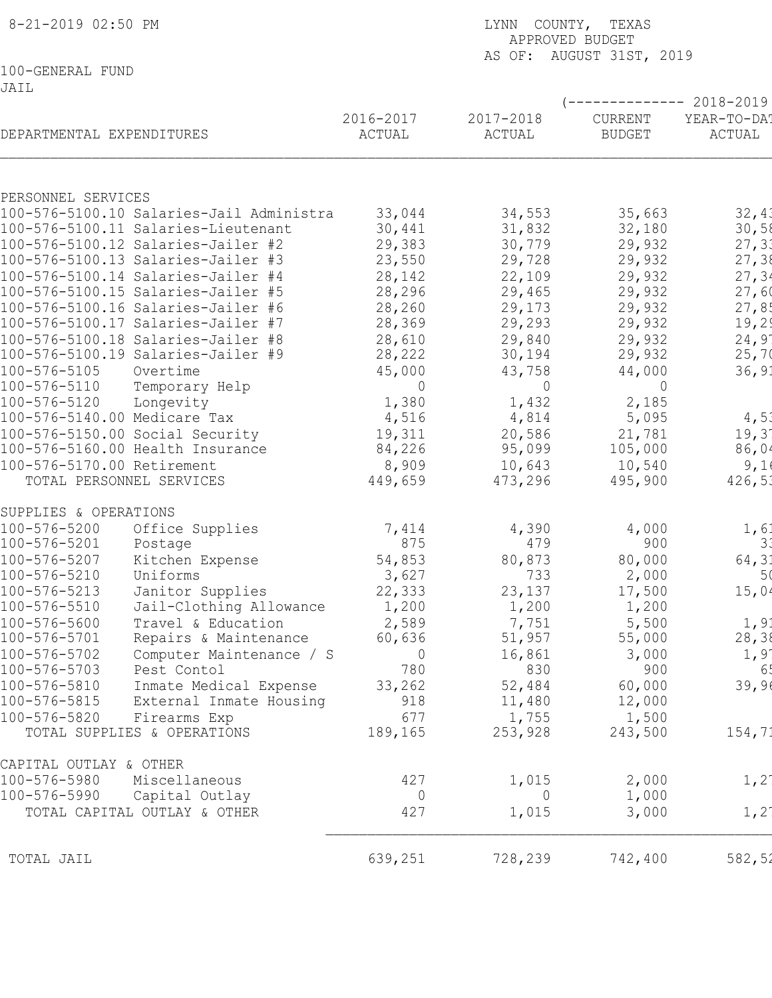| 8-21-2019 02:50 PM                                             |                    | LYNN COUNTY, TEXAS<br>APPROVED BUDGET<br>AS OF: AUGUST 31ST, 2019 |                          |                                      |  |  |  |
|----------------------------------------------------------------|--------------------|-------------------------------------------------------------------|--------------------------|--------------------------------------|--|--|--|
| 100-GENERAL FUND                                               |                    |                                                                   |                          |                                      |  |  |  |
| JAIL                                                           |                    |                                                                   |                          |                                      |  |  |  |
|                                                                | 2016-2017          | 2017-2018                                                         | CURRENT                  | ----------- 2018-2019<br>YEAR-TO-DA! |  |  |  |
| DEPARTMENTAL EXPENDITURES                                      | ACTUAL             | ACTUAL                                                            | <b>BUDGET</b>            | ACTUAL                               |  |  |  |
| PERSONNEL SERVICES                                             |                    |                                                                   |                          |                                      |  |  |  |
| 100-576-5100.10 Salaries-Jail Administra                       | 33,044             | 34,553                                                            | 35,663                   | 32,41                                |  |  |  |
| 100-576-5100.11 Salaries-Lieutenant                            | 30,441             | 31,832                                                            | 32,180                   | 30,58                                |  |  |  |
| 100-576-5100.12 Salaries-Jailer #2                             | 29,383             | 30,779                                                            | 29,932                   | 27, 33                               |  |  |  |
| 100-576-5100.13 Salaries-Jailer #3                             | 23,550             | 29,728                                                            | 29,932                   | 27,38                                |  |  |  |
| 100-576-5100.14 Salaries-Jailer #4                             | 28,142             | 22,109                                                            | 29,932                   | 27, 34                               |  |  |  |
| 100-576-5100.15 Salaries-Jailer #5                             | 28,296             | 29,465                                                            | 29,932                   | 27,60                                |  |  |  |
| 100-576-5100.16 Salaries-Jailer #6                             | 28,260             | 29,173                                                            | 29,932                   | 27,85                                |  |  |  |
| 100-576-5100.17 Salaries-Jailer #7                             | 28,369             | 29,293                                                            | 29,932                   | 19,29                                |  |  |  |
| 100-576-5100.18 Salaries-Jailer #8                             | 28,610             | 29,840                                                            | 29,932                   | 24,9'                                |  |  |  |
| 100-576-5100.19 Salaries-Jailer #9<br>100-576-5105<br>Overtime | 28,222             | 30,194                                                            | 29,932                   | 25,70                                |  |  |  |
| 100-576-5110<br>Temporary Help                                 | 45,000<br>$\Omega$ | 43,758<br>$\Omega$                                                | 44,000<br>$\overline{0}$ | 36, 91                               |  |  |  |
| 100-576-5120<br>Longevity                                      | 1,380              | 1,432                                                             | 2,185                    |                                      |  |  |  |
| 100-576-5140.00 Medicare Tax                                   | 4,516              | 4,814                                                             | 5,095                    | 4,51                                 |  |  |  |
| 100-576-5150.00 Social Security                                | 19,311             | 20,586                                                            | 21,781                   | 19,3'                                |  |  |  |
| 100-576-5160.00 Health Insurance                               | 84,226             | 95,099                                                            | 105,000                  | 86,04                                |  |  |  |
| 100-576-5170.00 Retirement                                     | 8,909              | 10,643                                                            | 10,540                   | 9,1                                  |  |  |  |
| TOTAL PERSONNEL SERVICES                                       | 449,659            | 473,296                                                           | 495,900                  | 426,51                               |  |  |  |
| SUPPLIES & OPERATIONS                                          |                    |                                                                   |                          |                                      |  |  |  |
| 100-576-5200<br>Office Supplies                                | 7,414              | 4,390                                                             | 4,000                    | 1, 6                                 |  |  |  |
| 100-576-5201<br>Postage                                        | 875                | 479                                                               | 900                      | 3.                                   |  |  |  |
| 100-576-5207<br>Kitchen Expense                                | 54,853             | 80,873                                                            | 80,000                   | 64,31                                |  |  |  |
| 100-576-5210<br>Uniforms                                       | 3,627              | 733                                                               | 2,000                    | 5 <sub>0</sub>                       |  |  |  |
| 100-576-5213<br>Janitor Supplies                               | 22,333             | 23,137                                                            | 17,500                   | 15,04                                |  |  |  |
| 100-576-5510<br>Jail-Clothing Allowance                        | 1,200              | 1,200                                                             | 1,200                    |                                      |  |  |  |
| 100-576-5600<br>Travel & Education                             | 2,589              | 7,751                                                             | 5,500                    | 1, 9:                                |  |  |  |
| 100-576-5701<br>Repairs & Maintenance                          | 60,636             | 51,957                                                            | 55,000                   | 28,38                                |  |  |  |
| 100-576-5702<br>Computer Maintenance / S                       | $\overline{0}$     | 16,861                                                            | 3,000                    | 1,9                                  |  |  |  |
| 100-576-5703<br>Pest Contol                                    | 780                | 830                                                               | 900                      | 65                                   |  |  |  |
| 100-576-5810<br>Inmate Medical Expense<br>100-576-5815         | 33,262             | 52,484                                                            | 60,000                   | 39,96                                |  |  |  |
| External Inmate Housing<br>100-576-5820<br>Firearms Exp        | 918<br>677         | 11,480<br>1,755                                                   | 12,000<br>1,500          |                                      |  |  |  |
| TOTAL SUPPLIES & OPERATIONS                                    | 189,165            | 253,928                                                           | 243,500                  | 154,71                               |  |  |  |
|                                                                |                    |                                                                   |                          |                                      |  |  |  |
| CAPITAL OUTLAY & OTHER                                         |                    |                                                                   |                          |                                      |  |  |  |
| 100-576-5980<br>Miscellaneous                                  | 427                | 1,015                                                             | 2,000                    | $1, 2^{\circ}$                       |  |  |  |
| 100-576-5990<br>Capital Outlay                                 | $\overline{0}$     | 0                                                                 | 1,000                    |                                      |  |  |  |
| TOTAL CAPITAL OUTLAY & OTHER                                   | 427                | 1,015                                                             | 3,000                    | $1, 2^{\circ}$                       |  |  |  |
| TOTAL JAIL                                                     | 639,251            | 728,239                                                           | 742,400                  | 582,52                               |  |  |  |
|                                                                |                    |                                                                   |                          |                                      |  |  |  |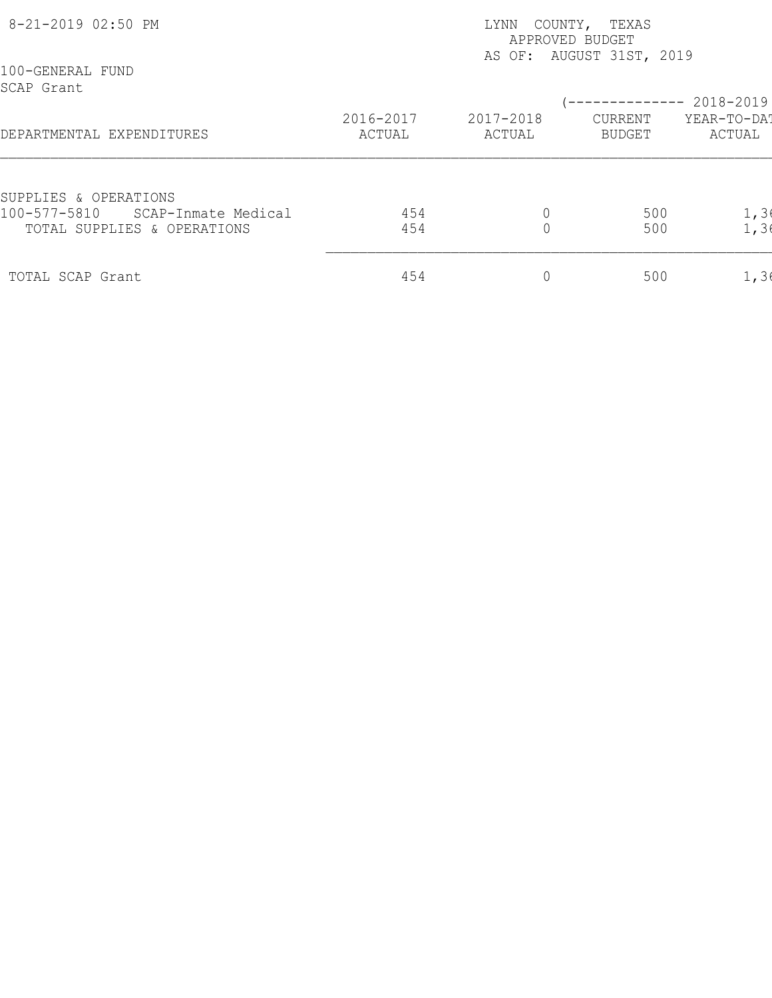| 8-21-2019 02:50 PM                                                 | COUNTY, TEXAS<br>LYNN<br>APPROVED BUDGET |                     |                          |                       |  |  |
|--------------------------------------------------------------------|------------------------------------------|---------------------|--------------------------|-----------------------|--|--|
| 100-GENERAL FUND<br>SCAP Grant                                     |                                          |                     | AS OF: AUGUST 31ST, 2019 | 2018-2019             |  |  |
| DEPARTMENTAL EXPENDITURES                                          | 2016-2017<br>ACTUAL                      | 2017-2018<br>ACTUAL | CURRENT<br>BUDGET        | YEAR-TO-DAT<br>ACTUAL |  |  |
| SUPPLIES & OPERATIONS                                              |                                          |                     |                          |                       |  |  |
| 100-577-5810<br>SCAP-Inmate Medical<br>TOTAL SUPPLIES & OPERATIONS | 454<br>454                               |                     | 500<br>500               | 1, 3(<br>1, 36        |  |  |
| TOTAL SCAP Grant                                                   | 454                                      | 0                   | 500                      | 1, 36                 |  |  |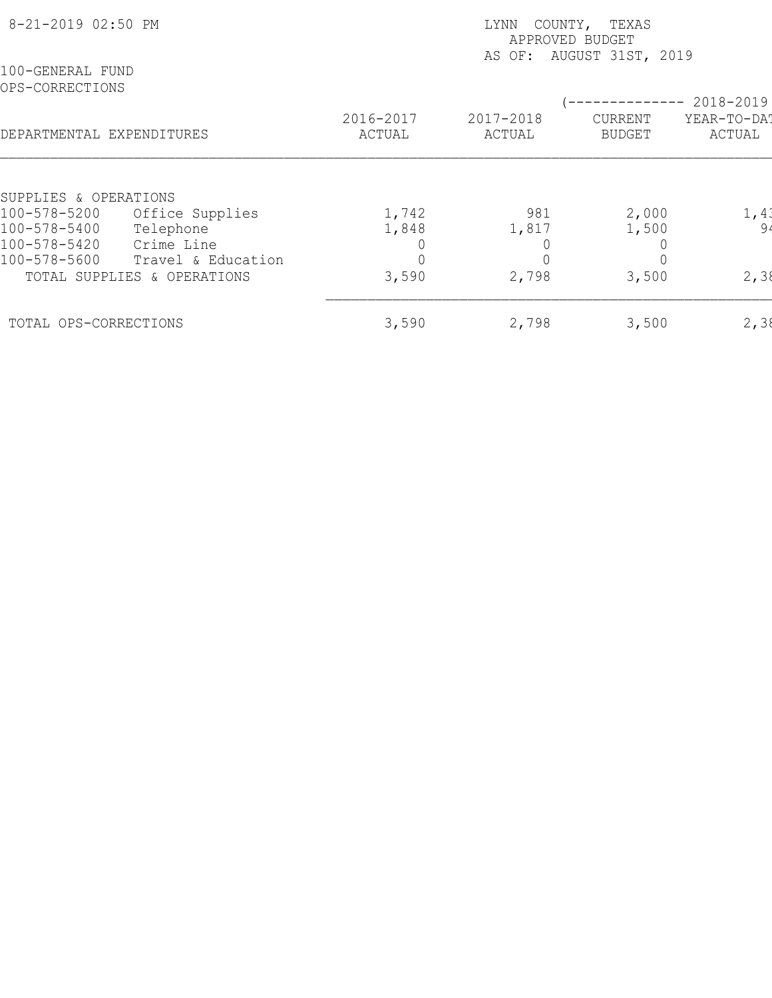| 8-21-2019 02:50 PM                  |                                                                 | COUNTY, TEXAS<br>LYNN<br>APPROVED BUDGET<br>AS OF: AUGUST 31ST, 2019 |                     |                          |                       |  |  |
|-------------------------------------|-----------------------------------------------------------------|----------------------------------------------------------------------|---------------------|--------------------------|-----------------------|--|--|
| 100-GENERAL FUND<br>OPS-CORRECTIONS |                                                                 |                                                                      |                     |                          | 2018-2019             |  |  |
| DEPARTMENTAL EXPENDITURES           |                                                                 | 2016-2017<br>ACTUAL                                                  | 2017-2018<br>ACTUAL | CURRENT<br><b>BUDGET</b> | YEAR-TO-DAT<br>ACTUAL |  |  |
| SUPPLIES & OPERATIONS               |                                                                 |                                                                      |                     |                          |                       |  |  |
| 100-578-5200<br>100-578-5400        | Office Supplies<br>Telephone                                    | 1,742<br>1,848                                                       | 981<br>1,817        | 2,000<br>1,500           | 1,41<br>94            |  |  |
| 100-578-5420<br>100-578-5600        | Crime Line<br>Travel & Education<br>TOTAL SUPPLIES & OPERATIONS | 3,590                                                                | 2,798               | 3,500                    | 2,38                  |  |  |
| TOTAL OPS-CORRECTIONS               |                                                                 | 3,590                                                                | 2,798               | 3,500                    | 2, 38                 |  |  |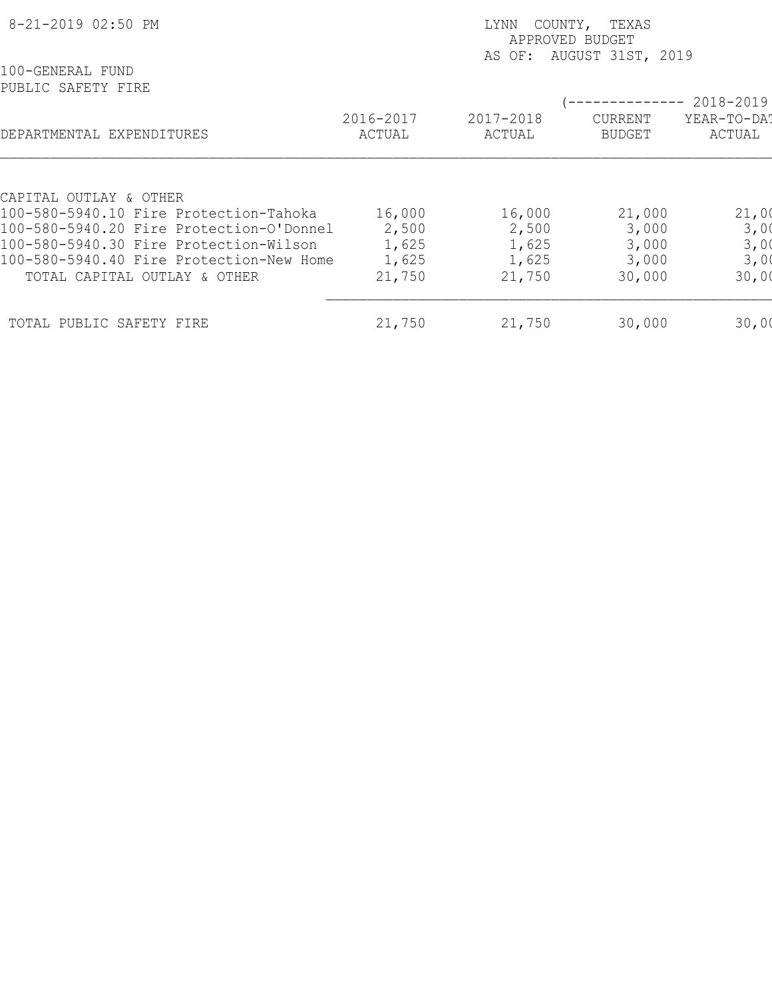| 8-21-2019 02:50 PM                       |                     | COUNTY, TEXAS<br>LYNN<br>APPROVED BUDGET<br>AUGUST 31ST, 2019<br>AS OF: |                          |                       |  |  |  |
|------------------------------------------|---------------------|-------------------------------------------------------------------------|--------------------------|-----------------------|--|--|--|
| 100-GENERAL FUND<br>PUBLIC SAFETY FIRE   |                     |                                                                         |                          | 2018-2019             |  |  |  |
| DEPARTMENTAL EXPENDITURES                | 2016-2017<br>ACTUAL | 2017-2018<br>ACTUAL                                                     | CURRENT<br><b>BUDGET</b> | YEAR-TO-DAT<br>ACTUAL |  |  |  |
|                                          |                     |                                                                         |                          |                       |  |  |  |
| CAPITAL OUTLAY & OTHER                   |                     |                                                                         |                          |                       |  |  |  |
| 100-580-5940.10 Fire Protection-Tahoka   | 16,000              | 16,000                                                                  | 21,000                   | 21,00                 |  |  |  |
| 100-580-5940.20 Fire Protection-O'Donnel | 2,500               | 2,500                                                                   | 3,000                    | 3,00                  |  |  |  |
| 100-580-5940.30 Fire Protection-Wilson   | 1,625               | 1,625                                                                   | 3,000                    | 3,00                  |  |  |  |
| 100-580-5940.40 Fire Protection-New Home | 1,625               | 1,625                                                                   | 3,000                    | 3,00                  |  |  |  |
| TOTAL CAPITAL OUTLAY & OTHER             | 21,750              | 21,750                                                                  | 30,000                   | 30,00                 |  |  |  |
| TOTAL PUBLIC SAFETY FIRE                 | 21,750              | 21,750                                                                  | 30,000                   | 30,00                 |  |  |  |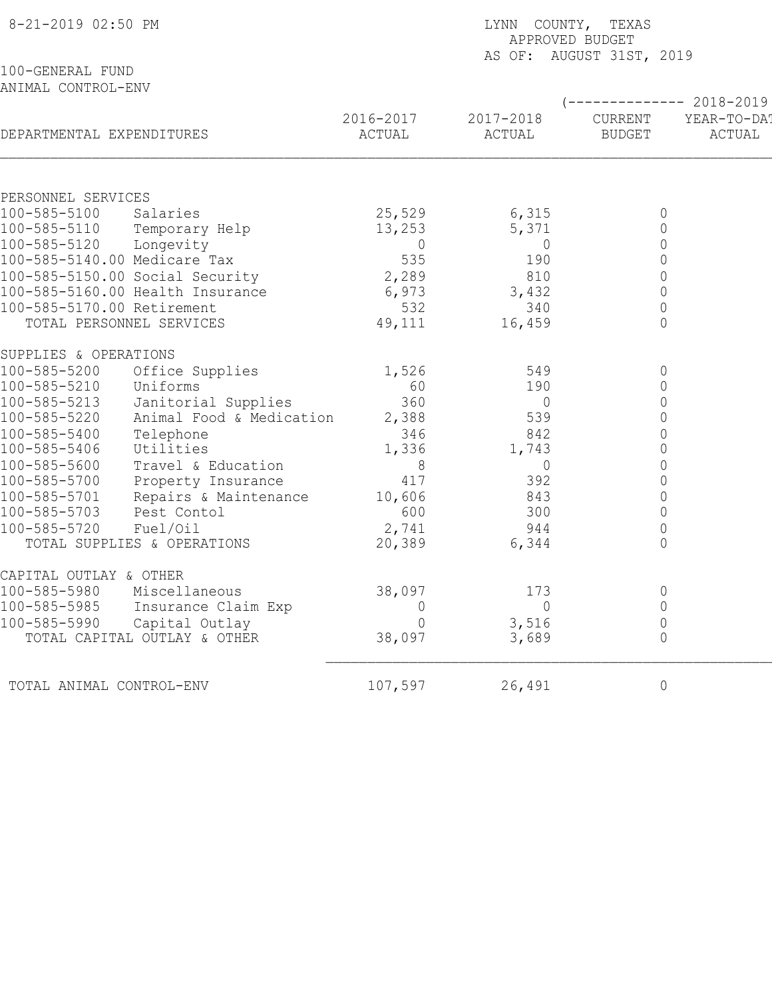| 8-21-2019 02:50 PM                     |                          | LYNN COUNTY, TEXAS<br>APPROVED BUDGET<br>AS OF: AUGUST 31ST, 2019 |                     |                          |                                               |  |  |
|----------------------------------------|--------------------------|-------------------------------------------------------------------|---------------------|--------------------------|-----------------------------------------------|--|--|
| 100-GENERAL FUND<br>ANIMAL CONTROL-ENV |                          |                                                                   |                     |                          |                                               |  |  |
| DEPARTMENTAL EXPENDITURES              |                          | 2016-2017<br>ACTUAL                                               | 2017-2018<br>ACTUAL | CURRENT<br><b>BUDGET</b> | $-------- 2018-2019$<br>YEAR-TO-DA!<br>ACTUAL |  |  |
|                                        |                          |                                                                   |                     |                          |                                               |  |  |
| PERSONNEL SERVICES                     |                          |                                                                   |                     |                          |                                               |  |  |
| 100-585-5100                           | Salaries                 | 25,529                                                            | 6,315               | 0                        |                                               |  |  |
| 100-585-5110 Temporary Help            |                          | 13,253                                                            | 5,371               | $\mathsf{O}\xspace$      |                                               |  |  |
| 100-585-5120                           | Longevity                | $\overline{0}$                                                    | $\overline{0}$      | $\mathsf{O}\xspace$      |                                               |  |  |
| 100-585-5140.00 Medicare Tax           |                          | 535                                                               | 190                 | $\mathsf{O}\xspace$      |                                               |  |  |
| 100-585-5150.00 Social Security        |                          | 2,289                                                             | 810                 | $\mathsf{O}\xspace$      |                                               |  |  |
| 100-585-5160.00 Health Insurance       |                          | 6,973                                                             | 3,432               | $\mathsf{O}\xspace$      |                                               |  |  |
| 100-585-5170.00 Retirement             |                          | 532                                                               | 340                 | 0                        |                                               |  |  |
| TOTAL PERSONNEL SERVICES               |                          | 49,111                                                            | 16,459              | $\overline{0}$           |                                               |  |  |
| SUPPLIES & OPERATIONS                  |                          |                                                                   |                     |                          |                                               |  |  |
| 100-585-5200                           | Office Supplies          | 1,526                                                             | 549                 | 0                        |                                               |  |  |
| 100-585-5210                           | Uniforms                 | 60                                                                | 190                 | 0                        |                                               |  |  |
| 100-585-5213                           | Janitorial Supplies      | 360                                                               | $\overline{0}$      | $\mathsf{O}\xspace$      |                                               |  |  |
| 100-585-5220                           | Animal Food & Medication | 2,388                                                             | 539                 | $\mathbf 0$              |                                               |  |  |
| 100-585-5400                           | Telephone                | 346                                                               | 842                 | $\mathsf{O}\xspace$      |                                               |  |  |
| 100-585-5406                           | Utilities                | 1,336                                                             | 1,743               | $\mathsf{O}\xspace$      |                                               |  |  |
| 100-585-5600                           | Travel & Education       | 8                                                                 | $\overline{0}$      | $\mathsf{O}\xspace$      |                                               |  |  |
| 100-585-5700                           | Property Insurance       | 417                                                               | 392                 | $\mathsf{O}\xspace$      |                                               |  |  |
| 100-585-5701                           | Repairs & Maintenance    | 10,606                                                            | 843                 | 0                        |                                               |  |  |
| 100-585-5703                           | Pest Contol              | 600                                                               | 300                 | $\mathbf 0$              |                                               |  |  |
| 100-585-5720                           | Fuel/Oil                 | 2,741                                                             | 944                 | 0                        |                                               |  |  |
| TOTAL SUPPLIES & OPERATIONS            |                          | 20,389                                                            | 6,344               | $\mathbf 0$              |                                               |  |  |
| CAPITAL OUTLAY & OTHER                 |                          |                                                                   |                     |                          |                                               |  |  |
| 100-585-5980                           | Miscellaneous            | 38,097                                                            | 173                 | 0                        |                                               |  |  |
| 100-585-5985                           | Insurance Claim Exp      | 0                                                                 | $\circ$             | $\mathbf 0$              |                                               |  |  |
| 100-585-5990                           | Capital Outlay           | 0                                                                 | 3,516               | $\mathbf 0$              |                                               |  |  |
| TOTAL CAPITAL OUTLAY & OTHER           |                          | 38,097                                                            | 3,689               | $\mathsf{O}\xspace$      |                                               |  |  |
| TOTAL ANIMAL CONTROL-ENV               |                          | 107,597                                                           | 26,491              | $\circ$                  |                                               |  |  |
|                                        |                          |                                                                   |                     |                          |                                               |  |  |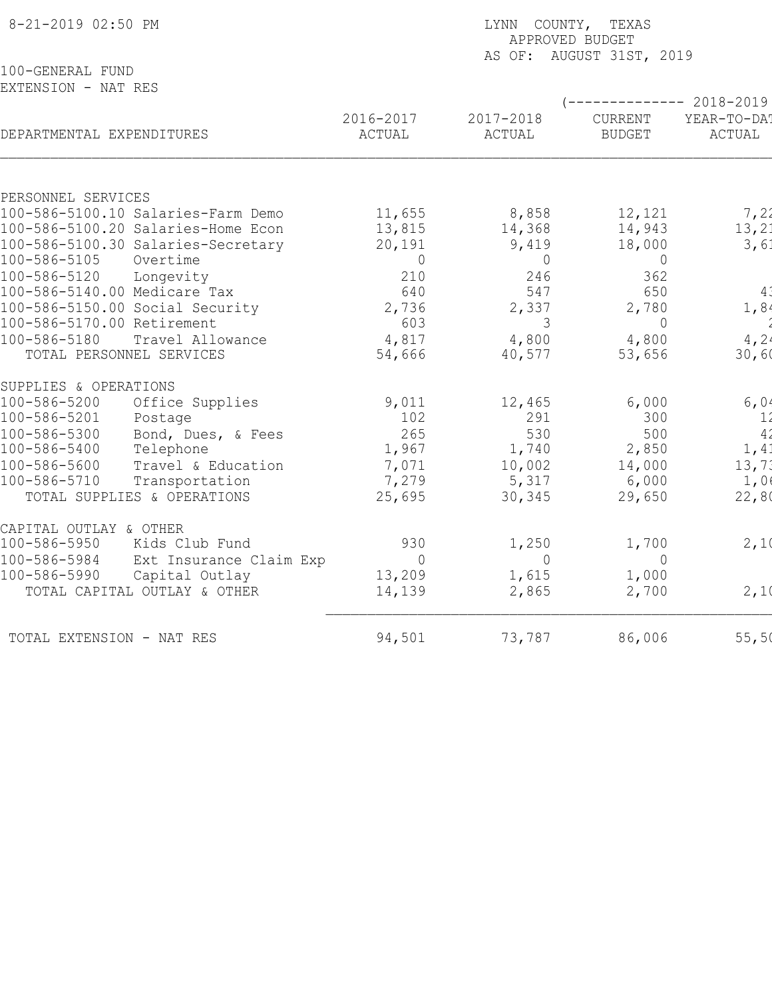| 8-21-2019 02:50 PM                      |                | LYNN COUNTY, TEXAS<br>APPROVED BUDGET |                          |                     |  |  |  |
|-----------------------------------------|----------------|---------------------------------------|--------------------------|---------------------|--|--|--|
|                                         |                |                                       | AS OF: AUGUST 31ST, 2019 |                     |  |  |  |
| 100-GENERAL FUND<br>EXTENSION - NAT RES |                |                                       |                          |                     |  |  |  |
|                                         |                |                                       |                          | $--------2018-2019$ |  |  |  |
|                                         | 2016-2017      | 2017-2018                             | CURRENT                  | YEAR-TO-DA!         |  |  |  |
| DEPARTMENTAL EXPENDITURES               | ACTUAL         | ACTUAL                                | <b>BUDGET</b>            | ACTUAL              |  |  |  |
| PERSONNEL SERVICES                      |                |                                       |                          |                     |  |  |  |
| 100-586-5100.10 Salaries-Farm Demo      | 11,655         | 8,858                                 | 12,121                   | 7,22                |  |  |  |
| 100-586-5100.20 Salaries-Home Econ      | 13,815         | 14,368                                | 14,943                   | 13, 21              |  |  |  |
| 100-586-5100.30 Salaries-Secretary      | 20,191         | 9,419                                 | 18,000                   | 3,61                |  |  |  |
| 100-586-5105<br>Overtime                | $\Omega$       | $\overline{0}$                        | $\overline{0}$           |                     |  |  |  |
| 100-586-5120<br>Longevity               | 210            | 246                                   | 362                      |                     |  |  |  |
| 100-586-5140.00 Medicare Tax            | 640            | 547                                   | 650                      | $4\overset{?}{.}$   |  |  |  |
| 100-586-5150.00 Social Security         | 2,736          | 2,337                                 | 2,780                    | 1,84                |  |  |  |
| 100-586-5170.00 Retirement              | 603            | 3                                     | $\Omega$                 |                     |  |  |  |
| 100-586-5180<br>Travel Allowance        | 4,817          | 4,800                                 | 4,800                    | 4,24                |  |  |  |
| TOTAL PERSONNEL SERVICES                | 54,666         | 40,577                                | 53,656                   | 30,60               |  |  |  |
| SUPPLIES & OPERATIONS                   |                |                                       |                          |                     |  |  |  |
| 100-586-5200<br>Office Supplies         | 9,011          | 12,465                                | 6,000                    | 6,04                |  |  |  |
| 100-586-5201<br>Postage                 | 102            | 291                                   | 300                      | 11                  |  |  |  |
| 100-586-5300<br>Bond, Dues, & Fees      | 265            | 530                                   | 500                      | 4 <sub>2</sub>      |  |  |  |
| 100-586-5400<br>Telephone               | 1,967          | 1,740                                 | 2,850                    | 1,41                |  |  |  |
| 100-586-5600<br>Travel & Education      | 7,071          | 10,002                                | 14,000                   | 13,71               |  |  |  |
| 100-586-5710<br>Transportation          | 7,279          | 5,317                                 | 6,000                    | 1,0                 |  |  |  |
| TOTAL SUPPLIES & OPERATIONS             | 25,695         | 30,345                                | 29,650                   | 22,80               |  |  |  |
| CAPITAL OUTLAY & OTHER                  |                |                                       |                          |                     |  |  |  |
| 100-586-5950<br>Kids Club Fund          | 930            | 1,250                                 | 1,700                    | 2,10                |  |  |  |
| 100-586-5984<br>Ext Insurance Claim Exp | $\overline{0}$ | $\overline{0}$                        | $\overline{0}$           |                     |  |  |  |
| 100-586-5990<br>Capital Outlay          | 13,209         | 1,615                                 | 1,000                    |                     |  |  |  |
| TOTAL CAPITAL OUTLAY & OTHER            | 14,139         | 2,865                                 | 2,700                    | 2,10                |  |  |  |
| TOTAL EXTENSION - NAT RES               | 94,501         | 73,787                                | 86,006                   | 55,50               |  |  |  |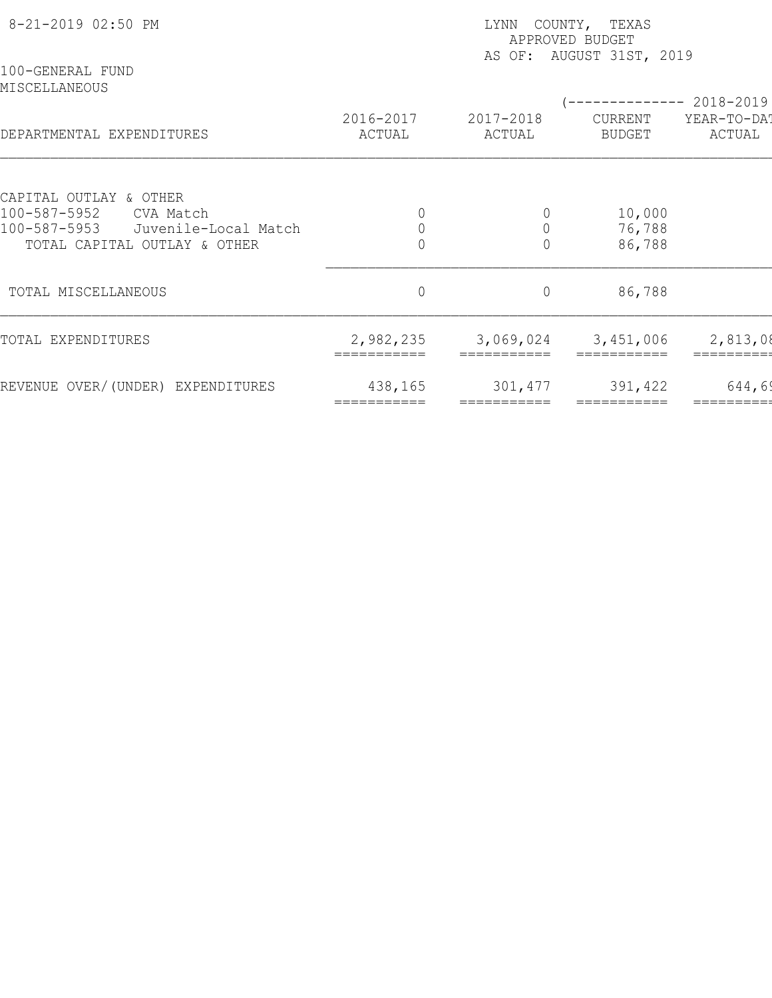| 8-21-2019 02:50 PM<br>100-GENERAL FUND                            | LYNN COUNTY, TEXAS<br>APPROVED BUDGET<br>AS OF: AUGUST 31ST, 2019 |                         |                        |                                       |  |  |
|-------------------------------------------------------------------|-------------------------------------------------------------------|-------------------------|------------------------|---------------------------------------|--|--|
| MISCELLANEOUS                                                     | 2016-2017                                                         | 2017-2018               | CURRENT                | ------------ 2018-2019<br>YEAR-TO-DAT |  |  |
| DEPARTMENTAL EXPENDITURES                                         | ACTUAL                                                            | ACTUAL                  | BUDGET                 | ACTUAL                                |  |  |
| CAPITAL OUTLAY & OTHER                                            |                                                                   |                         |                        |                                       |  |  |
| 100-587-5952<br>CVA Match<br>100-587-5953<br>Juvenile-Local Match | 0                                                                 | $\theta$<br>$\mathbf 0$ | 10,000<br>76,788       |                                       |  |  |
| TOTAL CAPITAL OUTLAY & OTHER                                      |                                                                   | $\overline{0}$          | 86,788                 |                                       |  |  |
| TOTAL MISCELLANEOUS                                               | $\overline{0}$                                                    | $\circ$                 | 86,788                 |                                       |  |  |
| TOTAL EXPENDITURES                                                | 2,982,235                                                         | 3,069,024               | 3,451,006              | 2,813,08                              |  |  |
| REVENUE OVER/(UNDER) EXPENDITURES                                 | 438,165<br>===========                                            | 301,477                 | 391,422<br>=========== | 644,69                                |  |  |
|                                                                   |                                                                   |                         |                        |                                       |  |  |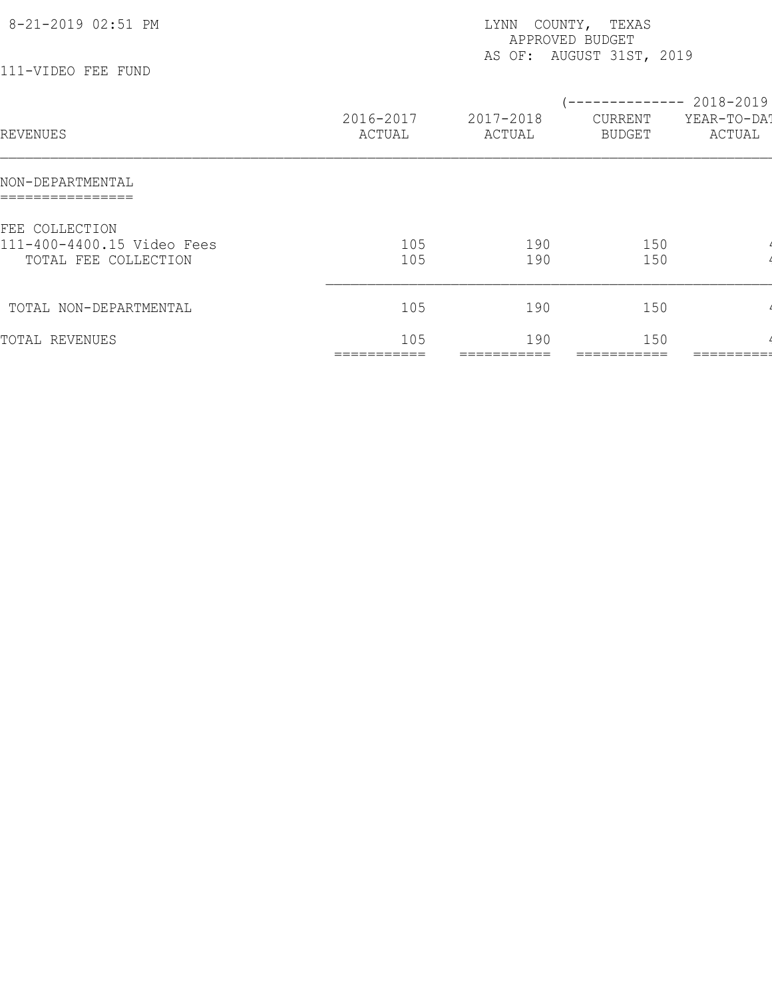| 8-21-2019 02:51 PM<br>111-VIDEO FEE FUND                             |                     | LYNN COUNTY, TEXAS<br>APPROVED BUDGET | AS OF: AUGUST 31ST, 2019                        |                       |
|----------------------------------------------------------------------|---------------------|---------------------------------------|-------------------------------------------------|-----------------------|
| REVENUES                                                             | 2016-2017<br>ACTUAL | 2017-2018<br>ACTUAL                   | (-------------- 2018-2019)<br>CURRENT<br>BUDGET | YEAR-TO-DA!<br>ACTUAL |
| NON-DEPARTMENTAL                                                     |                     |                                       |                                                 |                       |
| FEE COLLECTION<br>111-400-4400.15 Video Fees<br>TOTAL FEE COLLECTION | 105<br>105          | 190<br>190                            | 150<br>150                                      |                       |
| TOTAL NON-DEPARTMENTAL                                               | 105                 | 190                                   | 150                                             |                       |
| TOTAL REVENUES                                                       | 105<br>===========  | 190<br>===========                    | 150                                             | =======               |
|                                                                      |                     |                                       |                                                 |                       |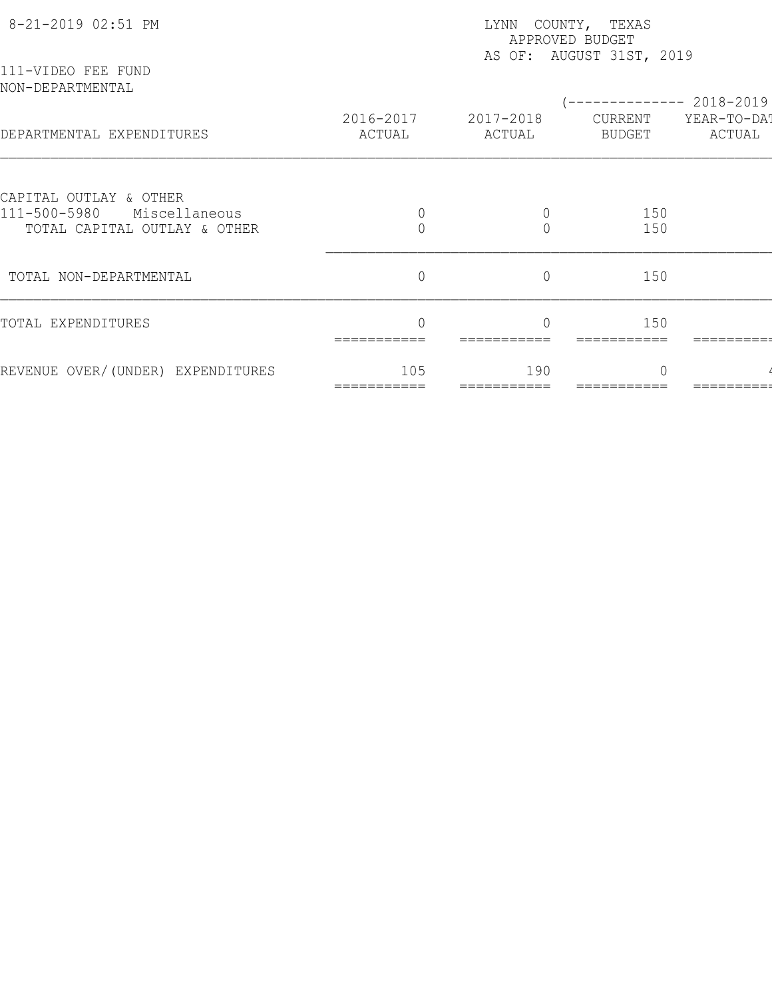| 8-21-2019 02:51 PM                                            |                     | LYNN COUNTY, TEXAS<br>APPROVED BUDGET<br>AS OF: AUGUST 31ST, 2019 |                          |                       |  |  |  |
|---------------------------------------------------------------|---------------------|-------------------------------------------------------------------|--------------------------|-----------------------|--|--|--|
| 111-VIDEO FEE FUND<br>NON-DEPARTMENTAL                        |                     |                                                                   |                          | ----------- 2018-2019 |  |  |  |
| DEPARTMENTAL EXPENDITURES                                     | 2016-2017<br>ACTUAL | 2017-2018<br>ACTUAL                                               | CURRENT<br><b>BUDGET</b> | YEAR-TO-DA!<br>ACTUAL |  |  |  |
| CAPITAL OUTLAY & OTHER                                        |                     |                                                                   |                          |                       |  |  |  |
| 111-500-5980<br>Miscellaneous<br>TOTAL CAPITAL OUTLAY & OTHER |                     |                                                                   | 150<br>150               |                       |  |  |  |
| TOTAL NON-DEPARTMENTAL                                        | $\overline{0}$      | $\overline{0}$                                                    | 150                      |                       |  |  |  |
| TOTAL EXPENDITURES                                            |                     |                                                                   | 150                      |                       |  |  |  |
| REVENUE OVER/(UNDER) EXPENDITURES                             | 105                 | 190                                                               | $\cap$                   |                       |  |  |  |
|                                                               |                     |                                                                   |                          |                       |  |  |  |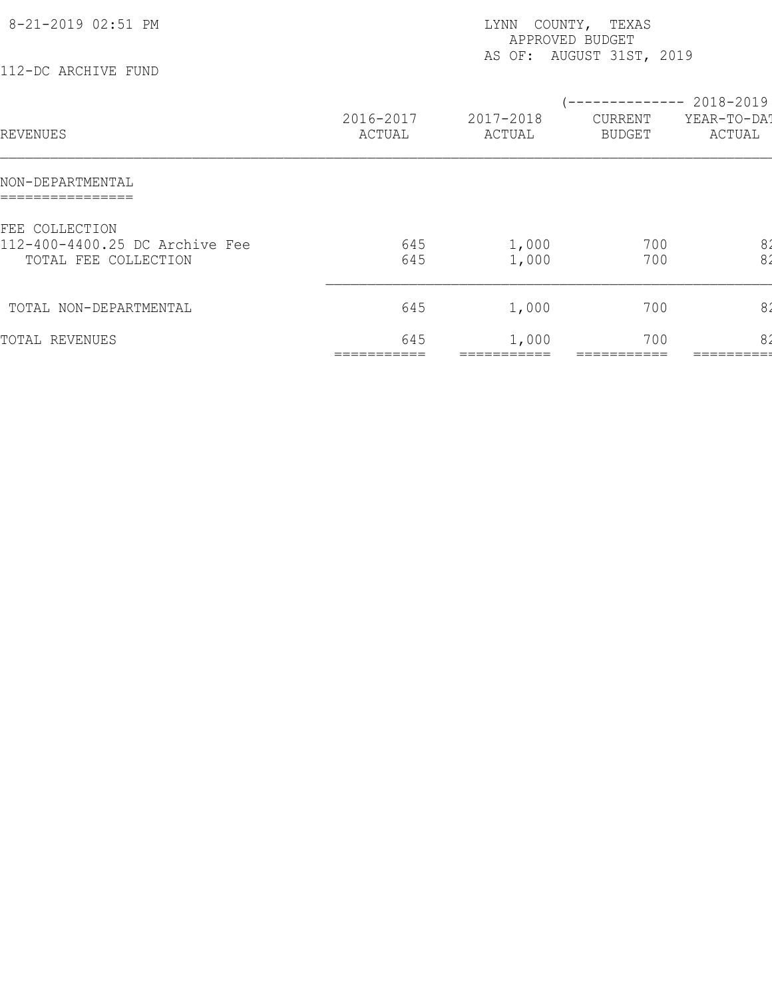| 8-21-2019 02:51 PM<br>112-DC ARCHIVE FUND                                |                     | LYNN<br>APPROVED BUDGET | COUNTY, TEXAS<br>AS OF: AUGUST 31ST, 2019 |                                                 |
|--------------------------------------------------------------------------|---------------------|-------------------------|-------------------------------------------|-------------------------------------------------|
| REVENUES                                                                 | 2016-2017<br>ACTUAL | 2017-2018<br>ACTUAL     | CURRENT<br><b>BUDGET</b>                  | ------------ 2018-2019<br>YEAR-TO-DAT<br>ACTUAL |
| NON-DEPARTMENTAL<br>================                                     |                     |                         |                                           |                                                 |
| FEE COLLECTION<br>112-400-4400.25 DC Archive Fee<br>TOTAL FEE COLLECTION | 645<br>645          | 1,000<br>1,000          | 700<br>700                                | 82<br>8'                                        |
| TOTAL NON-DEPARTMENTAL                                                   | 645                 | 1,000                   | 700                                       | 8 <sub>2</sub>                                  |
| TOTAL REVENUES                                                           | 645                 | 1,000                   | 700                                       | 82                                              |
|                                                                          |                     |                         |                                           |                                                 |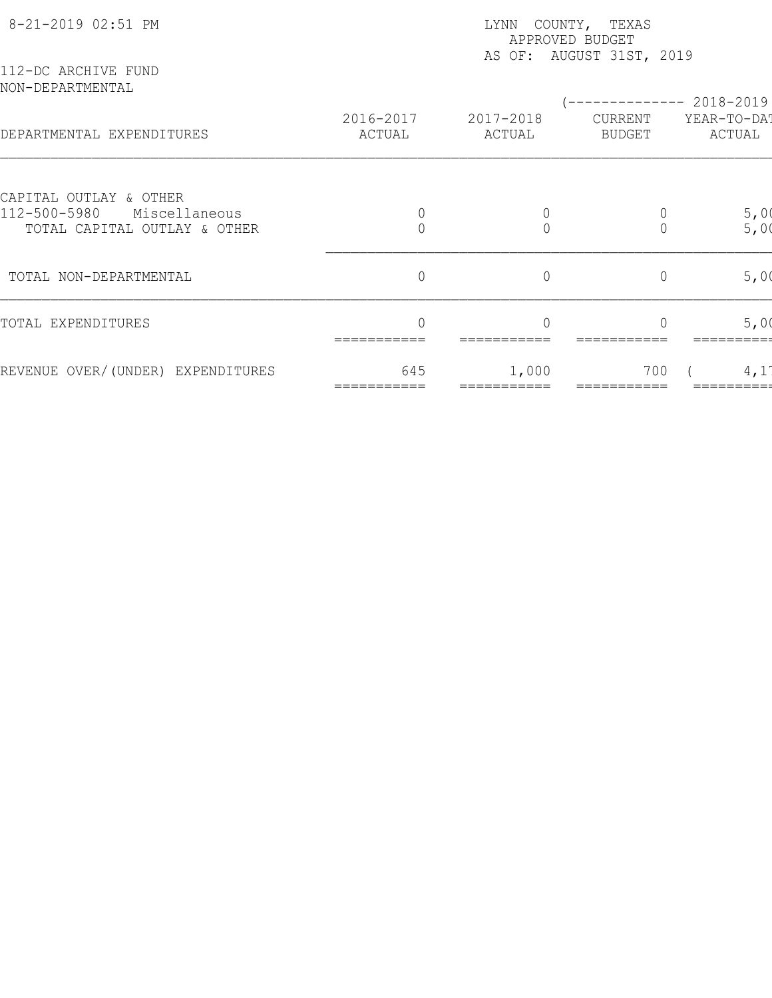| 8-21-2019 02:51 PM                                            | COUNTY, TEXAS<br>LYNN<br>APPROVED BUDGET<br>AS OF: AUGUST 31ST, 2019 |                     |                          |                       |  |  |
|---------------------------------------------------------------|----------------------------------------------------------------------|---------------------|--------------------------|-----------------------|--|--|
| 112-DC ARCHIVE FUND<br>NON-DEPARTMENTAL                       |                                                                      |                     |                          | ----------- 2018-2019 |  |  |
| DEPARTMENTAL EXPENDITURES                                     | 2016-2017<br>ACTUAL                                                  | 2017-2018<br>ACTUAL | CURRENT<br><b>BUDGET</b> | YEAR-TO-DAT<br>ACTUAL |  |  |
| CAPITAL OUTLAY & OTHER                                        |                                                                      |                     |                          |                       |  |  |
| 112-500-5980<br>Miscellaneous<br>TOTAL CAPITAL OUTLAY & OTHER |                                                                      | $\Omega$            | 0                        | 5,00<br>5,00          |  |  |
| TOTAL NON-DEPARTMENTAL                                        | $\overline{0}$                                                       | $\circ$             | $\overline{0}$           | 5,00                  |  |  |
| TOTAL EXPENDITURES                                            |                                                                      |                     |                          | 5,00                  |  |  |
| REVENUE OVER/(UNDER) EXPENDITURES                             | 645                                                                  | 1,000               | 700                      | 4,1                   |  |  |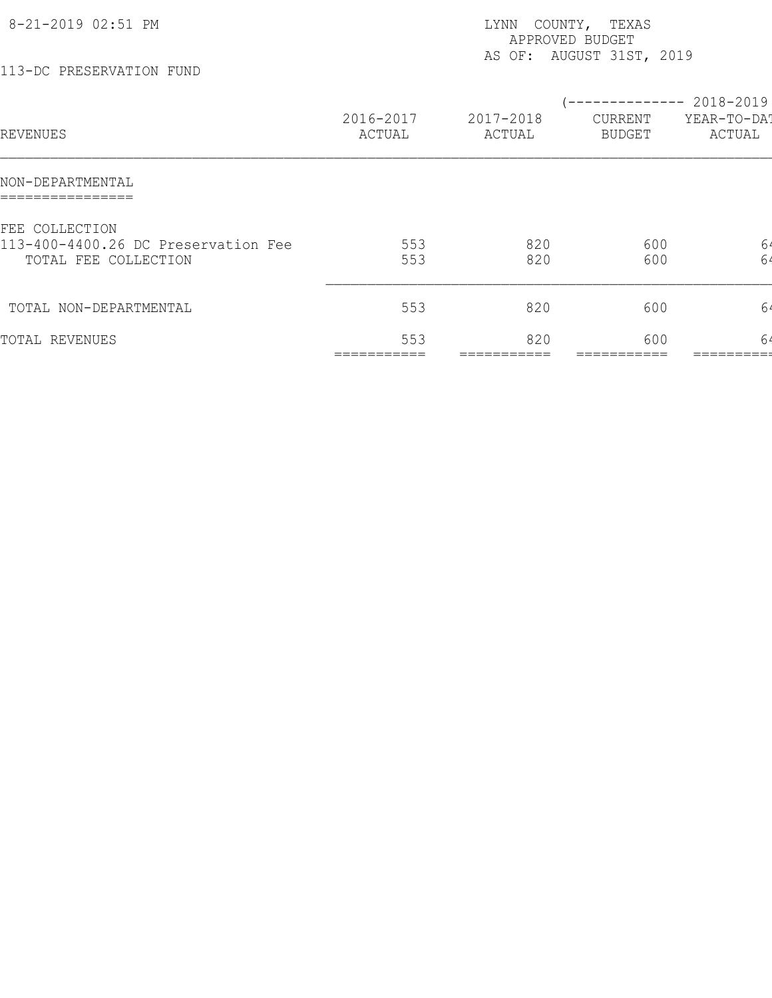| 8-21-2019 02:51 PM<br>113-DC PRESERVATION FUND                                |                     | COUNTY, TEXAS<br>LYNN<br>APPROVED BUDGET<br>AS OF: AUGUST 31ST, 2019 |                                                 |                       |  |
|-------------------------------------------------------------------------------|---------------------|----------------------------------------------------------------------|-------------------------------------------------|-----------------------|--|
| REVENUES                                                                      | 2016-2017<br>ACTUAL | 2017-2018<br>ACTUAL                                                  | (-------------- 2018-2019)<br>CURRENT<br>BUDGET | YEAR-TO-DA!<br>ACTUAL |  |
| NON-DEPARTMENTAL                                                              |                     |                                                                      |                                                 |                       |  |
| FEE COLLECTION<br>113-400-4400.26 DC Preservation Fee<br>TOTAL FEE COLLECTION | 553<br>553          | 820<br>820                                                           | 600<br>600                                      | 64<br>64              |  |
| TOTAL NON-DEPARTMENTAL                                                        | 553                 | 820                                                                  | 600                                             | 64                    |  |
| TOTAL REVENUES                                                                | 553                 | 820                                                                  | 600                                             | 64                    |  |
|                                                                               |                     |                                                                      |                                                 |                       |  |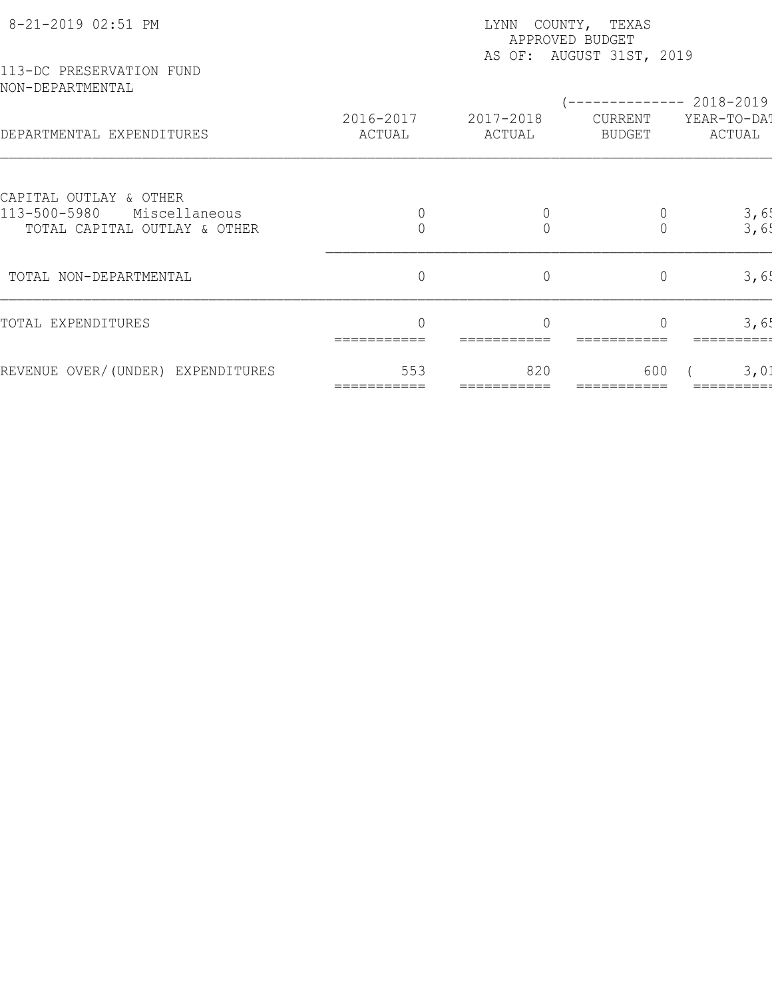| 8-21-2019 02:51 PM                                                                      | LYNN COUNTY, TEXAS<br>APPROVED BUDGET<br>AS OF: AUGUST 31ST, 2019 |                     |                   |                                                |  |  |  |
|-----------------------------------------------------------------------------------------|-------------------------------------------------------------------|---------------------|-------------------|------------------------------------------------|--|--|--|
| 113-DC PRESERVATION FUND<br>NON-DEPARTMENTAL                                            |                                                                   |                     |                   |                                                |  |  |  |
| DEPARTMENTAL EXPENDITURES                                                               | 2016-2017<br>ACTUAL                                               | 2017-2018<br>ACTUAL | CURRENT<br>BUDGET | ----------- 2018-2019<br>YEAR-TO-DAT<br>ACTUAL |  |  |  |
|                                                                                         |                                                                   |                     |                   |                                                |  |  |  |
| CAPITAL OUTLAY & OTHER<br>113-500-5980<br>Miscellaneous<br>TOTAL CAPITAL OUTLAY & OTHER |                                                                   | $\bigcap$           | 0<br>$\Omega$     | 3,6!<br>3,6!                                   |  |  |  |
| TOTAL NON-DEPARTMENTAL                                                                  | $\overline{0}$                                                    | $\circ$             | $\overline{0}$    | 3,65                                           |  |  |  |
| TOTAL EXPENDITURES                                                                      |                                                                   |                     |                   | 3,6!                                           |  |  |  |
| REVENUE OVER/(UNDER) EXPENDITURES                                                       | 553                                                               | 820                 | 600               | 3,01                                           |  |  |  |
|                                                                                         |                                                                   |                     |                   |                                                |  |  |  |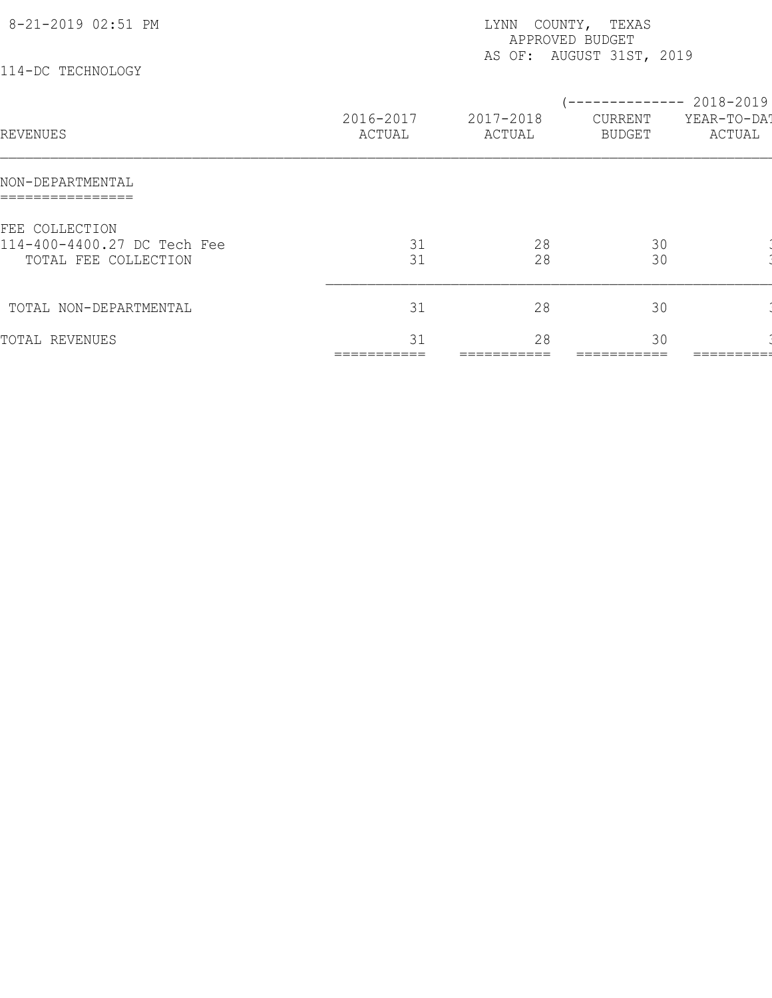| 8-21-2019 02:51 PM<br>114-DC TECHNOLOGY                               | COUNTY, TEXAS<br>LYNN<br>APPROVED BUDGET<br>AS OF: AUGUST 31ST, 2019 |                     |                                            |                       |  |  |
|-----------------------------------------------------------------------|----------------------------------------------------------------------|---------------------|--------------------------------------------|-----------------------|--|--|
| REVENUES                                                              | 2016-2017<br>ACTUAL                                                  | 2017-2018<br>ACTUAL | $--------- 2018-2019$<br>CURRENT<br>BUDGET | YEAR-TO-DAT<br>ACTUAL |  |  |
| NON-DEPARTMENTAL                                                      |                                                                      |                     |                                            |                       |  |  |
| FEE COLLECTION<br>114-400-4400.27 DC Tech Fee<br>TOTAL FEE COLLECTION | 31<br>31                                                             | 28<br>28            | 30<br>30                                   |                       |  |  |
| TOTAL NON-DEPARTMENTAL                                                | 31                                                                   | 28                  | 30                                         |                       |  |  |
| TOTAL REVENUES                                                        | 31                                                                   | 28<br>.             | 30                                         | :======               |  |  |
|                                                                       |                                                                      |                     |                                            |                       |  |  |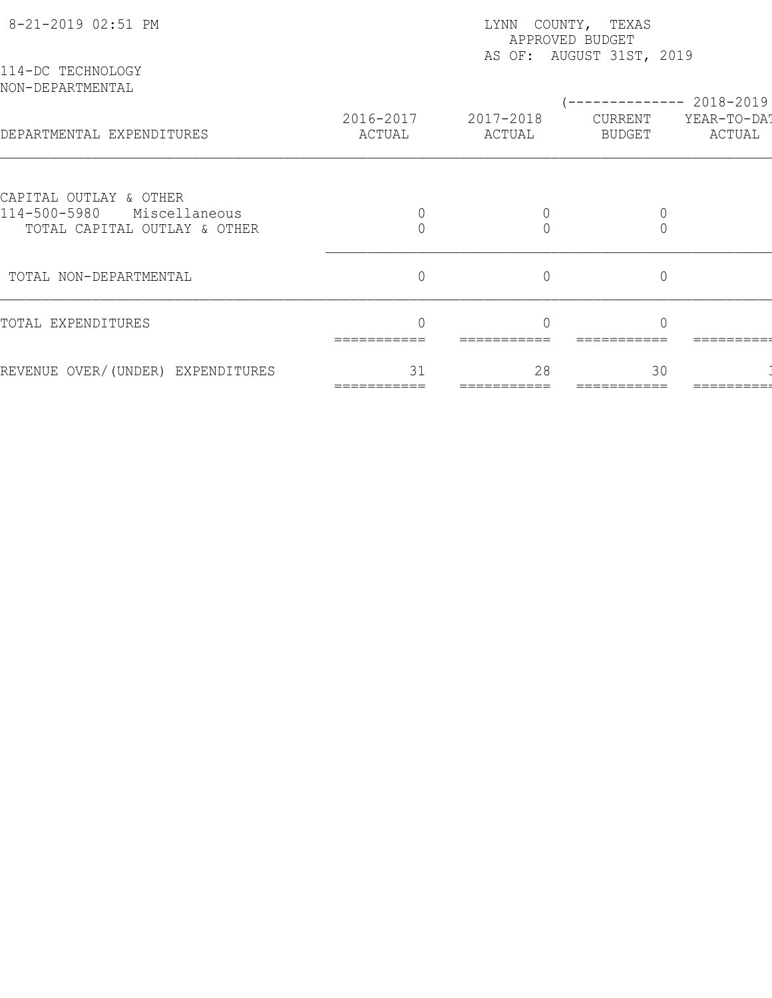| 114-DC TECHNOLOGY<br>NON-DEPARTMENTAL<br>---------- 2018-2019<br>2016-2017<br>2017-2018<br>CURRENT<br>DEPARTMENTAL EXPENDITURES<br><b>BUDGET</b><br>ACTUAL<br>ACTUAL<br>CAPITAL OUTLAY & OTHER<br>114-500-5980<br>Miscellaneous<br>0<br>TOTAL CAPITAL OUTLAY & OTHER<br>$\overline{0}$<br>$\overline{0}$<br>$\overline{0}$<br>TOTAL NON-DEPARTMENTAL<br>TOTAL EXPENDITURES<br>31<br>28<br>30<br>REVENUE OVER/(UNDER) EXPENDITURES | 8-21-2019 02:51 PM | LYNN COUNTY, TEXAS<br>APPROVED BUDGET<br>AS OF: AUGUST 31ST, 2019 |  |  |                       |  |  |
|-----------------------------------------------------------------------------------------------------------------------------------------------------------------------------------------------------------------------------------------------------------------------------------------------------------------------------------------------------------------------------------------------------------------------------------|--------------------|-------------------------------------------------------------------|--|--|-----------------------|--|--|
|                                                                                                                                                                                                                                                                                                                                                                                                                                   |                    |                                                                   |  |  |                       |  |  |
|                                                                                                                                                                                                                                                                                                                                                                                                                                   |                    |                                                                   |  |  | YEAR-TO-DAT<br>ACTUAL |  |  |
|                                                                                                                                                                                                                                                                                                                                                                                                                                   |                    |                                                                   |  |  |                       |  |  |
|                                                                                                                                                                                                                                                                                                                                                                                                                                   |                    |                                                                   |  |  |                       |  |  |
|                                                                                                                                                                                                                                                                                                                                                                                                                                   |                    |                                                                   |  |  |                       |  |  |
|                                                                                                                                                                                                                                                                                                                                                                                                                                   |                    |                                                                   |  |  |                       |  |  |
|                                                                                                                                                                                                                                                                                                                                                                                                                                   |                    |                                                                   |  |  |                       |  |  |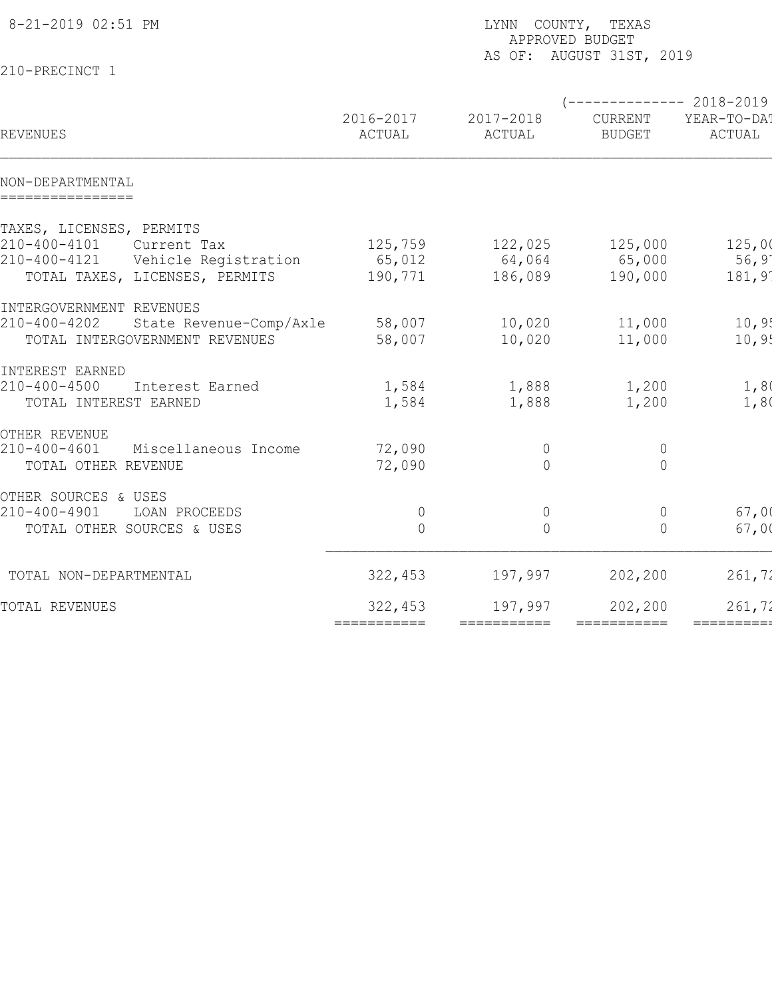| 8-21-2019 02:51 PM                         |                     | LYNN COUNTY, TEXAS<br>APPROVED BUDGET<br>AS OF: AUGUST 31ST, 2019 |                          |                       |  |  |  |
|--------------------------------------------|---------------------|-------------------------------------------------------------------|--------------------------|-----------------------|--|--|--|
| 210-PRECINCT 1                             |                     |                                                                   |                          |                       |  |  |  |
|                                            |                     |                                                                   | $---------2018-2019$     |                       |  |  |  |
| REVENUES                                   | 2016-2017<br>ACTUAL | 2017-2018<br>ACTUAL                                               | CURRENT<br><b>BUDGET</b> | YEAR-TO-DA!<br>ACTUAL |  |  |  |
| NON-DEPARTMENTAL<br>================       |                     |                                                                   |                          |                       |  |  |  |
| TAXES, LICENSES, PERMITS                   |                     |                                                                   |                          |                       |  |  |  |
| 210-400-4101<br>Current Tax                | 125,759             | 122,025                                                           | 125,000                  | 125,00                |  |  |  |
| 210-400-4121<br>Vehicle Registration       | 65,012              | 64,064                                                            | 65,000                   | 56,9'                 |  |  |  |
| TOTAL TAXES, LICENSES, PERMITS             | 190,771             | 186,089                                                           | 190,000                  | 181,91                |  |  |  |
| INTERGOVERNMENT REVENUES                   |                     |                                                                   |                          |                       |  |  |  |
| 210-400-4202<br>State Revenue-Comp/Axle    | 58,007              | 10,020                                                            | 11,000                   | 10,95                 |  |  |  |
| TOTAL INTERGOVERNMENT REVENUES             | 58,007              | 10,020                                                            | 11,000                   | 10, 95                |  |  |  |
| INTEREST EARNED                            |                     |                                                                   |                          |                       |  |  |  |
| $210 - 400 - 4500$<br>Interest Earned      | 1,584               | 1,888                                                             | 1,200                    | 1,80                  |  |  |  |
| TOTAL INTEREST EARNED                      | 1,584               | 1,888                                                             | 1,200                    | 1,80                  |  |  |  |
| OTHER REVENUE                              |                     |                                                                   |                          |                       |  |  |  |
| $210 - 400 - 4601$<br>Miscellaneous Income | 72,090              | $\overline{0}$                                                    | $\overline{0}$           |                       |  |  |  |
| TOTAL OTHER REVENUE                        | 72,090              | $\bigcap$                                                         | $\overline{0}$           |                       |  |  |  |
| OTHER SOURCES & USES                       |                     |                                                                   |                          |                       |  |  |  |
| 210-400-4901<br>LOAN PROCEEDS              | $\overline{0}$      | $\overline{0}$                                                    | $\mathbf 0$              | 67,00                 |  |  |  |
| TOTAL OTHER SOURCES & USES                 | $\overline{0}$      | $\bigcap$                                                         | $\Omega$                 | 67,00                 |  |  |  |
| TOTAL NON-DEPARTMENTAL                     | 322,453             | 197,997                                                           | 202,200                  | 261,72                |  |  |  |
| TOTAL REVENUES                             | 322,453             | 197,997                                                           | 202,200                  | 261,72                |  |  |  |
|                                            | ===========         | ===========                                                       | ===========              | ==========            |  |  |  |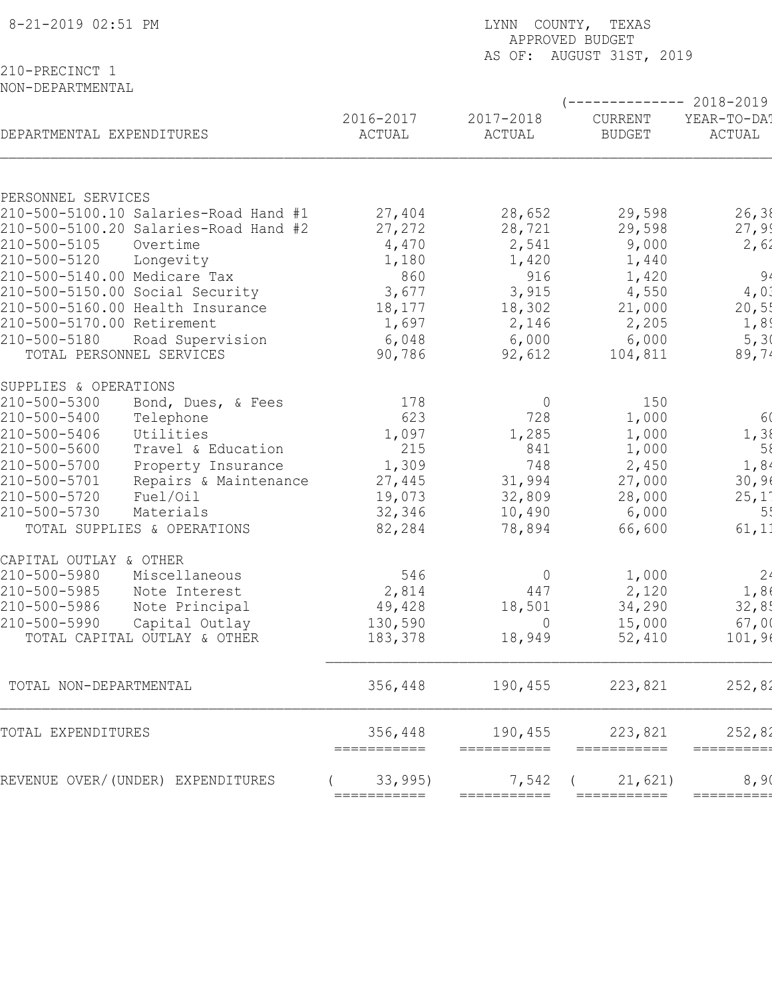| 8-21-2019 02:51 PM                                    | LYNN COUNTY, TEXAS<br>APPROVED BUDGET |                        |                                 |                        |  |  |  |
|-------------------------------------------------------|---------------------------------------|------------------------|---------------------------------|------------------------|--|--|--|
| 210-PRECINCT 1                                        |                                       |                        | AS OF: AUGUST 31ST, 2019        |                        |  |  |  |
| NON-DEPARTMENTAL                                      |                                       |                        |                                 |                        |  |  |  |
|                                                       |                                       |                        |                                 | ------------ 2018-2019 |  |  |  |
| DEPARTMENTAL EXPENDITURES                             | 2016-2017<br>ACTUAL                   | 2017-2018<br>ACTUAL    | <b>CURRENT</b><br><b>BUDGET</b> | YEAR-TO-DA!<br>ACTUAL  |  |  |  |
| PERSONNEL SERVICES                                    |                                       |                        |                                 |                        |  |  |  |
| 210-500-5100.10 Salaries-Road Hand #1                 | 27,404                                | 28,652                 | 29,598                          | 26, 38                 |  |  |  |
| 210-500-5100.20 Salaries-Road Hand #2                 | 27,272                                | 28,721                 | 29,598                          | 27,99                  |  |  |  |
| 210-500-5105<br>Overtime                              | 4,470                                 | 2,541                  | 9,000                           | 2,62                   |  |  |  |
| 210-500-5120<br>Longevity                             | 1,180                                 | 1,420                  | 1,440                           |                        |  |  |  |
| 210-500-5140.00 Medicare Tax                          | 860                                   | 916                    | 1,420                           | 94                     |  |  |  |
| 210-500-5150.00 Social Security                       | 3,677                                 | 3,915                  | 4,550                           | 4,0.1                  |  |  |  |
| 210-500-5160.00 Health Insurance                      | 18,177                                | 18,302                 | 21,000                          | 20,5!                  |  |  |  |
| 210-500-5170.00 Retirement                            | 1,697                                 | 2,146                  | 2,205                           | 1,89                   |  |  |  |
| 210-500-5180<br>Road Supervision                      | 6,048                                 | 6,000                  | 6,000                           | 5,30                   |  |  |  |
| TOTAL PERSONNEL SERVICES                              | 90,786                                | 92,612                 | 104,811                         | 89,74                  |  |  |  |
| SUPPLIES & OPERATIONS                                 |                                       |                        |                                 |                        |  |  |  |
| 210-500-5300<br>Bond, Dues, & Fees                    | 178                                   | $\overline{0}$         | 150                             |                        |  |  |  |
| 210-500-5400<br>Telephone                             | 623                                   | 728                    | 1,000                           | 60                     |  |  |  |
| 210-500-5406<br>Utilities                             | 1,097                                 | 1,285                  | 1,000                           | 1,38                   |  |  |  |
| 210-500-5600<br>Travel & Education                    | 215                                   | 841                    | 1,000                           | 58                     |  |  |  |
| 210-500-5700<br>Property Insurance                    | 1,309                                 | 748                    | 2,450                           | 1,84                   |  |  |  |
| 210-500-5701<br>Repairs & Maintenance                 | 27,445                                | 31,994                 | 27,000                          | 30,90                  |  |  |  |
| 210-500-5720<br>Fuel/Oil<br>210-500-5730<br>Materials | 19,073                                | 32,809                 | 28,000                          | 25,1'                  |  |  |  |
| TOTAL SUPPLIES & OPERATIONS                           | 32,346                                | 10,490                 | 6,000<br>66,600                 | 55<br>61, 11           |  |  |  |
|                                                       | 82,284                                | 78,894                 |                                 |                        |  |  |  |
| CAPITAL OUTLAY & OTHER                                |                                       |                        |                                 |                        |  |  |  |
| 210-500-5980<br>Miscellaneous                         | 546                                   | $\mathbf{0}$           | 1,000                           | 2 <sub>4</sub>         |  |  |  |
| 210-500-5985<br>Note Interest                         | 2,814                                 | 447                    | 2,120                           | 1,86                   |  |  |  |
| 210-500-5986<br>Note Principal                        | 49,428                                | 18,501                 | 34,290                          | 32,85                  |  |  |  |
| 210-500-5990<br>Capital Outlay                        | 130,590                               | $\overline{0}$         | 15,000                          | 67,00                  |  |  |  |
| TOTAL CAPITAL OUTLAY & OTHER                          | 183,378                               | 18,949                 | 52,410                          | 101,96                 |  |  |  |
| TOTAL NON-DEPARTMENTAL                                | 356,448                               | 190,455                | 223,821                         | 252,82                 |  |  |  |
| TOTAL EXPENDITURES                                    | 356,448<br>===========                | 190,455<br>=========== | 223,821<br>===========          | 252,82<br>==========   |  |  |  |
| REVENUE OVER/(UNDER) EXPENDITURES                     | 33,995)                               | 7,542                  | 21,621)                         | 8,90                   |  |  |  |
|                                                       | ===========                           | ===========            | ===========                     | ========               |  |  |  |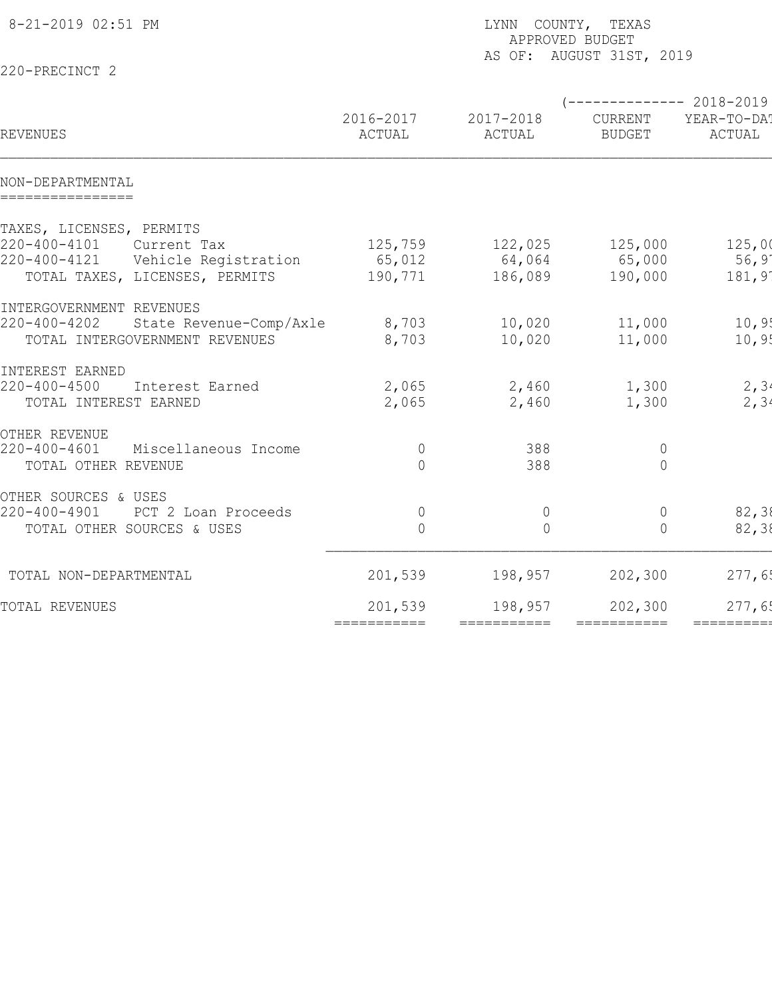| 8-21-2019 02:51 PM                         |                | LYNN COUNTY, TEXAS<br>APPROVED BUDGET<br>AS OF: AUGUST 31ST, 2019 |                                         |             |  |  |  |
|--------------------------------------------|----------------|-------------------------------------------------------------------|-----------------------------------------|-------------|--|--|--|
| 220-PRECINCT 2                             |                |                                                                   |                                         |             |  |  |  |
|                                            | 2016-2017      | 2017-2018                                                         | $---------2018-2019$<br>CURRENT         | YEAR-TO-DA! |  |  |  |
| REVENUES                                   | ACTUAL         | ACTUAL                                                            | <b>BUDGET</b>                           | ACTUAL      |  |  |  |
| NON-DEPARTMENTAL<br>================       |                |                                                                   |                                         |             |  |  |  |
| TAXES, LICENSES, PERMITS                   |                |                                                                   |                                         |             |  |  |  |
| 220-400-4101<br>Current Tax                | 125,759        | 122,025                                                           | 125,000                                 | 125,00      |  |  |  |
| 220-400-4121<br>Vehicle Registration       | 65,012         | 64,064                                                            | 65,000                                  | 56,9'       |  |  |  |
| TOTAL TAXES, LICENSES, PERMITS             | 190,771        | 186,089                                                           | 190,000                                 | 181,91      |  |  |  |
| INTERGOVERNMENT REVENUES                   |                |                                                                   |                                         |             |  |  |  |
| 220-400-4202<br>State Revenue-Comp/Axle    | 8,703          | 10,020                                                            | 11,000                                  | 10, 9!      |  |  |  |
| TOTAL INTERGOVERNMENT REVENUES             | 8,703          | 10,020                                                            | 11,000                                  | 10, 95      |  |  |  |
| INTEREST EARNED                            |                |                                                                   |                                         |             |  |  |  |
| $220 - 400 - 4500$<br>Interest Earned      | 2,065          | 2,460                                                             | 1,300                                   | 2, 34       |  |  |  |
| TOTAL INTEREST EARNED                      | 2,065          | 2,460                                                             | 1,300                                   | 2, 34       |  |  |  |
| OTHER REVENUE                              |                |                                                                   |                                         |             |  |  |  |
| $220 - 400 - 4601$<br>Miscellaneous Income | $\mathbb O$    | 388                                                               | $\overline{0}$                          |             |  |  |  |
| TOTAL OTHER REVENUE                        | $\Omega$       | 388                                                               | $\overline{0}$                          |             |  |  |  |
| OTHER SOURCES & USES                       |                |                                                                   |                                         |             |  |  |  |
| 220-400-4901<br>PCT 2 Loan Proceeds        | $\overline{0}$ | $\overline{0}$                                                    | $\mathbf 0$                             | 82,38       |  |  |  |
| TOTAL OTHER SOURCES & USES                 | $\bigcap$      | $\bigcap$                                                         | $\Omega$                                | 82,38       |  |  |  |
| TOTAL NON-DEPARTMENTAL                     | 201,539        | 198,957                                                           | 202,300                                 | 277,65      |  |  |  |
|                                            |                |                                                                   |                                         |             |  |  |  |
| TOTAL REVENUES                             | 201,539        | 198,957                                                           | 202,300                                 | 277,65      |  |  |  |
|                                            | ===========    | ===========                                                       | $=$ $=$ $=$ $=$ $=$ $=$ $=$ $=$ $=$ $=$ | ==========  |  |  |  |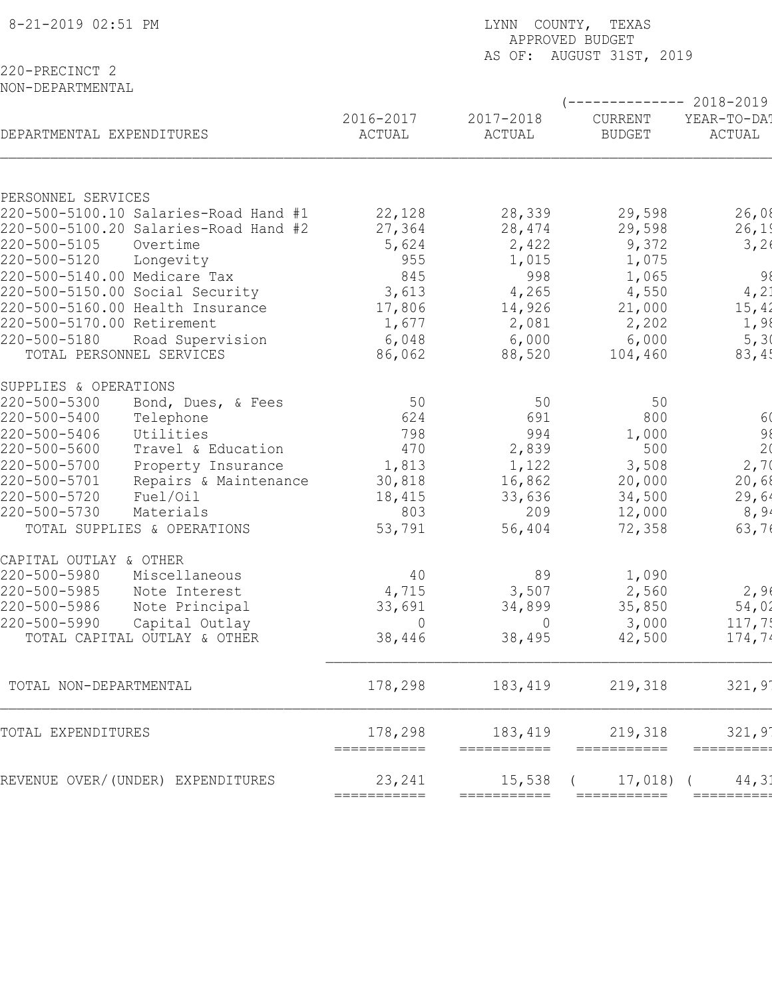| 8-21-2019 02:51 PM                                          | LYNN COUNTY, TEXAS<br>APPROVED BUDGET |                        |                          |                        |  |  |
|-------------------------------------------------------------|---------------------------------------|------------------------|--------------------------|------------------------|--|--|
| 220-PRECINCT 2<br>NON-DEPARTMENTAL                          |                                       |                        | AS OF: AUGUST 31ST, 2019 |                        |  |  |
|                                                             |                                       |                        |                          | ------------ 2018-2019 |  |  |
| DEPARTMENTAL EXPENDITURES                                   | 2016-2017<br>ACTUAL                   | 2017-2018<br>ACTUAL    | CURRENT<br><b>BUDGET</b> | YEAR-TO-DA!<br>ACTUAL  |  |  |
|                                                             |                                       |                        |                          |                        |  |  |
| PERSONNEL SERVICES<br>220-500-5100.10 Salaries-Road Hand #1 | 22,128                                | 28,339                 | 29,598                   | 26,08                  |  |  |
| 220-500-5100.20 Salaries-Road Hand #2                       | 27,364                                | 28,474                 | 29,598                   | 26,19                  |  |  |
| 220-500-5105<br>Overtime                                    | 5,624                                 | 2,422                  | 9,372                    | 3,26                   |  |  |
| 220-500-5120<br>Longevity                                   | 955                                   | 1,015                  | 1,075                    |                        |  |  |
| 220-500-5140.00 Medicare Tax                                | 845                                   | 998                    | 1,065                    | 98                     |  |  |
| 220-500-5150.00 Social Security                             | 3,613                                 | 4,265                  | 4,550                    | 4, 21                  |  |  |
| 220-500-5160.00 Health Insurance                            | 17,806                                | 14,926                 | 21,000                   | 15,42                  |  |  |
| 220-500-5170.00 Retirement                                  | 1,677                                 | 2,081                  | 2,202                    | 1,98                   |  |  |
| 220-500-5180<br>Road Supervision                            | 6,048                                 | 6,000                  | 6,000                    | 5, 30                  |  |  |
| TOTAL PERSONNEL SERVICES                                    | 86,062                                | 88,520                 | 104,460                  | 83,45                  |  |  |
| SUPPLIES & OPERATIONS                                       |                                       |                        |                          |                        |  |  |
| 220-500-5300<br>Bond, Dues, & Fees                          | 50                                    | 50                     | 50                       |                        |  |  |
| 220-500-5400<br>Telephone                                   | 624                                   | 691                    | 800                      | 6(                     |  |  |
| 220-500-5406<br>Utilities                                   | 798                                   | 994                    | 1,000                    | 98                     |  |  |
| 220-500-5600<br>Travel & Education                          | 470                                   | 2,839                  | 500                      | 2 <sub>0</sub>         |  |  |
| 220-500-5700<br>Property Insurance                          | 1,813                                 | 1,122                  | 3,508                    | 2,70                   |  |  |
| 220-500-5701<br>Repairs & Maintenance                       | 30,818                                | 16,862                 | 20,000                   | 20,68                  |  |  |
| 220-500-5720<br>Fuel/Oil                                    | 18,415                                | 33,636                 | 34,500                   | 29,64                  |  |  |
| 220-500-5730<br>Materials                                   | 803                                   | 209                    | 12,000                   | 8,94                   |  |  |
| TOTAL SUPPLIES & OPERATIONS                                 | 53,791                                | 56,404                 | 72,358                   | 63,76                  |  |  |
| CAPITAL OUTLAY & OTHER                                      |                                       |                        |                          |                        |  |  |
| 220-500-5980<br>Miscellaneous                               | 40                                    | 89                     | 1,090                    |                        |  |  |
| 220-500-5985<br>Note Interest                               | 4,715                                 | 3,507                  | 2,560                    | 2,96                   |  |  |
| 220-500-5986<br>Note Principal                              | 33,691                                | 34,899                 | 35,850                   | 54,02                  |  |  |
| 220-500-5990<br>Capital Outlay                              | $\overline{0}$                        | $\overline{0}$         | 3,000                    | 117,75                 |  |  |
| TOTAL CAPITAL OUTLAY & OTHER                                | 38,446                                | 38,495                 | 42,500                   | 174,74                 |  |  |
|                                                             |                                       |                        |                          |                        |  |  |
| TOTAL NON-DEPARTMENTAL                                      | 178,298                               | 183,419                | 219,318                  | 321,9'                 |  |  |
| TOTAL EXPENDITURES                                          | 178,298<br>===========                | 183,419<br>=========== | 219,318<br>===========   | 321,9'<br>==========   |  |  |
| REVENUE OVER/(UNDER) EXPENDITURES                           | 23,241                                | 15,538                 | $17,018$ (               | 44,31                  |  |  |
|                                                             | ===========                           | ===========            | ===========              | ========               |  |  |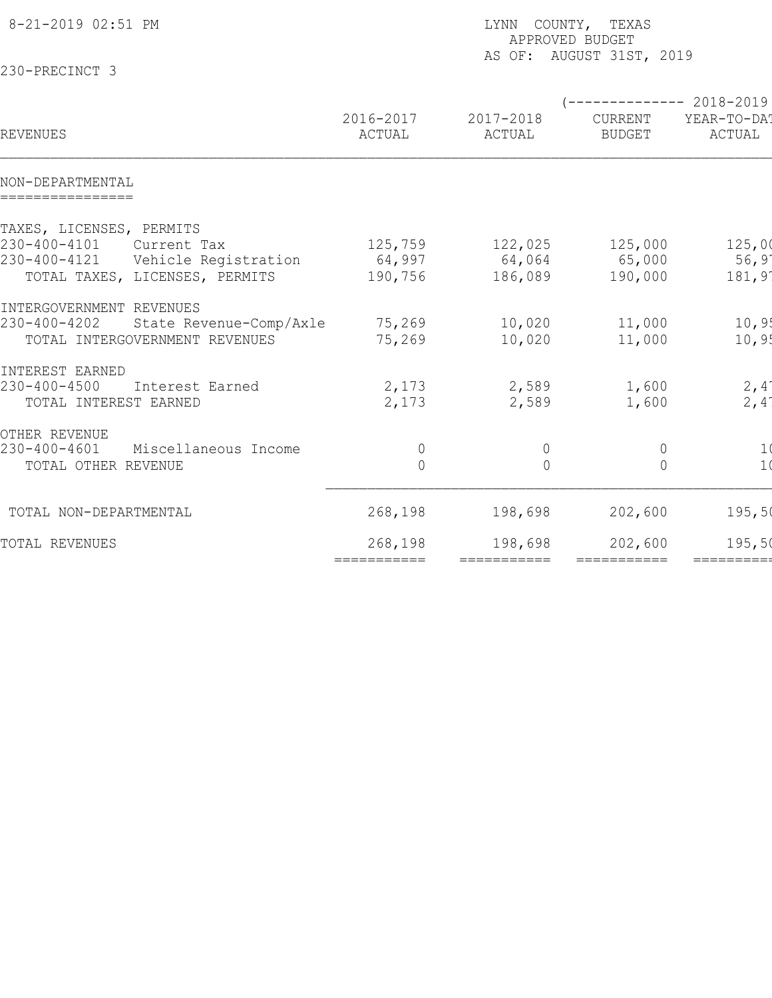| 8-21-2019 02:51 PM                      |                     | LYNN COUNTY, TEXAS<br>APPROVED BUDGET<br>AS OF: AUGUST 31ST, 2019 |                           |                       |  |  |  |
|-----------------------------------------|---------------------|-------------------------------------------------------------------|---------------------------|-----------------------|--|--|--|
| 230-PRECINCT 3                          |                     |                                                                   |                           |                       |  |  |  |
|                                         |                     |                                                                   | (-------------- 2018-2019 |                       |  |  |  |
| REVENUES                                | 2016-2017<br>ACTUAL | 2017-2018<br>ACTUAL                                               | CURRENT<br><b>BUDGET</b>  | YEAR-TO-DA!<br>ACTUAL |  |  |  |
| NON-DEPARTMENTAL<br>================    |                     |                                                                   |                           |                       |  |  |  |
| TAXES, LICENSES, PERMITS                |                     |                                                                   |                           |                       |  |  |  |
| 230-400-4101<br>Current Tax             | 125,759             | 122,025                                                           | 125,000                   | 125,00                |  |  |  |
| 230-400-4121<br>Vehicle Registration    | 64,997              | 64,064                                                            | 65,000                    | $56, 9^{\circ}$       |  |  |  |
| TOTAL TAXES, LICENSES, PERMITS          | 190,756             | 186,089                                                           | 190,000                   | 181,91                |  |  |  |
| INTERGOVERNMENT REVENUES                |                     |                                                                   |                           |                       |  |  |  |
| 230-400-4202<br>State Revenue-Comp/Axle | 75,269              | 10,020                                                            | 11,000                    | 10,95                 |  |  |  |
| TOTAL INTERGOVERNMENT REVENUES          | 75,269              | 10,020                                                            | 11,000                    | 10, 95                |  |  |  |
| INTEREST EARNED                         |                     |                                                                   |                           |                       |  |  |  |
| 230-400-4500<br>Interest Earned         | 2,173               | 2,589                                                             | 1,600                     | 2,4'                  |  |  |  |
| TOTAL INTEREST EARNED                   | 2,173               | 2,589                                                             | 1,600                     | $2,4^{\circ}$         |  |  |  |
| OTHER REVENUE                           |                     |                                                                   |                           |                       |  |  |  |
| 230-400-4601<br>Miscellaneous Income    | $\overline{0}$      | $\overline{0}$                                                    | $\overline{0}$            | 1(                    |  |  |  |
| TOTAL OTHER REVENUE                     | $\overline{0}$      | $\overline{0}$                                                    | $\overline{0}$            | 1 <sub>0</sub>        |  |  |  |
| TOTAL NON-DEPARTMENTAL                  | 268,198             | 198,698                                                           | 202,600                   | 195,50                |  |  |  |
| TOTAL REVENUES                          | 268,198             | 198,698                                                           | 202,600                   | 195,50                |  |  |  |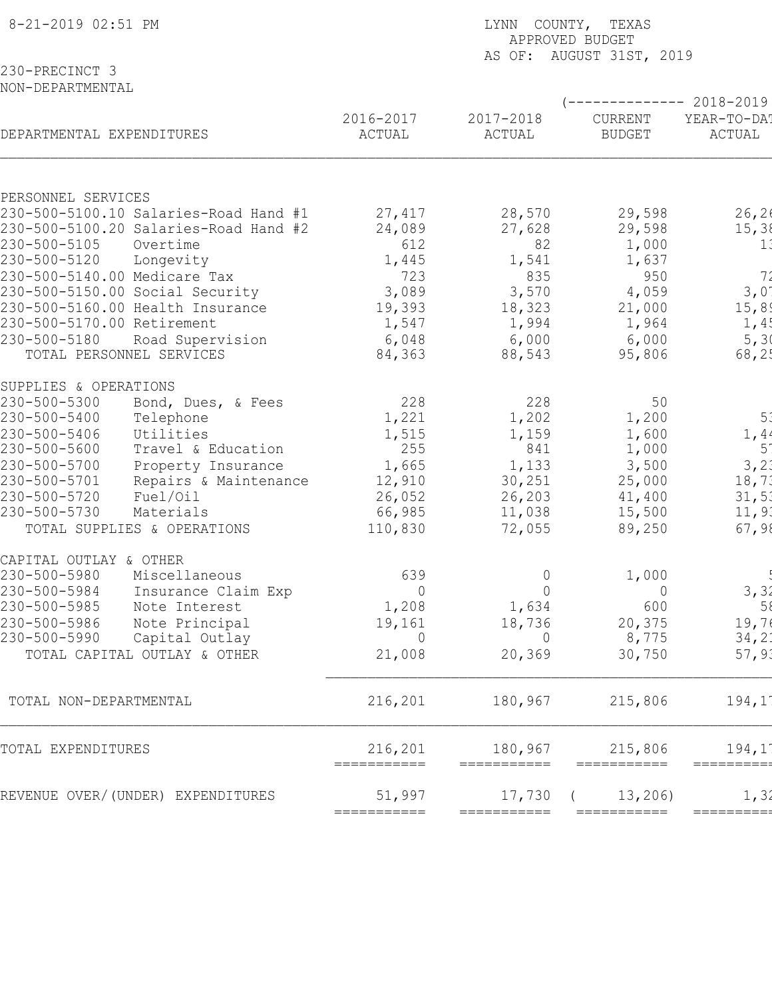| 8-21-2019 02:51 PM                 |                                       | LYNN COUNTY, TEXAS<br>APPROVED BUDGET<br>AS OF: AUGUST 31ST, 2019 |                         |                          |                                                 |  |  |  |
|------------------------------------|---------------------------------------|-------------------------------------------------------------------|-------------------------|--------------------------|-------------------------------------------------|--|--|--|
| 230-PRECINCT 3<br>NON-DEPARTMENTAL |                                       |                                                                   |                         |                          |                                                 |  |  |  |
| DEPARTMENTAL EXPENDITURES          |                                       | 2016-2017<br>ACTUAL                                               | 2017-2018<br>ACTUAL     | CURRENT<br><b>BUDGET</b> | ------------ 2018-2019<br>YEAR-TO-DA!<br>ACTUAL |  |  |  |
|                                    |                                       |                                                                   |                         |                          |                                                 |  |  |  |
| PERSONNEL SERVICES                 |                                       |                                                                   |                         |                          |                                                 |  |  |  |
|                                    | 230-500-5100.10 Salaries-Road Hand #1 | 27,417                                                            | 28,570                  | 29,598                   | 26, 26                                          |  |  |  |
|                                    | 230-500-5100.20 Salaries-Road Hand #2 | 24,089                                                            | 27,628                  | 29,598                   | 15, 38                                          |  |  |  |
| 230-500-5105<br>230-500-5120       | Overtime<br>Longevity                 | 612<br>1,445                                                      | 82<br>1,541             | 1,000<br>1,637           | 1:                                              |  |  |  |
| 230-500-5140.00 Medicare Tax       |                                       | 723                                                               | 835                     | 950                      | 72                                              |  |  |  |
|                                    | 230-500-5150.00 Social Security       | 3,089                                                             | 3,570                   | 4,059                    | $3,0^\circ$                                     |  |  |  |
|                                    | 230-500-5160.00 Health Insurance      | 19,393                                                            | 18,323                  | 21,000                   | 15,89                                           |  |  |  |
| 230-500-5170.00 Retirement         |                                       | 1,547                                                             | 1,994                   | 1,964                    | 1,4!                                            |  |  |  |
| 230-500-5180                       | Road Supervision                      | 6,048                                                             | 6,000                   | 6,000                    | 5, 30                                           |  |  |  |
| TOTAL PERSONNEL SERVICES           |                                       | 84,363                                                            | 88,543                  | 95,806                   | 68, 25                                          |  |  |  |
| SUPPLIES & OPERATIONS              |                                       |                                                                   |                         |                          |                                                 |  |  |  |
| 230-500-5300                       | Bond, Dues, & Fees                    | 228                                                               | 228                     | 50                       |                                                 |  |  |  |
| 230-500-5400                       | Telephone                             | 1,221                                                             | 1,202                   | 1,200                    | 5 <sup>2</sup>                                  |  |  |  |
| 230-500-5406                       | Utilities                             | 1,515                                                             | 1,159                   | 1,600                    | 1,44                                            |  |  |  |
| 230-500-5600                       | Travel & Education                    | 255                                                               | 841                     | 1,000                    | 5 <sup>1</sup>                                  |  |  |  |
| 230-500-5700                       | Property Insurance                    | 1,665                                                             | 1,133                   | 3,500                    | 3, 2.                                           |  |  |  |
| 230-500-5701                       | Repairs & Maintenance                 | 12,910                                                            | 30,251                  | 25,000                   | 18,73                                           |  |  |  |
| 230-500-5720                       | Fuel/Oil                              | 26,052                                                            | 26,203                  | 41,400                   | 31,51                                           |  |  |  |
| 230-500-5730                       | Materials                             | 66,985                                                            | 11,038                  | 15,500                   | 11,91                                           |  |  |  |
|                                    | TOTAL SUPPLIES & OPERATIONS           | 110,830                                                           | 72,055                  | 89,250                   | 67,98                                           |  |  |  |
| CAPITAL OUTLAY & OTHER             |                                       |                                                                   |                         |                          |                                                 |  |  |  |
| 230-500-5980<br>230-500-5984       | Miscellaneous                         | 639                                                               | $\overline{0}$          | 1,000                    |                                                 |  |  |  |
| 230-500-5985                       | Insurance Claim Exp<br>Note Interest  | $\overline{0}$<br>1,208                                           | $\overline{0}$<br>1,634 | $\overline{0}$<br>600    | 3, 31<br>58                                     |  |  |  |
| 230-500-5986                       | Note Principal                        | 19,161                                                            | 18,736                  | 20,375                   | 19,74                                           |  |  |  |
| 230-500-5990                       | Capital Outlay                        | $\overline{0}$                                                    | $\overline{0}$          | 8,775                    | 34,21                                           |  |  |  |
|                                    | TOTAL CAPITAL OUTLAY & OTHER          | 21,008                                                            | 20, 369                 | 30,750                   | 57, 93                                          |  |  |  |
|                                    |                                       |                                                                   |                         |                          |                                                 |  |  |  |
| TOTAL NON-DEPARTMENTAL             |                                       | 216,201                                                           | 180,967                 | 215,806                  | 194,1'                                          |  |  |  |
| TOTAL EXPENDITURES                 |                                       | 216,201<br>===========                                            | 180,967<br>===========  | 215,806<br>===========   | 194,1<br>=========                              |  |  |  |
|                                    | REVENUE OVER/(UNDER) EXPENDITURES     | 51,997                                                            | 17,730                  | 13, 206                  | 1, 31                                           |  |  |  |
|                                    |                                       | ===========                                                       | ===========             | ===========              | =========                                       |  |  |  |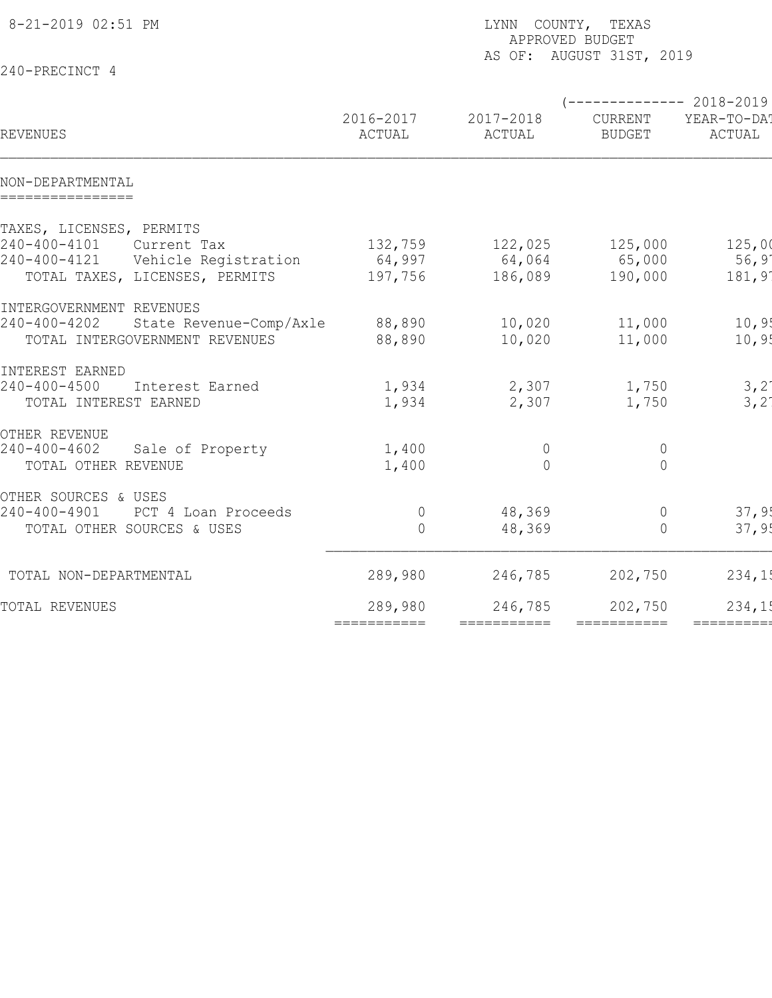| 8-21-2019 02:51 PM                      |             | LYNN COUNTY, TEXAS<br>APPROVED BUDGET<br>AS OF: AUGUST 31ST, 2019 |                                 |                |  |  |  |
|-----------------------------------------|-------------|-------------------------------------------------------------------|---------------------------------|----------------|--|--|--|
| 240-PRECINCT 4                          |             |                                                                   |                                 |                |  |  |  |
|                                         | 2016-2017   | 2017-2018                                                         | $---------2018-2019$<br>CURRENT | YEAR-TO-DA!    |  |  |  |
| REVENUES                                | ACTUAL      | ACTUAL                                                            | <b>BUDGET</b>                   | ACTUAL         |  |  |  |
| NON-DEPARTMENTAL<br>================    |             |                                                                   |                                 |                |  |  |  |
| TAXES, LICENSES, PERMITS                |             |                                                                   |                                 |                |  |  |  |
| 240-400-4101<br>Current Tax             | 132,759     | 122,025                                                           | 125,000                         | 125,00         |  |  |  |
| 240-400-4121<br>Vehicle Registration    | 64,997      | 64,064                                                            | 65,000                          | $56,9^{\circ}$ |  |  |  |
| TOTAL TAXES, LICENSES, PERMITS          | 197,756     | 186,089                                                           | 190,000                         | 181,91         |  |  |  |
| INTERGOVERNMENT REVENUES                |             |                                                                   |                                 |                |  |  |  |
| 240-400-4202<br>State Revenue-Comp/Axle | 88,890      | 10,020                                                            | 11,000                          | 10, 9!         |  |  |  |
| TOTAL INTERGOVERNMENT REVENUES          | 88,890      | 10,020                                                            | 11,000                          | 10, 95         |  |  |  |
| INTEREST EARNED                         |             |                                                                   |                                 |                |  |  |  |
| 240-400-4500<br>Interest Earned         | 1,934       | 2,307                                                             | 1,750                           | 3,21           |  |  |  |
| TOTAL INTEREST EARNED                   | 1,934       | 2,307                                                             | 1,750                           | $3,2^{\circ}$  |  |  |  |
| OTHER REVENUE                           |             |                                                                   |                                 |                |  |  |  |
| $240 - 400 - 4602$<br>Sale of Property  | 1,400       | $\overline{0}$                                                    | $\overline{0}$                  |                |  |  |  |
| TOTAL OTHER REVENUE                     | 1,400       | $\bigcap$                                                         | $\overline{0}$                  |                |  |  |  |
| OTHER SOURCES & USES                    |             |                                                                   |                                 |                |  |  |  |
| 240-400-4901<br>PCT 4 Loan Proceeds     | $\mathbb O$ | 48,369                                                            | $\mathbb O$                     | 37,9!          |  |  |  |
| TOTAL OTHER SOURCES & USES              | $\Omega$    | 48,369                                                            | $\Omega$                        | 37,95          |  |  |  |
| TOTAL NON-DEPARTMENTAL                  | 289,980     | 246,785                                                           | 202,750                         | 234,15         |  |  |  |
| TOTAL REVENUES                          | 289,980     | 246,785                                                           | 202,750                         | 234,15         |  |  |  |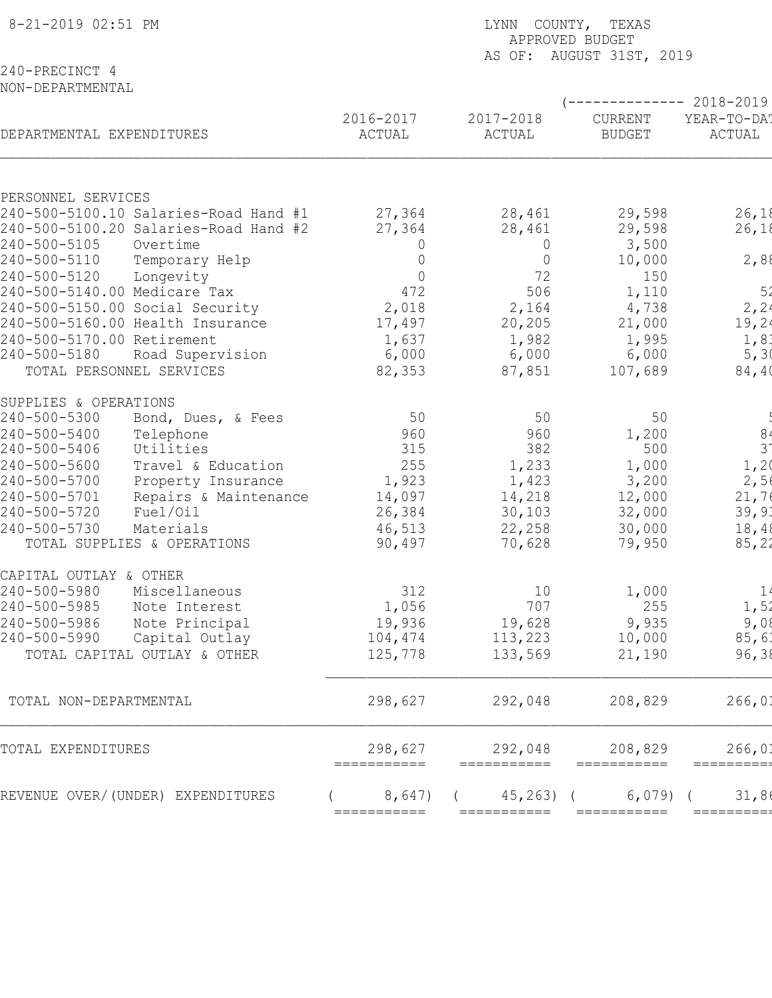| 8-21-2019 02:51 PM                                                          | LYNN COUNTY, TEXAS<br>APPROVED BUDGET<br>AS OF: AUGUST 31ST, 2019 |                           |                          |                                                 |  |  |  |
|-----------------------------------------------------------------------------|-------------------------------------------------------------------|---------------------------|--------------------------|-------------------------------------------------|--|--|--|
| 240-PRECINCT 4<br>NON-DEPARTMENTAL                                          |                                                                   |                           |                          |                                                 |  |  |  |
| DEPARTMENTAL EXPENDITURES                                                   | 2016-2017<br>ACTUAL                                               | 2017-2018<br>ACTUAL       | CURRENT<br><b>BUDGET</b> | ------------ 2018-2019<br>YEAR-TO-DA!<br>ACTUAL |  |  |  |
|                                                                             |                                                                   |                           |                          |                                                 |  |  |  |
| PERSONNEL SERVICES                                                          |                                                                   |                           |                          |                                                 |  |  |  |
| 240-500-5100.10 Salaries-Road Hand #1                                       | 27,364                                                            | 28,461                    | 29,598                   | 26,18                                           |  |  |  |
| 240-500-5100.20 Salaries-Road Hand #2<br>240-500-5105<br>Overtime           | 27,364<br>$\overline{0}$                                          | 28,461                    | 29,598<br>3,500          | 26,18                                           |  |  |  |
| 240-500-5110<br>Temporary Help                                              | 0                                                                 | $\circ$<br>$\overline{0}$ | 10,000                   | 2,88                                            |  |  |  |
| 240-500-5120<br>Longevity                                                   | $\overline{0}$                                                    | 72                        | 150                      |                                                 |  |  |  |
| 240-500-5140.00 Medicare Tax                                                | 472                                                               | 506                       | 1,110                    | 52                                              |  |  |  |
| 240-500-5150.00 Social Security                                             | 2,018                                                             | 2,164                     | 4,738                    | 2, 24                                           |  |  |  |
| 240-500-5160.00 Health Insurance                                            | 17,497                                                            | 20, 205                   | 21,000                   | 19, 24                                          |  |  |  |
| 240-500-5170.00 Retirement                                                  | 1,637                                                             | 1,982                     | 1,995                    | 1,83                                            |  |  |  |
| 240-500-5180<br>Road Supervision                                            | 6,000                                                             | 6,000                     | 6,000                    | 5, 30                                           |  |  |  |
| TOTAL PERSONNEL SERVICES                                                    | 82,353                                                            | 87,851                    | 107,689                  | 84, 40                                          |  |  |  |
| SUPPLIES & OPERATIONS                                                       |                                                                   |                           |                          |                                                 |  |  |  |
| 240-500-5300<br>Bond, Dues, & Fees                                          | 50                                                                | 50                        | 50                       |                                                 |  |  |  |
| 240-500-5400<br>Telephone                                                   | 960                                                               | 960                       | 1,200                    | 8 <sub>4</sub>                                  |  |  |  |
| 240-500-5406<br>Utilities                                                   | 315                                                               | 382                       | 500                      | 3 <sup>1</sup>                                  |  |  |  |
| 240-500-5600<br>Travel & Education                                          | 255                                                               | 1,233                     | 1,000                    | 1,20                                            |  |  |  |
| 240-500-5700<br>Property Insurance<br>Repairs & Maintenance<br>240-500-5701 | 1,923                                                             | 1,423                     | 3,200                    | 2,56                                            |  |  |  |
| 240-500-5720<br>Fuel/Oil                                                    | 14,097<br>26,384                                                  | 14,218<br>30,103          | 12,000<br>32,000         | 21,70<br>39, 93                                 |  |  |  |
| 240-500-5730<br>Materials                                                   | 46,513                                                            | 22,258                    | 30,000                   | 18,48                                           |  |  |  |
| TOTAL SUPPLIES & OPERATIONS                                                 | 90,497                                                            | 70,628                    | 79,950                   | 85, 22                                          |  |  |  |
| CAPITAL OUTLAY & OTHER                                                      |                                                                   |                           |                          |                                                 |  |  |  |
| 240-500-5980<br>Miscellaneous                                               | 312                                                               | 10                        | 1,000                    | 1 <sup>4</sup>                                  |  |  |  |
| 240-500-5985<br>Note Interest                                               | 1,056                                                             | 707                       | 255                      | 1,52                                            |  |  |  |
| 240-500-5986<br>Note Principal                                              | 19,936                                                            | 19,628                    | 9,935                    | 9,08                                            |  |  |  |
| 240-500-5990<br>Capital Outlay                                              | 104,474                                                           | 113,223                   | 10,000                   | 85,61                                           |  |  |  |
| TOTAL CAPITAL OUTLAY & OTHER                                                | 125,778                                                           | 133,569                   | 21,190                   | 96, 38                                          |  |  |  |
| TOTAL NON-DEPARTMENTAL                                                      | 298,627                                                           | 292,048                   | 208,829                  | 266,01                                          |  |  |  |
| TOTAL EXPENDITURES                                                          | 298,627<br>===========                                            | 292,048<br>===========    | 208,829<br>===========   | 266,01<br>==========                            |  |  |  |
| REVENUE OVER/(UNDER) EXPENDITURES                                           | 8,647)                                                            | 45, 263)                  | $6,079$ (                | 31,80                                           |  |  |  |
|                                                                             | ===========                                                       | ===========               | ===========              | =========                                       |  |  |  |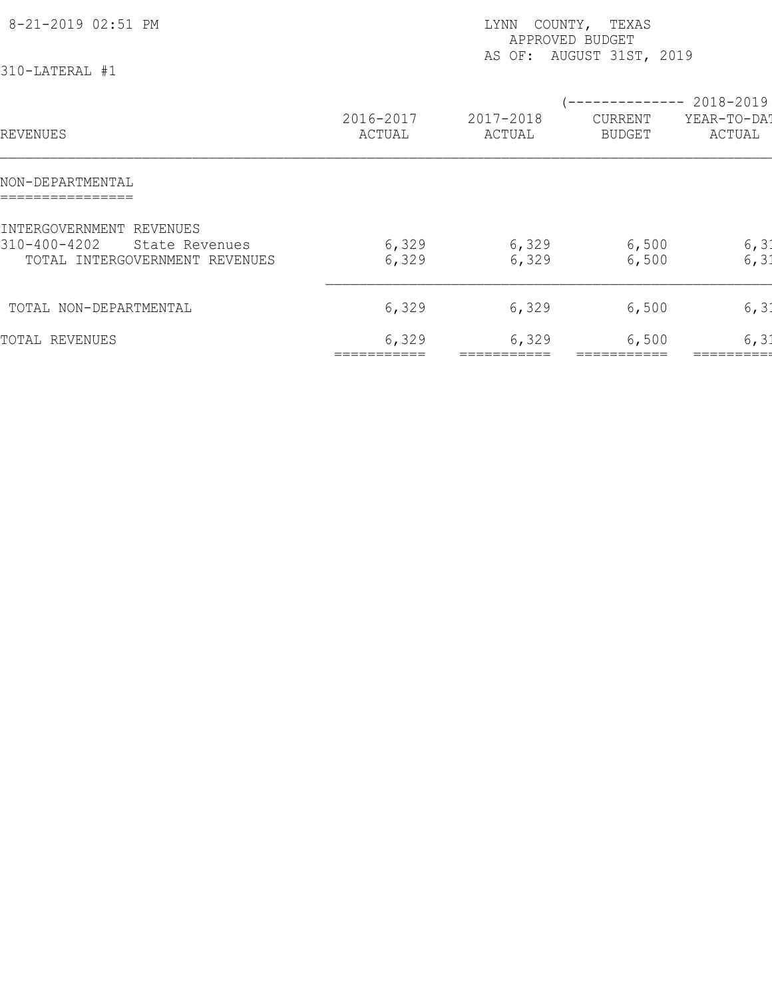| 8-21-2019 02:51 PM<br>310-LATERAL #1                                                         |                     | COUNTY, TEXAS<br>LYNN<br>APPROVED BUDGET<br>AS OF: AUGUST 31ST, 2019 |                          |                                    |  |  |  |
|----------------------------------------------------------------------------------------------|---------------------|----------------------------------------------------------------------|--------------------------|------------------------------------|--|--|--|
| REVENUES                                                                                     | 2016-2017<br>ACTUAL | 2017-2018<br>ACTUAL                                                  | CURRENT<br><b>BUDGET</b> | 2018-2019<br>YEAR-TO-DAT<br>ACTUAL |  |  |  |
| NON-DEPARTMENTAL                                                                             |                     |                                                                      |                          |                                    |  |  |  |
| INTERGOVERNMENT REVENUES<br>310-400-4202<br>State Revenues<br>TOTAL INTERGOVERNMENT REVENUES | 6,329<br>6,329      | 6,329<br>6,329                                                       | 6,500<br>6,500           | 6, 31<br>6, 31                     |  |  |  |
| TOTAL NON-DEPARTMENTAL                                                                       | 6,329               | 6,329                                                                | 6,500                    | 6, 31                              |  |  |  |
| TOTAL REVENUES                                                                               | 6,329               | 6,329                                                                | 6,500                    | 6, 31                              |  |  |  |
|                                                                                              |                     |                                                                      |                          |                                    |  |  |  |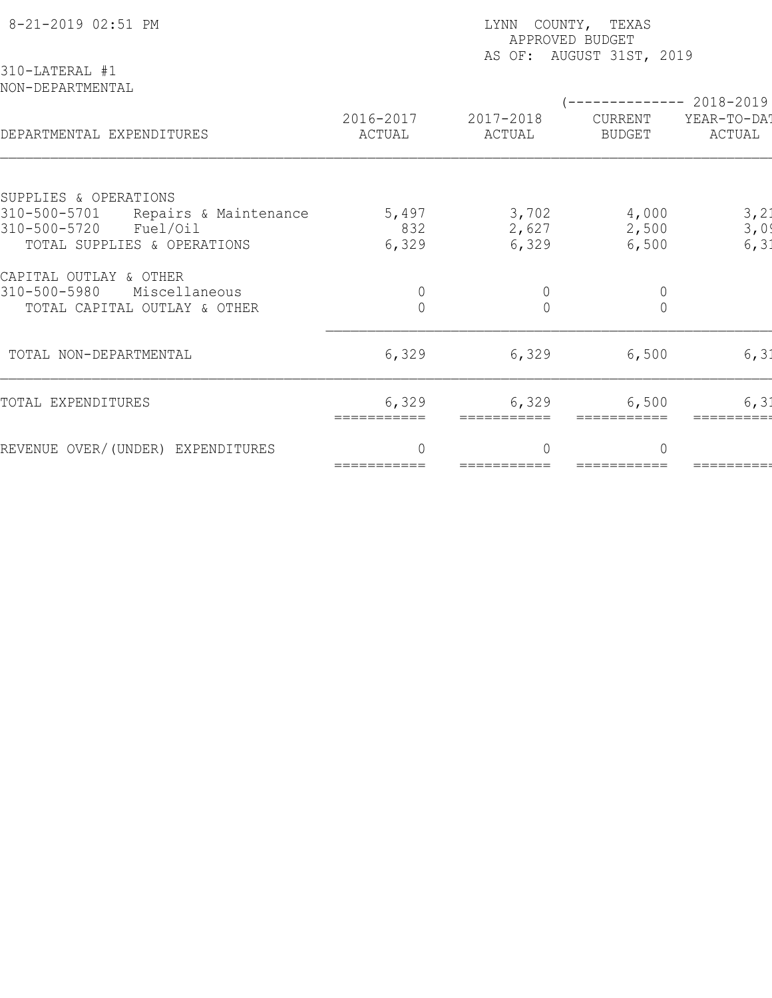| 8-21-2019 02:51 PM<br>310-LATERAL #1                              | LYNN COUNTY, TEXAS<br>APPROVED BUDGET<br>AS OF: AUGUST 31ST, 2019 |                          |                                       |              |  |  |  |
|-------------------------------------------------------------------|-------------------------------------------------------------------|--------------------------|---------------------------------------|--------------|--|--|--|
| NON-DEPARTMENTAL                                                  | 2016-2017                                                         | 2017-2018                | (-------------- 2018-2019)<br>CURRENT | YEAR-TO-DAT  |  |  |  |
| DEPARTMENTAL EXPENDITURES                                         | ACTUAL                                                            | ACTUAL                   | <b>BUDGET</b>                         | ACTUAL       |  |  |  |
| SUPPLIES & OPERATIONS                                             |                                                                   |                          |                                       |              |  |  |  |
| 310-500-5701<br>Repairs & Maintenance<br>310-500-5720<br>Fuel/Oil | 5,497<br>832                                                      | 3,702<br>2,627           | 4,000<br>2,500                        | 3, 21<br>3,0 |  |  |  |
| TOTAL SUPPLIES & OPERATIONS                                       | 6,329                                                             | 6,329                    | 6,500                                 | 6, 31        |  |  |  |
|                                                                   |                                                                   |                          |                                       |              |  |  |  |
| CAPITAL OUTLAY & OTHER                                            |                                                                   |                          |                                       |              |  |  |  |
| 310-500-5980<br>Miscellaneous                                     | $\circ$                                                           | $\theta$                 | $\mathbb O$                           |              |  |  |  |
| TOTAL CAPITAL OUTLAY & OTHER                                      | $\circ$                                                           | $\overline{0}$           | $\overline{0}$                        |              |  |  |  |
| TOTAL NON-DEPARTMENTAL                                            | 6,329                                                             | 6,329                    | 6,500                                 | 6, 31        |  |  |  |
| TOTAL EXPENDITURES                                                | 6,329<br>===========                                              | 6,329<br>===========     | 6,500                                 | 6, 31        |  |  |  |
| REVENUE OVER/(UNDER) EXPENDITURES                                 | $\Omega$<br>===========                                           | $\bigcap$<br>=========== | $\Omega$                              |              |  |  |  |
|                                                                   |                                                                   |                          |                                       |              |  |  |  |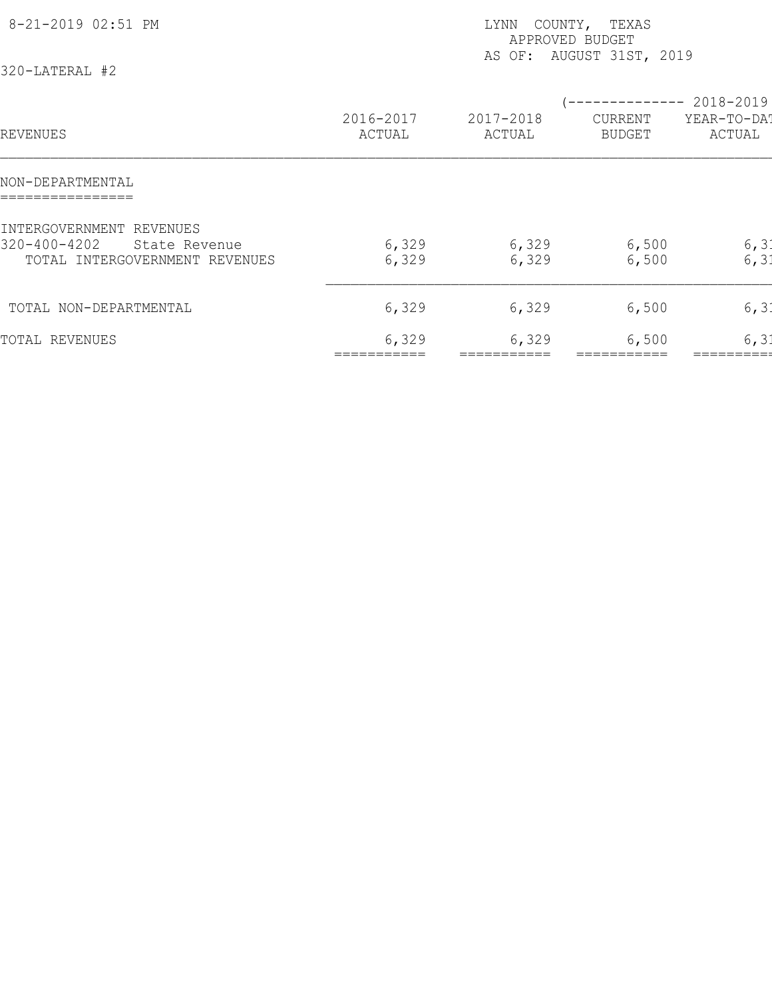| 8-21-2019 02:51 PM<br>320-LATERAL #2                                                        | COUNTY, TEXAS<br>LYNN<br>APPROVED BUDGET<br>AS OF: AUGUST 31ST, 2019 |                     |                          |                                    |  |  |
|---------------------------------------------------------------------------------------------|----------------------------------------------------------------------|---------------------|--------------------------|------------------------------------|--|--|
| REVENUES                                                                                    | 2016-2017<br>ACTUAL                                                  | 2017-2018<br>ACTUAL | CURRENT<br><b>BUDGET</b> | 2018-2019<br>YEAR-TO-DAT<br>ACTUAL |  |  |
| NON-DEPARTMENTAL                                                                            |                                                                      |                     |                          |                                    |  |  |
| INTERGOVERNMENT REVENUES<br>320-400-4202<br>State Revenue<br>TOTAL INTERGOVERNMENT REVENUES | 6,329<br>6,329                                                       | 6,329<br>6,329      | 6,500<br>6,500           | 6, 31<br>6, 31                     |  |  |
| TOTAL NON-DEPARTMENTAL                                                                      | 6,329                                                                | 6,329               | 6,500                    | 6, 31                              |  |  |
| TOTAL REVENUES                                                                              | 6,329                                                                | 6,329               | 6,500                    | 6, 31                              |  |  |
|                                                                                             |                                                                      |                     |                          |                                    |  |  |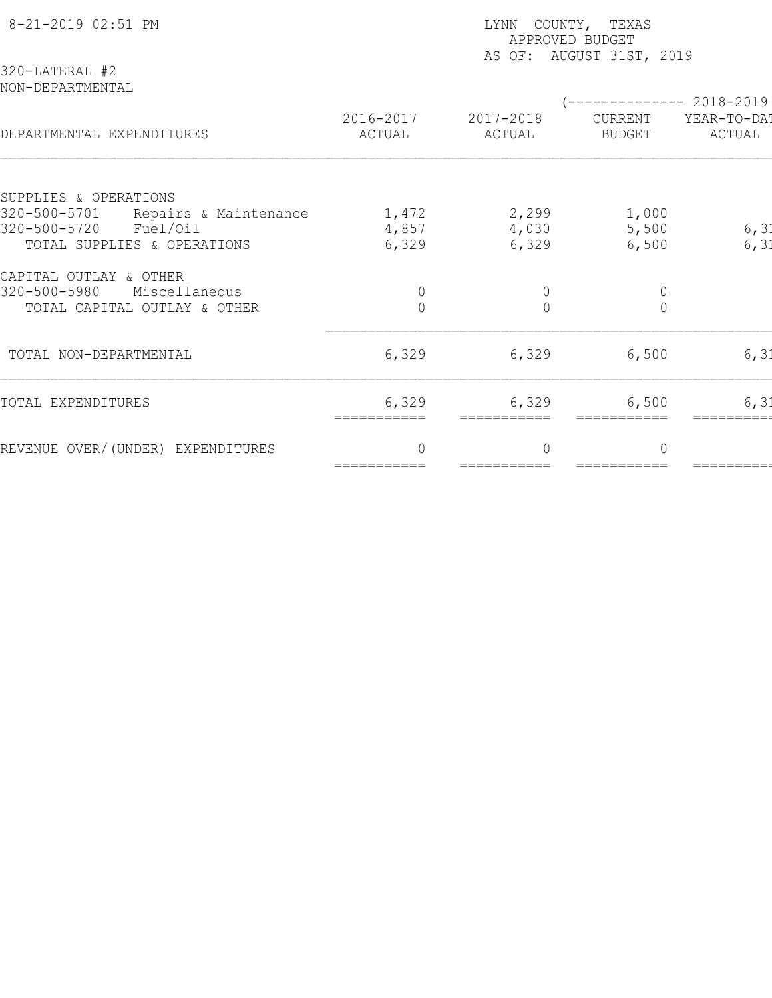| 8-21-2019 02:51 PM<br>320-LATERAL #2                                                             | LYNN COUNTY, TEXAS<br>APPROVED BUDGET<br>AS OF: AUGUST 31ST, 2019 |                          |                          |                       |  |  |
|--------------------------------------------------------------------------------------------------|-------------------------------------------------------------------|--------------------------|--------------------------|-----------------------|--|--|
| NON-DEPARTMENTAL                                                                                 |                                                                   |                          | -------------- 2018-2019 |                       |  |  |
| DEPARTMENTAL EXPENDITURES                                                                        | 2016-2017<br>ACTUAL                                               | 2017-2018<br>ACTUAL      | CURRENT<br><b>BUDGET</b> | YEAR-TO-DAT<br>ACTUAL |  |  |
| SUPPLIES & OPERATIONS                                                                            |                                                                   |                          |                          |                       |  |  |
| 320-500-5701<br>Repairs & Maintenance<br>320-500-5720<br>Fuel/Oil<br>TOTAL SUPPLIES & OPERATIONS | 1,472<br>4,857<br>6,329                                           | 2,299<br>4,030<br>6,329  | 1,000<br>5,500<br>6,500  | 6, 31<br>6, 31        |  |  |
| CAPITAL OUTLAY & OTHER<br>320-500-5980<br>Miscellaneous                                          | $\circ$                                                           | $\mathbf 0$              | $\mathbb O$              |                       |  |  |
| TOTAL CAPITAL OUTLAY & OTHER                                                                     | $\overline{0}$                                                    | $\overline{0}$           | $\overline{0}$           |                       |  |  |
| TOTAL NON-DEPARTMENTAL                                                                           | 6,329                                                             | 6,329                    | 6,500                    | 6, 31                 |  |  |
| TOTAL EXPENDITURES                                                                               | 6,329<br>===========                                              | 6,329<br>===========     | 6,500                    | 6, 31                 |  |  |
| REVENUE OVER/(UNDER) EXPENDITURES                                                                | $\Omega$<br>===========                                           | $\bigcap$<br>=========== | $\Omega$                 |                       |  |  |
|                                                                                                  |                                                                   |                          |                          |                       |  |  |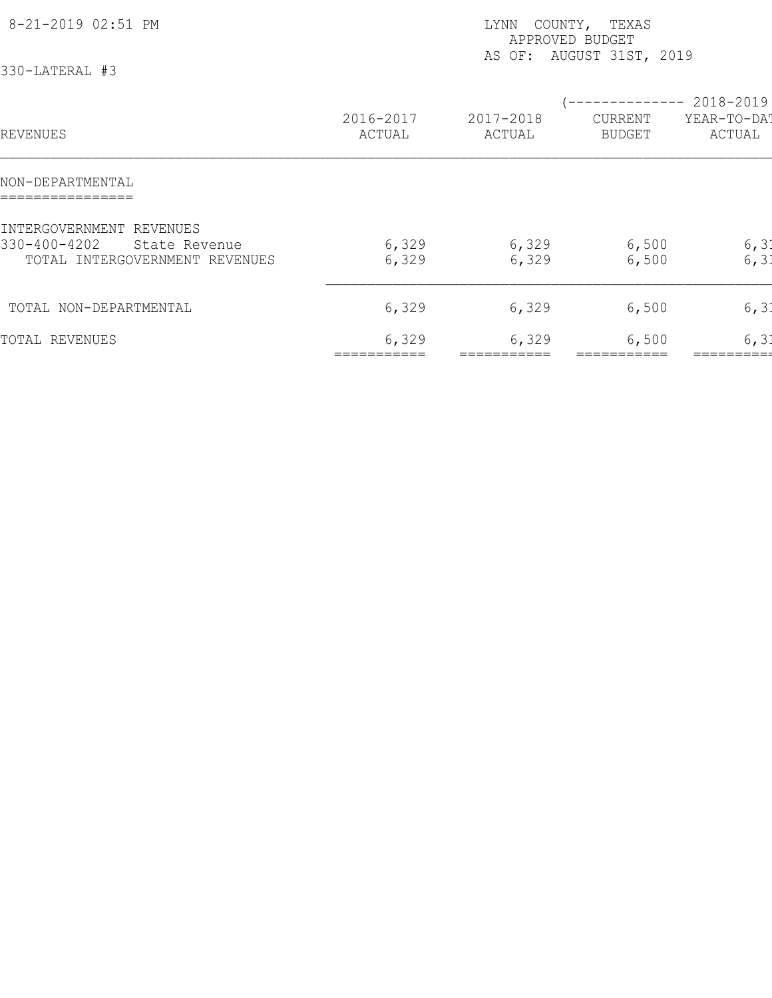| 8-21-2019 02:51 PM<br>330-LATERAL #3                                                        | COUNTY, TEXAS<br>LYNN<br>APPROVED BUDGET<br>AS OF: AUGUST 31ST, 2019 |                     |                                                      |                       |  |  |
|---------------------------------------------------------------------------------------------|----------------------------------------------------------------------|---------------------|------------------------------------------------------|-----------------------|--|--|
| REVENUES                                                                                    | 2016-2017<br>ACTUAL                                                  | 2017-2018<br>ACTUAL | -------------- 2018-2019<br>CURRENT<br><b>BUDGET</b> | YEAR-TO-DAT<br>ACTUAL |  |  |
| NON-DEPARTMENTAL                                                                            |                                                                      |                     |                                                      |                       |  |  |
| INTERGOVERNMENT REVENUES<br>330-400-4202<br>State Revenue<br>TOTAL INTERGOVERNMENT REVENUES | 6,329<br>6,329                                                       | 6,329<br>6,329      | 6,500<br>6,500                                       | 6, 31<br>6, 31        |  |  |
| TOTAL NON-DEPARTMENTAL                                                                      | 6,329                                                                | 6,329               | 6,500                                                | 6, 31                 |  |  |
| TOTAL REVENUES                                                                              | 6,329                                                                | 6,329               | 6,500                                                | 6, 31                 |  |  |
|                                                                                             |                                                                      |                     |                                                      |                       |  |  |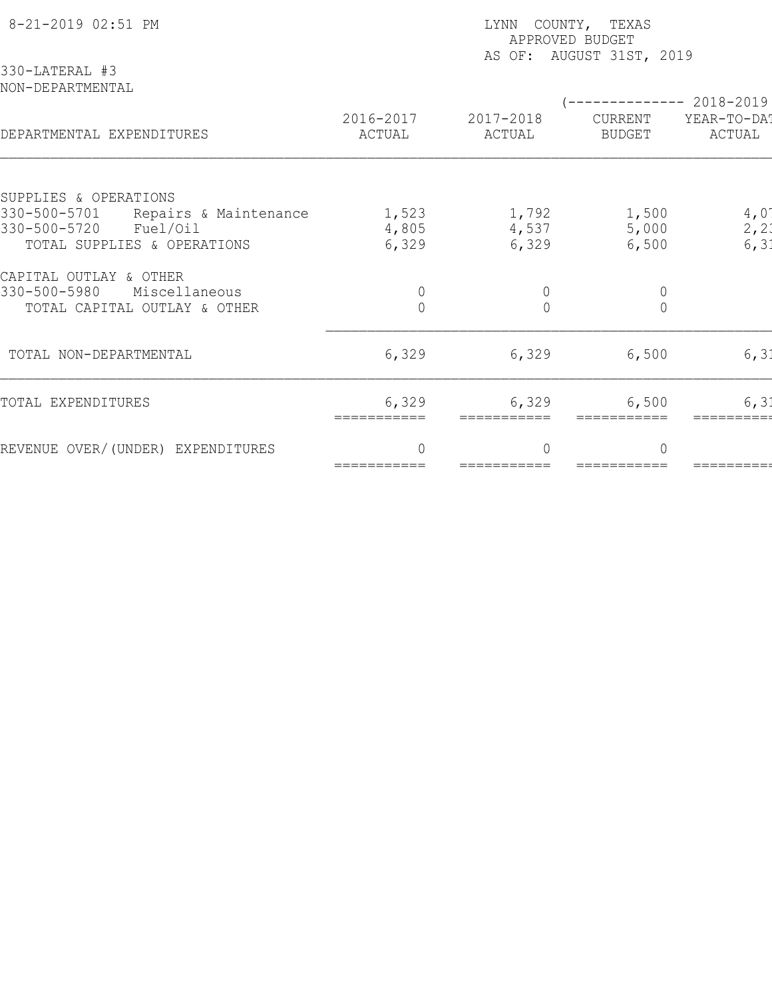| 8-21-2019 02:51 PM<br>330-LATERAL #3  | LYNN COUNTY, TEXAS<br>APPROVED BUDGET<br>AS OF: AUGUST 31ST, 2019 |                          |                |                                       |  |  |
|---------------------------------------|-------------------------------------------------------------------|--------------------------|----------------|---------------------------------------|--|--|
| NON-DEPARTMENTAL                      | 2016-2017                                                         | 2017-2018                | CURRENT        | ------------ 2018-2019<br>YEAR-TO-DAT |  |  |
| DEPARTMENTAL EXPENDITURES             | ACTUAL                                                            | ACTUAL                   | <b>BUDGET</b>  | ACTUAL                                |  |  |
| SUPPLIES & OPERATIONS                 |                                                                   |                          |                |                                       |  |  |
| 330-500-5701<br>Repairs & Maintenance | 1,523                                                             | 1,792                    | 1,500          | 4,01                                  |  |  |
| 330-500-5720<br>Fuel/Oil              | 4,805                                                             | 4,537                    | 5,000          | 2, 21                                 |  |  |
| TOTAL SUPPLIES & OPERATIONS           | 6,329                                                             | 6,329                    | 6,500          | 6, 31                                 |  |  |
| CAPITAL OUTLAY & OTHER                |                                                                   |                          |                |                                       |  |  |
| 330-500-5980<br>Miscellaneous         | $\overline{0}$                                                    | $\mathbf 0$              | $\mathbb O$    |                                       |  |  |
| TOTAL CAPITAL OUTLAY & OTHER          | $\overline{0}$                                                    | $\Omega$                 | $\overline{0}$ |                                       |  |  |
| TOTAL NON-DEPARTMENTAL                | 6,329                                                             | 6,329                    | 6,500          | 6, 31                                 |  |  |
| TOTAL EXPENDITURES                    | 6,329<br>===========                                              | 6,329<br>===========     | 6,500          | 6, 31                                 |  |  |
| REVENUE OVER/(UNDER) EXPENDITURES     | $\Omega$<br>===========                                           | $\bigcap$<br>=========== | $\Omega$       |                                       |  |  |
|                                       |                                                                   |                          |                |                                       |  |  |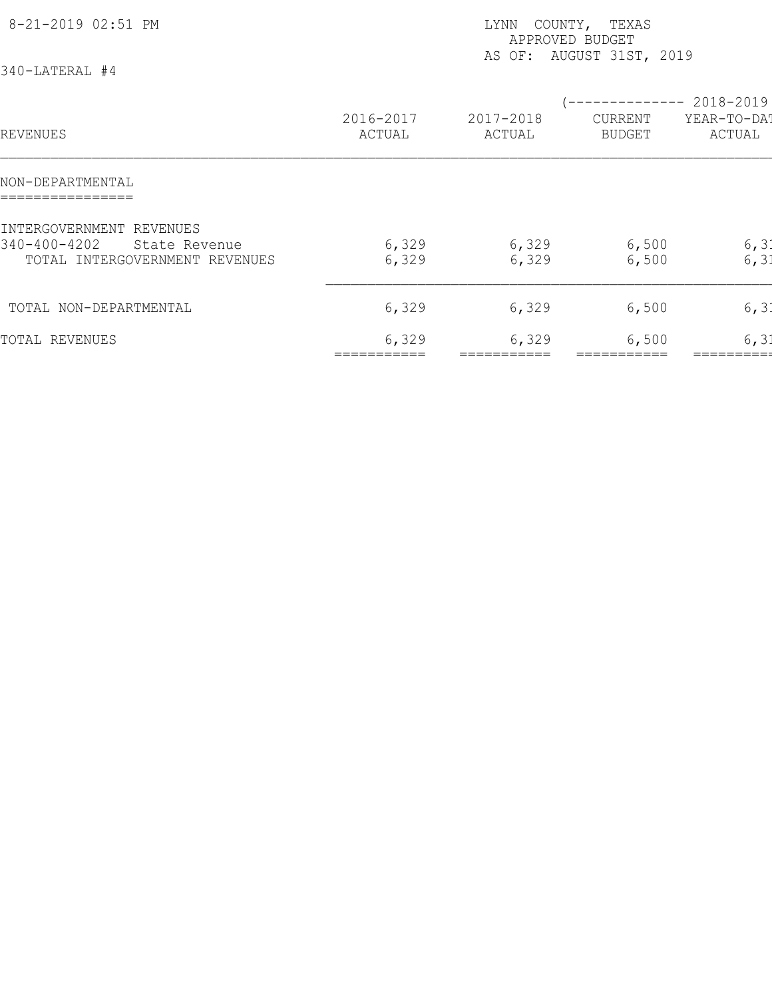| 8-21-2019 02:51 PM<br>340-LATERAL #4                                                        | COUNTY, TEXAS<br>LYNN<br>APPROVED BUDGET<br>AS OF: AUGUST 31ST, 2019 |                     |                                                      |                       |  |  |
|---------------------------------------------------------------------------------------------|----------------------------------------------------------------------|---------------------|------------------------------------------------------|-----------------------|--|--|
| REVENUES                                                                                    | 2016-2017<br>ACTUAL                                                  | 2017-2018<br>ACTUAL | -------------- 2018-2019<br>CURRENT<br><b>BUDGET</b> | YEAR-TO-DAT<br>ACTUAL |  |  |
| NON-DEPARTMENTAL                                                                            |                                                                      |                     |                                                      |                       |  |  |
| INTERGOVERNMENT REVENUES<br>340-400-4202<br>State Revenue<br>TOTAL INTERGOVERNMENT REVENUES | 6,329<br>6,329                                                       | 6,329<br>6,329      | 6,500<br>6,500                                       | 6, 31<br>6, 31        |  |  |
| TOTAL NON-DEPARTMENTAL                                                                      | 6,329                                                                | 6,329               | 6,500                                                | 6, 31                 |  |  |
| TOTAL REVENUES                                                                              | 6,329                                                                | 6,329               | 6,500                                                | 6, 31                 |  |  |
|                                                                                             |                                                                      |                     |                                                      |                       |  |  |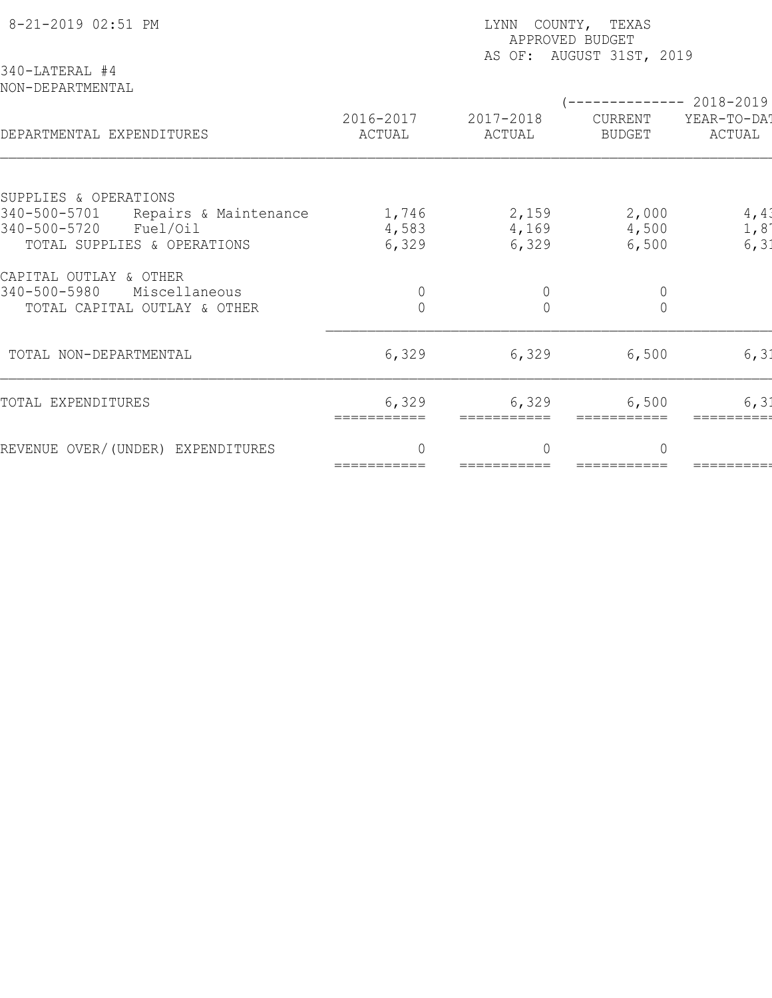| 8-21-2019 02:51 PM<br>340-LATERAL #4                              | LYNN COUNTY, TEXAS<br>APPROVED BUDGET<br>AS OF: AUGUST 31ST, 2019 |                      |                                       |              |  |  |
|-------------------------------------------------------------------|-------------------------------------------------------------------|----------------------|---------------------------------------|--------------|--|--|
| NON-DEPARTMENTAL                                                  | 2016-2017                                                         | 2017-2018            | (-------------- 2018-2019)<br>CURRENT | YEAR-TO-DAT  |  |  |
| DEPARTMENTAL EXPENDITURES                                         | ACTUAL                                                            | ACTUAL               | <b>BUDGET</b>                         | ACTUAL       |  |  |
| SUPPLIES & OPERATIONS                                             |                                                                   |                      |                                       |              |  |  |
| 340-500-5701<br>Repairs & Maintenance<br>340-500-5720<br>Fuel/Oil | 1,746<br>4,583                                                    | 2,159                | 2,000                                 | 4, 41        |  |  |
| TOTAL SUPPLIES & OPERATIONS                                       | 6,329                                                             | 4,169<br>6,329       | 4,500<br>6,500                        | 1,8<br>6, 31 |  |  |
|                                                                   |                                                                   |                      |                                       |              |  |  |
| CAPITAL OUTLAY & OTHER                                            |                                                                   |                      |                                       |              |  |  |
| 340-500-5980<br>Miscellaneous                                     | $\circ$                                                           | $\mathbf 0$          | $\mathbb O$                           |              |  |  |
| TOTAL CAPITAL OUTLAY & OTHER                                      | $\circ$                                                           | $\overline{0}$       | $\overline{0}$                        |              |  |  |
| TOTAL NON-DEPARTMENTAL                                            | 6,329                                                             | 6,329                | 6,500                                 | 6, 31        |  |  |
| TOTAL EXPENDITURES                                                | 6,329<br>===========                                              | 6,329<br>=========== | 6,500                                 | 6, 31        |  |  |
| REVENUE OVER/(UNDER) EXPENDITURES                                 | $\Omega$                                                          | $\bigcap$            | $\Omega$                              |              |  |  |
|                                                                   | ===========                                                       | ===========          |                                       |              |  |  |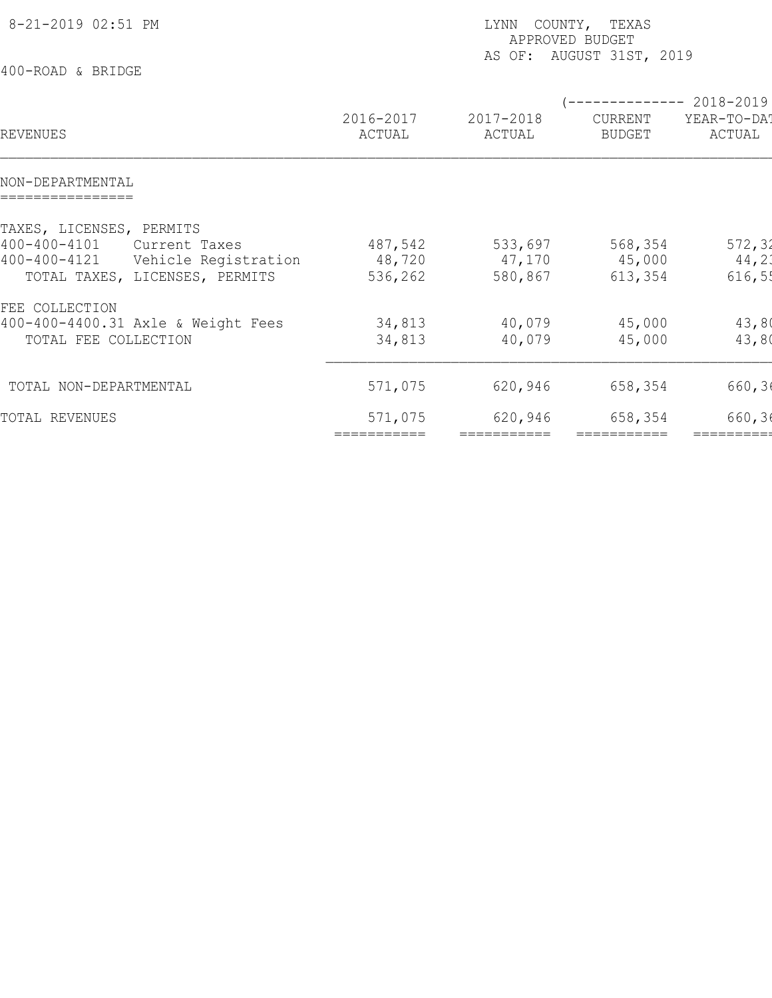| 8-21-2019 02:51 PM<br>400-ROAD & BRIDGE                                                                                                   | COUNTY, TEXAS<br>LYNN<br>APPROVED BUDGET<br>AS OF: AUGUST 31ST, 2019 |                              |                                                        |                            |  |  |
|-------------------------------------------------------------------------------------------------------------------------------------------|----------------------------------------------------------------------|------------------------------|--------------------------------------------------------|----------------------------|--|--|
| REVENUES                                                                                                                                  | 2016-2017<br>ACTUAL                                                  | 2017-2018<br>ACTUAL          | (-------------- 2018-2019)<br>CURRENT<br><b>BUDGET</b> | YEAR-TO-DA!<br>ACTUAL      |  |  |
| NON-DEPARTMENTAL                                                                                                                          |                                                                      |                              |                                                        |                            |  |  |
| TAXES, LICENSES, PERMITS<br>$400 - 400 - 4101$<br>Current Taxes<br>400-400-4121<br>Vehicle Registration<br>TOTAL TAXES, LICENSES, PERMITS | 487,542<br>48,720<br>536,262                                         | 533,697<br>47,170<br>580,867 | 568,354<br>45,000<br>613,354                           | 572,32<br>44,23<br>616, 55 |  |  |
| FEE COLLECTION<br>400-400-4400.31 Axle & Weight Fees<br>TOTAL FEE COLLECTION                                                              | 34,813<br>34,813                                                     | 40,079<br>40,079             | 45,000<br>45,000                                       | 43,80<br>43,80             |  |  |
| TOTAL NON-DEPARTMENTAL                                                                                                                    | 571,075                                                              | 620,946                      | 658,354                                                | 660, 36                    |  |  |
| TOTAL REVENUES                                                                                                                            | 571,075<br>===========                                               | 620,946<br>===========       | 658,354<br>===========                                 | 660,36<br>=========        |  |  |
|                                                                                                                                           |                                                                      |                              |                                                        |                            |  |  |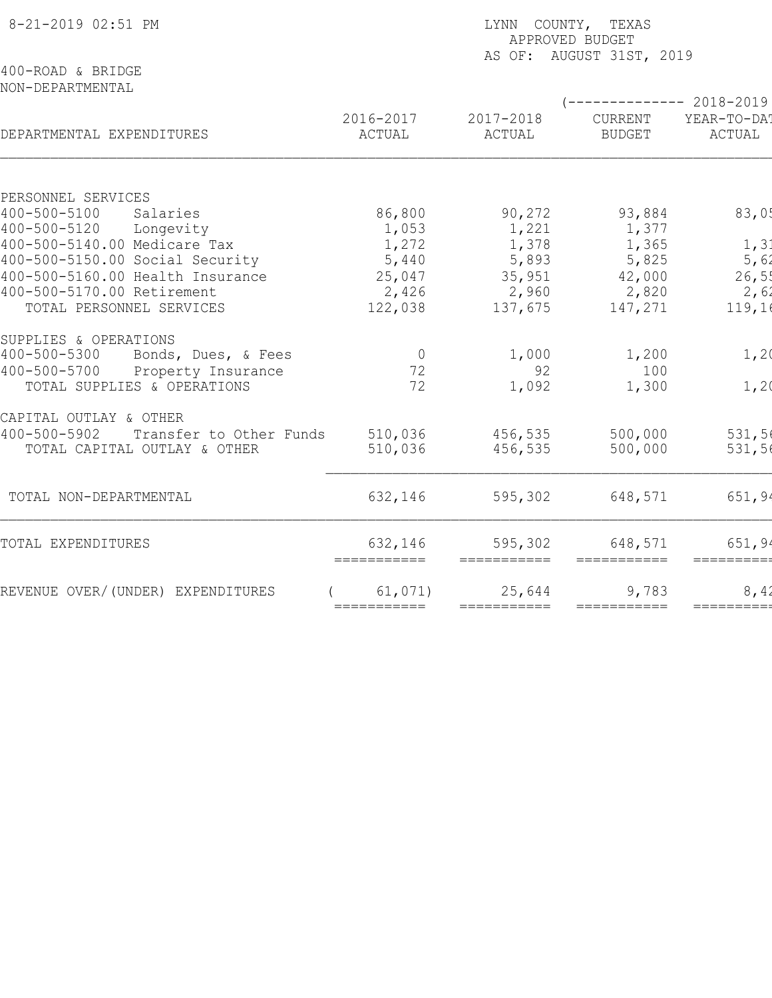| 8-21-2019 02:51 PM                                                  | LYNN COUNTY, TEXAS<br>APPROVED BUDGET<br>AS OF: AUGUST 31ST, 2019 |                                                    |                            |                                              |  |  |
|---------------------------------------------------------------------|-------------------------------------------------------------------|----------------------------------------------------|----------------------------|----------------------------------------------|--|--|
| 400-ROAD & BRIDGE<br>NON-DEPARTMENTAL                               |                                                                   |                                                    |                            |                                              |  |  |
| DEPARTMENTAL EXPENDITURES                                           | 2016-2017<br>ACTUAL                                               | 2017-2018<br>ACTUAL                                | CURRENT<br><b>BUDGET</b>   | $--------2018-2019$<br>YEAR-TO-DA!<br>ACTUAL |  |  |
|                                                                     |                                                                   |                                                    |                            |                                              |  |  |
| PERSONNEL SERVICES                                                  |                                                                   |                                                    |                            |                                              |  |  |
| 400-500-5100<br>Salaries                                            | 86,800                                                            | 90,272                                             | 93,884                     | 83,05                                        |  |  |
| 400-500-5120 Longevity                                              | 1,053                                                             | 1,221                                              | 1,377                      |                                              |  |  |
| 400-500-5140.00 Medicare Tax                                        | 1,272                                                             | 1,378                                              | 1,365                      | 1, 31                                        |  |  |
| 400-500-5150.00 Social Security<br>400-500-5160.00 Health Insurance | 5,440                                                             | 5,893                                              | 5,825                      | 5,62                                         |  |  |
| 400-500-5170.00 Retirement                                          | 25,047<br>2,426                                                   | 35,951<br>2,960                                    | 42,000<br>2,820            | 26,55<br>2,62                                |  |  |
| TOTAL PERSONNEL SERVICES                                            | 122,038                                                           | 137,675                                            | 147,271                    | 119,16                                       |  |  |
|                                                                     |                                                                   |                                                    |                            |                                              |  |  |
| SUPPLIES & OPERATIONS                                               |                                                                   |                                                    |                            |                                              |  |  |
| $400 - 500 - 5300$<br>Bonds, Dues, & Fees                           | $\overline{0}$                                                    | 1,000                                              | 1,200                      | 1,20                                         |  |  |
| Property Insurance<br>$400 - 500 - 5700$                            | 72                                                                | 92                                                 | 100                        |                                              |  |  |
| TOTAL SUPPLIES & OPERATIONS                                         | 72                                                                | 1,092                                              | 1,300                      | 1,20                                         |  |  |
|                                                                     |                                                                   |                                                    |                            |                                              |  |  |
| CAPITAL OUTLAY & OTHER                                              |                                                                   |                                                    |                            |                                              |  |  |
| $400 - 500 - 5902$<br>Transfer to Other Funds                       | 510,036                                                           | 456,535                                            | 500,000                    | 531,56                                       |  |  |
| TOTAL CAPITAL OUTLAY & OTHER                                        | 510,036                                                           | 456,535                                            | 500,000                    | 531,56                                       |  |  |
| TOTAL NON-DEPARTMENTAL                                              | 632,146                                                           | 595,302                                            | 648,571                    | 651, 94                                      |  |  |
|                                                                     |                                                                   |                                                    |                            |                                              |  |  |
| TOTAL EXPENDITURES                                                  | 632,146                                                           | 595,302<br>$=$ $=$ $=$ $=$ $=$ $=$ $=$ $=$ $=$ $=$ | 648,571<br>$=$ =========== | 651, 94<br>=========                         |  |  |
| REVENUE OVER/(UNDER) EXPENDITURES                                   | 61,071)                                                           | 25,644                                             | 9,783                      | 8,42                                         |  |  |
|                                                                     | $=$ = = = = = = = = = = $=$                                       | ===========                                        | $=$ ===========            | =========                                    |  |  |
|                                                                     |                                                                   |                                                    |                            |                                              |  |  |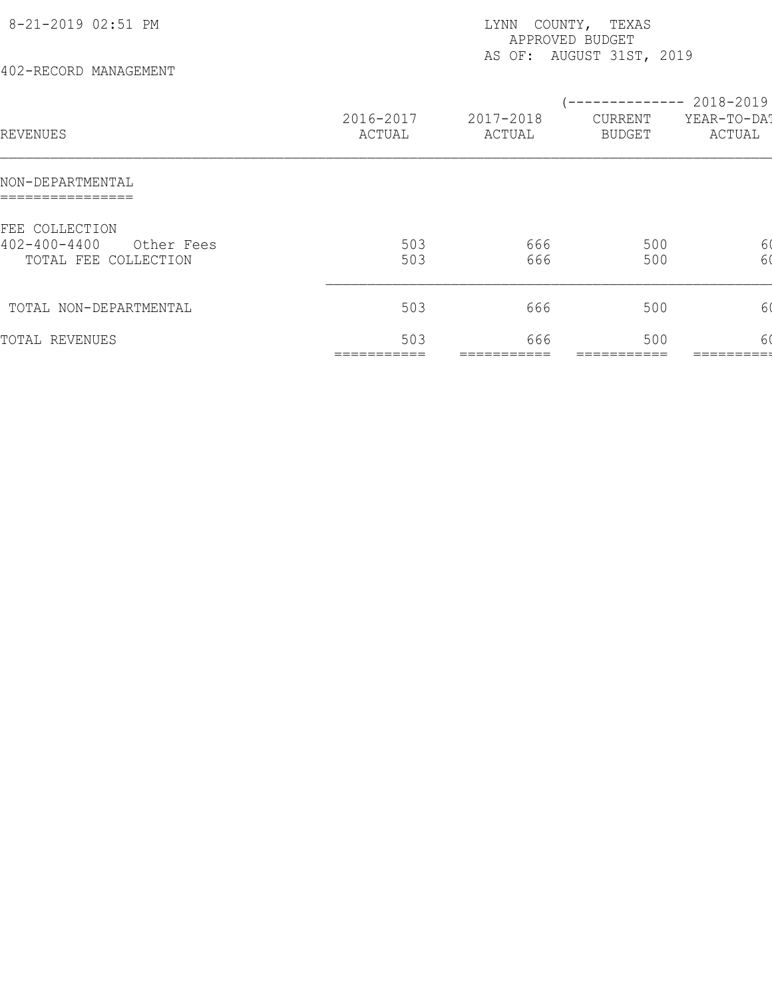| 8-21-2019 02:51 PM<br>402-RECORD MANAGEMENT                                | COUNTY, TEXAS<br>LYNN<br>APPROVED BUDGET<br>AS OF: AUGUST 31ST, 2019 |                     |                                            |                       |  |  |
|----------------------------------------------------------------------------|----------------------------------------------------------------------|---------------------|--------------------------------------------|-----------------------|--|--|
| REVENUES                                                                   | 2016-2017<br>ACTUAL                                                  | 2017-2018<br>ACTUAL | $--------- 2018-2019$<br>CURRENT<br>BUDGET | YEAR-TO-DAT<br>ACTUAL |  |  |
| NON-DEPARTMENTAL                                                           |                                                                      |                     |                                            |                       |  |  |
| FEE COLLECTION<br>$402 - 400 - 4400$<br>Other Fees<br>TOTAL FEE COLLECTION | 503<br>503                                                           | 666<br>666          | 500<br>500                                 | 60<br>60              |  |  |
| TOTAL NON-DEPARTMENTAL                                                     | 503                                                                  | 666                 | 500                                        | 6 <sub>0</sub>        |  |  |
| TOTAL REVENUES                                                             | 503                                                                  | 666                 | 500                                        | 60                    |  |  |
|                                                                            |                                                                      |                     |                                            |                       |  |  |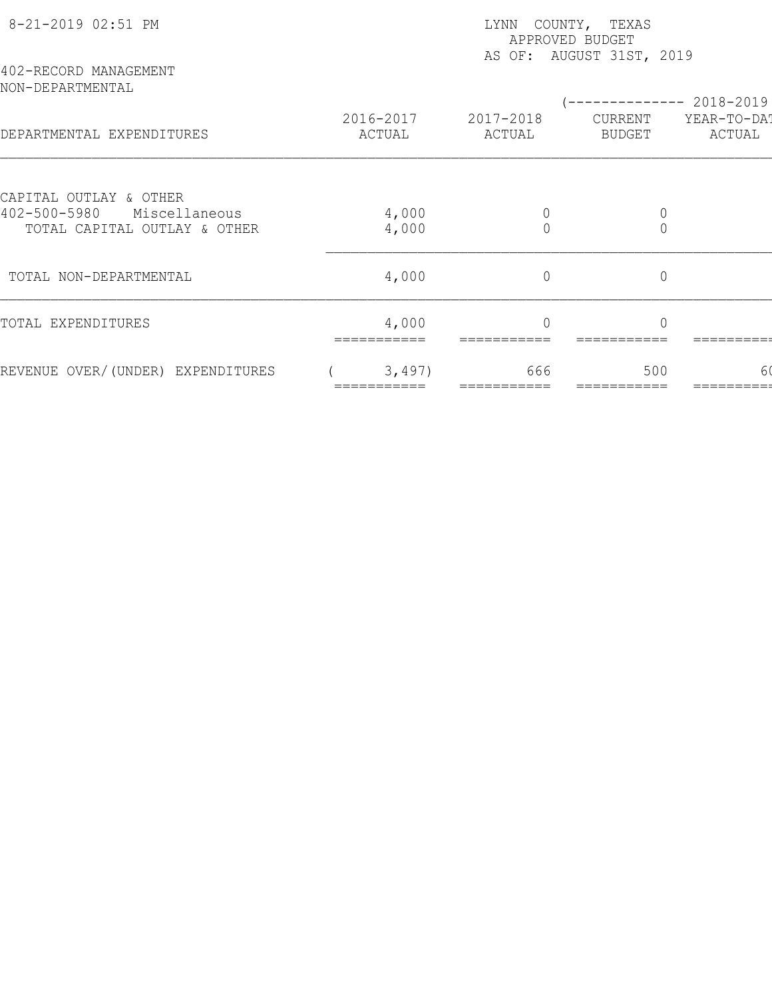| 8-21-2019 02:51 PM                                                  | LYNN COUNTY, TEXAS<br>APPROVED BUDGET<br>AS OF: AUGUST 31ST, 2019 |                     |                   |                       |  |  |
|---------------------------------------------------------------------|-------------------------------------------------------------------|---------------------|-------------------|-----------------------|--|--|
| 402-RECORD MANAGEMENT<br>NON-DEPARTMENTAL                           |                                                                   |                     |                   | ----------- 2018-2019 |  |  |
| DEPARTMENTAL EXPENDITURES                                           | 2016-2017<br>ACTUAL                                               | 2017-2018<br>ACTUAL | CURRENT<br>BUDGET | YEAR-TO-DA!<br>ACTUAL |  |  |
| CAPITAL OUTLAY & OTHER                                              |                                                                   |                     |                   |                       |  |  |
| $402 - 500 - 5980$<br>Miscellaneous<br>TOTAL CAPITAL OUTLAY & OTHER | 4,000<br>4,000                                                    | $\bigcap$           | $\Omega$          |                       |  |  |
| TOTAL NON-DEPARTMENTAL                                              | 4,000                                                             | $\overline{0}$      | $\mathbb O$       |                       |  |  |
| TOTAL EXPENDITURES                                                  | 4,000                                                             | $\bigcap$           | $\bigcap$         |                       |  |  |
| REVENUE OVER/(UNDER) EXPENDITURES                                   | 3,497)                                                            | 666                 | 500               | 60                    |  |  |
|                                                                     |                                                                   |                     |                   |                       |  |  |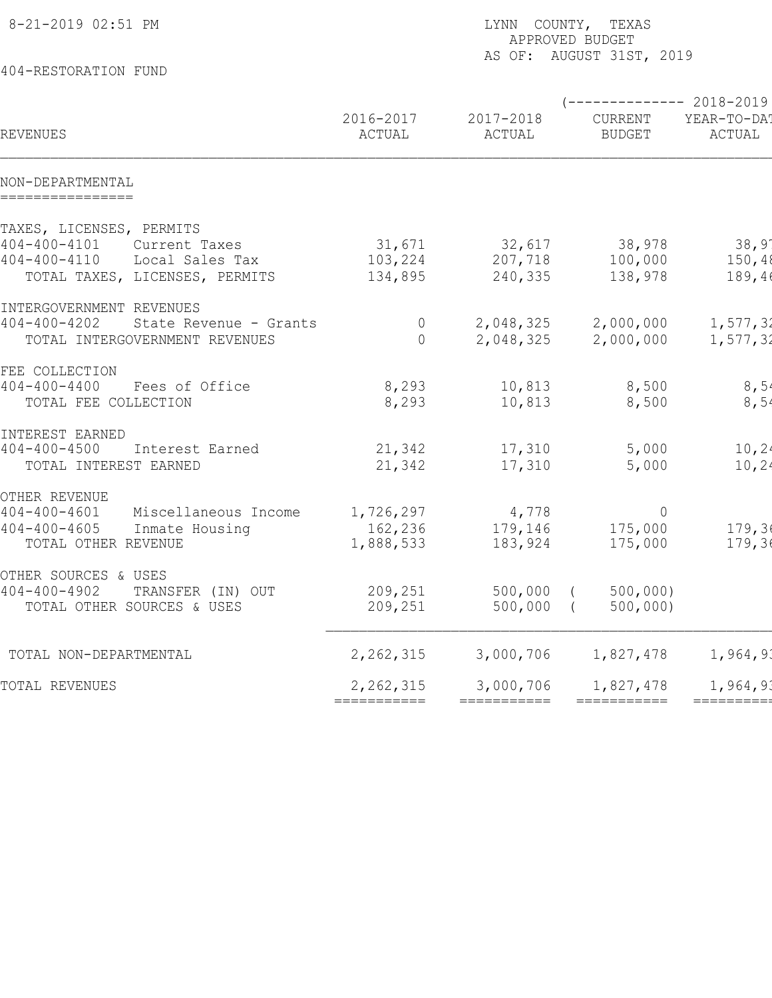| 8-21-2019 02:51 PM<br>404-RESTORATION FUND                                                                                                 | LYNN COUNTY, TEXAS<br>APPROVED BUDGET<br>AS OF: AUGUST 31ST, 2019 |                              |                                                  |                           |  |  |  |
|--------------------------------------------------------------------------------------------------------------------------------------------|-------------------------------------------------------------------|------------------------------|--------------------------------------------------|---------------------------|--|--|--|
|                                                                                                                                            |                                                                   |                              |                                                  |                           |  |  |  |
| REVENUES                                                                                                                                   | 2016-2017<br>ACTUAL                                               | 2017-2018<br>ACTUAL          | $---------2018-2019$<br>CURRENT<br><b>BUDGET</b> | YEAR-TO-DA!<br>ACTUAL     |  |  |  |
| NON-DEPARTMENTAL<br>================                                                                                                       |                                                                   |                              |                                                  |                           |  |  |  |
| TAXES, LICENSES, PERMITS<br>$404 - 400 - 4101$<br>Current Taxes<br>$404 - 400 - 4110$<br>Local Sales Tax<br>TOTAL TAXES, LICENSES, PERMITS | 31,671<br>103,224<br>134,895                                      | 32,617<br>207,718<br>240,335 | 38,978<br>100,000<br>138,978                     | 38,97<br>150,48<br>189,46 |  |  |  |
| INTERGOVERNMENT REVENUES<br>$404 - 400 - 4202$<br>State Revenue - Grants<br>TOTAL INTERGOVERNMENT REVENUES                                 | $\overline{0}$<br>$\bigcap$                                       | 2,048,325<br>2,048,325       | 2,000,000<br>2,000,000                           | 1,577,32<br>1,577,32      |  |  |  |
| FEE COLLECTION<br>$404 - 400 - 4400$<br>Fees of Office<br>TOTAL FEE COLLECTION                                                             | 8,293<br>8,293                                                    | 10,813<br>10,813             | 8,500<br>8,500                                   | 8,54<br>8,54              |  |  |  |
| INTEREST EARNED<br>$404 - 400 - 4500$<br>Interest Earned<br>TOTAL INTEREST EARNED                                                          | 21,342<br>21,342                                                  | 17,310<br>17,310             | 5,000<br>5,000                                   | 10, 24<br>10, 24          |  |  |  |
| OTHER REVENUE<br>$404 - 400 - 4601$<br>Miscellaneous Income<br>$404 - 400 - 4605$<br>Inmate Housing<br>TOTAL OTHER REVENUE                 | 1,726,297<br>162,236<br>1,888,533                                 | 4,778<br>179,146<br>183,924  | $\overline{0}$<br>175,000<br>175,000             | 179,36<br>179,36          |  |  |  |
| OTHER SOURCES & USES<br>$404 - 400 - 4902$<br>TRANSFER (IN) OUT<br>TOTAL OTHER SOURCES & USES                                              | 209,251<br>209,251                                                | 500,000<br>500,000           | 500,000<br>500,000                               |                           |  |  |  |
| TOTAL NON-DEPARTMENTAL                                                                                                                     | 2, 262, 315                                                       | 3,000,706                    | 1,827,478                                        | 1,964,93                  |  |  |  |
| TOTAL REVENUES                                                                                                                             | 2, 262, 315                                                       | 3,000,706                    | 1,827,478                                        | 1,964,93                  |  |  |  |
|                                                                                                                                            | ===========                                                       | ===========                  | ===========                                      | =========                 |  |  |  |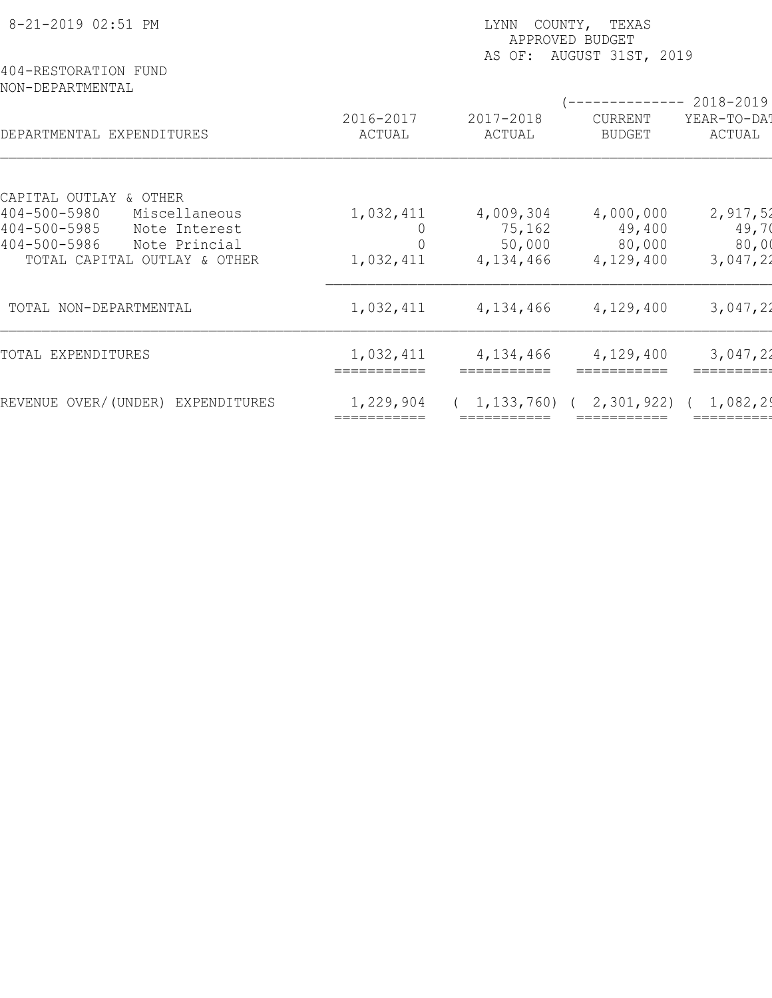| 8-21-2019 02:51 PM<br>404-RESTORATION FUND                                 | COUNTY, TEXAS<br>LYNN<br>APPROVED BUDGET<br>AUGUST 31ST, 2019<br>AS OF: |                     |                                         |                                    |  |  |
|----------------------------------------------------------------------------|-------------------------------------------------------------------------|---------------------|-----------------------------------------|------------------------------------|--|--|
| NON-DEPARTMENTAL<br>DEPARTMENTAL EXPENDITURES                              | 2016-2017<br>ACTUAL                                                     | 2017-2018<br>ACTUAL | -----------<br>CURRENT<br><b>BUDGET</b> | 2018-2019<br>YEAR-TO-DAT<br>ACTUAL |  |  |
| CAPITAL OUTLAY & OTHER                                                     |                                                                         |                     |                                         |                                    |  |  |
| $404 - 500 - 5980$<br>Miscellaneous<br>$404 - 500 - 5985$<br>Note Interest | 1,032,411                                                               | 4,009,304<br>75,162 | 4,000,000<br>49,400                     | 2,917,52<br>49,70                  |  |  |
| $404 - 500 - 5986$<br>Note Princial<br>TOTAL CAPITAL OUTLAY & OTHER        | 1,032,411                                                               | 50,000<br>4,134,466 | 80,000<br>4,129,400                     | 80,00<br>3,047,22                  |  |  |
| TOTAL NON-DEPARTMENTAL                                                     | 1,032,411                                                               | 4,134,466           | 4,129,400                               | 3,047,22                           |  |  |
| TOTAL EXPENDITURES                                                         | 1,032,411                                                               | 4,134,466           | 4,129,400                               | 3,047,22                           |  |  |
| REVENUE OVER/(UNDER) EXPENDITURES                                          | 1,229,904                                                               | 1, 133, 760)        | 2,301,922                               | 1,082,29                           |  |  |
|                                                                            |                                                                         |                     |                                         |                                    |  |  |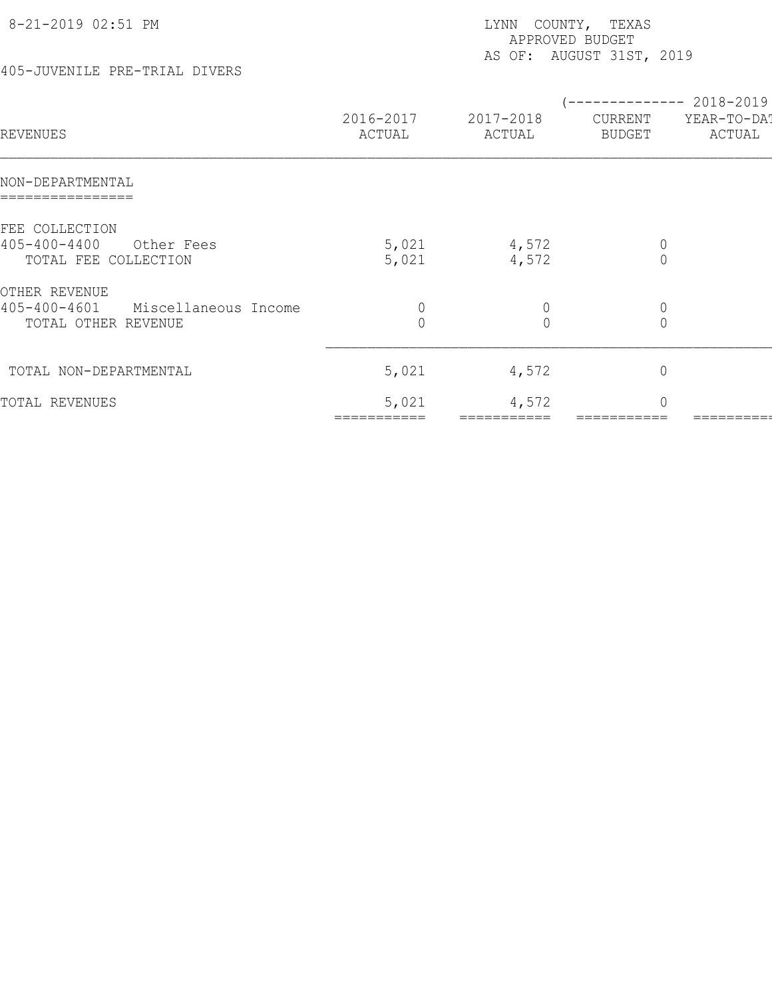| 8-21-2019 02:51 PM                                                |                               | COUNTY, TEXAS<br>LYNN<br>APPROVED BUDGET<br>AS OF: AUGUST 31ST, 2019 |                                                        |                       |  |  |  |
|-------------------------------------------------------------------|-------------------------------|----------------------------------------------------------------------|--------------------------------------------------------|-----------------------|--|--|--|
| 405-JUVENILE PRE-TRIAL DIVERS                                     |                               |                                                                      |                                                        |                       |  |  |  |
| REVENUES                                                          | 2016-2017<br>ACTUAL           | 2017-2018<br>ACTUAL                                                  | (-------------- 2018-2019 <br>CURRENT<br><b>BUDGET</b> | YEAR-TO-DAT<br>ACTUAL |  |  |  |
| NON-DEPARTMENTAL                                                  |                               |                                                                      |                                                        |                       |  |  |  |
| FEE COLLECTION                                                    |                               |                                                                      |                                                        |                       |  |  |  |
| $405 - 400 - 4400$<br>Other Fees<br>TOTAL FEE COLLECTION          | 5,021<br>5,021                | 4,572<br>4,572                                                       | $\mathbb O$<br>$\overline{0}$                          |                       |  |  |  |
| OTHER REVENUE                                                     |                               |                                                                      |                                                        |                       |  |  |  |
| $405 - 400 - 4601$<br>Miscellaneous Income<br>TOTAL OTHER REVENUE | $\mathbb O$<br>$\overline{0}$ | $\theta$<br>$\overline{0}$                                           | $\mathbb O$<br>$\overline{0}$                          |                       |  |  |  |
| TOTAL NON-DEPARTMENTAL                                            | 5,021                         | 4,572                                                                | $\mathbb O$                                            |                       |  |  |  |
| TOTAL REVENUES                                                    | 5,021                         | 4,572                                                                | $\mathbb O$                                            |                       |  |  |  |

=========== =========== =========== =========== =========== ============ ============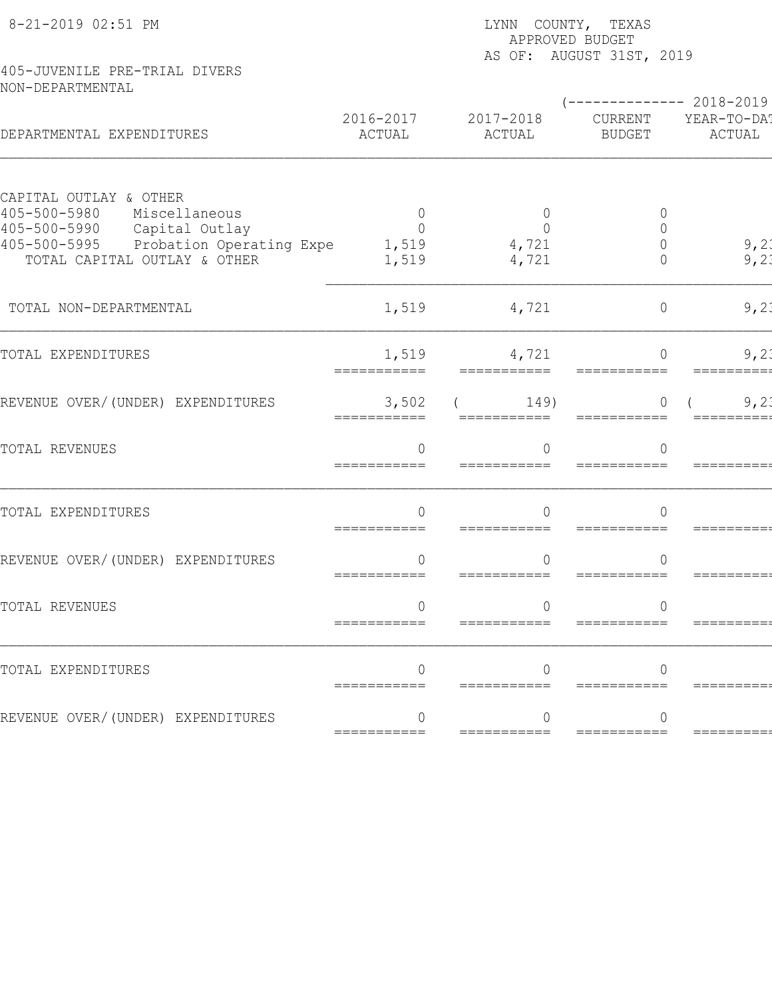|                                                                                           | LYNN COUNTY, TEXAS<br>APPROVED BUDGET<br>AS OF: AUGUST 31ST, 2019 |                                  |                            |                                             |  |  |  |
|-------------------------------------------------------------------------------------------|-------------------------------------------------------------------|----------------------------------|----------------------------|---------------------------------------------|--|--|--|
| 405-JUVENILE PRE-TRIAL DIVERS<br>NON-DEPARTMENTAL                                         |                                                                   |                                  |                            |                                             |  |  |  |
| DEPARTMENTAL EXPENDITURES                                                                 | 2016-2017<br>ACTUAL                                               | 2017-2018<br>ACTUAL              | CURRENT<br><b>BUDGET</b>   | $------ 2018-2019$<br>YEAR-TO-DA!<br>ACTUAL |  |  |  |
| CAPITAL OUTLAY & OTHER<br>405-500-5980<br>Miscellaneous<br>Capital Outlay<br>405-500-5990 | $\Omega$<br>$\Omega$                                              | $\overline{0}$<br>$\overline{0}$ | $\overline{0}$<br>$\Omega$ |                                             |  |  |  |
| 405-500-5995<br>Probation Operating Expe<br>TOTAL CAPITAL OUTLAY & OTHER                  | 1,519<br>1,519                                                    | 4,721<br>4,721                   | $\Omega$<br>$\Omega$       | 9, 21<br>9, 21                              |  |  |  |
| TOTAL NON-DEPARTMENTAL                                                                    | 1,519                                                             | 4,721                            | $\circ$                    | 9,21                                        |  |  |  |
| TOTAL EXPENDITURES                                                                        | 1,519<br>===========                                              | 4,721<br>===========             | $\Omega$                   | 9,21                                        |  |  |  |
| REVENUE OVER/(UNDER) EXPENDITURES                                                         | 3,502<br>===========                                              | 149)<br>===========              | $\cap$<br>===========      | 9,21                                        |  |  |  |
| TOTAL REVENUES                                                                            | $\Omega$<br>===========                                           | $\cap$<br>===========            | $\Omega$                   |                                             |  |  |  |
| TOTAL EXPENDITURES                                                                        | $\Omega$                                                          | $\Omega$                         | $\Omega$                   |                                             |  |  |  |
| REVENUE OVER/(UNDER) EXPENDITURES                                                         | $\Omega$<br>===========                                           | $\Omega$<br>===========          | $\Omega$<br>===========    |                                             |  |  |  |
| TOTAL REVENUES                                                                            | ===========                                                       | ===========                      | ===========                |                                             |  |  |  |
| TOTAL EXPENDITURES                                                                        | $\Omega$<br>===========                                           | ===========                      |                            |                                             |  |  |  |
| REVENUE OVER/(UNDER) EXPENDITURES                                                         | $\Omega$<br>===========                                           | ===========                      | ∩<br>===========           | =======                                     |  |  |  |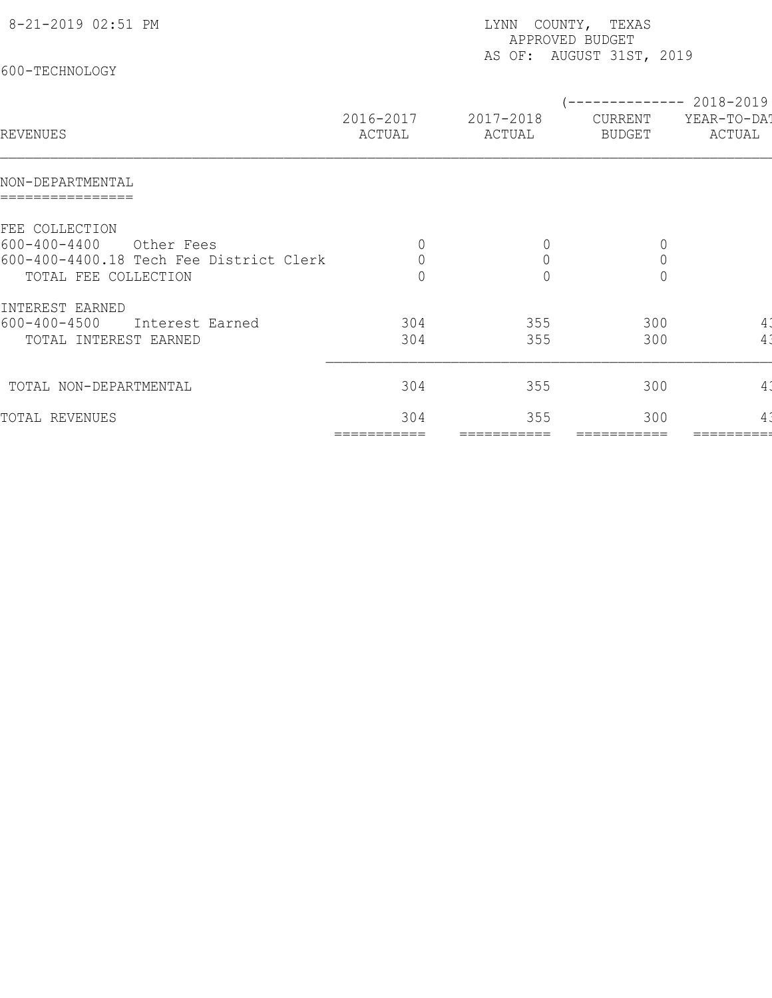| (-------------- 2018-2019)<br>2016-2017<br>2017-2018<br>YEAR-TO-DA!<br>CURRENT<br>ACTUAL<br>ACTUAL<br>ACTUAL<br>BUDGET<br>$\mathbb O$<br>$\circ$<br>$\overline{0}$<br>Other Fees<br>$\mathbb O$<br>$\mathsf{O}$<br>$\mathbb O$<br>$\bigcap$<br>$\bigcap$<br>$\Omega$<br>300<br>304<br>355<br>4.<br>Interest Earned<br>4:<br>300<br>TOTAL INTEREST EARNED<br>304<br>355<br>304<br>355<br>300<br>41<br>304<br>300<br>355<br>$4\overset{.}{.}$<br>===========<br>===========<br>=========== | 8-21-2019 02:51 PM<br>600-TECHNOLOGY                                                                    | LYNN COUNTY, TEXAS<br>APPROVED BUDGET<br>AS OF: AUGUST 31ST, 2019 |  |  |  |  |
|------------------------------------------------------------------------------------------------------------------------------------------------------------------------------------------------------------------------------------------------------------------------------------------------------------------------------------------------------------------------------------------------------------------------------------------------------------------------------------------|---------------------------------------------------------------------------------------------------------|-------------------------------------------------------------------|--|--|--|--|
|                                                                                                                                                                                                                                                                                                                                                                                                                                                                                          | REVENUES                                                                                                |                                                                   |  |  |  |  |
|                                                                                                                                                                                                                                                                                                                                                                                                                                                                                          | NON-DEPARTMENTAL                                                                                        |                                                                   |  |  |  |  |
|                                                                                                                                                                                                                                                                                                                                                                                                                                                                                          | FEE COLLECTION<br>$600 - 400 - 4400$<br>600-400-4400.18 Tech Fee District Clerk<br>TOTAL FEE COLLECTION |                                                                   |  |  |  |  |
|                                                                                                                                                                                                                                                                                                                                                                                                                                                                                          | INTEREST EARNED<br>$600 - 400 - 4500$                                                                   |                                                                   |  |  |  |  |
|                                                                                                                                                                                                                                                                                                                                                                                                                                                                                          | TOTAL NON-DEPARTMENTAL                                                                                  |                                                                   |  |  |  |  |
|                                                                                                                                                                                                                                                                                                                                                                                                                                                                                          | TOTAL REVENUES                                                                                          |                                                                   |  |  |  |  |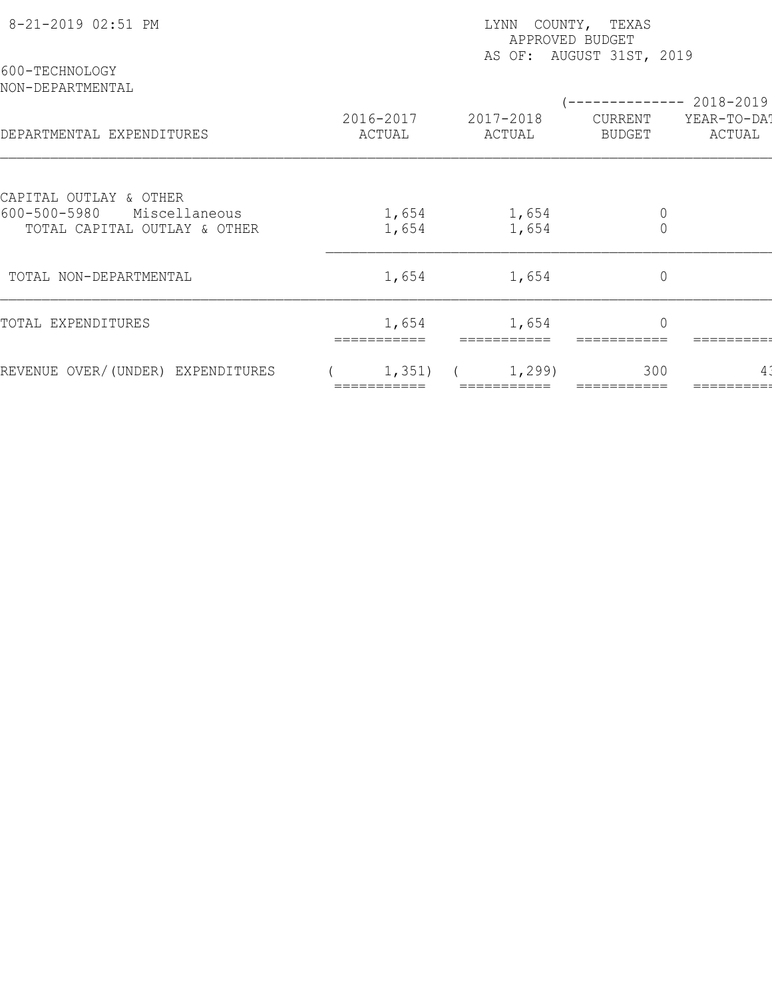| 8-21-2019 02:51 PM                                            | LYNN COUNTY, TEXAS<br>APPROVED BUDGET<br>AS OF: AUGUST 31ST, 2019 |                     |                   |                               |  |  |
|---------------------------------------------------------------|-------------------------------------------------------------------|---------------------|-------------------|-------------------------------|--|--|
| 600-TECHNOLOGY<br>NON-DEPARTMENTAL                            |                                                                   |                     |                   | $--------- 2018-2019$         |  |  |
| DEPARTMENTAL EXPENDITURES                                     | 2016-2017<br>ACTUAL                                               | 2017-2018<br>ACTUAL | CURRENT<br>BUDGET | YEAR-TO-DA!<br>ACTUAL         |  |  |
| CAPITAL OUTLAY & OTHER                                        |                                                                   |                     |                   |                               |  |  |
| 600-500-5980<br>Miscellaneous<br>TOTAL CAPITAL OUTLAY & OTHER | 1,654<br>1,654                                                    | 1,654<br>1,654      |                   | $\mathbb O$<br>$\overline{0}$ |  |  |
| TOTAL NON-DEPARTMENTAL                                        | 1,654                                                             | 1,654               |                   | $\circ$                       |  |  |
| TOTAL EXPENDITURES                                            | 1,654                                                             | 1,654               |                   | $\overline{0}$                |  |  |
| REVENUE OVER/(UNDER) EXPENDITURES                             | 1,351)                                                            | 1,299               | 300               |                               |  |  |
|                                                               |                                                                   |                     |                   |                               |  |  |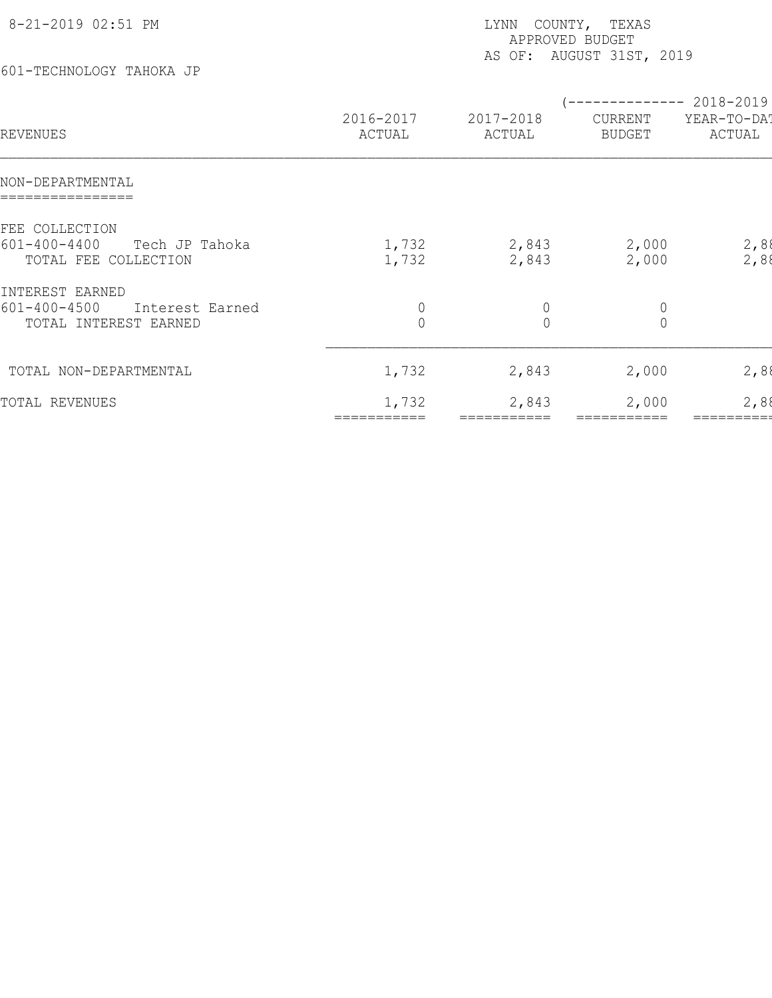| 8-21-2019 02:51 PM<br>601-TECHNOLOGY TAHOKA JP                                    |                                  | COUNTY, TEXAS<br>LYNN<br>APPROVED BUDGET<br>AS OF: AUGUST 31ST, 2019 |                                                      |                       |  |  |  |
|-----------------------------------------------------------------------------------|----------------------------------|----------------------------------------------------------------------|------------------------------------------------------|-----------------------|--|--|--|
| REVENUES                                                                          | 2016-2017<br>ACTUAL              | 2017-2018<br>ACTUAL                                                  | -------------- 2018-2019<br>CURRENT<br><b>BUDGET</b> | YEAR-TO-DAT<br>ACTUAL |  |  |  |
| NON-DEPARTMENTAL                                                                  |                                  |                                                                      |                                                      |                       |  |  |  |
| FEE COLLECTION<br>$601 - 400 - 4400$<br>Tech JP Tahoka<br>TOTAL FEE COLLECTION    | 1,732<br>1,732                   | 2,843<br>2,843                                                       | 2,000<br>2,000                                       | 2,88<br>2,88          |  |  |  |
| INTEREST EARNED<br>$601 - 400 - 4500$<br>Interest Earned<br>TOTAL INTEREST EARNED | $\overline{0}$<br>$\overline{0}$ | $\begin{matrix} 0 \\ 0 \end{matrix}$                                 | $\begin{matrix} 0 \\ 0 \end{matrix}$                 |                       |  |  |  |
| TOTAL NON-DEPARTMENTAL                                                            | 1,732                            | 2,843                                                                | 2,000                                                | 2,88                  |  |  |  |
| TOTAL REVENUES                                                                    | 1,732                            | 2,843                                                                | 2,000                                                | 2,88                  |  |  |  |

=========== =========== =========== =========== =========== ============ ============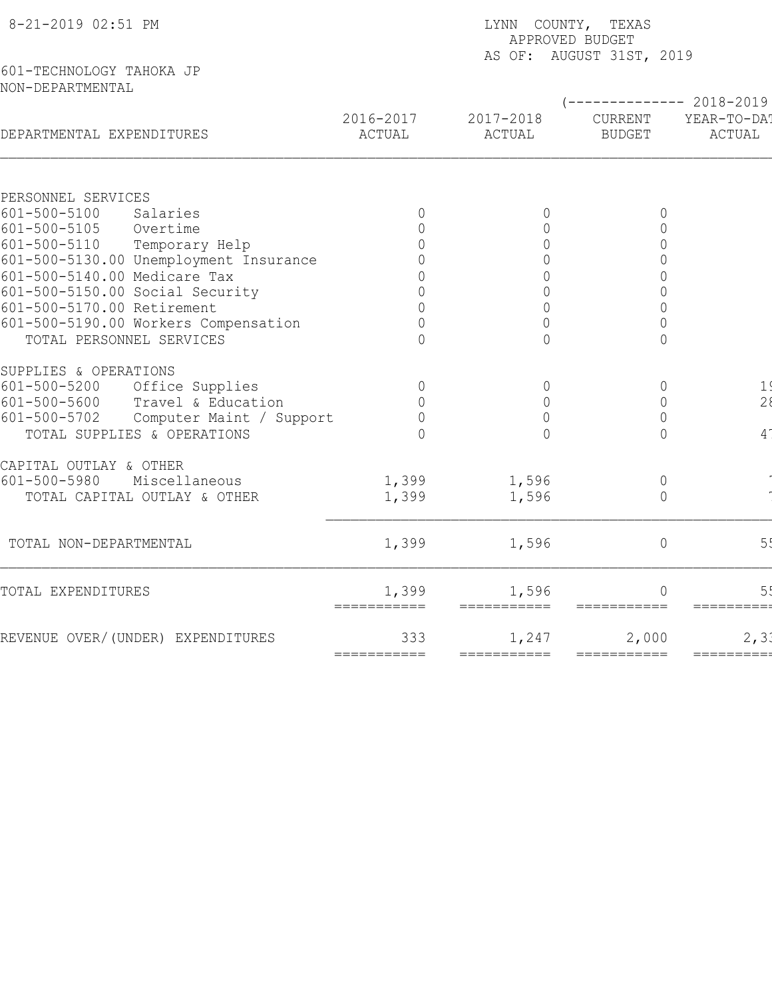| 8-21-2019 02:51 PM                             | LYNN COUNTY, TEXAS<br>APPROVED BUDGET<br>AS OF: AUGUST 31ST, 2019 |                      |                                 |                       |  |  |  |
|------------------------------------------------|-------------------------------------------------------------------|----------------------|---------------------------------|-----------------------|--|--|--|
| 601-TECHNOLOGY TAHOKA JP<br>NON-DEPARTMENTAL   |                                                                   |                      |                                 |                       |  |  |  |
|                                                |                                                                   |                      |                                 | ----------- 2018-2019 |  |  |  |
| DEPARTMENTAL EXPENDITURES                      | 2016-2017<br>ACTUAL                                               | 2017-2018<br>ACTUAL  | <b>CURRENT</b><br><b>BUDGET</b> | YEAR-TO-DAT<br>ACTUAL |  |  |  |
| PERSONNEL SERVICES                             |                                                                   |                      |                                 |                       |  |  |  |
| $601 - 500 - 5100$<br>Salaries                 | $\mathbf 0$                                                       | 0                    | 0                               |                       |  |  |  |
| 601-500-5105<br>Overtime                       | $\overline{0}$                                                    | $\overline{0}$       | $\Omega$                        |                       |  |  |  |
| $601 - 500 - 5110$<br>Temporary Help           | $\Omega$                                                          | $\overline{0}$       | $\overline{0}$                  |                       |  |  |  |
| 601-500-5130.00 Unemployment Insurance         | $\circ$                                                           | $\circ$              | $\mathbf 0$                     |                       |  |  |  |
| 601-500-5140.00 Medicare Tax                   | $\circ$                                                           | $\mathbb O$          | $\mathsf{O}\xspace$             |                       |  |  |  |
| 601-500-5150.00 Social Security                | $\Omega$                                                          | $\circ$              | $\overline{0}$                  |                       |  |  |  |
| 601-500-5170.00 Retirement                     | $\bigcap$                                                         | $\overline{0}$       | $\overline{0}$                  |                       |  |  |  |
| 601-500-5190.00 Workers Compensation           | $\bigcap$                                                         | $\bigcap$            | $\overline{0}$                  |                       |  |  |  |
| TOTAL PERSONNEL SERVICES                       | $\cap$                                                            | $\bigcap$            | $\Omega$                        |                       |  |  |  |
| SUPPLIES & OPERATIONS                          |                                                                   |                      |                                 |                       |  |  |  |
| Office Supplies<br>$601 - 500 - 5200$          | $\circ$                                                           | $\circledcirc$       | $\overline{0}$                  | 1 <sup>′</sup>        |  |  |  |
| 601-500-5600<br>Travel & Education             | $\overline{0}$                                                    | $\circledcirc$       | $\mathbf 0$                     | 28                    |  |  |  |
| $601 - 500 - 5702$<br>Computer Maint / Support | $\overline{0}$                                                    | $\overline{0}$       | 0                               |                       |  |  |  |
| TOTAL SUPPLIES & OPERATIONS                    | $\Omega$                                                          | $\bigcap$            | $\Omega$                        | 4 <sup>1</sup>        |  |  |  |
| CAPITAL OUTLAY & OTHER                         |                                                                   |                      |                                 |                       |  |  |  |
| $601 - 500 - 5980$<br>Miscellaneous            | 1,399                                                             | 1,596                | $\mathbb O$                     |                       |  |  |  |
| TOTAL CAPITAL OUTLAY & OTHER                   | 1,399                                                             | 1,596                | $\overline{0}$                  |                       |  |  |  |
| TOTAL NON-DEPARTMENTAL                         | 1,399                                                             | 1,596                | $\circ$                         | 5 <sub>5</sub>        |  |  |  |
| TOTAL EXPENDITURES                             | 1,399                                                             | 1,596                |                                 |                       |  |  |  |
| REVENUE OVER/(UNDER) EXPENDITURES              | 333                                                               | ===========<br>1,247 | $=$ ===========<br>2,000        | ==========<br>2, 3.   |  |  |  |
|                                                | ===========                                                       | ===========          |                                 | =========             |  |  |  |
|                                                |                                                                   |                      |                                 |                       |  |  |  |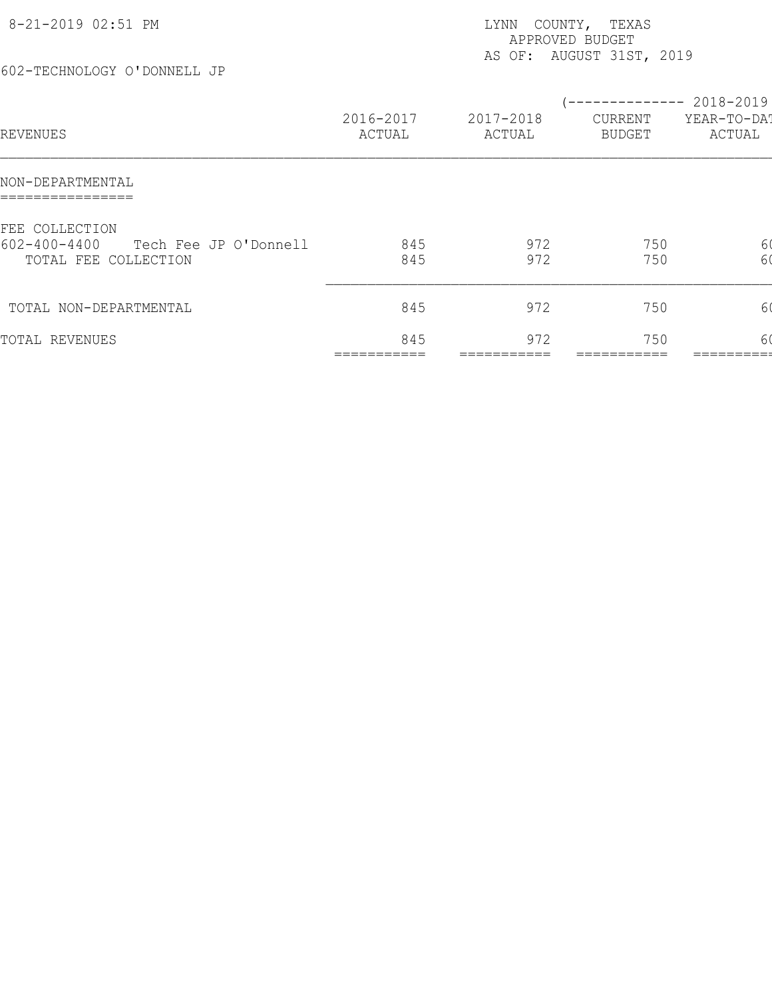| 8-21-2019 02:51 PM<br>602-TECHNOLOGY O'DONNELL JP                                     |                     | LYNN<br>APPROVED BUDGET | COUNTY, TEXAS<br>AS OF: AUGUST 31ST, 2019     |                       |
|---------------------------------------------------------------------------------------|---------------------|-------------------------|-----------------------------------------------|-----------------------|
| REVENUES                                                                              | 2016-2017<br>ACTUAL | 2017-2018<br>ACTUAL     | -------------- 2018-2019<br>CURRENT<br>BUDGET | YEAR-TO-DAT<br>ACTUAL |
| NON-DEPARTMENTAL                                                                      |                     |                         |                                               |                       |
| FEE COLLECTION<br>$602 - 400 - 4400$<br>Tech Fee JP O'Donnell<br>TOTAL FEE COLLECTION | 845<br>845          | 972<br>972              | 750<br>750                                    | 6(<br>60              |
| TOTAL NON-DEPARTMENTAL                                                                | 845                 | 972                     | 750                                           | 6(                    |
| TOTAL REVENUES                                                                        | 845                 | 972                     | 750                                           | 60                    |
|                                                                                       |                     |                         |                                               |                       |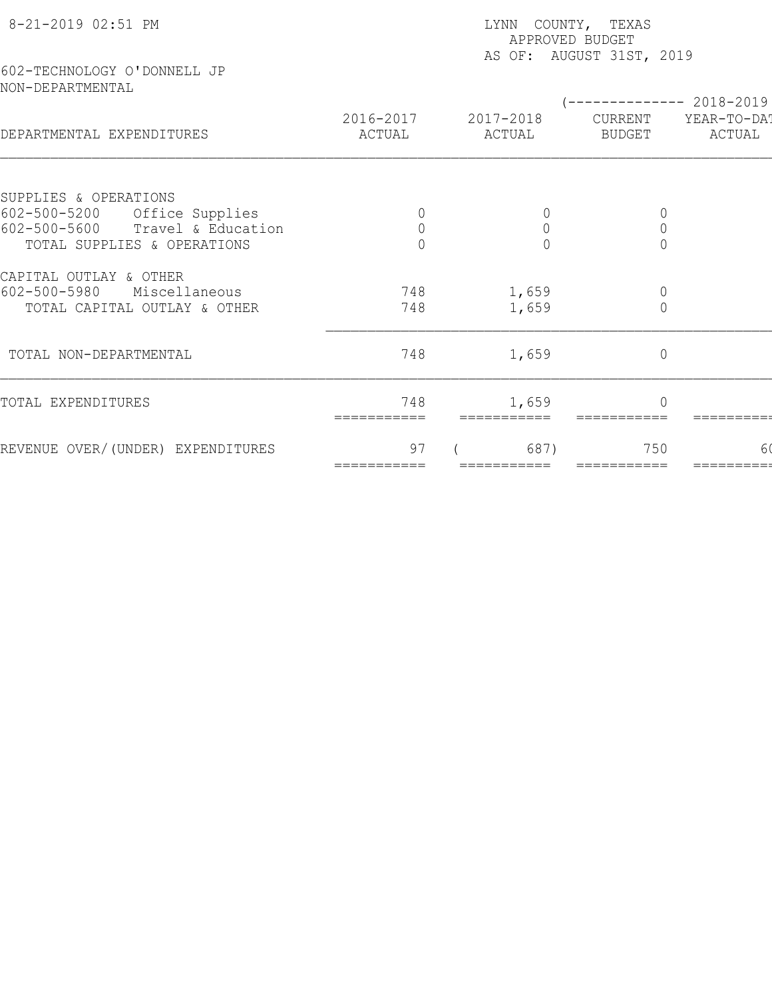| 8-21-2019 02:51 PM                              | LYNN COUNTY, TEXAS<br>APPROVED BUDGET<br>AS OF: AUGUST 31ST, 2019 |                     |                          |                       |  |  |
|-------------------------------------------------|-------------------------------------------------------------------|---------------------|--------------------------|-----------------------|--|--|
| 602-TECHNOLOGY O'DONNELL JP<br>NON-DEPARTMENTAL | $--------- 2018-2019$                                             |                     |                          |                       |  |  |
| DEPARTMENTAL EXPENDITURES                       | 2016-2017<br>ACTUAL                                               | 2017-2018<br>ACTUAL | CURRENT<br><b>BUDGET</b> | YEAR-TO-DA!<br>ACTUAL |  |  |
| SUPPLIES & OPERATIONS                           |                                                                   |                     |                          |                       |  |  |
| $602 - 500 - 5200$<br>Office Supplies           |                                                                   | $\circ$             | 0                        |                       |  |  |
| $602 - 500 - 5600$<br>Travel & Education        | $\mathsf{O}\xspace$                                               | $\mathbf 0$         | $\mathbb O$              |                       |  |  |
| TOTAL SUPPLIES & OPERATIONS                     |                                                                   | $\bigcap$           | $\Omega$                 |                       |  |  |
| CAPITAL OUTLAY & OTHER                          |                                                                   |                     |                          |                       |  |  |
| $602 - 500 - 5980$<br>Miscellaneous             | 748                                                               | 1,659               | $\mathbb O$              |                       |  |  |
| TOTAL CAPITAL OUTLAY & OTHER                    | 748                                                               | 1,659               | $\mathbf 0$              |                       |  |  |
| TOTAL NON-DEPARTMENTAL                          | 748                                                               | 1,659               | $\mathbb O$              |                       |  |  |
| TOTAL EXPENDITURES                              | 748<br>===========                                                | 1,659               |                          |                       |  |  |
| REVENUE OVER/(UNDER) EXPENDITURES               | 97<br>===========                                                 | 687)<br>=========== | 750<br>===========       | 60                    |  |  |
|                                                 |                                                                   |                     |                          |                       |  |  |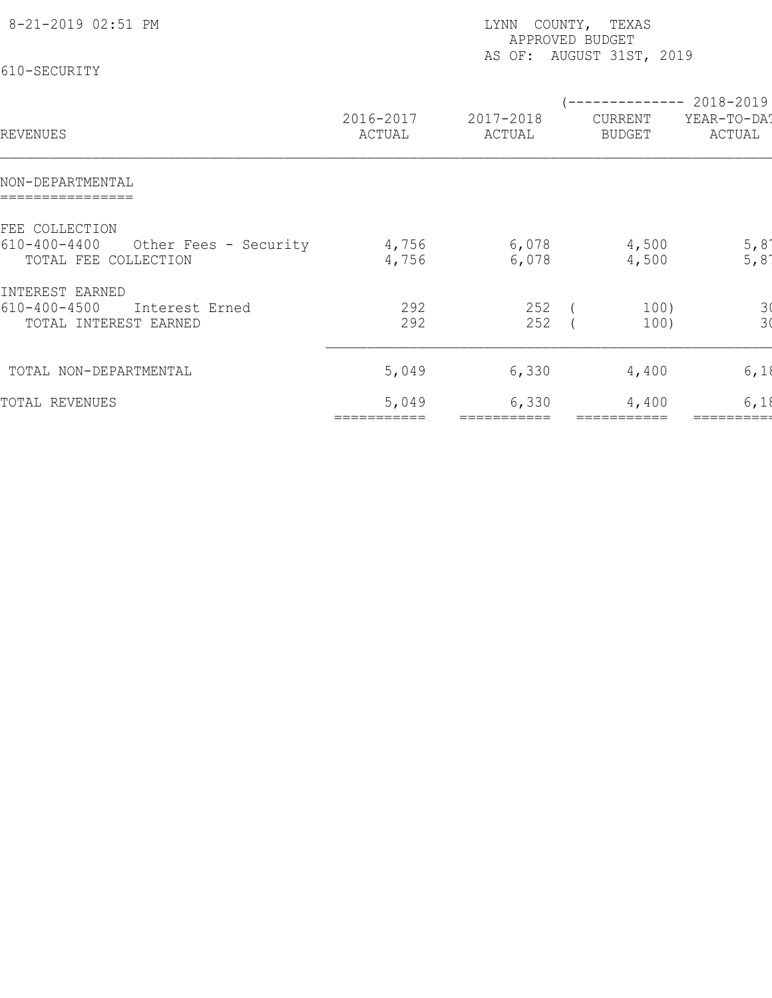| 8-21-2019 02:51 PM<br>610-SECURITY                                                    | LYNN COUNTY, TEXAS<br>APPROVED BUDGET<br>AS OF: AUGUST 31ST, 2019 |                     |                                                      |                                       |  |  |
|---------------------------------------------------------------------------------------|-------------------------------------------------------------------|---------------------|------------------------------------------------------|---------------------------------------|--|--|
| REVENUES                                                                              | 2016-2017<br>ACTUAL                                               | 2017-2018<br>ACTUAL | -------------- 2018-2019<br>CURRENT<br><b>BUDGET</b> | YEAR-TO-DAT<br>ACTUAL                 |  |  |
| NON-DEPARTMENTAL                                                                      |                                                                   |                     |                                                      |                                       |  |  |
| FEE COLLECTION<br>$610 - 400 - 4400$<br>Other Fees - Security<br>TOTAL FEE COLLECTION | 4,756<br>4,756                                                    | 6,078<br>6,078      | 4,500<br>4,500                                       | 5,81<br>$5,8$ <sup>-</sup>            |  |  |
| INTEREST EARNED<br>$610 - 400 - 4500$<br>Interest Erned<br>TOTAL INTEREST EARNED      | 292<br>292                                                        | 252<br>252          | 100)<br>100)                                         | $\begin{array}{c} 3 \\ 3 \end{array}$ |  |  |
| TOTAL NON-DEPARTMENTAL                                                                | 5,049                                                             | 6,330               | 4,400                                                | 6,18                                  |  |  |
| TOTAL REVENUES                                                                        | 5,049                                                             | 6,330               | 4,400                                                | 6,18                                  |  |  |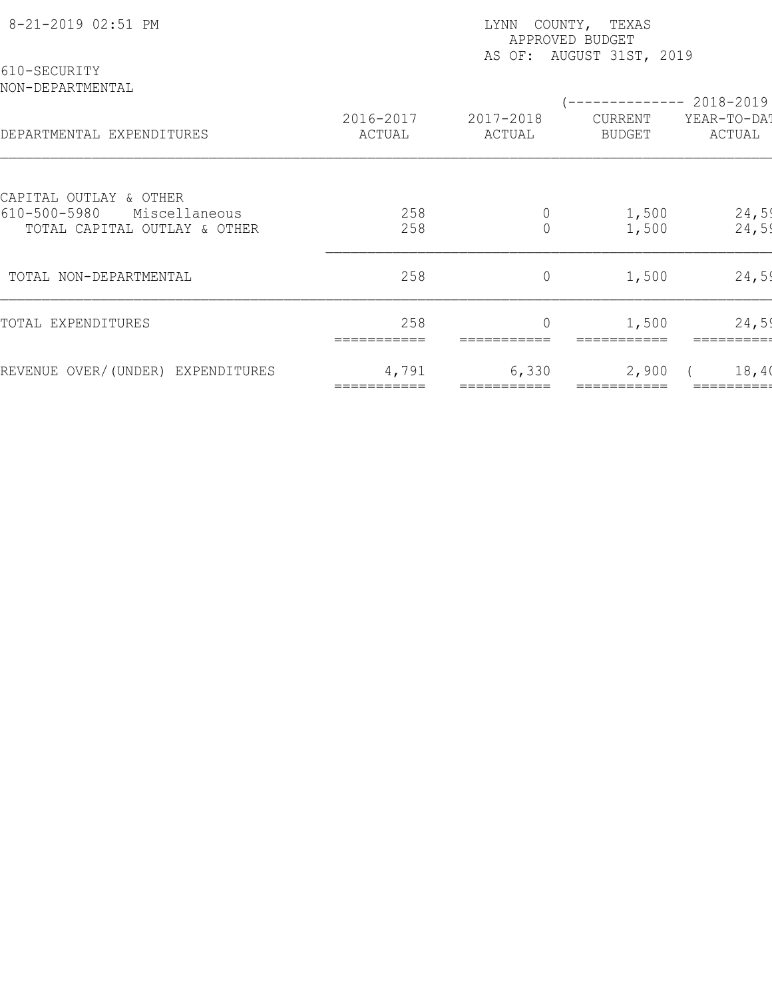| 8-21-2019 02:51 PM                                                  | COUNTY, TEXAS<br>LYNN<br>APPROVED BUDGET<br>AS OF: AUGUST 31ST, 2019 |                            |                          |                       |  |  |
|---------------------------------------------------------------------|----------------------------------------------------------------------|----------------------------|--------------------------|-----------------------|--|--|
| 610-SECURITY<br>NON-DEPARTMENTAL                                    |                                                                      |                            |                          | 2018-2019             |  |  |
| DEPARTMENTAL EXPENDITURES                                           | 2016-2017<br>ACTUAL                                                  | 2017-2018<br>ACTUAL        | CURRENT<br><b>BUDGET</b> | YEAR-TO-DAT<br>ACTUAL |  |  |
| CAPITAL OUTLAY & OTHER                                              |                                                                      |                            |                          |                       |  |  |
| $610 - 500 - 5980$<br>Miscellaneous<br>TOTAL CAPITAL OUTLAY & OTHER | 258<br>258                                                           | $\theta$<br>$\overline{0}$ | 1,500<br>1,500           | 24,59<br>24,59        |  |  |
| TOTAL NON-DEPARTMENTAL                                              | 258                                                                  | $\circ$                    | 1,500                    | 24,59                 |  |  |
| TOTAL EXPENDITURES                                                  | 258<br>===========                                                   | $\overline{0}$             | 1,500                    | 24,59                 |  |  |
| REVENUE OVER/(UNDER) EXPENDITURES                                   | 4,791                                                                | 6,330                      | 2,900                    | 18,40                 |  |  |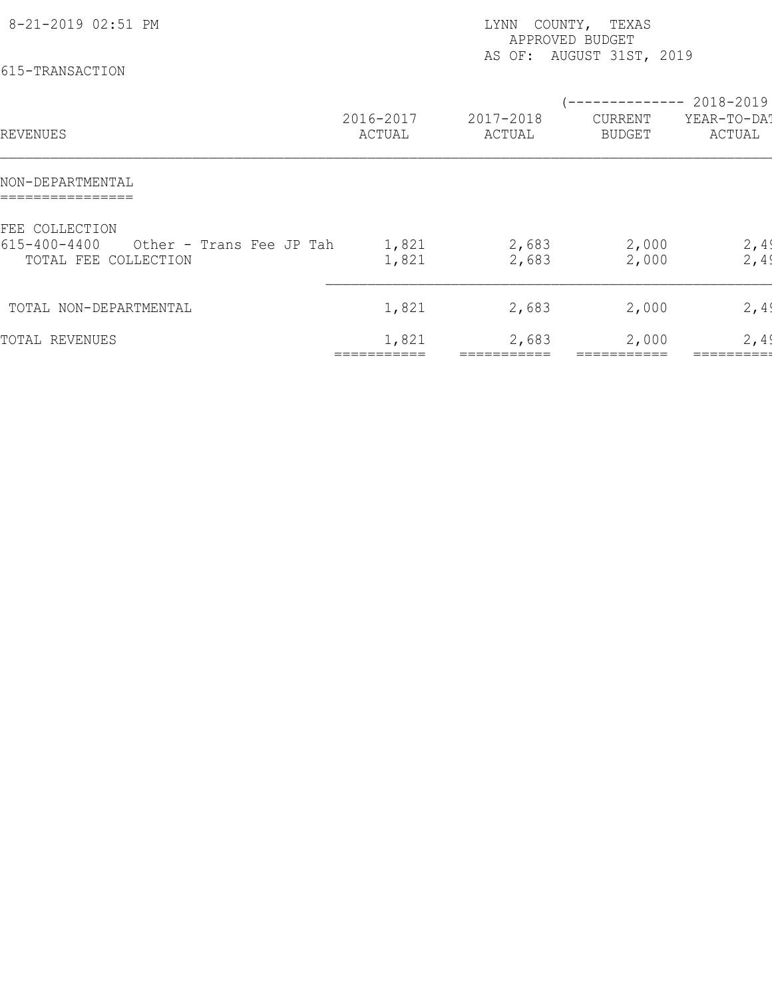| 8-21-2019 02:51 PM<br>615-TRANSACTION                                                    |                     | LYNN<br>APPROVED BUDGET | COUNTY, TEXAS<br>AS OF: AUGUST 31ST, 2019         |                       |
|------------------------------------------------------------------------------------------|---------------------|-------------------------|---------------------------------------------------|-----------------------|
| REVENUES                                                                                 | 2016-2017<br>ACTUAL | 2017-2018<br>ACTUAL     | $--------- 2018-2019$<br>CURRENT<br><b>BUDGET</b> | YEAR-TO-DAT<br>ACTUAL |
| NON-DEPARTMENTAL                                                                         |                     |                         |                                                   |                       |
| FEE COLLECTION<br>$615 - 400 - 4400$<br>Other - Trans Fee JP Tah<br>TOTAL FEE COLLECTION | 1,821<br>1,821      | 2,683<br>2,683          | 2,000<br>2,000                                    | 2,49<br>2,49          |
| TOTAL NON-DEPARTMENTAL                                                                   | 1,821               | 2,683                   | 2,000                                             | 2,49                  |
| TOTAL REVENUES                                                                           | 1,821               | 2,683                   | 2,000                                             | 2,49                  |
|                                                                                          |                     |                         |                                                   |                       |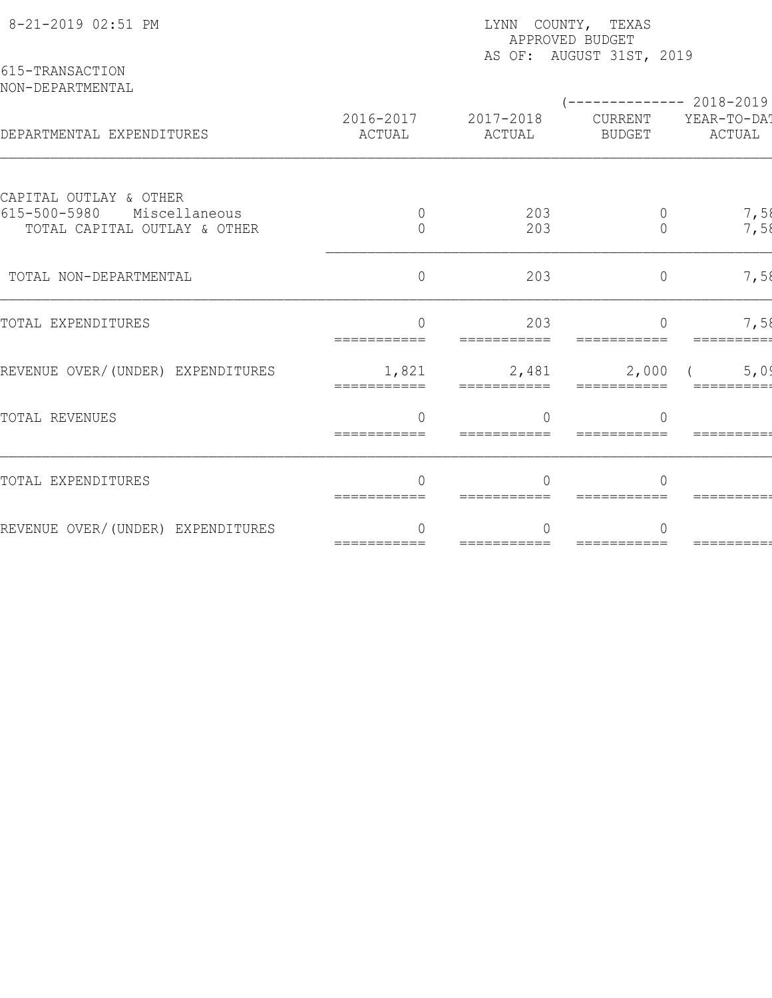| 8-21-2019 02:51 PM                                            |                          | LYNN COUNTY, TEXAS<br>APPROVED BUDGET<br>AS OF: AUGUST 31ST, 2019 |                          |                                                 |  |  |  |
|---------------------------------------------------------------|--------------------------|-------------------------------------------------------------------|--------------------------|-------------------------------------------------|--|--|--|
| 615-TRANSACTION<br>NON-DEPARTMENTAL                           |                          |                                                                   |                          |                                                 |  |  |  |
| DEPARTMENTAL EXPENDITURES                                     | 2016-2017<br>ACTUAL      | 2017-2018<br>ACTUAL                                               | CURRENT<br><b>BUDGET</b> | ------------ 2018-2019<br>YEAR-TO-DA!<br>ACTUAL |  |  |  |
| CAPITAL OUTLAY & OTHER<br>$615 - 500 - 5980$<br>Miscellaneous | 0                        | 203                                                               | $\overline{0}$           |                                                 |  |  |  |
| TOTAL CAPITAL OUTLAY & OTHER                                  | $\overline{0}$           | 203                                                               | $\overline{0}$           | 7,58<br>7,58                                    |  |  |  |
| TOTAL NON-DEPARTMENTAL                                        | $\overline{0}$           | 203                                                               | $\circ$                  | 7,58                                            |  |  |  |
| TOTAL EXPENDITURES                                            | $\Omega$<br>===========  | 203<br>===========                                                | $\Omega$<br>===========  | 7,58<br>==========                              |  |  |  |
| REVENUE OVER/(UNDER) EXPENDITURES                             | 1,821<br>===========     | 2,481<br>===========                                              | 2,000<br>===========     | 5,09                                            |  |  |  |
| TOTAL REVENUES                                                | $\bigcap$<br>=========== | $\cap$<br>===========                                             | $\bigcap$<br>=========== | =========                                       |  |  |  |
| TOTAL EXPENDITURES                                            | $\bigcap$<br>=========== | $\cap$<br>===========                                             | $\cap$<br>===========    |                                                 |  |  |  |
| REVENUE OVER/(UNDER) EXPENDITURES                             | ∩<br>===========         | C                                                                 | ∩<br>$=$ ==========      |                                                 |  |  |  |
|                                                               |                          |                                                                   |                          |                                                 |  |  |  |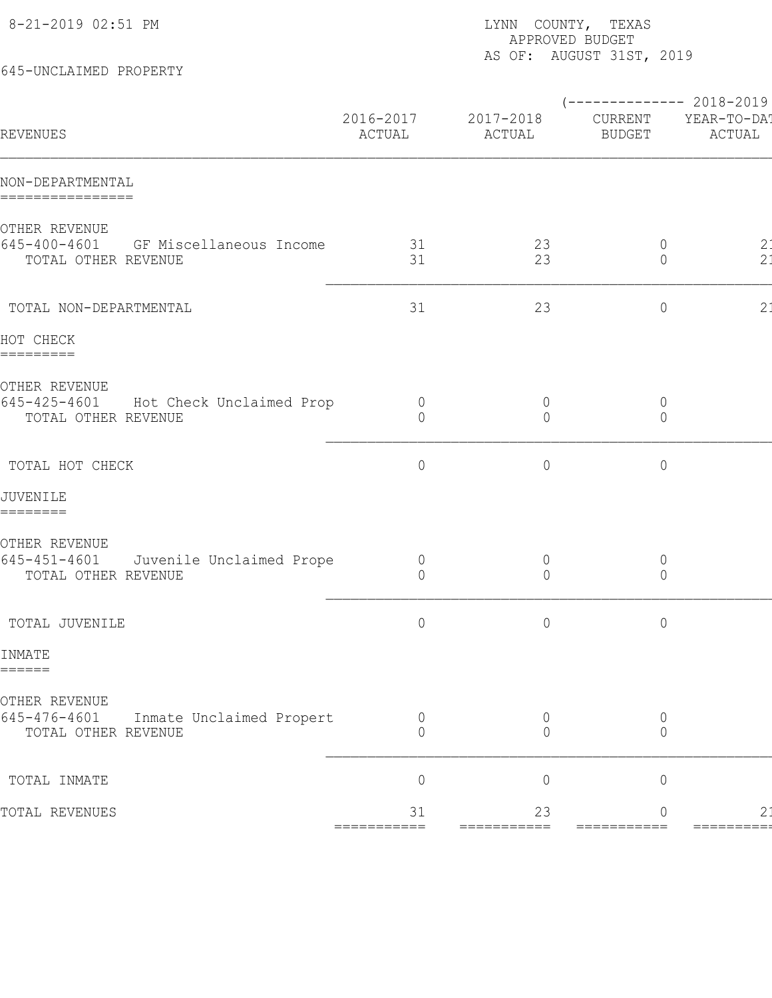| 645-UNCLAIMED PROPERTY                                                                 | APPROVED BUDGET<br>AS OF: AUGUST 31ST, 2019 |                                  |                                                   |                       |  |
|----------------------------------------------------------------------------------------|---------------------------------------------|----------------------------------|---------------------------------------------------|-----------------------|--|
| REVENUES                                                                               | 2016-2017<br>ACTUAL                         | 2017-2018<br>ACTUAL              | $--------- 2018-2019$<br>CURRENT<br><b>BUDGET</b> | YEAR-TO-DA!<br>ACTUAL |  |
| NON-DEPARTMENTAL<br>================                                                   |                                             |                                  |                                                   |                       |  |
| OTHER REVENUE<br>$645 - 400 - 4601$<br>GF Miscellaneous Income<br>TOTAL OTHER REVENUE  | 31<br>31                                    | 23<br>23                         | $\circ$<br>$\circ$                                | 2:<br>2 <sub>1</sub>  |  |
| TOTAL NON-DEPARTMENTAL                                                                 | 31                                          | 23                               | $\circ$                                           | 2:                    |  |
| HOT CHECK<br>=========                                                                 |                                             |                                  |                                                   |                       |  |
| OTHER REVENUE<br>645-425-4601<br>Hot Check Unclaimed Prop<br>TOTAL OTHER REVENUE       | $\overline{0}$<br>$\Omega$                  | $\overline{0}$<br>0              | $\circ$<br>$\circ$                                |                       |  |
| TOTAL HOT CHECK                                                                        | $\circ$                                     | $\circ$                          | $\mathbb O$                                       |                       |  |
| JUVENILE<br>========                                                                   |                                             |                                  |                                                   |                       |  |
| OTHER REVENUE<br>$645 - 451 - 4601$<br>Juvenile Unclaimed Prope<br>TOTAL OTHER REVENUE | $\overline{0}$<br>$\circ$                   | $\overline{0}$<br>$\overline{0}$ | $\circ$<br>$\circ$                                |                       |  |
| TOTAL JUVENILE                                                                         | $\circ$                                     | $\circ$                          | $\circ$                                           |                       |  |
| INMATE<br>======                                                                       |                                             |                                  |                                                   |                       |  |
| OTHER REVENUE<br>645-476-4601<br>Inmate Unclaimed Propert<br>TOTAL OTHER REVENUE       | 0<br>$\Omega$                               | $\overline{0}$<br>$\Omega$       | 0<br>0                                            |                       |  |
| TOTAL INMATE                                                                           | $\overline{0}$                              | $\mathbf 0$                      | $\mathbb O$                                       |                       |  |
| TOTAL REVENUES                                                                         | 31<br>===========                           | 23<br>===========                | 0<br>===========                                  | 2:<br>=========       |  |
|                                                                                        |                                             |                                  |                                                   |                       |  |

8-21-2019 02:51 PM **EXAS** PAGE: 1880 PM RESERVE THE LATTER THAT THE SASKED THAT THE SASKED THAT THE SASKED THAT THE SASKED THAT THE SASKED THAT THE SASKED THAT THE SASKED THAT THE SASKED THAT THE SASKED THAT THE SASKED THA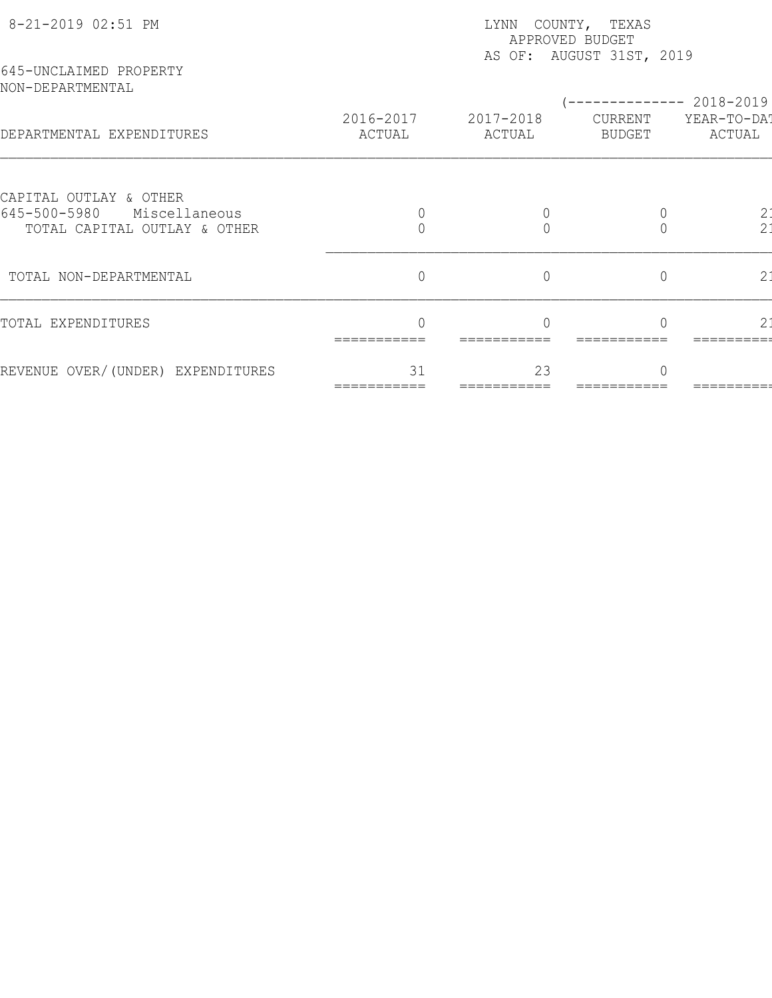| 8-21-2019 02:51 PM                                            | LYNN COUNTY, TEXAS<br>APPROVED BUDGET<br>AS OF: AUGUST 31ST, 2019 |                     |                   |                       |  |  |
|---------------------------------------------------------------|-------------------------------------------------------------------|---------------------|-------------------|-----------------------|--|--|
| 645-UNCLAIMED PROPERTY<br>NON-DEPARTMENTAL                    |                                                                   |                     |                   | ----------- 2018-2019 |  |  |
| DEPARTMENTAL EXPENDITURES                                     | 2016-2017<br>ACTUAL                                               | 2017-2018<br>ACTUAL | CURRENT<br>BUDGET | YEAR-TO-DA!<br>ACTUAL |  |  |
| CAPITAL OUTLAY & OTHER                                        |                                                                   |                     |                   |                       |  |  |
| 645-500-5980<br>Miscellaneous<br>TOTAL CAPITAL OUTLAY & OTHER |                                                                   |                     |                   | $rac{2}{2}$           |  |  |
| TOTAL NON-DEPARTMENTAL                                        | $\overline{0}$                                                    | $\overline{0}$      | $\overline{0}$    | 2:                    |  |  |
| TOTAL EXPENDITURES                                            |                                                                   |                     |                   | 2:                    |  |  |
| REVENUE OVER/(UNDER) EXPENDITURES                             | 31                                                                | 23                  |                   |                       |  |  |
|                                                               |                                                                   |                     |                   |                       |  |  |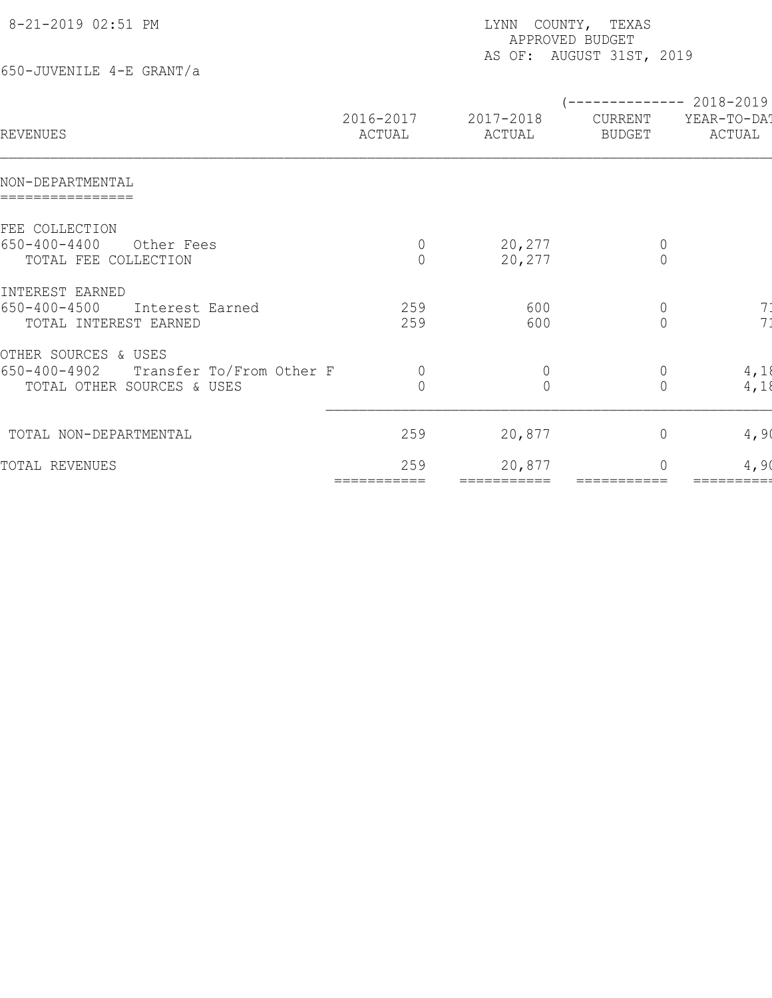| 8-21-2019 02:51 PM                    |                     | LYNN COUNTY, TEXAS<br>APPROVED BUDGET<br>AS OF: AUGUST 31ST, 2019 |                          |                                                 |  |  |  |
|---------------------------------------|---------------------|-------------------------------------------------------------------|--------------------------|-------------------------------------------------|--|--|--|
| 650-JUVENILE 4-E GRANT/a              |                     |                                                                   |                          |                                                 |  |  |  |
| REVENUES                              | 2016-2017<br>ACTUAL | 2017-2018<br>ACTUAL                                               | CURRENT<br><b>BUDGET</b> | ------------ 2018-2019<br>YEAR-TO-DAT<br>ACTUAL |  |  |  |
| NON-DEPARTMENTAL                      |                     |                                                                   |                          |                                                 |  |  |  |
| FEE COLLECTION                        |                     |                                                                   |                          |                                                 |  |  |  |
| $650 - 400 - 4400$<br>Other Fees      | $\circ$             | 20,277                                                            | $\overline{0}$           |                                                 |  |  |  |
| TOTAL FEE COLLECTION                  | $\Omega$            | 20,277                                                            | $\overline{0}$           |                                                 |  |  |  |
| INTEREST EARNED                       |                     |                                                                   |                          |                                                 |  |  |  |
| $650 - 400 - 4500$<br>Interest Earned | 259                 | 600                                                               | $\overline{0}$           | 7 <sup>1</sup>                                  |  |  |  |
| TOTAL INTEREST EARNED                 | 259                 | 600                                                               | $\Omega$                 | 7 <sup>1</sup>                                  |  |  |  |
| OTHER SOURCES & USES                  |                     |                                                                   |                          |                                                 |  |  |  |
| 650-400-4902 Transfer To/From Other F | $\overline{0}$      | $\mathbf 0$                                                       | $\overline{0}$           | 4,18                                            |  |  |  |
| TOTAL OTHER SOURCES & USES            | $\bigcap$           | $\Omega$                                                          | $\overline{0}$           | 4,18                                            |  |  |  |
| TOTAL NON-DEPARTMENTAL                | 259                 | 20,877                                                            | $\circ$                  | 4,90                                            |  |  |  |
| TOTAL REVENUES                        | 259                 | 20,877                                                            | $\Omega$                 | 4,90                                            |  |  |  |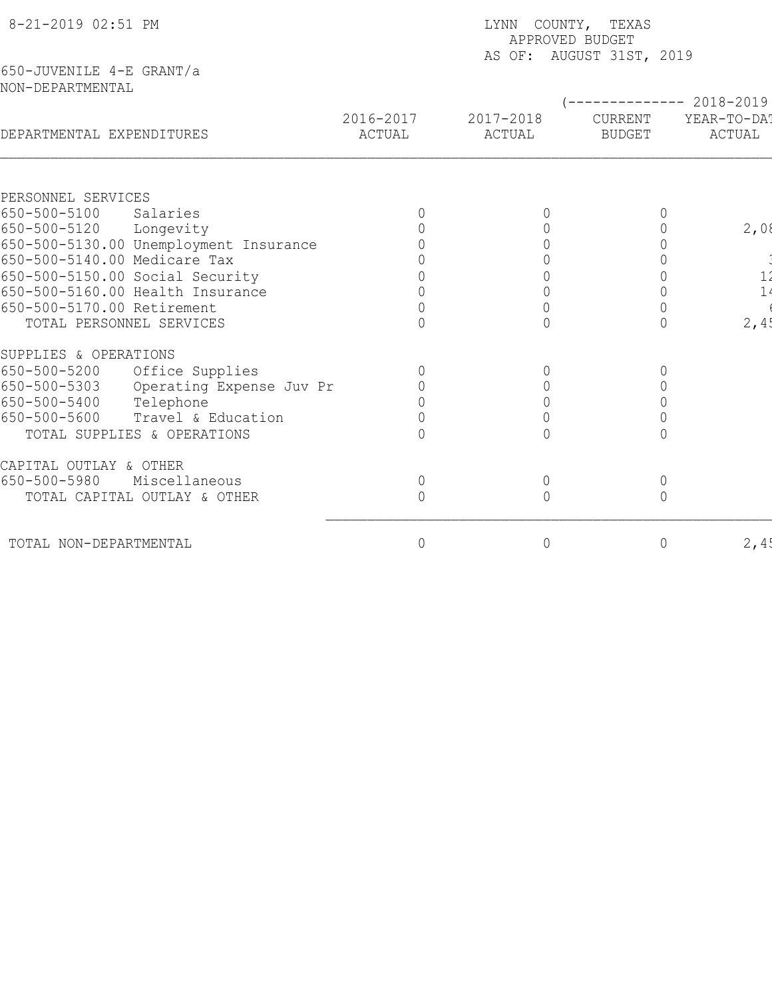| 8-21-2019 02:51 PM                           |                          | LYNN COUNTY, TEXAS<br>APPROVED BUDGET<br>AS OF: AUGUST 31ST, 2019 |                            |                          |                       |  |  |
|----------------------------------------------|--------------------------|-------------------------------------------------------------------|----------------------------|--------------------------|-----------------------|--|--|
| 650-JUVENILE 4-E GRANT/a<br>NON-DEPARTMENTAL |                          |                                                                   |                            |                          |                       |  |  |
|                                              |                          |                                                                   |                            |                          | $-------- 2018-2019$  |  |  |
| DEPARTMENTAL EXPENDITURES                    |                          | 2016-2017<br>ACTUAL                                               | 2017-2018<br><b>ACTUAL</b> | CURRENT<br><b>BUDGET</b> | YEAR-TO-DAT<br>ACTUAL |  |  |
|                                              |                          |                                                                   |                            |                          |                       |  |  |
| PERSONNEL SERVICES                           |                          |                                                                   |                            |                          |                       |  |  |
| 650-500-5100<br>Salaries                     |                          |                                                                   | 0                          |                          |                       |  |  |
| 650-500-5120<br>Longevity                    |                          | $\overline{0}$                                                    | $\overline{0}$             |                          | 2,08                  |  |  |
| 650-500-5130.00 Unemployment Insurance       |                          |                                                                   | $\cap$                     |                          |                       |  |  |
| 650-500-5140.00 Medicare Tax                 |                          |                                                                   |                            |                          |                       |  |  |
| 650-500-5150.00 Social Security              |                          |                                                                   | $\overline{0}$             |                          | 1'                    |  |  |
| 650-500-5160.00 Health Insurance             |                          |                                                                   | $\mathbf 0$                |                          | 1                     |  |  |
| 650-500-5170.00 Retirement                   |                          |                                                                   | $\mathbf 0$<br>$\bigcap$   |                          |                       |  |  |
| TOTAL PERSONNEL SERVICES                     |                          |                                                                   |                            |                          | 2,4!                  |  |  |
| SUPPLIES & OPERATIONS                        |                          |                                                                   |                            |                          |                       |  |  |
| 650-500-5200<br>Office Supplies              |                          | $\overline{0}$                                                    | $\mathbf 0$                | 0                        |                       |  |  |
| 650-500-5303                                 | Operating Expense Juv Pr |                                                                   | $\mathbf 0$                |                          |                       |  |  |
| 650-500-5400<br>Telephone                    |                          |                                                                   | $\Omega$                   |                          |                       |  |  |
| 650-500-5600                                 | Travel & Education       |                                                                   | $\Omega$                   |                          |                       |  |  |
| TOTAL SUPPLIES & OPERATIONS                  |                          |                                                                   | $\cap$                     |                          |                       |  |  |
| CAPITAL OUTLAY & OTHER                       |                          |                                                                   |                            |                          |                       |  |  |
| 650-500-5980<br>Miscellaneous                |                          | $\circ$                                                           | $\mathbb O$                | $\mathbb O$              |                       |  |  |
| TOTAL CAPITAL OUTLAY & OTHER                 |                          | $\overline{0}$                                                    | $\overline{0}$             | $\overline{0}$           |                       |  |  |
| TOTAL NON-DEPARTMENTAL                       |                          | $\mathbf 0$                                                       | $\circ$                    | $\circ$                  | 2,4!                  |  |  |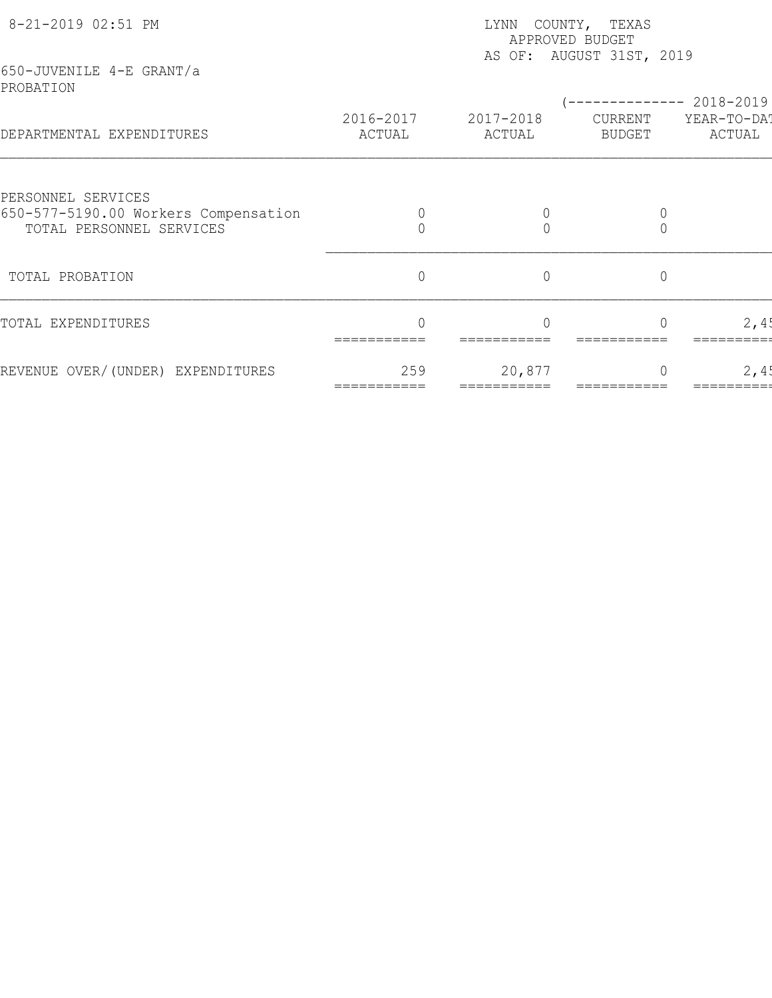| 8-21-2019 02:51 PM                                               | LYNN COUNTY, TEXAS<br>APPROVED BUDGET<br>AS OF: AUGUST 31ST, 2019 |                     |                   |                       |  |  |
|------------------------------------------------------------------|-------------------------------------------------------------------|---------------------|-------------------|-----------------------|--|--|
| 650-JUVENILE 4-E GRANT/a<br>PROBATION                            |                                                                   |                     |                   | $-2018 - 2019$        |  |  |
| DEPARTMENTAL EXPENDITURES                                        | 2016-2017<br>ACTUAL                                               | 2017-2018<br>ACTUAL | CURRENT<br>BUDGET | YEAR-TO-DAT<br>ACTUAL |  |  |
| PERSONNEL SERVICES                                               |                                                                   |                     |                   |                       |  |  |
| 650-577-5190.00 Workers Compensation<br>TOTAL PERSONNEL SERVICES |                                                                   |                     |                   |                       |  |  |
| TOTAL PROBATION                                                  | $\mathbb O$                                                       | $\circ$             | $\mathbb O$       |                       |  |  |
| TOTAL EXPENDITURES                                               | ∩                                                                 |                     |                   | 2,45                  |  |  |
| REVENUE OVER/(UNDER) EXPENDITURES                                | 259                                                               | 20,877              |                   | 2,45                  |  |  |
|                                                                  |                                                                   |                     |                   |                       |  |  |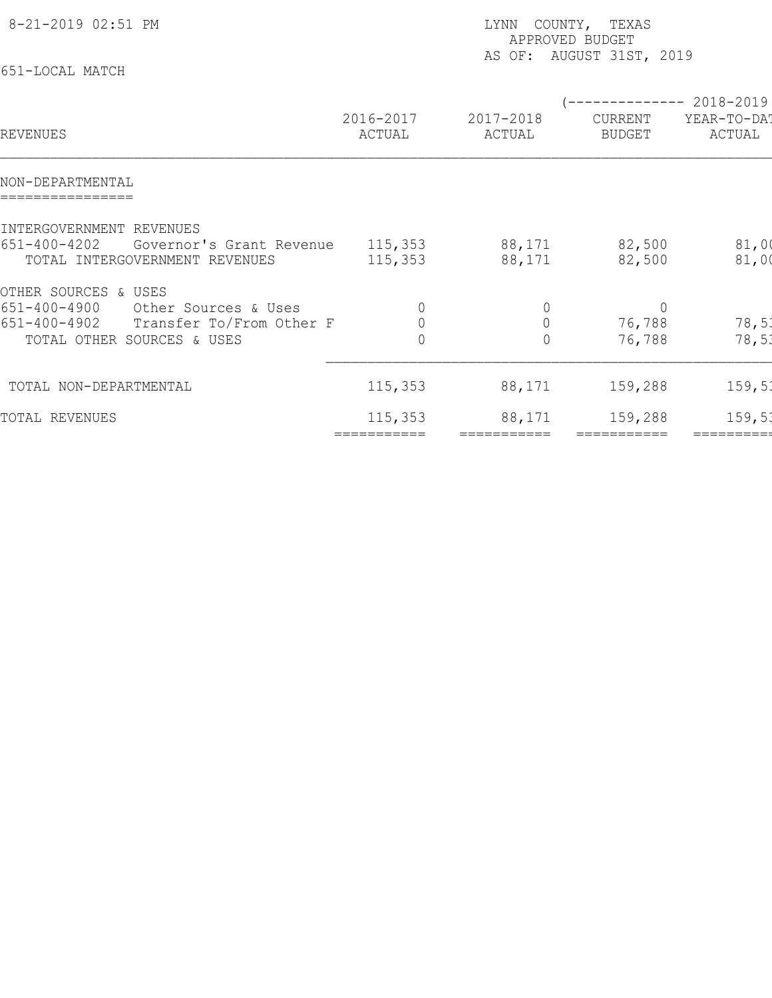| 8-21-2019 02:51 PM                                                                     | LYNN COUNTY, TEXAS<br>APPROVED BUDGET<br>AS OF: AUGUST 31ST, 2019 |                        |                          |                       |  |
|----------------------------------------------------------------------------------------|-------------------------------------------------------------------|------------------------|--------------------------|-----------------------|--|
| 651-LOCAL MATCH                                                                        |                                                                   |                        | -------------- 2018-2019 |                       |  |
| REVENUES                                                                               | 2016-2017<br>ACTUAL                                               | 2017-2018<br>ACTUAL    | CURRENT<br><b>BUDGET</b> | YEAR-TO-DAT<br>ACTUAL |  |
| NON-DEPARTMENTAL                                                                       |                                                                   |                        |                          |                       |  |
| INTERGOVERNMENT REVENUES                                                               |                                                                   |                        |                          |                       |  |
| 651-400-4202<br>Governor's Grant Revenue<br>TOTAL INTERGOVERNMENT REVENUES             | 115,353<br>115,353                                                | 88,171<br>88,171       | 82,500<br>82,500         | 81,00<br>81,00        |  |
| OTHER SOURCES & USES                                                                   |                                                                   |                        |                          |                       |  |
| 651-400-4900<br>Other Sources & Uses<br>$651 - 400 - 4902$<br>Transfer To/From Other F | 0<br>$\mathbb O$                                                  | $\circ$<br>$\mathbb O$ | $\overline{0}$<br>76,788 | 78,51                 |  |
| TOTAL OTHER SOURCES & USES                                                             | 0                                                                 | 0                      | 76,788                   | 78,53                 |  |
| TOTAL NON-DEPARTMENTAL                                                                 | 115, 353                                                          | 88,171                 | 159,288                  | 159, 51               |  |
| TOTAL REVENUES                                                                         | 115,353                                                           | 88,171                 | 159,288                  | 159, 51               |  |
|                                                                                        | ===========                                                       |                        | ===========              | ==========            |  |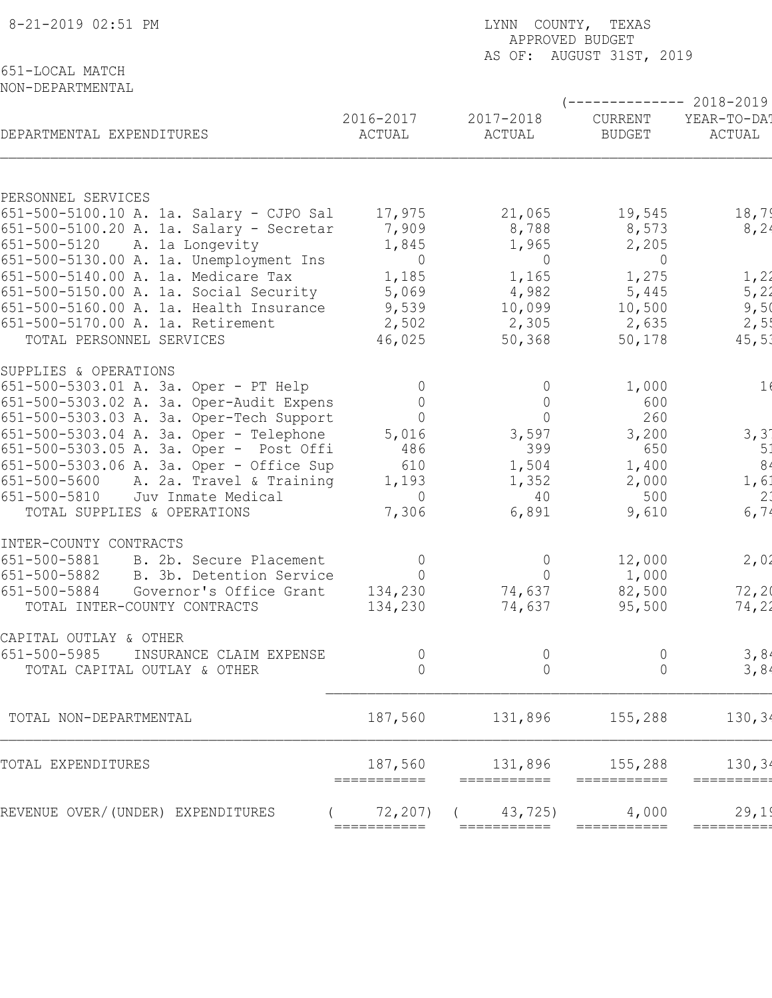| 8-21-2019 02:51 PM                                                         | LYNN COUNTY, TEXAS<br>APPROVED BUDGET<br>AS OF: AUGUST 31ST, 2019 |                             |                                 |                                                |  |  |
|----------------------------------------------------------------------------|-------------------------------------------------------------------|-----------------------------|---------------------------------|------------------------------------------------|--|--|
| 651-LOCAL MATCH<br>NON-DEPARTMENTAL                                        |                                                                   |                             |                                 |                                                |  |  |
| DEPARTMENTAL EXPENDITURES                                                  | 2016-2017<br>ACTUAL                                               | 2017-2018<br>ACTUAL         | <b>CURRENT</b><br><b>BUDGET</b> | ----------- 2018-2019<br>YEAR-TO-DA!<br>ACTUAL |  |  |
|                                                                            |                                                                   |                             |                                 |                                                |  |  |
| PERSONNEL SERVICES                                                         |                                                                   |                             |                                 |                                                |  |  |
| 651-500-5100.10 A. 1a. Salary - CJPO Sal                                   | 17,975                                                            | 21,065                      | 19,545                          | 18,79                                          |  |  |
| 651-500-5100.20 A. 1a. Salary - Secretar                                   | 7,909                                                             | 8,788                       | 8,573                           | 8, 24                                          |  |  |
| 651-500-5120<br>A. la Longevity<br>651-500-5130.00 A. 1a. Unemployment Ins | 1,845<br>$\overline{0}$                                           | 1,965<br>$\overline{0}$     | 2,205<br>$\overline{0}$         |                                                |  |  |
| 651-500-5140.00 A. 1a. Medicare Tax                                        | 1,185                                                             | 1,165                       | 1,275                           | 1,21                                           |  |  |
| 651-500-5150.00 A. 1a. Social Security                                     | 5,069                                                             | 4,982                       | 5,445                           | 5, 21                                          |  |  |
| 651-500-5160.00 A. 1a. Health Insurance                                    | 9,539                                                             | 10,099                      | 10,500                          | 9,5(                                           |  |  |
| 651-500-5170.00 A. 1a. Retirement                                          | 2,502                                                             | 2,305                       | 2,635                           | 2,5!                                           |  |  |
| TOTAL PERSONNEL SERVICES                                                   | 46,025                                                            | 50,368                      | 50,178                          | 45, 51                                         |  |  |
| SUPPLIES & OPERATIONS                                                      |                                                                   |                             |                                 |                                                |  |  |
| 651-500-5303.01 A. 3a. Oper - PT Help                                      | $\Omega$                                                          | $\Omega$                    | 1,000                           | 1(                                             |  |  |
| 651-500-5303.02 A. 3a. Oper-Audit Expens                                   | $\overline{0}$                                                    | $\circ$                     | 600                             |                                                |  |  |
| 651-500-5303.03 A. 3a. Oper-Tech Support                                   | $\overline{0}$                                                    | $\Omega$                    | 260                             |                                                |  |  |
| 651-500-5303.04 A. 3a. Oper - Telephone                                    | 5,016                                                             | 3,597                       | 3,200                           | 3, 3'                                          |  |  |
| 651-500-5303.05 A. 3a. Oper - Post Offi                                    | 486                                                               | 399                         | 650                             | 51                                             |  |  |
| 651-500-5303.06 A. 3a. Oper - Office Sup                                   | 610                                                               | 1,504                       | 1,400                           | 8 <sub>4</sub>                                 |  |  |
| 651-500-5600<br>A. 2a. Travel & Training                                   | 1,193                                                             | 1,352                       | 2,000                           | 1, 61                                          |  |  |
| 651-500-5810<br>Juv Inmate Medical<br>TOTAL SUPPLIES & OPERATIONS          | $\Omega$<br>7,306                                                 | 40<br>6,891                 | 500<br>9,610                    | 2:<br>6, 74                                    |  |  |
|                                                                            |                                                                   |                             |                                 |                                                |  |  |
| INTER-COUNTY CONTRACTS                                                     |                                                                   |                             |                                 |                                                |  |  |
| 651-500-5881<br>B. 2b. Secure Placement<br>B. 3b. Detention Service        | $\Omega$<br>$\overline{0}$                                        | $\overline{0}$<br>$\bigcap$ | 12,000                          | 2,02                                           |  |  |
| 651-500-5882<br>651-500-5884<br>Governor's Office Grant                    | 134,230                                                           | 74,637                      | 1,000<br>82,500                 | 72, 20                                         |  |  |
| TOTAL INTER-COUNTY CONTRACTS                                               | 134,230                                                           | 74,637                      | 95,500                          | 74,22                                          |  |  |
|                                                                            |                                                                   |                             |                                 |                                                |  |  |
| CAPITAL OUTLAY & OTHER                                                     |                                                                   |                             |                                 |                                                |  |  |
| 651-500-5985<br>INSURANCE CLAIM EXPENSE<br>TOTAL CAPITAL OUTLAY & OTHER    | $\overline{0}$<br>$\overline{0}$                                  | $\theta$<br>$\overline{0}$  | 0<br>$\overline{0}$             | 3,8<br>3,84                                    |  |  |
|                                                                            |                                                                   |                             |                                 |                                                |  |  |
| TOTAL NON-DEPARTMENTAL                                                     | 187,560                                                           | 131,896                     | 155,288                         | 130, 34                                        |  |  |
| TOTAL EXPENDITURES                                                         | 187,560                                                           | 131,896                     | 155,288                         | 130, 34                                        |  |  |
| REVENUE OVER/(UNDER) EXPENDITURES                                          | ===========<br>72, 207)                                           | ===========<br>43,725)      | 4,000                           | =========<br>29,19                             |  |  |
|                                                                            | ===========                                                       | ===========                 | ===========                     | =========                                      |  |  |
|                                                                            |                                                                   |                             |                                 |                                                |  |  |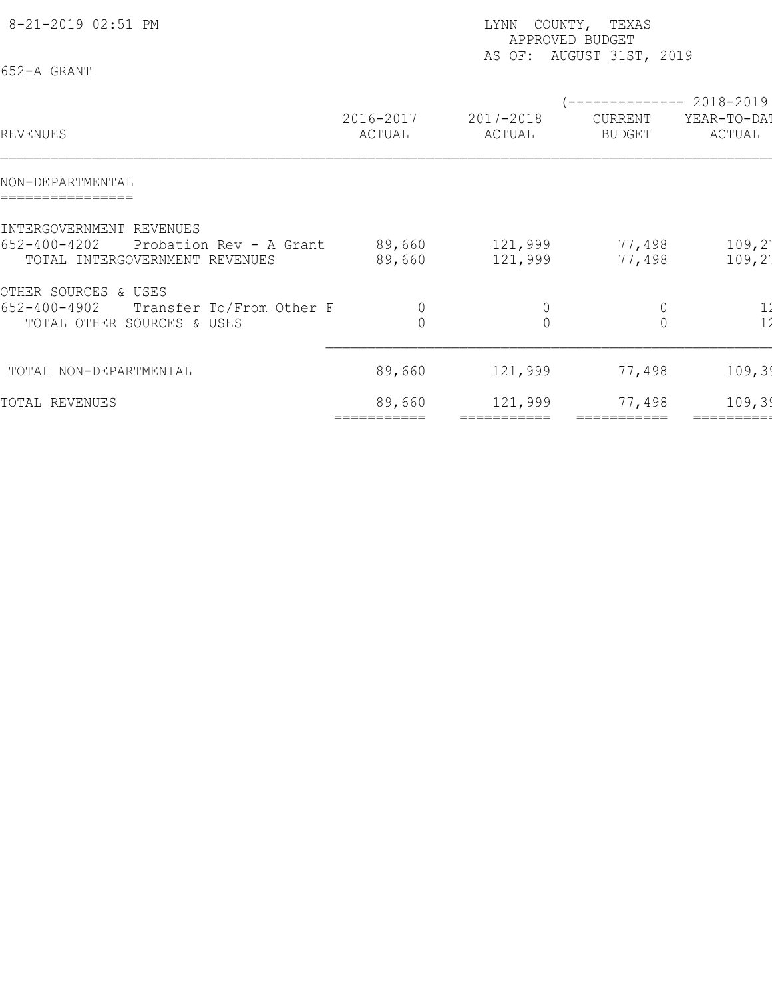| 8-21-2019 02:51 PM<br>652-A GRANT                                                                           | COUNTY, TEXAS<br>LYNN<br>APPROVED BUDGET<br>AS OF: AUGUST 31ST, 2019 |                            |                                                        |                                      |  |  |
|-------------------------------------------------------------------------------------------------------------|----------------------------------------------------------------------|----------------------------|--------------------------------------------------------|--------------------------------------|--|--|
| REVENUES                                                                                                    | 2016-2017<br>ACTUAL                                                  | 2017-2018<br>ACTUAL        | (-------------- 2018-2019)<br>CURRENT<br><b>BUDGET</b> | YEAR-TO-DAT<br>ACTUAL                |  |  |
| NON-DEPARTMENTAL                                                                                            |                                                                      |                            |                                                        |                                      |  |  |
| INTERGOVERNMENT REVENUES<br>$652 - 400 - 4202$<br>Probation Rev - A Grant<br>TOTAL INTERGOVERNMENT REVENUES | 89,660<br>89,660                                                     | 121,999<br>121,999         | 77,498<br>77,498                                       | $109, 2^{\circ}$<br>$109, 2^{\circ}$ |  |  |
| OTHER SOURCES & USES<br>$652 - 400 - 4902$<br>Transfer To/From Other F<br>TOTAL OTHER SOURCES & USES        | $\circ$                                                              | $\theta$<br>$\overline{0}$ | $\mathbb O$<br>$\overline{0}$                          |                                      |  |  |
| TOTAL NON-DEPARTMENTAL                                                                                      | 89,660                                                               | 121,999                    | 77,498                                                 | 109, 39                              |  |  |
| TOTAL REVENUES                                                                                              | 89,660                                                               | 121,999                    | 77,498                                                 | 109, 39                              |  |  |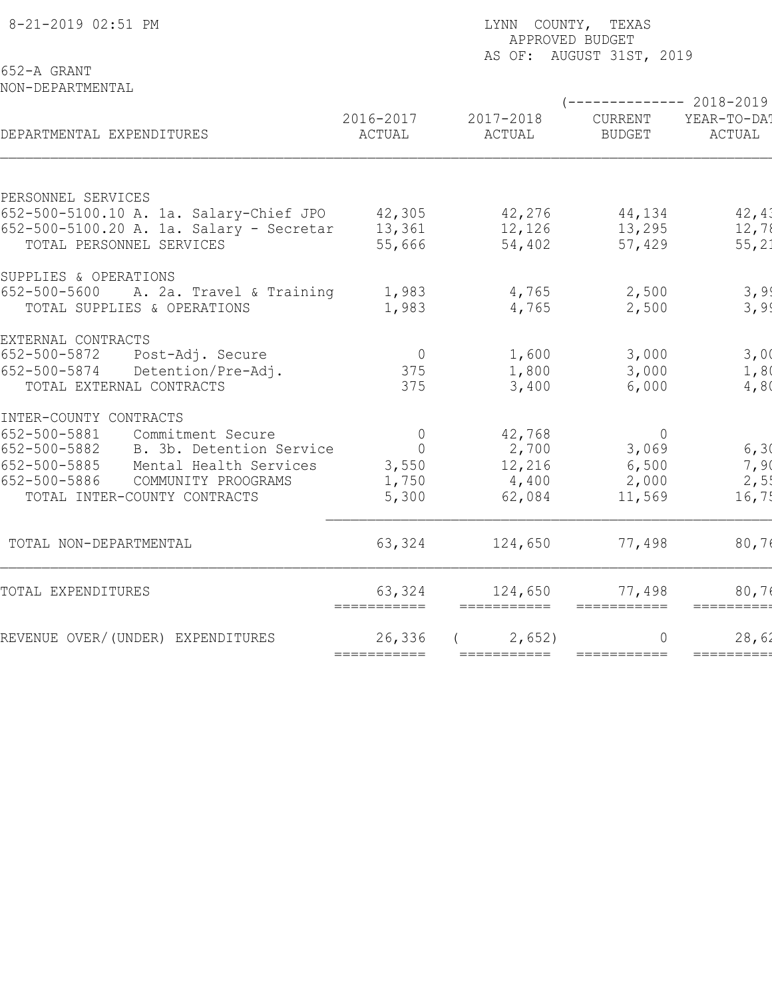| 8-21-2019 02:51 PM                       |                                                   | LYNN COUNTY, TEXAS<br>APPROVED BUDGET |                                                  |                       |  |  |
|------------------------------------------|---------------------------------------------------|---------------------------------------|--------------------------------------------------|-----------------------|--|--|
| 652-A GRANT<br>NON-DEPARTMENTAL          |                                                   |                                       | AS OF: AUGUST 31ST, 2019                         |                       |  |  |
| DEPARTMENTAL EXPENDITURES                | 2016-2017<br>ACTUAL                               | 2017-2018<br>ACTUAL                   | $---------2018-2019$<br>CURRENT<br><b>BUDGET</b> | YEAR-TO-DAT<br>ACTUAL |  |  |
| PERSONNEL SERVICES                       |                                                   |                                       |                                                  |                       |  |  |
| 652-500-5100.10 A. 1a. Salary-Chief JPO  | 42,305                                            | 42,276                                | 44,134                                           | 42, 41                |  |  |
| 652-500-5100.20 A. 1a. Salary - Secretar | 13,361                                            | 12,126                                | 13,295                                           | 12,78                 |  |  |
| TOTAL PERSONNEL SERVICES                 | 55,666                                            | 54,402                                | 57,429                                           | 55, 21                |  |  |
| SUPPLIES & OPERATIONS                    |                                                   |                                       |                                                  |                       |  |  |
| 652-500-5600<br>A. 2a. Travel & Training | 1,983                                             | 4,765                                 | 2,500                                            | 3,99                  |  |  |
| TOTAL SUPPLIES & OPERATIONS              | 1,983                                             | 4,765                                 | 2,500                                            | 3,99                  |  |  |
| EXTERNAL CONTRACTS                       |                                                   |                                       |                                                  |                       |  |  |
| 652-500-5872<br>Post-Adj. Secure         | $\overline{0}$                                    | 1,600                                 | 3,000                                            | 3,00                  |  |  |
| 652-500-5874<br>Detention/Pre-Adj.       | 375                                               | 1,800                                 | 3,000                                            | 1,80                  |  |  |
| TOTAL EXTERNAL CONTRACTS                 | 375                                               | 3,400                                 | 6,000                                            | 4,80                  |  |  |
| INTER-COUNTY CONTRACTS                   |                                                   |                                       |                                                  |                       |  |  |
| 652-500-5881<br>Commitment Secure        | $\Omega$                                          | 42,768                                | $\overline{0}$                                   |                       |  |  |
| 652-500-5882<br>B. 3b. Detention Service | $\overline{0}$                                    | 2,700                                 | 3,069                                            | 6, 30                 |  |  |
| 652-500-5885<br>Mental Health Services   | 3,550                                             | 12,216                                | 6,500                                            | 7,90                  |  |  |
| 652-500-5886<br>COMMUNITY PROOGRAMS      | 1,750                                             | 4,400                                 | 2,000                                            | 2,5!                  |  |  |
| TOTAL INTER-COUNTY CONTRACTS             | 5,300                                             | 62,084                                | 11,569                                           | 16,75                 |  |  |
| TOTAL NON-DEPARTMENTAL                   | 63,324                                            | 124,650                               | 77,498                                           | 80,76                 |  |  |
| TOTAL EXPENDITURES                       | 63,324<br>$=$ $=$ $=$ $=$ $=$ $=$ $=$ $=$ $=$ $=$ | 124,650<br>===========                | 77,498<br>===========                            | 80,7<br>=========     |  |  |
| REVENUE OVER/(UNDER) EXPENDITURES        | 26,336                                            | 2,652)                                | $\Omega$                                         | 28,62                 |  |  |
|                                          | ===========                                       | ===========                           | $=$ ===========                                  | ==========            |  |  |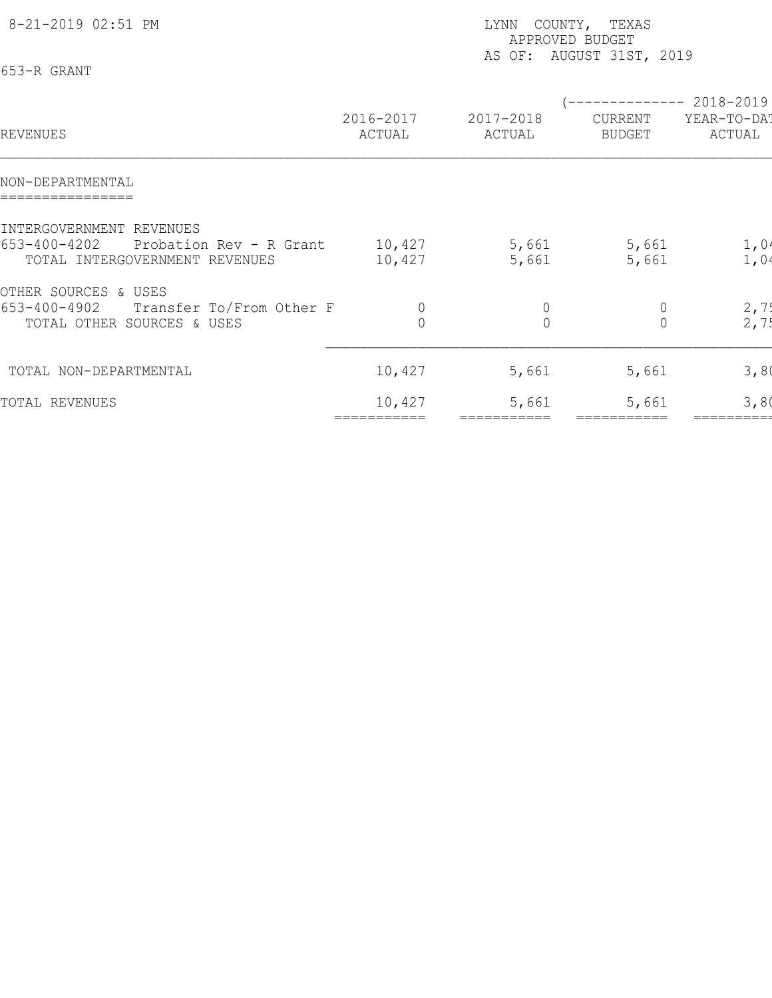| 8-21-2019 02:51 PM<br>653-R GRANT                                                                     |                     | COUNTY, TEXAS<br>LYNN<br>APPROVED BUDGET<br>AS OF: AUGUST 31ST, 2019 |                                            |                                    |  |  |
|-------------------------------------------------------------------------------------------------------|---------------------|----------------------------------------------------------------------|--------------------------------------------|------------------------------------|--|--|
| REVENUES                                                                                              | 2016-2017<br>ACTUAL | 2017-2018<br>ACTUAL                                                  | --------------<br>CURRENT<br><b>BUDGET</b> | 2018-2019<br>YEAR-TO-DAT<br>ACTUAL |  |  |
| NON-DEPARTMENTAL                                                                                      |                     |                                                                      |                                            |                                    |  |  |
| INTERGOVERNMENT REVENUES<br>653-400-4202<br>Probation Rev - R Grant<br>TOTAL INTERGOVERNMENT REVENUES | 10,427<br>10,427    | 5,661<br>5,661                                                       | 5,661<br>5,661                             | 1,04<br>1,04                       |  |  |
| OTHER SOURCES & USES<br>653-400-4902<br>Transfer To/From Other F<br>TOTAL OTHER SOURCES & USES        | 0<br>$\overline{0}$ | $\theta$<br>$\overline{0}$                                           | $\theta$<br>$\mathbf 0$                    | 2,7!<br>2,75                       |  |  |
| TOTAL NON-DEPARTMENTAL                                                                                | 10,427              | 5,661                                                                | 5,661                                      | 3,80                               |  |  |
| TOTAL REVENUES                                                                                        | 10,427              | 5,661                                                                | 5,661                                      | 3,80                               |  |  |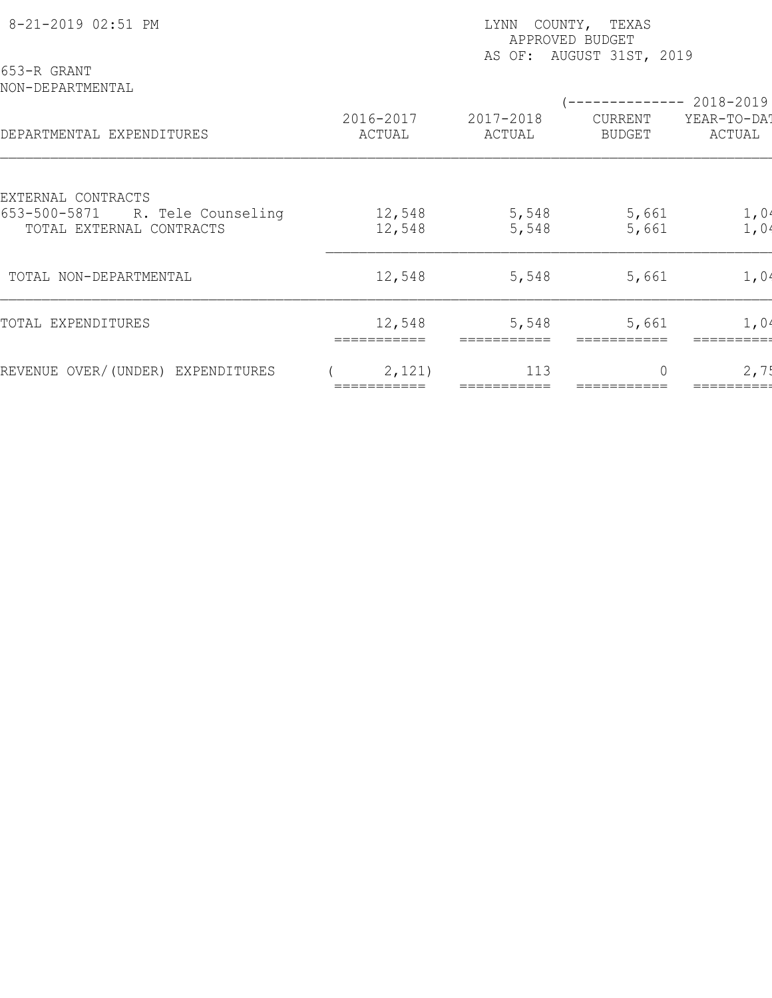| 8-21-2019 02:51 PM                                                                   | COUNTY, TEXAS<br>LYNN<br>APPROVED BUDGET<br>AS OF: AUGUST 31ST, 2019 |                     |                |                          |                       |  |  |
|--------------------------------------------------------------------------------------|----------------------------------------------------------------------|---------------------|----------------|--------------------------|-----------------------|--|--|
| 653-R GRANT<br>NON-DEPARTMENTAL                                                      |                                                                      |                     |                |                          | ----------- 2018-2019 |  |  |
| DEPARTMENTAL EXPENDITURES                                                            | 2016-2017<br>ACTUAL                                                  | 2017-2018<br>ACTUAL |                | CURRENT<br><b>BUDGET</b> | YEAR-TO-DAT<br>ACTUAL |  |  |
| EXTERNAL CONTRACTS<br>653-500-5871<br>R. Tele Counseling<br>TOTAL EXTERNAL CONTRACTS | 12,548<br>12,548                                                     |                     | 5,548<br>5,548 | 5,661<br>5,661           | 1,04<br>1,04          |  |  |
| TOTAL NON-DEPARTMENTAL                                                               | 12,548                                                               |                     | 5,548          | 5,661                    | 1,04                  |  |  |
| TOTAL EXPENDITURES                                                                   | 12,548                                                               |                     | 5,548          | 5,661                    | 1,04                  |  |  |
| REVENUE OVER/(UNDER) EXPENDITURES                                                    | 2,121)                                                               |                     | 113            | $\bigcap$                | 2,75                  |  |  |
|                                                                                      |                                                                      |                     |                |                          |                       |  |  |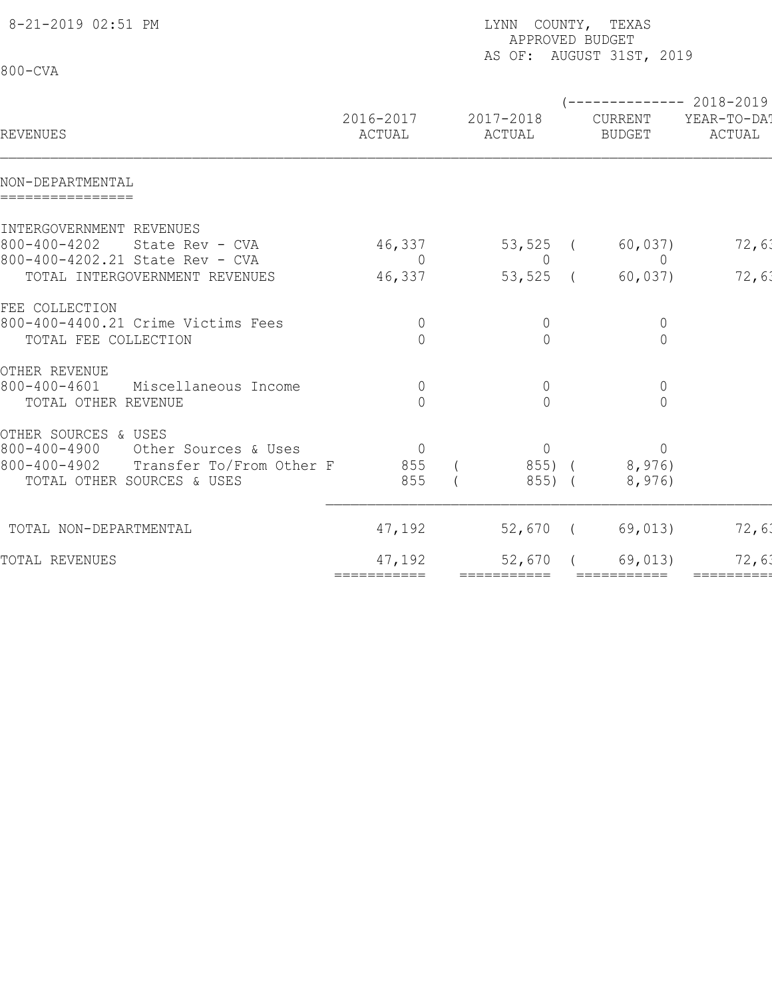| 8-21-2019 02:51 PM                                    |                     | LYNN COUNTY, TEXAS<br>APPROVED BUDGET<br>AS OF: AUGUST 31ST, 2019 |  |                          |                        |  |  |  |
|-------------------------------------------------------|---------------------|-------------------------------------------------------------------|--|--------------------------|------------------------|--|--|--|
| $800 - CVA$                                           |                     |                                                                   |  |                          |                        |  |  |  |
|                                                       |                     |                                                                   |  |                          | ------------ 2018-2019 |  |  |  |
| REVENUES                                              | 2016-2017<br>ACTUAL | 2017-2018<br>ACTUAL                                               |  | CURRENT<br><b>BUDGET</b> | YEAR-TO-DA!<br>ACTUAL  |  |  |  |
| NON-DEPARTMENTAL<br>================                  |                     |                                                                   |  |                          |                        |  |  |  |
| INTERGOVERNMENT REVENUES                              |                     |                                                                   |  |                          |                        |  |  |  |
| $800 - 400 - 4202$<br>State Rev - CVA                 | 46,337              | $53,525$ (                                                        |  | 60,037)                  | 72,63                  |  |  |  |
| 800-400-4202.21 State Rev - CVA                       | $\overline{0}$      | $\overline{0}$                                                    |  | $\overline{0}$           |                        |  |  |  |
| TOTAL INTERGOVERNMENT REVENUES                        | 46,337              | $53,525$ (                                                        |  | 60,037)                  | 72,63                  |  |  |  |
| FEE COLLECTION                                        |                     |                                                                   |  |                          |                        |  |  |  |
| 800-400-4400.21 Crime Victims Fees                    | $\overline{0}$      | $\overline{0}$                                                    |  | $\overline{0}$           |                        |  |  |  |
| TOTAL FEE COLLECTION                                  | $\Omega$            | $\bigcap$                                                         |  | $\overline{0}$           |                        |  |  |  |
|                                                       |                     |                                                                   |  |                          |                        |  |  |  |
| OTHER REVENUE<br>800-400-4601<br>Miscellaneous Income | $\overline{0}$      | $\overline{0}$                                                    |  | $\overline{0}$           |                        |  |  |  |
| TOTAL OTHER REVENUE                                   | $\Omega$            | $\bigcap$                                                         |  | $\Omega$                 |                        |  |  |  |
|                                                       |                     |                                                                   |  |                          |                        |  |  |  |
| OTHER SOURCES & USES                                  |                     |                                                                   |  |                          |                        |  |  |  |
| $800 - 400 - 4900$<br>Other Sources & Uses            | $\overline{0}$      | $\overline{0}$                                                    |  | $\Omega$                 |                        |  |  |  |
| 800-400-4902<br>Transfer To/From Other F              | 855                 | 855) (                                                            |  | 8,976)                   |                        |  |  |  |
| TOTAL OTHER SOURCES & USES                            | 855                 | 855) (                                                            |  | 8,976)                   |                        |  |  |  |
| TOTAL NON-DEPARTMENTAL                                | 47,192              | 52,670 (                                                          |  | 69,013)                  | 72,63                  |  |  |  |
| TOTAL REVENUES                                        | 47,192              | 52,670                                                            |  | 69,013)                  | 72,63                  |  |  |  |
|                                                       | ===========         | ===========                                                       |  | ===========              | ==========             |  |  |  |
|                                                       |                     |                                                                   |  |                          |                        |  |  |  |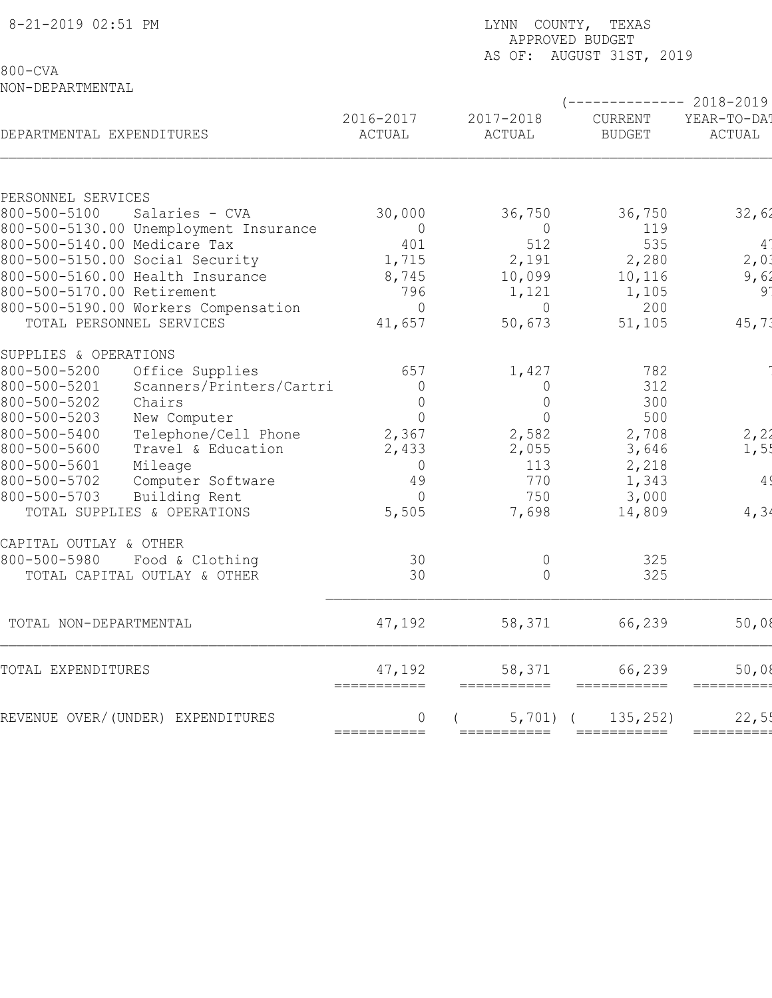| 8-21-2019 02:51 PM                 |                                        |                          | LYNN COUNTY, TEXAS<br>APPROVED BUDGET<br>AS OF: AUGUST 31ST, 2019 |                          |                       |  |  |  |
|------------------------------------|----------------------------------------|--------------------------|-------------------------------------------------------------------|--------------------------|-----------------------|--|--|--|
| $800 - CVA$<br>NON-DEPARTMENTAL    |                                        |                          |                                                                   |                          |                       |  |  |  |
|                                    |                                        |                          |                                                                   |                          | ----------- 2018-2019 |  |  |  |
| DEPARTMENTAL EXPENDITURES          |                                        | 2016-2017<br>ACTUAL      | 2017-2018<br>ACTUAL                                               | CURRENT<br><b>BUDGET</b> | YEAR-TO-DA!<br>ACTUAL |  |  |  |
|                                    |                                        |                          |                                                                   |                          |                       |  |  |  |
| PERSONNEL SERVICES<br>800-500-5100 | Salaries - CVA                         |                          |                                                                   |                          |                       |  |  |  |
|                                    | 800-500-5130.00 Unemployment Insurance | 30,000<br>$\overline{0}$ | 36,750<br>$\overline{0}$                                          | 36,750<br>119            | 32,62                 |  |  |  |
|                                    | 800-500-5140.00 Medicare Tax           | 401                      | 512                                                               | 535                      | $4^{\degree}$         |  |  |  |
|                                    | 800-500-5150.00 Social Security        | 1,715                    | 2,191                                                             | 2,280                    | 2,01                  |  |  |  |
|                                    | 800-500-5160.00 Health Insurance       | 8,745                    | 10,099                                                            | 10,116                   | 9,62                  |  |  |  |
| 800-500-5170.00 Retirement         |                                        | 796                      | 1,121                                                             | 1,105                    | 91                    |  |  |  |
|                                    | 800-500-5190.00 Workers Compensation   | $\Omega$                 | $\Omega$                                                          | 200                      |                       |  |  |  |
|                                    | TOTAL PERSONNEL SERVICES               | 41,657                   | 50,673                                                            | 51,105                   | 45, 71                |  |  |  |
| SUPPLIES & OPERATIONS              |                                        |                          |                                                                   |                          |                       |  |  |  |
| 800-500-5200                       | Office Supplies                        | 657                      | 1,427                                                             | 782                      |                       |  |  |  |
| 800-500-5201                       | Scanners/Printers/Cartri               | $\Omega$                 | $\overline{0}$                                                    | 312                      |                       |  |  |  |
| 800-500-5202                       | Chairs                                 | $\overline{0}$           | $\mathbf 0$                                                       | 300                      |                       |  |  |  |
| 800-500-5203                       | New Computer                           | $\overline{0}$           | $\bigcap$                                                         | 500                      |                       |  |  |  |
| 800-500-5400                       | Telephone/Cell Phone                   | 2,367                    | 2,582                                                             | 2,708                    | 2, 21                 |  |  |  |
| 800-500-5600                       | Travel & Education                     | 2,433                    | 2,055                                                             | 3,646                    | 1,5!                  |  |  |  |
| 800-500-5601                       | Mileage                                | $\overline{0}$           | 113                                                               | 2,218                    |                       |  |  |  |
| 800-500-5702                       | Computer Software                      | 49                       | 770                                                               | 1,343                    | 4 <sup>′</sup>        |  |  |  |
| 800-500-5703                       | Building Rent                          | $\Omega$                 | 750                                                               | 3,000                    |                       |  |  |  |
|                                    | TOTAL SUPPLIES & OPERATIONS            | 5,505                    | 7,698                                                             | 14,809                   | 4, 34                 |  |  |  |
| CAPITAL OUTLAY & OTHER             |                                        |                          |                                                                   |                          |                       |  |  |  |
| 800-500-5980                       | Food & Clothing                        | 30                       | 0                                                                 | 325                      |                       |  |  |  |
|                                    | TOTAL CAPITAL OUTLAY & OTHER           | 30                       | $\overline{0}$                                                    | 325                      |                       |  |  |  |
| TOTAL NON-DEPARTMENTAL             |                                        | 47,192                   | 58,371                                                            | 66,239                   | 50,08                 |  |  |  |
| TOTAL EXPENDITURES                 |                                        | 47,192<br>===========    | 58,371<br>===========                                             | 66,239<br>===========    | 50,08<br>=========    |  |  |  |
|                                    | REVENUE OVER/(UNDER) EXPENDITURES      | 0                        | 5,701                                                             | 135, 252)                | 22,5!                 |  |  |  |
|                                    |                                        | ===========              | ===========                                                       |                          | =========             |  |  |  |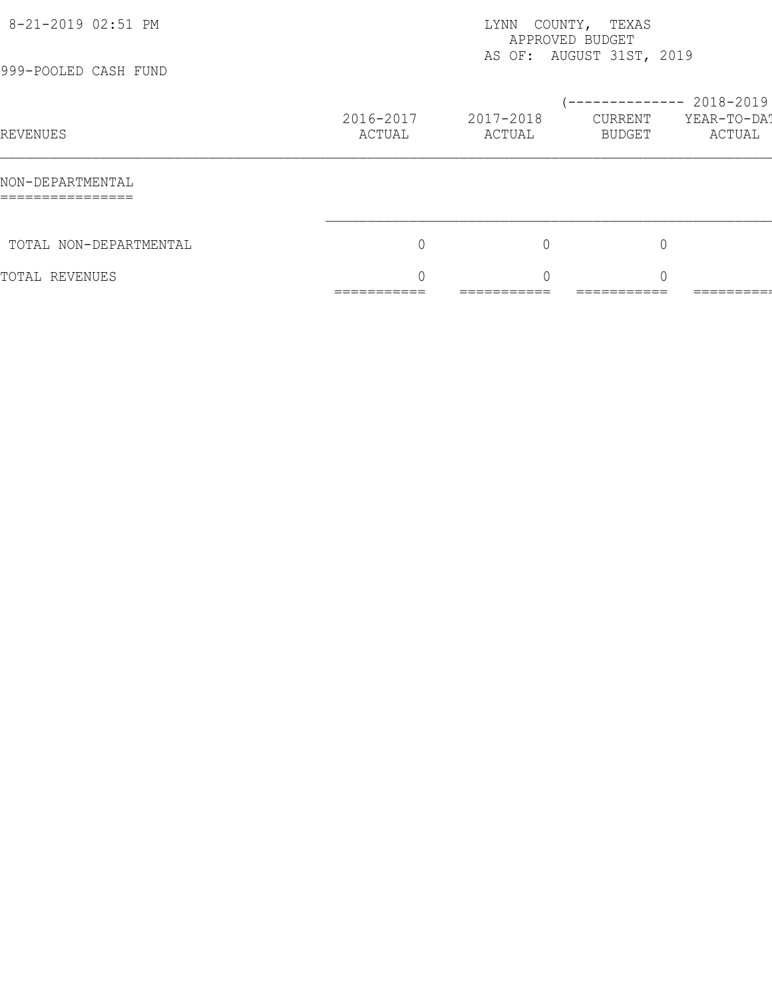| 8-21-2019 02:51 PM<br>999-POOLED CASH FUND | COUNTY, TEXAS<br>LYNN<br>APPROVED BUDGET<br>AS OF: AUGUST 31ST, 2019 |                                      |                                                   |                        |  |  |
|--------------------------------------------|----------------------------------------------------------------------|--------------------------------------|---------------------------------------------------|------------------------|--|--|
| REVENUES                                   | 2016-2017<br>ACTUAL                                                  | 2017-2018<br>ACTUAL                  | $--------- 2018-2019$<br>CURRENT<br><b>BUDGET</b> | YEAR-TO-DA!<br>ACTUAL  |  |  |
| NON-DEPARTMENTAL<br>================       |                                                                      |                                      |                                                   |                        |  |  |
| TOTAL NON-DEPARTMENTAL                     | 0                                                                    | $\mathbf 0$                          | $\overline{0}$                                    |                        |  |  |
| TOTAL REVENUES                             | $\cap$<br>___________<br>___________                                 | $\cap$<br>___________<br>___________ | $\cap$<br>___________<br>___________              | _________<br>_________ |  |  |